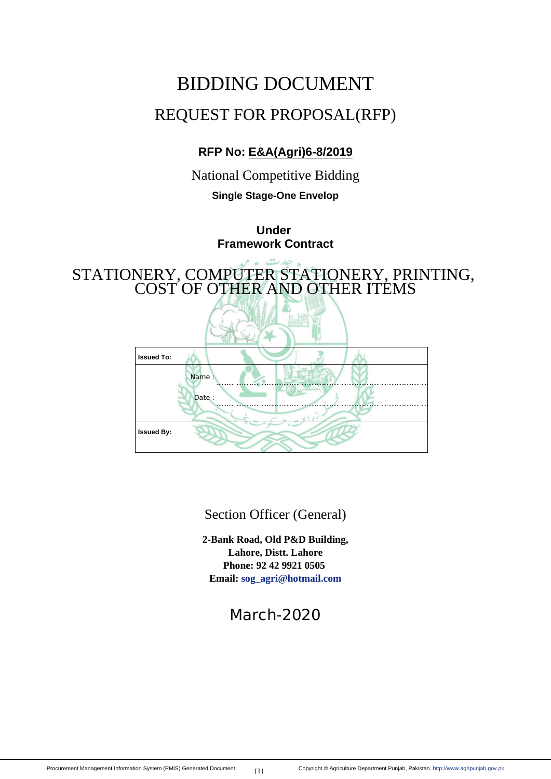# BIDDING DOCUMENT REQUEST FOR PROPOSAL(RFP)

RFP No: E&A(Agri)6-8/2019

### National Competitive Bidding

Single Stage-One Envelop

Under Framework Contract

# STATIONERY, COMPUTER STATIONERY, PRINTING, COST OF OTHER AND OTHER ITEMS

| Issued To: |       |  |  |
|------------|-------|--|--|
|            | Name: |  |  |
|            | Date: |  |  |
|            |       |  |  |
| Issued By: |       |  |  |
|            |       |  |  |

## Section Officer (General)

2-Bank Road, Old P&D Building, Lahore, Distt. Lahore Phone: 92 42 9921 0505 Email: [sog\\_agri@hotmail.com](mailto:sog_agri@hotmail.com)

March-2020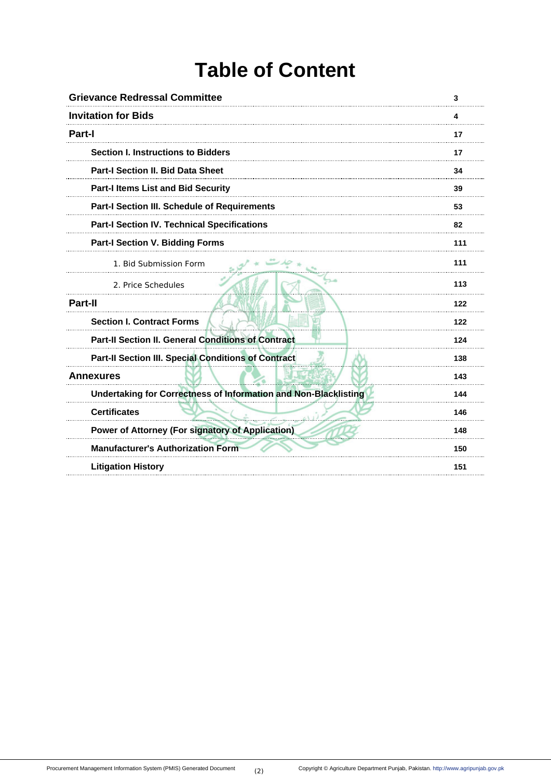# Table of Content

| <b>Grievance Redressal Committee</b>                            | 3   |
|-----------------------------------------------------------------|-----|
| <b>Invitation for Bids</b>                                      | 4   |
| Part-I                                                          | 17  |
| Section I. Instructions to Bidders                              | 17  |
| Part-I Section II. Bid Data Sheet                               | 34  |
| Part-I Items List and Bid Security                              | 39  |
| Part-I Section III. Schedule of Requirements                    | 53  |
| Part-I Section IV. Technical Specifications                     | 82  |
| Part-I Section V. Bidding Forms                                 | 111 |
| 1. Bid Submission Form                                          | 111 |
| 2. Price Schedules                                              | 113 |
| Part-II                                                         | 122 |
| Section I. Contract Forms                                       | 122 |
| Part-II Section II. General Conditions of Contract              | 124 |
| Part-II Section III. Special Conditions of Contract             | 138 |
| Annexures                                                       | 143 |
| Undertaking for Correctness of Information and Non-Blacklisting | 144 |
| Certificates                                                    | 146 |
| Power of Attorney (For signatory of Application)                | 148 |
| Manufacturer's Authorization Form                               | 150 |
| <b>Litigation History</b>                                       | 151 |
|                                                                 |     |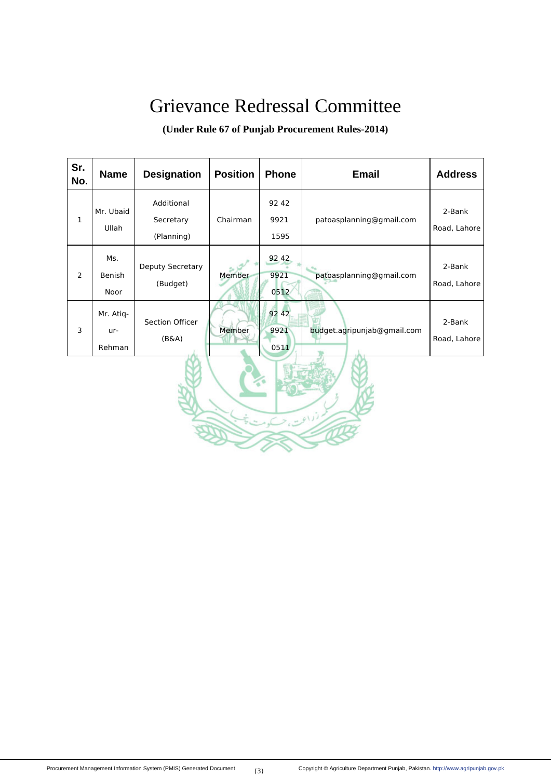# Grievance Redressal Committee

(Under Rule 67 of Punjab Procurement Rules-2014)

| Sr.<br>No. | Name                           | Designation                           | Position      | Phone                 | Email                       | Address                     |  |
|------------|--------------------------------|---------------------------------------|---------------|-----------------------|-----------------------------|-----------------------------|--|
| 1          | Mr. Ubalid<br>Ullah            | Additional<br>Secretary<br>(Planning) | Chairman 9921 | 92 42<br>1595         | patoasplanning@gmail .com   | $2 - B$ ank<br>Road, Lahore |  |
| 2          | Ms.<br>Benish<br>Noor          | Deputy Secretary<br>(Budget)          | $M$ ember     | 92 42<br>9921<br>0512 | patoasplanning@gmail.com    | $2 - B$ ank<br>Road, Lahore |  |
| 3          | Mr. Atilg-<br>$ur -$<br>Rehmah | Section Officer<br>(B & A)            | Member        | 92 42<br>9921<br>0511 | budget.agripunjab@gmail.com | $2 - B$ ank<br>Road, Lahore |  |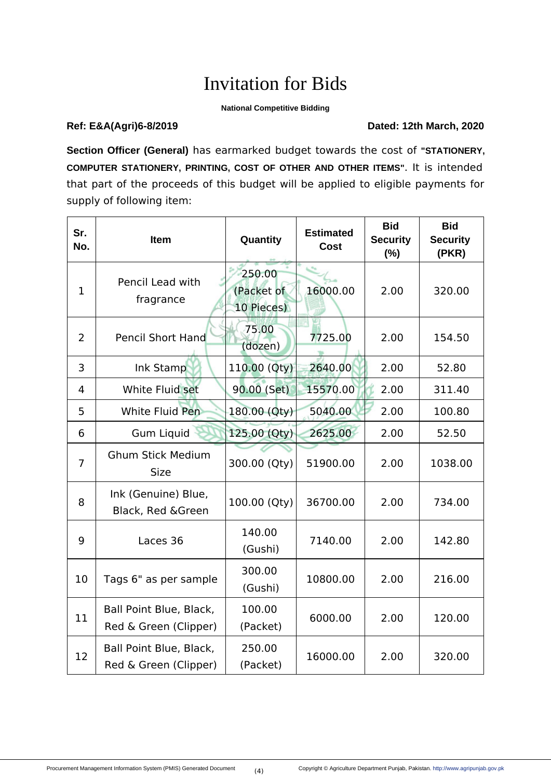# Invitation for Bids

National Competitive Bidding

#### Ref: E&A(Agri)6-8/2019 Dated: 12th March, 2020

Section Officer (General) has earmarked budget towards STATEONERYst of COMPUTER STATIONERY, PRINTING, COST OF OTHER AND OTHER ITEMS" . It is intended that part of the proceeds of this budget will be applied to eligi supply of following item:

| Sr.<br>No.     | Item                                                            | Quantity             | Estimated<br>Cost                          | <b>Bid</b><br>Security<br>(% ) | <b>Bid</b><br>Security<br>(PKR) |
|----------------|-----------------------------------------------------------------|----------------------|--------------------------------------------|--------------------------------|---------------------------------|
| $\mathbf{1}$   | Pencil Lead with<br>fragrance                                   | 250.00<br>10 Pieces) | (Packet for 16000.0 0)                     | 2.00                           | 320.00                          |
| $\overline{2}$ | Pencil Short Hand                                               | 75.00<br>(dozen)     | 7725.00                                    | 2.00                           | 154.50                          |
| 3              | Ink Stamp                                                       |                      | 110.00 (Qty2)640.00                        | 2.00                           | 52.80                           |
| $\overline{4}$ | White Fluid $s$ $d$ t 90.00 $(S et)$ 5570.00                    |                      |                                            | 2.00                           | 311.40                          |
| 5              | White Fluid Pen 80.00 (Qty5040.00                               |                      |                                            | $2.00$                         | 100.80                          |
| 6              | Gum Liquid                                                      |                      | 125.00 (Qty2)625.00                        | 2.00                           | $52.50$                         |
| $\overline{7}$ | Ghum Stick Medium<br>Size                                       |                      | $300.00$ ( $\phi$ t $\frac{1}{2}$ )1900.00 | 2.00                           | 1038.00                         |
| 8              | Ink (Genuine) Blue,<br>Black, Red & Green                       |                      | ĭŏo.oo (Φtβ)6700.0 O                       | 2.00                           | 734.00                          |
| 9              | Laces 36                                                        | 140.00<br>(Gushi)    | 7140.00                                    | 2.00                           | 142.80                          |
| 10             | Tags 6" as per sample                                           | 300.00<br>(Gushi)    | 10800.0 0 2.00                             |                                | 216.00                          |
| 11             | Ball Point Blue, Bladook, 00<br>Red & Green (Clipp(@Pra)cket )  |                      | 6000.00                                    | 2.00                           | 120.00                          |
| 12             | Ball Point Blue, Bla2c5k0,.00<br>Red & Green (Clipp(@Pra)cket ) |                      | 16000.0 0 2.00                             |                                | 320.00                          |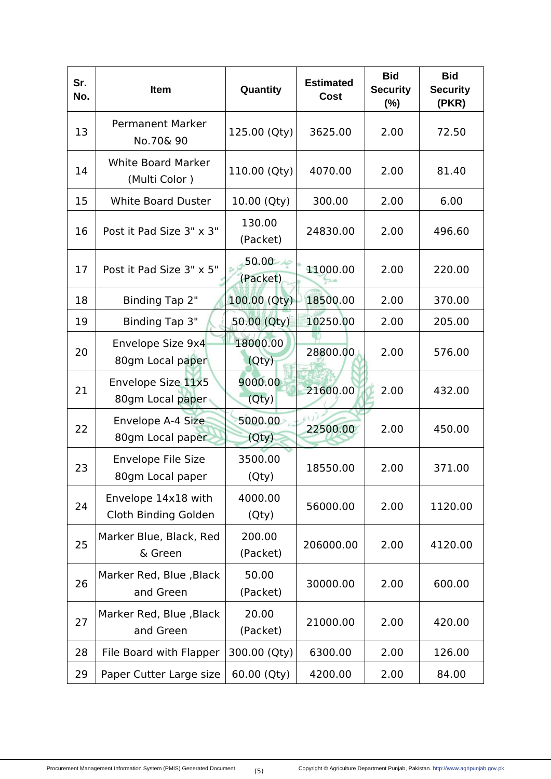| Sr.<br>No. | Item                                                             | Quantity                                                                               | Estimated<br>Cost   | <b>Bid</b><br>Security<br>(% ) | <b>Bid</b><br>Security<br>(PKR) |
|------------|------------------------------------------------------------------|----------------------------------------------------------------------------------------|---------------------|--------------------------------|---------------------------------|
| 13         | Permanent Marker<br>125.00 (Qty3625.00)<br>No.70& 90             |                                                                                        |                     | 2.00                           | 72.50                           |
| 14         | White Board Marker<br>(Multi Color                               |                                                                                        | ί το.οο (Φty4070.00 | 2.00                           | 81.40                           |
| 15         | White Board Dustlear.00 $(Q ty)300.00$                           |                                                                                        |                     | 2.00                           | 6.00                            |
| 16         | Post it Pad Size                                                 | $3'' \times 3''$<br>$(P \nightharpoonup c \nightharpoonup c \nightharpoonup d)$        | 24830.0 0           | 2.00                           | 496.60                          |
| 17         | Post it Pad Size                                                 | $3" 50.00$<br>$3" x 5"$<br>$(P \nightharpoonup c \nightharpoonup c \nightharpoonup d)$ | 11000.00            | 2.00                           | 220.00                          |
| 18         | Binding Tap 2 '100.00 (Qty)8500.00                               |                                                                                        |                     | 2.00                           | 370.00                          |
| 19         | Binding Tap $3$ " 50.00 (Qty) 0250.00                            |                                                                                        |                     | 2.00                           | 205.00                          |
| 20         | Envelope Size $9 \times 48000.00$<br>80gm Local paper (Qty)      |                                                                                        | 28800.00            | 2.00                           | 576.00                          |
| 21         | Envelope Size $1 1 \times 95000.00 $<br>80gm Local paper (Qty)   |                                                                                        | 21600.0 0 2.00      |                                | 432.00                          |
| 22         | Envelope $A - 4$ S $ z \oplus 000.00 $<br>80gm Local paper (Qty) |                                                                                        | 22500.0 0 2.00      |                                | 450.00                          |
| 23         | Envelope File Siz&500.00<br>80gm Local paper (Qty)               |                                                                                        | 18550.0 0 2.00      |                                | 371.00                          |
| 24         | Envelope 14x18 w14000.00 <br>Cloth Binding Golde(nQty)           |                                                                                        | 56000.002.00        |                                | 1120.00                         |
| 25         | Marker Blue, Black, 2RO@d00<br>& Green                           | (Packet)                                                                               | 206000.002.00       |                                | 4120.00                         |
| 26         | Marker Red, Blue<br>and Green                                    | , B 5a0c.100<br>(Packet)                                                               | 30000.00            | 2.00                           | 600.00                          |
| 27         | Marker Red, Blue<br>and Green                                    | $, B$ 2a0 $c. 100$<br>(Packet)                                                         | 21000.00            | 2.00                           | 420.00                          |
| 28         | File Board with F13aΦΦ.⊕n0 (Φty6)300.00                          |                                                                                        |                     | 2.00                           | 126.00                          |
| 29         | Paper Cutter Larg 6 0s.i02 @ (Qty )4 200.00                      |                                                                                        |                     | $2.00$                         | 84.00                           |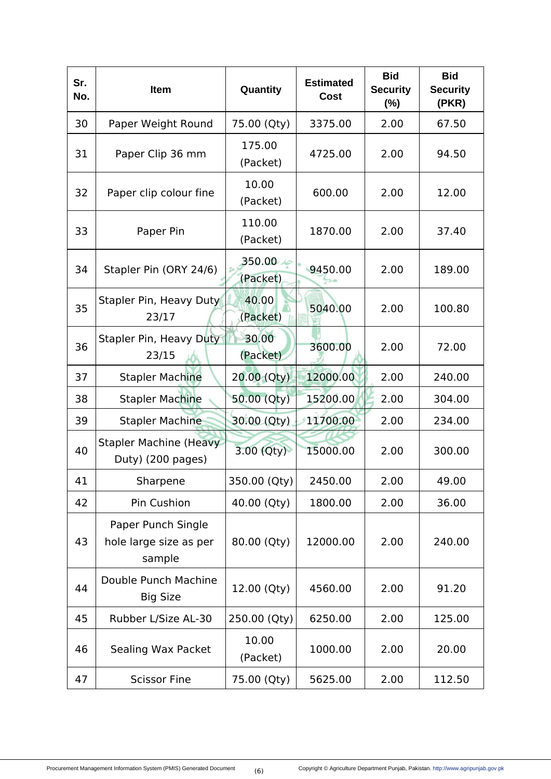| Sr.<br>No. | Item                                                                   | Quantity                                                                                      | Estimated<br>Cost       | <b>Bid</b><br>Security<br>(% ) | <b>Bid</b><br>Security<br>(PKR) |
|------------|------------------------------------------------------------------------|-----------------------------------------------------------------------------------------------|-------------------------|--------------------------------|---------------------------------|
| 30         | Paper Weight RowTh5d00 (Qty 3375.00                                    |                                                                                               |                         | 2.00                           | 67.50                           |
| 31         | Paper Clip 36 mm                                                       | 175.00<br>(Packet)                                                                            | 4725.00                 | 2.00                           | 94.50                           |
| 32         | Paper clip colour fine                                                 | 10.00<br>$(P \nightharpoonup c \nightharpoonup c \nightharpoonup d)$                          | 600.00                  | 2.00                           | 12.00                           |
| 33         | Paper Pin                                                              | 110.00<br>(Packet)                                                                            | 1870.00                 | 2.00                           | 37.40                           |
| 34         | Stapler Pin (ORY                                                       | $350.00$<br>$24/6)$<br>$(\overline{P} \overline{a} \overline{c} \overline{k} \overline{e} t)$ | 9450.00                 | 2.00                           | 189.00                          |
| 35         | Stapler Pin, Heavy D400t.yo 0<br>23/17                                 | (Packet)                                                                                      | 5040.00                 | 2.00                           | 100.80                          |
| 36         | Stapler Pin, Heavy D300t.yo 0<br>23/15                                 | (Packet)                                                                                      | 3600.00                 | 2.00                           | 72.00                           |
| 37         | Stapler Machine $20.00$ (Qty) $2000.0$                                 |                                                                                               |                         | 2.00                           | 240.00                          |
| 38         | Stapler Machine $50.00$ (Qty) $5200.0$                                 |                                                                                               |                         | 2.00                           | 304.00                          |
| 39         | Stapler Machine30.00 $(Q ty)$ 1700.00                                  |                                                                                               |                         | 2.00                           | 234.00                          |
| 40         | Stapler Machine<br>Duty) $(200 \text{ pages})$                         | $\int_{3.00}$ (Qty = 15000.000)                                                               |                         | $2.00$                         | 300.00                          |
| 41         | Sharpene                                                               | 350.00 (Q\ty2)450.00                                                                          |                         | 2.00                           | 49.00                           |
| 42         | Pin Cushion                                                            |                                                                                               | $40.00$ (Q ty ) 1800.00 | $2.00$                         | 36.00                           |
| 43         | Paper Punch Single<br>hole large size as8βe00 (Q ty12000.0 0<br>sample |                                                                                               |                         | 2.00                           | 240.00                          |
| 44         | Double Punch Machine<br>$12.00$ (Qty 4560.00<br>Big Size               |                                                                                               |                         | $2.00$                         | 91.20                           |
| 45         | Rubber L/Size A 12-5300.00 (Qty6250.00                                 |                                                                                               |                         | $2.00$                         | 125.00                          |
| 46         | Sealing Wax Packet (Packet)                                            |                                                                                               | 1000.00                 | 2.00                           | 20.00                           |
| 47         | Scissor Fine                                                           |                                                                                               | 75.00 (Qty)5625.00      | 2.00                           | 112.50                          |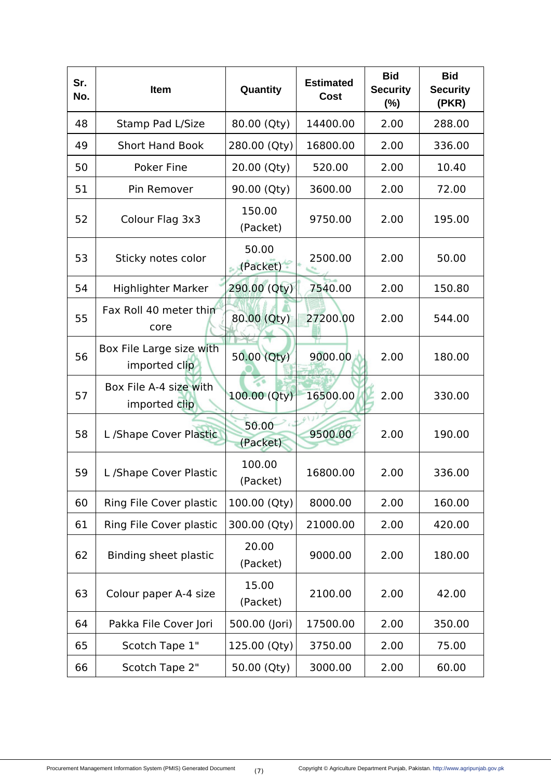| Sr.<br>No. | Item                                                     | Quantity                                        | Estimated<br>Cost            | <b>Bid</b><br>Security<br>(% ) | <b>Bid</b><br>Security<br>(PKR) |
|------------|----------------------------------------------------------|-------------------------------------------------|------------------------------|--------------------------------|---------------------------------|
| 48         | Stamp Pad L/S $z@0.00$ (Q  ty $14400.0$  0               |                                                 |                              | 2.00                           | 288.00                          |
| 49         | Short Hand Bob 280.00 $(Q(y)$ 6800.00                    |                                                 |                              | 2.00                           | 336.00                          |
| 50         | Poker Fine                                               |                                                 | $20.00$ $(Q ty)520.00$       | 2.00                           | 10.40                           |
| 51         | Pin Remover                                              |                                                 | 90.00 $(Q ty)3600.00$        | 2.00                           | 72.00                           |
| 52         | Colour Flag 3x3                                          | 150.00<br>(Packet)                              | 9750.00                      | 2.00                           | 195.00                          |
| 53         | Sticky notes color                                       | 50.00<br>(Packet)                               | 2500.00                      | 2.00                           | 50.00                           |
| 54         | Highlighter Mark2e9r0.00 (Qty7)540.00                    |                                                 |                              | 2.00                           | 150.80                          |
| 55         | Fax Roll 40 meter thin<br>core                           |                                                 | 80.00 (Q ty27200.0 0)        | 2.00                           | 544.00                          |
| 56         | Box File Large size with $Q $ y 0000.00<br>imported clip |                                                 |                              | 2.00                           | 180.00                          |
| 57         | Box File $A - 4$ size with<br>imported clip              |                                                 | $100.00$ ( $Q$ tyl) $6500.0$ | 2.00                           | 330.00                          |
| 58         | L /Shape Cover                                           | 50.00<br><b>⊉lastic</b><br>(Packe t)            | 9500.00                      | 2.00                           | 190.00                          |
| 59         | L /Shape Cover                                           | 100.00<br>Plastic<br>$\hat{P}$ acket)           | 16800.00                     | 2.00                           | 336.00                          |
| 60         | Ring File Cover b1@\$tiCcO (Qty8000.00                   |                                                 |                              | $2.00$                         | 160.00                          |
| 61         | Ring File Cover                                          | $b300ti000$ $(QtQ)1000.00$                      |                              | $2.00$                         | 420.00                          |
| 62         | Binding sheet plastic                                    | 20.00<br>(Packet)                               | 9000.00                      | $2.00$                         | 180.00                          |
| 63         | Colour paper A-4                                         | 15.00<br>size<br>$(P \nvert c \nvert k \nvert)$ | 2100.00                      | $2\,$ . $0\,0$                 | 42.00                           |
| 64         | Pakka File Cover500r00 (Joni7500.00                      |                                                 |                              | $2.00$                         | 350.00                          |
| 65         | Scotch Tape 1 '125.00 (Qty3750.00                        |                                                 |                              | $2.00$                         | 75.00                           |
| 66         | Scotch Tape $2 "50.00 (Q ty)3000.00$                     |                                                 |                              | 2.00                           | 60.00                           |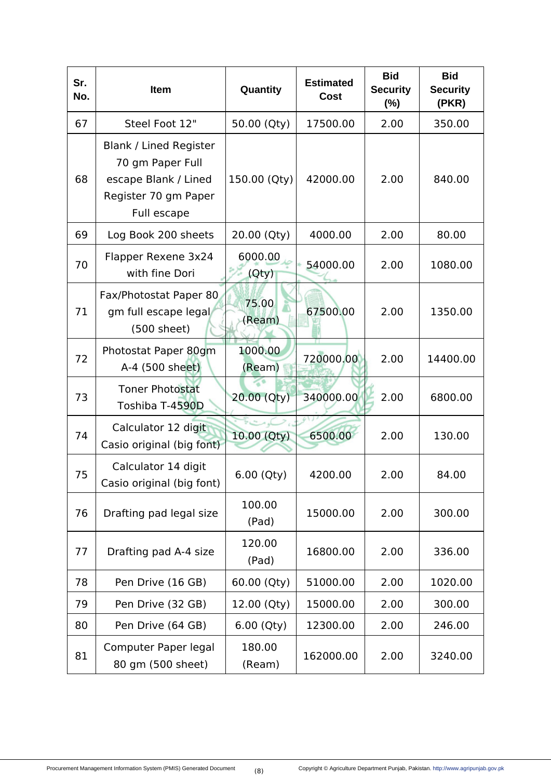| Sr.<br>No. | Item                                                                                                                           | Quantity                | Estimated<br>Cost                                 | <b>Bid</b><br>Security<br>(% ) | <b>Bid</b><br>Security<br>(PKR) |
|------------|--------------------------------------------------------------------------------------------------------------------------------|-------------------------|---------------------------------------------------|--------------------------------|---------------------------------|
| 67         | Steel Foot 12 50.00 (Qty) 7500.00 2.00                                                                                         |                         |                                                   |                                | 350.00                          |
| 68         | Blank / Lined Register<br>70 gm Paper Full<br>escape Blank / Цi1n5e0d.00 (Фtу4)2000.0 0<br>Register 70 gm Paper<br>Full escape |                         |                                                   | 2.00                           | 840.00                          |
| 69         | Log Book 200 she $200 \text{ s}$ (Q $\text{t}$ y $\text{4000.00}$                                                              |                         |                                                   | 2.00                           | 80.00                           |
| 70         | Flapper Rexene 3x@@00.00<br>with fine Dori (Qty)                                                                               |                         | 54000.00                                          | 2.00                           | 1080.00                         |
| 71         | Fax/Photostat Paper 80<br>75.00<br>gm full escape legal (Ream)<br>(500 sheet)                                                  |                         | 67500.00 2.00                                     |                                | 1350.00                         |
| 72         | Photostat Paper 80g0m00.00<br>A-4 (500 sheet) (Ream)                                                                           |                         | $720000.\n002.00$                                 |                                | 14400.00                        |
| 73         | Toner Photostat<br>$Toshiba T - 4590D$                                                                                         |                         | $20.00$ $(Q t\sqrt{3})40000.\phi02.00$            |                                | 6800.00                         |
| 74         | Calculator 12 digit<br>Casio original (big font)                                                                               |                         | $1\,$ O $\,$ O $\,$ O $\,$ (Q $ $ ty)6500.00 $\,$ | 2.00                           | 130.00                          |
| 75         | Calculator 14 d $\frac{dy}{dx} = 0.00$ (Qt $\frac{dy}{dx} = 200.00$<br>Casio original (big font)                               |                         |                                                   | 2.00                           | 84.00                           |
| 76         | Drafting pad legal                                                                                                             | 100.00<br>size<br>(Pad) | 15000.00                                          | 2.00                           | 300.00                          |
| $77$       | Drafting pad A-4                                                                                                               | 120.00<br>size<br>(Pad) | 16800.00                                          | 2.00                           | 336.00                          |
| 78         | Pen Drive (16 $\bigoplus$ BD.00 ( $Q$ ty 51000.00                                                                              |                         |                                                   | 2.00                           | 1020.00                         |
| 79         | Pen Drive (32 GBP.00 (Qty) 5000.00                                                                                             |                         |                                                   | 2.00                           | 300.00                          |
| 80         | Pen Drive (64 $\bigoplus$ B6).00 (Qt y)12300.0 0                                                                               |                         |                                                   | 2.00                           | 246.00                          |
| 81         | Computer Paper   eg1a80.00<br>80 gm (500 sheet)(Ream)                                                                          |                         | $162000.\phi02.00$                                |                                | 3240.00                         |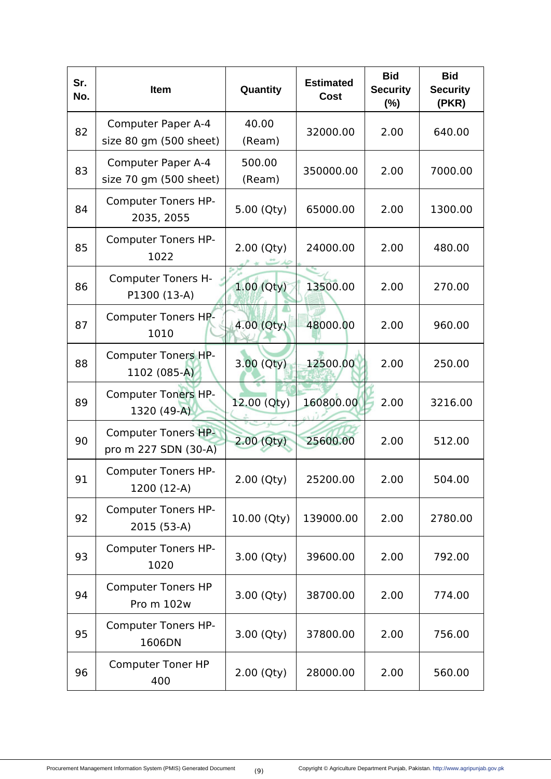| Sr.<br>No. | Item                                                                         | Quantity | Estimated<br>Cost                     | <b>Bid</b><br>Security<br>$(\% )$ | <b>Bid</b><br>Security<br>(PKR) |
|------------|------------------------------------------------------------------------------|----------|---------------------------------------|-----------------------------------|---------------------------------|
| 82         | Computer Paper   A - 40.00<br>size 80 gm (500 $ph \notin \mathbb{R}$ te) am) |          | 32000.0 0 2.00                        |                                   | 640.00                          |
| 83         | Computer Paper   A-5400.00<br>size 70 gm (500 she(&te)am)                    |          | $350000.\phi02.00$                    |                                   | 7000.00                         |
| 84         | Computer Toners HP-<br>2035, 2055                                            |          | $5.00$ (Qty)65000.00 2.00             |                                   | 1300.00                         |
| 85         | Computer Toners HP-<br>1022                                                  |          | $2.00$ (Qt y)24000.00 2.00            |                                   | 480.00                          |
| 86         | Computer Toners H-<br>$1.00 (Qt y)13500.0 0 2.00$<br>$P1300(13-A)$           |          |                                       |                                   | 270.00                          |
| 87         | Computer Toners HP-<br>1010                                                  |          | $4.00$ (Qt y)48000.00 2.00            |                                   | 960.00                          |
| 88         | Computer Toners HP-<br>$1102 (085 - A)$                                      |          | $3.00$ (Qt y)12500.00 2.00            |                                   | 250.00                          |
| 89         | Computer Toners<br>$1320 (49-A)$                                             | HP-      | $12.00$ (Q $t$ y1) 60800.00 2.00      |                                   | 3216.00                         |
| 90         | Computer Toners HP-<br>pro m $227$ SDN $(30-A)$                              |          | $2.00$ (Qt y)25600.00 2.00            |                                   | 512.00                          |
| 91         | Computer Toners HP-<br>$1200 (12-A)$                                         |          | $2.00$ (Q t y ) $25200.0$  0 2.00     |                                   | 504.00                          |
| 92         | Computer Toners<br>$2015(53-A)$                                              | HP-      | $10.00$ $(Q t y)$ 39000. $002.00$     |                                   | 2780.00                         |
| 93         | Computer Toner\$<br>1020                                                     |          | $HP -$<br>3.00 $(Qt y)$ 39600.00 2.00 |                                   | 792.00                          |
| 94         | Computer Toner\$<br>Pro m<br>102w                                            | H P      | $3.00$ $(Qt y)38700.0 0 2.00$         |                                   | 774.00                          |
| 95         | Computer Toners<br>1606DN                                                    | $HP -$   | $3.00 \, (Qt y) 37800.0 0$            | 2.00                              | 756.00                          |
| 96         | Computer Toner   HP<br>400                                                   |          | $2.00$ (Qt y)28000.00 2.00            |                                   | 560.00                          |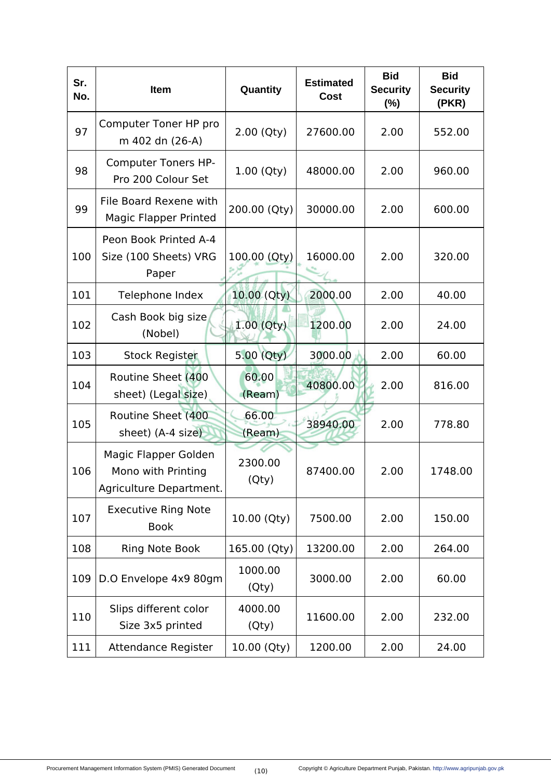| Sr.<br>No. | Item                                                                                               | Quantity                                                                | <b>Estimated</b><br>Cost | <b>Bid</b><br>Security<br>$(\% )$ | <b>Bid</b><br>Security<br>(PKR) |
|------------|----------------------------------------------------------------------------------------------------|-------------------------------------------------------------------------|--------------------------|-----------------------------------|---------------------------------|
| 97         | Computer Toner HP pro<br>m $402$ dn $(26-A)$                                                       |                                                                         | 2:00(C1 y)27600.0 0      | 2.00                              | 552.00                          |
| 98         | Computer Toners HP-<br>Pro 200 Colour Set                                                          |                                                                         | 1.00 $(Qt y)$ 48000.00   | 2.00                              | 960.00                          |
| 99         | File Board Rexene with<br>Magic Flapper Printed                                                    |                                                                         | 200.00 (Qtx3)0000.00     | 2.00                              | 600.00                          |
| 100        | Peon Book Printed A-4<br>Size $(100 \text{ Sheets})100.00 (41)6000.00$<br>Paper                    |                                                                         |                          | 2.00                              | 320.00                          |
| 101        | Telephone Index10.00 (Qty 2000.00                                                                  |                                                                         |                          | 2.00                              | 40.00                           |
| 102        | Cash Book big \$ize<br>(Nobel)                                                                     |                                                                         | $1.00$ (Qt y)1200.00     | 2.00                              | 24.00                           |
| 103        | Stock Register $5.00$ (Qty) 3000.00                                                                |                                                                         |                          | 2.00                              | 60.00                           |
| 104        | Routine Sheet (40060.00<br>sheet) (Legal s ize()Ream)                                              |                                                                         | 40800.00                 | 2.00                              | 816.00                          |
| 105        | Routine Sheet (40066.00<br>sheet) $(A - 4 \text{ sig}) (Rem)$                                      |                                                                         | 38940.0 0 2.00           |                                   | 778.80                          |
| 106        | Magic Flapper Golden<br>Mono with Print $\overline{\mathfrak{g}}$ (Qty)<br>Agriculture Department. | 2300.00                                                                 | 87400.0 0 2.00           |                                   | 1748.00                         |
| 107        | Executive Ring<br>Book                                                                             | $\begin{array}{ c c c c c }\nNote & 10.00 & (Q ty)7500.00\n\end{array}$ |                          | $2.00$                            | 150.00                          |
| 108        | Ring Note Book165.00 (Qty1)3200.00                                                                 |                                                                         |                          | 2.00                              | 264.00                          |
|            | 109 D.O Envelope 4x9                                                                               | 1000.00<br>$80gm$<br>(Qty)                                              | 3000.00                  | 2.00                              | 60.00                           |
| $110$      | Slips different dol40000.00<br>Size 3x5 printed                                                    | (Qty)                                                                   | 11600.00                 | 2.00                              | 232.00                          |
| 111        | Attendance Regist@r00 (Qty)1200.00                                                                 |                                                                         |                          | 2.00                              | 24.00                           |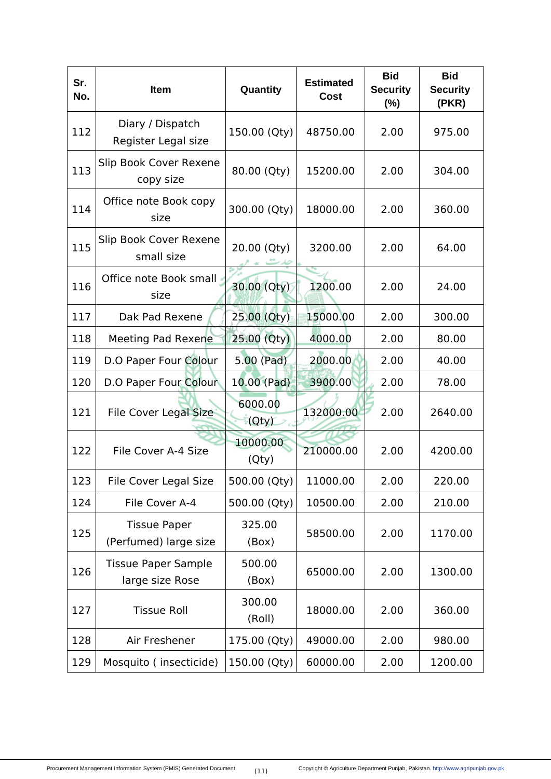| Sr.<br>No. | Item                                                 | Quantity                                                                                                                                                                                                                                                                                                                                                                                                                                                                      | <b>Estimated</b><br>Cost | <b>Bid</b><br>Security<br>(% ) | <b>Bid</b><br>Security<br>(PKR) |
|------------|------------------------------------------------------|-------------------------------------------------------------------------------------------------------------------------------------------------------------------------------------------------------------------------------------------------------------------------------------------------------------------------------------------------------------------------------------------------------------------------------------------------------------------------------|--------------------------|--------------------------------|---------------------------------|
| 112        | Diary / Dispatch<br>Register Legal                   | ls i z e                                                                                                                                                                                                                                                                                                                                                                                                                                                                      | 150.00 (Qty4)8750.00     | 2.00                           | 975.00                          |
| 113        | Slip Book Cover<br>copy size                         | Rexene                                                                                                                                                                                                                                                                                                                                                                                                                                                                        | 80.00 (Q ty) 5200.00     | 2.00                           | 304.00                          |
| 114        | Office note Book<br>size                             |                                                                                                                                                                                                                                                                                                                                                                                                                                                                               |                          | 2.00                           | 360.00                          |
| 115        | Slip Book Cover<br>small size                        | Rexene<br>20.00                                                                                                                                                                                                                                                                                                                                                                                                                                                               | (Q t y)3200.00           | 2.00                           | 64.00                           |
| 116        | Office note Book<br>size                             | small                                                                                                                                                                                                                                                                                                                                                                                                                                                                         | $30.00$ $(Q ty)1200.00$  | 2.00                           | 24.00                           |
| 117        | Dak Pad Rexene25.00 ( $Q$ ty 15000.00                |                                                                                                                                                                                                                                                                                                                                                                                                                                                                               |                          | 2.00                           | 300.00                          |
| 118        | Meeting Pad Re & ense 00 (Qty 4000.00                |                                                                                                                                                                                                                                                                                                                                                                                                                                                                               |                          | 2.00                           | 80.00                           |
| 119        | D.O Paper Four                                       | $C \text{ of } 0.000$ (Pad) 2000.00                                                                                                                                                                                                                                                                                                                                                                                                                                           |                          | 2.00                           | 40.00                           |
| 120        | D.O Paper Four                                       | $C$ $\underline{\text{0}}$ $\underline{\text{0}}$ $\underline{\text{0}}$ $\underline{\text{0}}$ $\underline{\text{0}}$ $\underline{\text{0}}$ $\underline{\text{0}}$ $\underline{\text{0}}$ $\underline{\text{0}}$ $\underline{\text{0}}$ $\underline{\text{0}}$ $\underline{\text{0}}$ $\underline{\text{0}}$ $\underline{\text{0}}$ $\underline{\text{0}}$ $\underline{\text{0}}$ $\underline{\text{0}}$ $\underline{\text{0}}$ $\underline{\text{0}}$ $\underline{\text{0$ |                          | 2.00                           | 78.00                           |
| 121        | File Cover Lega                                      | [6000.00]<br>Size<br>(Qty)                                                                                                                                                                                                                                                                                                                                                                                                                                                    | $132000.\n002.00$        |                                | 2640.00                         |
| 122        | File Cover A-4                                       | 10000.00<br>Size<br>(Qty)                                                                                                                                                                                                                                                                                                                                                                                                                                                     | $210000.\&002.00$        |                                | 4200.00                         |
| 123        | File Cover Lega $5002.60$ ( $Q$ tyl)1000.0 $ 0$ 2.00 |                                                                                                                                                                                                                                                                                                                                                                                                                                                                               |                          |                                | 220.00                          |
| 124        | File Cover $A - 4500.00$ ( $Q + 490500.00$           |                                                                                                                                                                                                                                                                                                                                                                                                                                                                               |                          | 2.00                           | 210.00                          |
| 125        | Tissue Paper<br>(Perfumed) large sitBox)             | 325.00                                                                                                                                                                                                                                                                                                                                                                                                                                                                        | 58500.00                 | 2.00                           | 1170.00                         |
| 126        | Tissue Paper Samp 500.00<br>large size Rose          | (Box)                                                                                                                                                                                                                                                                                                                                                                                                                                                                         | 65000.00                 | 2.00                           | 1300.00                         |
| 127        | Tissue Roll                                          | 300.00<br>(R o II)                                                                                                                                                                                                                                                                                                                                                                                                                                                            | 18000.00                 | 2.00                           | 360.00                          |
| 128        | Air Freshener 175.00 (Qty4)9000.00                   |                                                                                                                                                                                                                                                                                                                                                                                                                                                                               |                          | $2.00$                         | 980.00                          |
| 129        | Mosquito (insectific 550e0)0 (Qt 60000.000)          |                                                                                                                                                                                                                                                                                                                                                                                                                                                                               |                          | 2.00                           | 1200.00                         |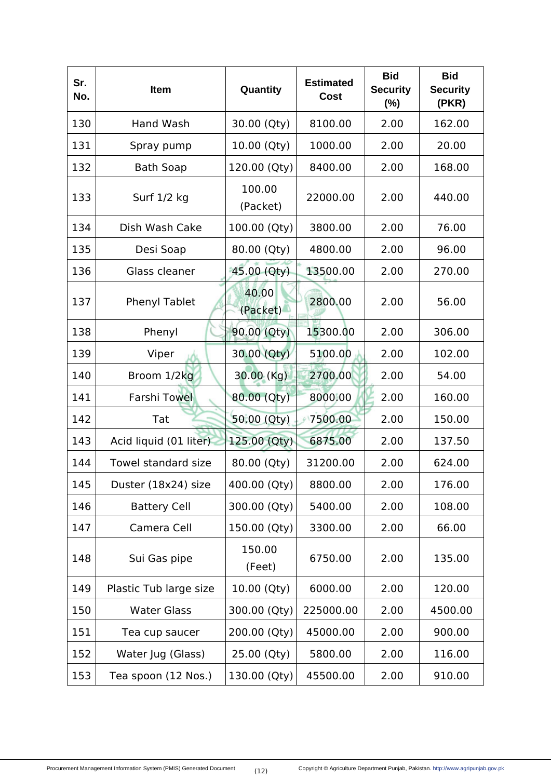| Sr.<br>No. | Item                                          | Quantity                                           | Estimated<br>Cost              | <b>Bid</b><br>Security<br>$(\%)$ | <b>Bid</b><br>Security<br>(PKR) |
|------------|-----------------------------------------------|----------------------------------------------------|--------------------------------|----------------------------------|---------------------------------|
| 130        | Hand Wash                                     |                                                    | 30.00 $(Q ty)8100.00$          | 2.00                             | 162.00                          |
| 131        | Spray pump                                    |                                                    | $10.00$ $(Q ty)1000.00$        | 2.00                             | 20.00                           |
| 132        | Bath Soap                                     |                                                    | 120.00 (Qty8)400.00            | 2.00                             | 168.00                          |
| 133        | Surf 1/2 kg                                   | 100.00<br>(Packet)                                 | 22000.00                       | 2.00                             | 440.00                          |
| 134        | Dish Wash Cake 00.00 (Qty3800.00              |                                                    |                                | 2.00                             | 76.00                           |
| 135        | Desi Soap                                     |                                                    | 80.00 $(Q ty)4800.00$          | 2.00                             | 96.00                           |
| 136        | Glass cleaner                                 |                                                    | $45.00$ $(Q ty)$ 3500.00       | 2.00                             | 270.00                          |
| 137        | Phenyl Tablet                                 | 40.00<br>(Packet)                                  | 2800.00                        | 2.00                             | 56.00                           |
| 138        | Phenyl                                        |                                                    | 90.00 $(Q ty)$ 5300.00         | 2.00                             | 306.00                          |
| 139        | Viper                                         |                                                    | 30.00 $(Q ty)5100.00$          | 2.00                             | 102.00                          |
| 140        | Broom 1/2kg                                   |                                                    | $30.00$ (K g) $2700.00$        | 2.00                             | 54.00                           |
| 141        | Farshi Towel                                  |                                                    | $80.00$ (Q t y $8000.00$       | 2.00                             | 160.00                          |
| 142        | Tat                                           |                                                    | $50.00$ (Q t y )7 $500.00$     | $2.00$                           | 150.00                          |
| 143        | Acid liquid (01                               |                                                    | it245)00 (400875.00            | 2.00                             | 137.50                          |
| 144        | Towel standard                                |                                                    | s820e00 (Q t y31200.0 0        | 2.00                             | 624.00                          |
| 145        | Duster (18x24)                                | $ s4\,\ell\,\theta.00$ ( $\phi$ ty $\theta$ 800.00 |                                | $2\,.\,0\,0$                     | 176.00                          |
| 146        | Battery Cell                                  |                                                    | $300.00$ $($ $Q$ t y $5400.00$ | $2.00$                           | 108.00                          |
| 147        | Camera Cell                                   |                                                    | 150.00 (Qty3)300.00            | $2.00$                           | 66.00                           |
| 148        | Sui Gas pipe                                  | 150.00<br>(Feet)                                   | 6750.00                        | $2.00$                           | 135.00                          |
| 149        | Plastic Tub large 1s0 z0e0 (Qty 6000.00       |                                                    |                                | $2.00$                           | 120.00                          |
| 150        | Water Glass                                   |                                                    | $300.00$ $($ $Qt225000.00$     | 2.00                             | 4500.00                         |
| 151        | Tea cup sauce r200.00 (Qty4)5000.0 0          |                                                    |                                | 2.00                             | 900.00                          |
| 152        | Water Jug (Glas 25.00 (Qty 5800.00            |                                                    |                                | 2.00                             | 116.00                          |
| 153        | Tea spoon (12 $N$ d\$0).00 ( $Q$ ty4)5500.0 0 |                                                    |                                | $2.00$                           | 910.00                          |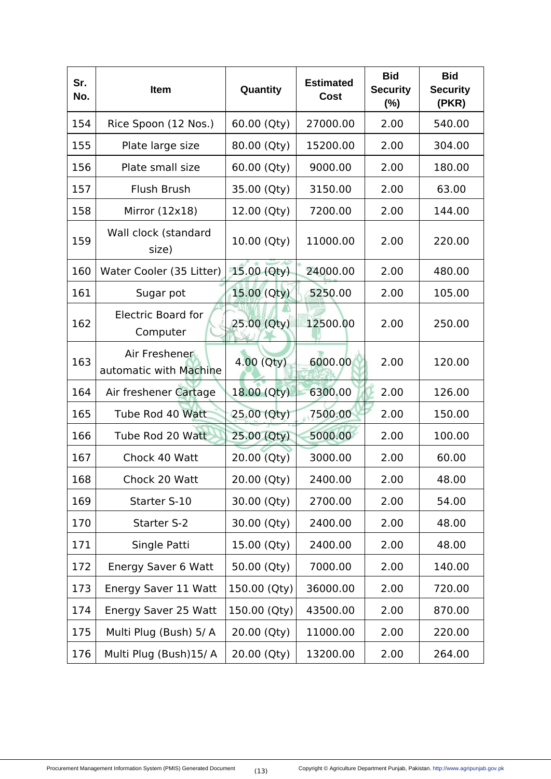| Sr.<br>No. | Item                                                              | Quantity | Estimated<br>Cost              | <b>Bid</b><br>Security<br>$(\% )$ | <b>Bid</b><br>Security<br>(PKR) |
|------------|-------------------------------------------------------------------|----------|--------------------------------|-----------------------------------|---------------------------------|
| 154        | Rice Spoon (12 N66.00 (Qty27000.00                                |          |                                | 2.00                              | 540.00                          |
| 155        | Plate large $s_i \not\uparrow d0.00$ (Q ty) 5200.0 0              |          |                                | 2.00                              | 304.00                          |
| 156        | Plate small $s$ i $\frac{1}{2}$ 60.00 (Q  ty )9000.00             |          |                                | 2.00                              | 180.00                          |
| 157        | Flush Brush                                                       |          | $35.00$ (Q t y $3150.00$       | 2.00                              | 63.00                           |
| 158        | Mirror $(12x18)$                                                  |          | 12.00 $(Q ty)$ 7200.00         | 2.00                              | 144.00                          |
| 159        | Wall clock (standard 10.00 ( $Q$ ty)1000.00<br>size)              |          |                                | 2.00                              | 220.00                          |
| 160        | Water Cooler $(35 Li5t00)$ $(Q ty24000.0 0)$                      |          |                                | 2.00                              | 480.00                          |
| 161        | Sugar pot                                                         |          | 15.00 $(Q ty)$ 5250.00         | 2.00                              | 105.00                          |
| 162        | Electric Board<br>Computer                                        | If $or$  | $25.00$ (Q $ y $ ) 2500.0 0    | 2.00                              | 250.00                          |
| 163        | Air Freshener<br>automatic with $M_{\text{gchine}}$ (Qt y)6000.00 |          |                                | 2.00                              | 120.00                          |
| 164        | Air freshener Carta8g @ 0 (Qty)6300.00                            |          |                                | 2.00                              | 126.00                          |
| 165        | Tube Rod 40 Wa2t5.00 (Qty)7500.00                                 |          |                                | 2.00                              | 150.00                          |
| 166        | Tube Rod 20 Wa2t5.00 (Qty)5000.00                                 |          |                                | 2.00                              | 100.00                          |
| 167        | Chock 40 Watt 20.00 (Qty 3000.00                                  |          |                                | 2.00                              | 60.00                           |
| 168        | Chock 20 Watt 20.00 $(Q ty)2400.00$                               |          |                                | $2.00$                            | 48.00                           |
| 169        | Starter S-10                                                      |          | 30.00 $(Q ty)$ 2700.00         | $2.00$                            | 54.00                           |
| 170        | Starter S-2                                                       |          | 30.00 $(Q ty)2400.00$          | $2.00$                            | 48.00                           |
| 171        | Single Patti                                                      |          | 15.00 $(Q ty)2400.00$          | $2.00$                            | 48.00                           |
| 172        | Energy Saver 6                                                    |          | W5a0t100 (Q  ty )7 0 0 0 . 0 0 | $2.00$                            | 140.00                          |
| 173        | Energy Saver 11                                                   |          | W5a0t100 (Qt3)6000.00          | 2.00                              | 720.00                          |
| 174        | Energy Saver 25 W5a0t00 $(\phi \uparrow \phi)$ 3500.00            |          |                                | $2.00$                            | 870.00                          |
| 175        | Multi Plug (Bush) 250/040 (Qty) 1000.00                           |          |                                | $2.00$                            | 220.00                          |
| 176        | Multi Plug (Bush) 250/00 (Qty) 3200.00                            |          |                                | $2.00$                            | 264.00                          |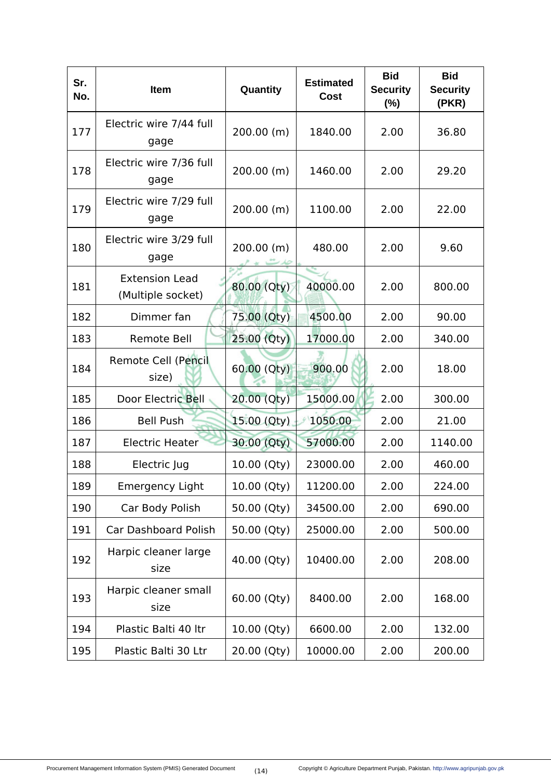| Sr.<br>No. | Item                                                             | Quantity | <b>Estimated</b><br>Cost    | <b>Bid</b><br>Security<br>(% ) | <b>Bid</b><br>Security<br>(PKR) |
|------------|------------------------------------------------------------------|----------|-----------------------------|--------------------------------|---------------------------------|
| 177        | Electric wire 7/44 full<br>gage                                  |          | 200.00 (m) 1840.00          | 2.00                           | 36.80                           |
| 178        | Electric wire 7/36 full<br>gage                                  |          | $200.00$ (m) $1460.00$      | 2.00                           | 29.20                           |
| 179        | Electric wire 7/29 full<br>gage                                  |          | 200.00 (m)1100.00           | 2.00                           | 22.00                           |
| 180        | Electric wire 3/29 full<br>gage                                  |          | $200.00$ (m) $480.00$       | 2.00                           | 9.60                            |
| 181        | Extension Lead<br>(Multiply e sock#t)                            |          | 80.00 $(Q ty40000.0 0)$     | 2.00                           | 800.00                          |
| 182        | Dimmer fan                                                       |          | 75.00~(Q ty)4500.00         | 2.00                           | 90.00                           |
| 183        | Remote Bell                                                      |          | $25.00$ (Q  ty   7000.0   0 | 2.00                           | 340.00                          |
| 184        | Remote Cell (Pencil<br>size)                                     |          | $60.00$ (Qty)900.00         | 2.00                           | 18.00                           |
| 185        | Door Electric Be20.00 (Qty) 5000.00                              |          |                             | 2.00                           | 300.00                          |
| 186        | Bell Push                                                        |          | $15.00$ (Q  ty ) 1050.00    | 2.00                           | 21.00                           |
| 187        | Electric $\text{Heat} \leq \text{O.00}$ (Qty $\frac{57000}{100}$ |          |                             | 2.00                           | 1140.00                         |
| 188        | Electric Jug                                                     |          | 10.00 $(Q ty23000.0 0)$     | 2.00                           | 460.00                          |
| 189        | Emergency Light $0.00$ (Qty) 1200.00                             |          |                             | 2.00                           | 224.00                          |
| 190        | Car Body Polist $60.00$ (Qty $34500.0$                           |          |                             | 2.00                           | 690.00                          |
| 191        | Car Dashboard $\vec{P}$ of 0s 00 (Qty 25000.00                   |          |                             | $2.00$                         | 500.00                          |
| 192        | Harpic cleaner $\vert$ arge<br>40.00 (Qty)0400.00<br>size        |          |                             | 2.00                           | 208.00                          |
| 193        | Harpic cleaner small<br>size                                     |          | $60.00$ $(Q ty)8400.00$     | 2.00                           | 168.00                          |
| 194        | Plastic Balti 40 10.00 (Qty)6600.00                              |          |                             | 2.00                           | 132.00                          |
| 195        | Plastic Balti 30 20r.00 (Qty) 0000.00                            |          |                             | 2.00                           | 200.00                          |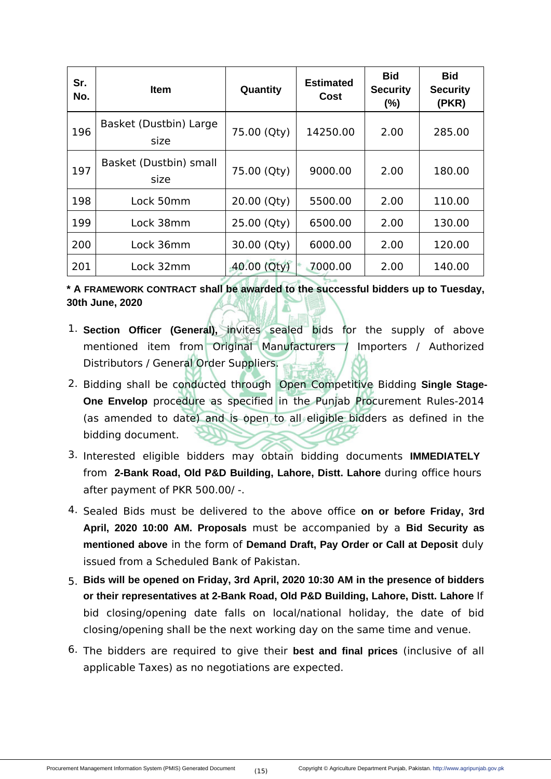| Sr.<br>No. | Item                     | Quantity | <b>Estimated</b><br>Cost        | <b>Bid</b><br>Security<br>(% ) | <b>Bid</b><br>Security<br>(PKR) |
|------------|--------------------------|----------|---------------------------------|--------------------------------|---------------------------------|
| 196        | Basket (Dustbin)<br>size |          | Large<br>75.00 $(Q ty)$ 4250.00 | 2.00                           | 285.00                          |
| 19         | Basket (Dustbin)<br>size | small    | $75.00$ (Qty 0000.00            | 2.00                           | 180.00                          |
| 198        | Lock 50mm                |          | $20.00$ $(Q ty)5500.00$         | 2.00                           | 110.00                          |
| 199        | Lock 38mm                |          | $25.00$ (Qty)6500.00            | 2.00                           | 130.00                          |
| 200        | Lock 36mm                |          | $30.00$ $(Q ty)6000.00$         | 2.00                           | 120.00                          |
| 201        | $Lock$ 32 $mm$           |          | $40.00$ $(Q ty)7000.00$         | 2.00                           | 140.00                          |

\* A FRAMEWORK CONTRACT shall be awarded to the successful bidders up to Tuesday, 30th June, 2020

- 1. Section Officer (General), invites sealed bids for the supply mentioned item from Original Manufacturers / Importer Distributors / General Order Suppliers.
- 2. Bidding shall be conducted through Open CSsimgle Stageve Biddin One Envelop procedure as specified in the Punjab Procurement (as amended to date) and is open to all eligible bidders a bidding document.
- 3.Interested eligible bidders may obtain bhWhMEDhATELYdocuments from 2-Bank Road, Old P&D Building, Lahore, Distt. Lahore during office hours after payment of PKR 500.00/ -.
- 4. Sealed Bids must be delivered to tomeor before Friday, f3nde April, 2020 10:00 AM. Proposals must be accompaniBid Security as mentioned above in the for **Demand Draft**, Pay Order or Call at Deposit duly issued from a Scheduled Bank of Pakistan.
- 5.Bids will be opened on Friday, 3rd April, 2020 10:30 AM in the presence of bidders or their representatives at 2-Bank Road, Old P&D Building, Lahore, Distt. Lahore If bid closing/opening date falls on local/national holiday, closing/opening shall be the next working day on the same time
- 6. The bidders are required tbestgandefinal hperices (inclusive of all applicable Taxes) as no negotiations are expected.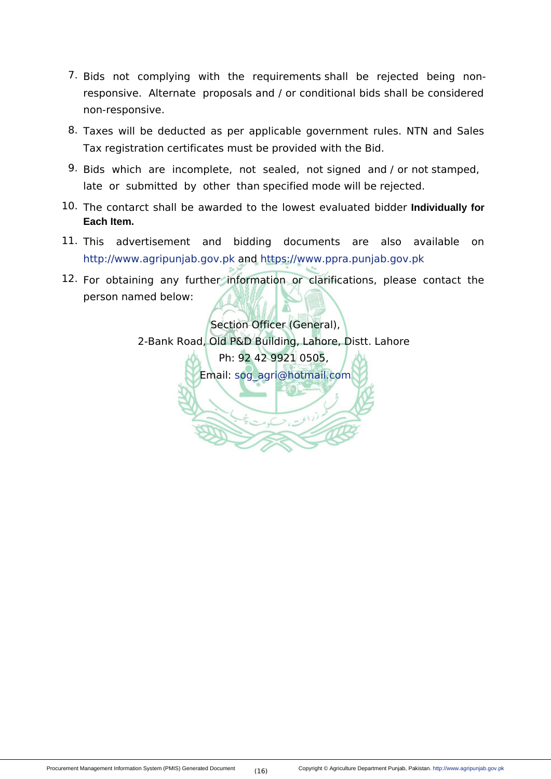- 7. Bids not complying with the requirements shall be reject responsive. Alternate proposals and / or conditional bids shall non-responsive.
- $8.$ Taxes will be deducted as per applicable government rules. Tax registration certificates must be provided with the Bid.
- 9. Bids which are incomplete, not sealed, not signed and / c late or submitted by other than specified mode will be reject
- $10.$ The contarct shall be awarded to the lowes individually footed bidder Each Item.
- 11. This advertisement and bidding documents are als  $h$ ttp://www.agripunjab.agnodhttppks://www.ppra.punjab.gov.pk
- 12. For obtaining any further information or clarifications, ple person named below:

Section Officer (General), 2-Bank Road, Old P&D Building, Lahore, Distt. Lahore Ph: 92 42 9921 0505,  $Emai\,s\,o\,g$  agri@hotmail.com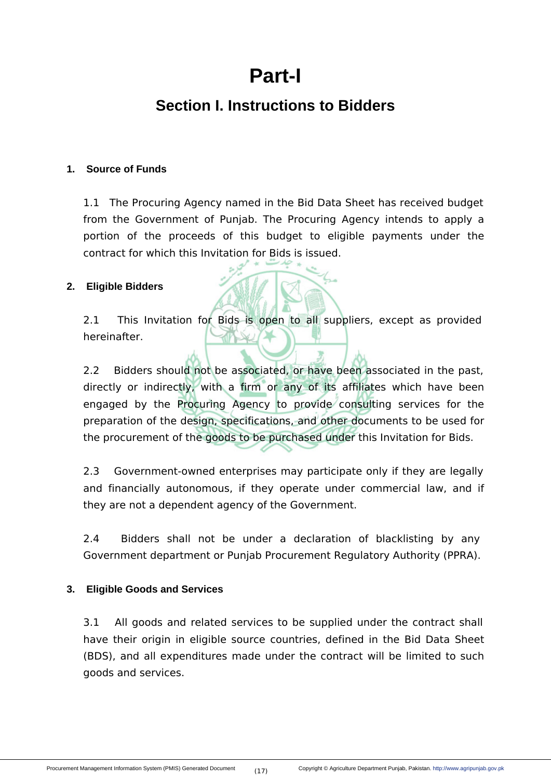# Part-I

### Section I. Instructions to Bidders

#### 1. Source of Funds

1.1 The Procuring Agency named in the Bid Data Sheet has re from the Government of Punjab. The Procuring Agency inte portion of the proceeds of this budget to eligible pay contract for which this Invitation for Bids is issued.

#### 2. Eligible Bidders

2.1 This Invitation for Bids is open to all suppliers, e hereinafter.

2.2 Bidders should not be associated, or have been associa directly or indirectly, with a firm or any of its affiliates engaged by the Procuring Agency to provide consulting services preparation of the design, specifications, and other documents the procurement of the goods to be purchased under this Invitat

2.3 Government-owned enterprises may participate only if the and financially autonomous, if they operate under commerc they are not a dependent agency of the Government.

2.4 Bidders shall not be under a declaration of bla Government department or Punjab Procurement Regulatory Autho

#### 3. Eligible Goods and Services

3.1 All goods and related services to be supplied under th have their origin in eligible source countries, defined in the (BDS), and all expenditures made under the contract will be goods and services.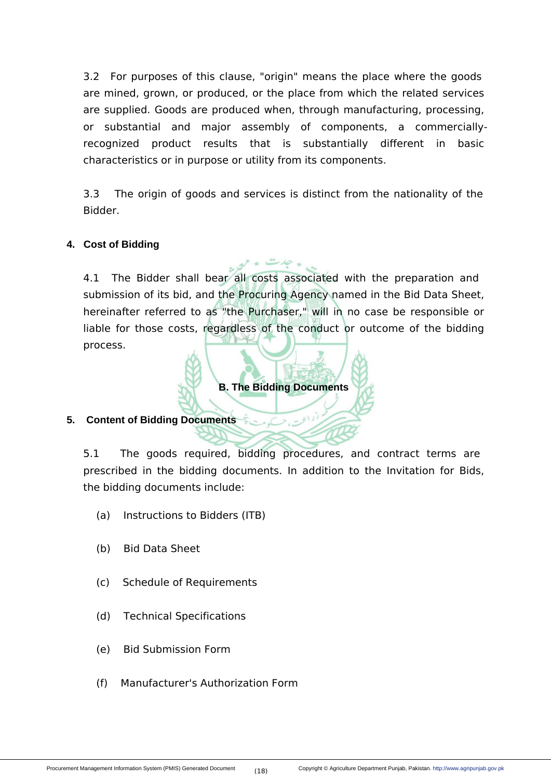3.2 For purposes of this clause, "origin" means the place w are mined, grown, or produced, or the place from which the re are supplied. Goods are produced when, through manufacturin or substantial and major assembly of components, recognized product results that is substantially d characteristics or in purpose or utility from its components.

3.3 The origin of goods and services is distinct from the n Bidder.

4. Cost of Bidding

4.1 The Bidder shall bear all costs associated with the submission of its bid, and the Procuring Agency named in the B hereinafter referred to as "the Purchaser," will in no case b liable for those costs, regardless of the conduct or outcome process.

#### B. The Bidding Documents

5. Content of Bidding Documents

5.1 The goods required, bidding procedures, and con prescribed in the bidding documents. In addition to the Inv the bidding documents include:

- (a) Instructions to Bidders (ITB)
- (b) Bid Data Sheet
- (c) Schedule of Requirements
- (d) Technical Specifications
- (e) Bid Submission Form
- (f) Manufacturer's Authorization Form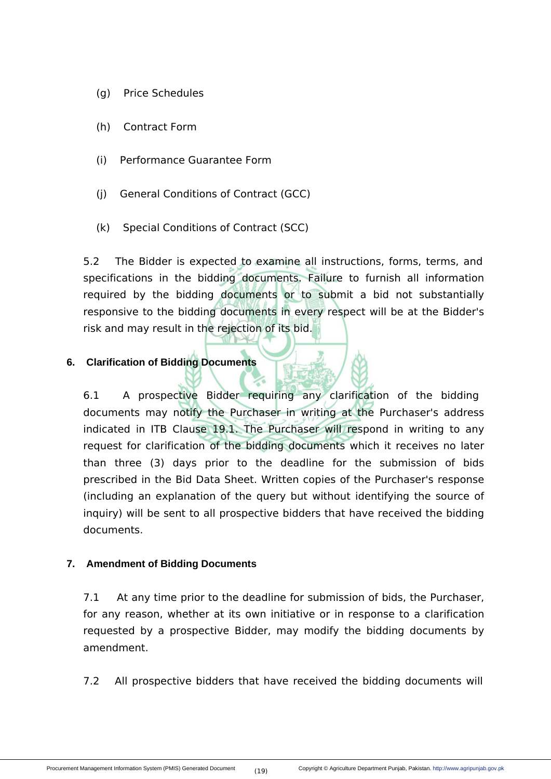- (g) Price Schedules
- (h) Contract Form
- (i) Performance Guarantee Form
- (j) General Conditions of Contract (GCC)
- (k) Special Conditions of Contract (SCC)

5.2 The Bidder is expected to examine all instructions, for specifications in the bidding documents. Failure to furnish required by the bidding documents or to submit a bid r responsive to the bidding documents in every respect will be risk and may result in the rejection of its bid.

6. Clarification of Bidding Documents

6.1 A prospective Bidder requiring any clarification documents may notify the Purchaser in writing at the Purcl indicated in ITB Clause 19.1. The Purchaser will respond i request for clarification of the bidding documents which it re than three  $(3)$  days prior to the deadline for the subprescribed in the Bid Data Sheet. Written copies of the Purch (including an explanation of the query but without identifying inquiry) will be sent to all prospective bidders that have recei documents.

7. Amendment of Bidding Documents

7.1 At any time prior to the deadline for submission of bids for any reason, whether at its own initiative or in response requested by a prospective Bidder, may modify the bidding amendment.

7.2 All prospective bidders that have received the bidding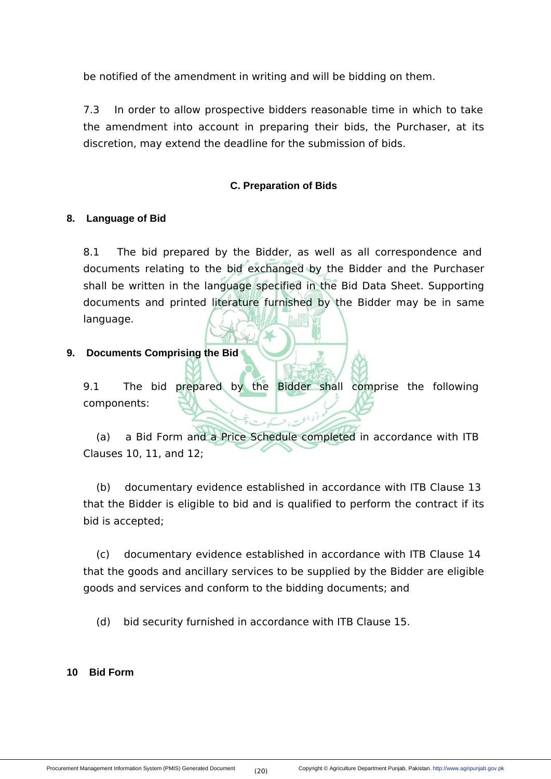be notified of the amendment in writing and will be bidding on the

7.3 In order to allow prospective bidders reasonable time in the amendment into account in preparing their bids, the P discretion, may extend the deadline for the submission of bids.

#### C. Preparation of Bids

8. Language of Bid

8.1 The bid prepared by the Bidder, as well as all cor documents relating to the bid exchanged by the Bidder and shall be written in the language specified in the Bid Data Sh documents and printed literature furnished by the Bidder ma language.

9. Documents Comprising the Bid

9.1 The bid prepared by the Bidder shall compri components:

(a) a Bid Form and a Price Schedule completed in accordance Clauses 10, 11, and 12;

(b) documentary evidence established in accordance with that the Bidder is eligible to bid and is qualified to perform the bid is accepted;

(c) documentary evidence established in accordance with that the goods and ancillary services to be supplied by the Bid goods and services and conform to the bidding documents; and

(d) bid security furnished in accordance with ITB Clause 1

#### 10 Bid Form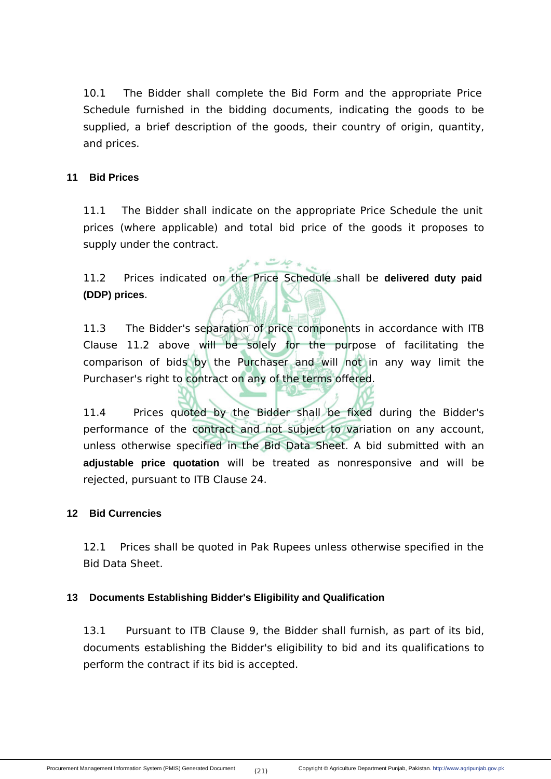10.1 The Bidder shall complete the Bid Form and the a Schedule furnished in the bidding documents, indicating the supplied, a brief description of the goods, their country of and prices.

#### 11 Bid Prices

11.1 The Bidder shall indicate on the appropriate Price  $S_1$ prices (where applicable) and total bid price of the good supply under the contract.

11.2 Prices indicated on the Price delive the delivered duty epaid hall be (DDP) prices .

11.3 The Bidder's separation of price components in accordance with ITB.  $C$ lause 11.2 above will be solely for the purpose comparison of bids by the Purchaser and will not in an Purchaser's right to contract on any of the terms offered.

11.4 **Beta Prices quoted by the Bidder shall be fixed during the Bidder's the Bidder's the Bidder's the Bidder** performance of the contract and not subject to variation o unless otherwise specified in the Bid Data Sheet. A bid su adjustable price quotation will be treated as nonresponsive and rejected, pursuant to ITB Clause 24.

#### 12 Bid Currencies

12.1 Prices shall be quoted in Pak Rupees unless otherwise Bid Data Sheet.

#### 13 Documents Establishing Bidder's Eligibility and Qualification

13.1 Pursuant to ITB Clause 9, the Bidder shall furnish, documents establishing the Bidder's eligibility to bid and its perform the contract if its bid is accepted.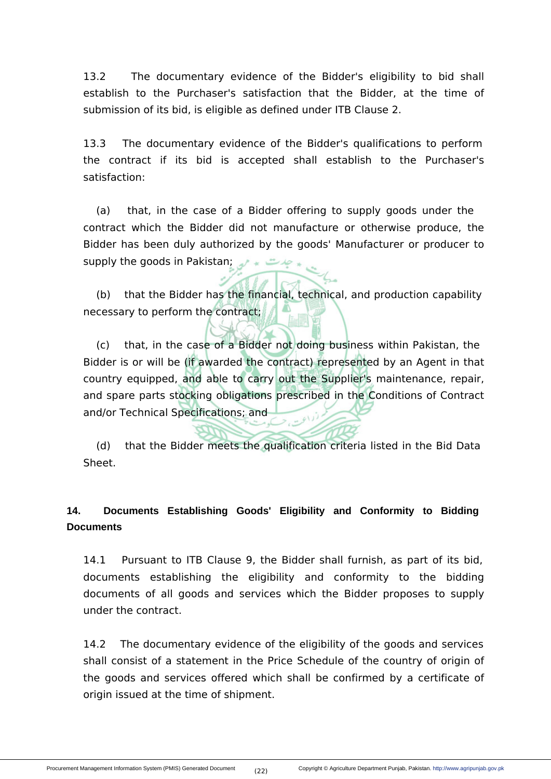13.2 The documentary evidence of the Bidder's eligib establish to the Purchaser's satisfaction that the Bidder, submission of its bid, is eligible as defined under ITB Clause 2.

13.3 The documentary evidence of the Bidder's qualificati the contract if its bid is accepted shall establish satisfaction:

(a) that, in the case of a Bidder offering to supply goods contract which the Bidder did not manufacture or otherwis Bidder has been duly authorized by the goods' Manufacturer supply the goods in Pakistan;

 $(b)$  that the Bidder has the financial, technical, and produ necessary to perform the contract;

(c) that, in the case of a Bidder not doing business with Bidder is or will be (if awarded the contract) represented by a country equipped, and able to carry out the Supplier's maint and spare parts stocking obligations prescribed in the Conditi and/or Technical Specifications; and

(d) that the Bidder meets the qualification criteria listed Sheet.

14. Documents Establishing Goods' Eligibility and Conformity to Bidding **Documents** 

14.1 Pursuant to ITB Clause 9, the Bidder shall furnish, a documents establishing the eligibility and conformity documents of all goods and services which the Bidder prop under the contract.

14.2 The documentary evidence of the eligibility of the good shall consist of a statement in the Price Schedule of the cou the goods and services offered which shall be confirmed by origin issued at the time of shipment.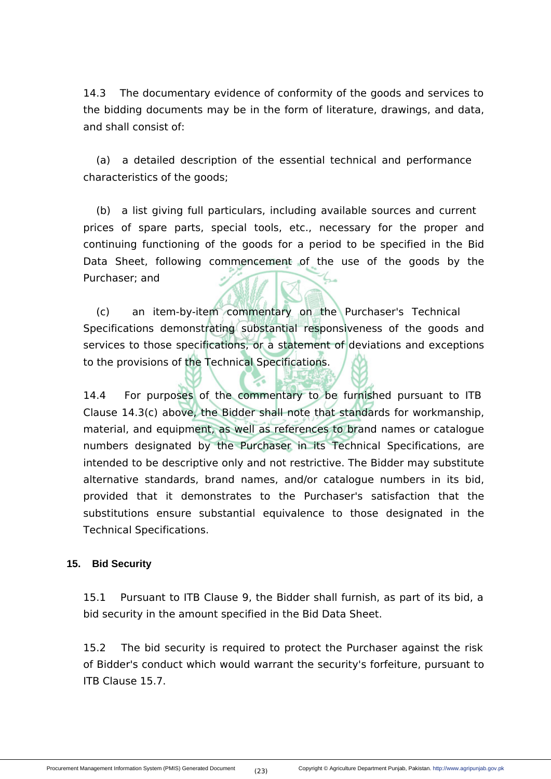14.3 The documentary evidence of conformity of the goods a the bidding documents may be in the form of literature, drawi and shall consist of:

(a) a detailed description of the essential technical an characteristics of the goods;

(b) a list giving full particulars, including available sour prices of spare parts, special tools, etc., necessary for continuing functioning of the goods for a period to be spect Data Sheet, following commencement of the use of the Purchaser; and

(c) an item-by-item commentary on the Purchaser Specifications demonstrating substantial responsiveness of services to those specifications, or a statement of deviations to the provisions of the Technical Specifications.

14.4 For purposes of the commentary to be furnished pursuant to ITBS. Clause  $14.3(c)$  above, the Bidder shall note that standards for material, and equipment, as well as references to brand name numbers designated by the Purchaser in its Technical Sp intended to be descriptive only and not restrictive. The Bidder alternative standards, brand names, and/or catalogue numb provided that it demonstrates to the Purchaser's satis substitutions ensure substantial equivalence to those de Technical Specifications.

#### 15. Bid Security

15.1 Pursuant to ITB Clause 9, the Bidder shall furnish, as bid security in the amount specified in the Bid Data Sheet.

15.2 The bid security is required to protect the Purchaser of Bidder's conduct which would warrant the security's forfeitu ITB Clause 15.7.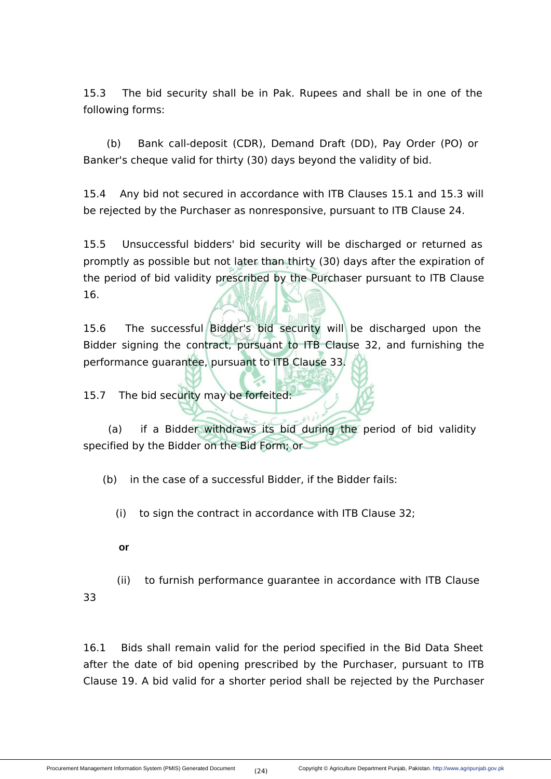15.3 The bid security shall be in Pak. Rupees and shall following forms:

(b) Bank call-deposit (CDR), Demand Draft (DD), Pa Banker's cheque valid for thirty (30) days beyond the validity of

15.4 Any bid not secured in accordance with ITB Clauses 15 be rejected by the Purchaser as nonresponsive, pursuant to ITB

15.5 Unsuccessful bidders' bid security will be discharged promptly as possible but not later than thirty (30) days after the the period of bid validity prescribed by the Purchaser pursuan 16.

15.6 The successful Bidder's bid security will be disc Bidder signing the contract, pursuant to ITB Clause 32, an performance guarantee, pursuant to ITB Clause 33.

15.7 The bid security may be forfeited:

(a) if a Bidder withdraws its bid during the period specified by the Bidder on the Bid Form; or

(b) in the case of a successful Bidder, if the Bidder fails:

(i) to sign the contract in accordance with ITB Clause

or

(ii) to furnish performance guarantee in accordance 33

16.1 Bids shall remain valid for the period specified in the after the date of bid opening prescribed by the Purchaser, Clause 19. A bid valid for a shorter period shall be rejected b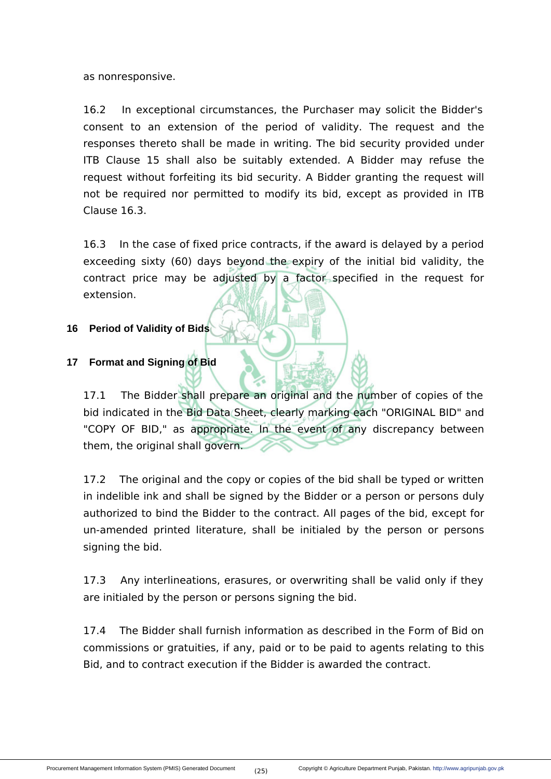as nonresponsive.

16.2 In exceptional circumstances, the Purchaser may soli consent to an extension of the period of validity. The responses thereto shall be made in writing. The bid security ITB Clause 15 shall also be suitably extended. A Bidder request without forfeiting its bid security. A Bidder granting not be required nor permitted to modify its bid, except as Clause 16.3.

16.3 In the case of fixed price contracts, if the paew and is delay exceeding sixty  $(60)$  days beyond the expiry of the initial contract price may be adjusted by a factor specified in extension.

16 Period of Validity of Bids

17 Format and Signing of Bid

17.1 The Bidder shall prepare an original and the number of bid indicated in the Bid Data Sheet, clearly marking each "ORIG "COPY OF BID," as appropriate. In the event of any disc them, the original shall govern.

17.2 The original and the copy or copies of the whid test all be in indelible ink and shall be signed by the Bidder or a person authorized to bind the Bidder to the contract. All pages of the un-amended printed literature, shall be initialed by the pe signing the bid.

17.3 Any interlineations, erasures, or overwriting shall be v are initialed by the person or persons signing the bid.

17.4 The Bidder shall furnish information as descridomed in the commissions or gratuities, if any, paid or to be paid to agents Bid, and to contract execution if the Bidder is awarded the cont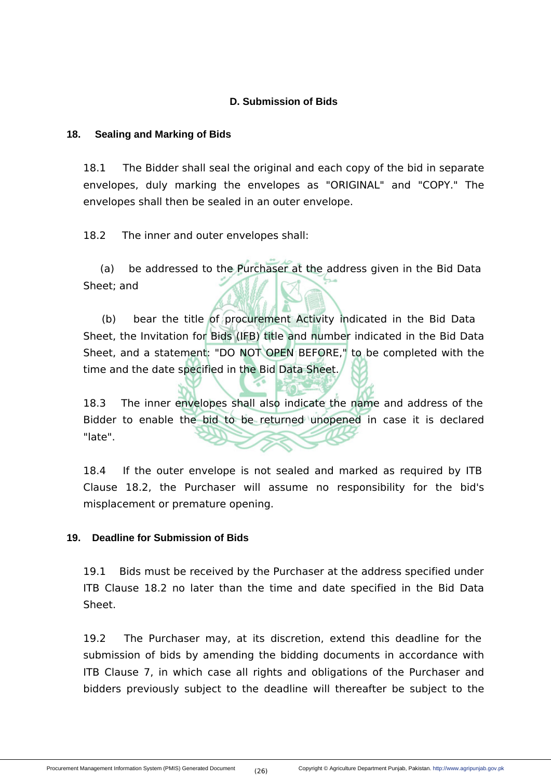#### D. Submission of Bids

18. Sealing and Marking of Bids

18.1 The Bidder shall seal the original and each copy of the envelopes, duly marking the envelopes as "ORIGINAL" and envelopes shall then be sealed in an outer envelope.

18.2 The inner and outer envelopes shall:

(a) be addressed to the Purchaser at the address given Sheet; and

(b) bear the title of procurement Activity indicated Sheet, the Invitation for Bids (IFB) title and number indicated Sheet, and a statement: "DO NOT OPEN BEFORE," to be comp time and the date specified in the Bid Data Sheet.

18.3 The inner envelopes shall also indicate the name and Bidder to enable the bid to be returned unopened in cas "late".

18.4 If the outer envelope is not sealed and marked as Clause 18.2, the Purchaser will assume no responsibil misplacement or premature opening.

19. Deadline for Submission of Bids

19.1 Bids must be received by the Purchaser at the address s ITB Clause 18.2 no later than the time and date specified Sheet.

19.2 The Purchaser may, at its discretion, extend this submission of bids by amending the bidding documents in ac ITB Clause 7, in which case all rights and obligations of the bidders previously subject to the deadline will thereafter be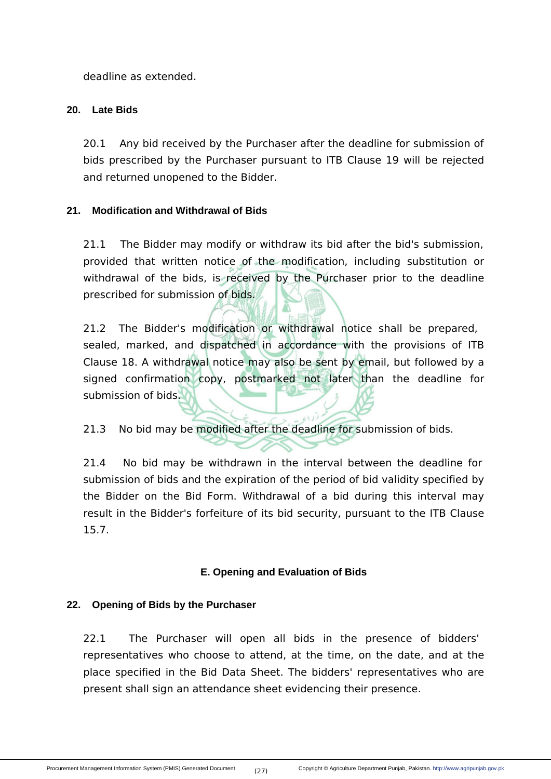deadline as extended.

20. Late Bids

20.1 Any bid received by the Purchaser after the deadline for bids prescribed by the Purchaser pursuant to ITB Clause 19 and returned unopened to the Bidder.

21. Modification and Withdrawal of Bids

21.1 The Bidder may modify or withdraw its bid after the bi provided that written notice of the modification, including withdrawal of the bids, is received by the Purchaser prior prescribed for submission of bids.

21.2 The Bidder's modification or withdrawal notice shall sealed, marked, and dispatched in accordance with the pr Clause 18. A withdrawal notice may also be sent by email, bu signed confirmation copy, postmarked not later than the submission of bids.

21.3 No bid may be modified after the deadline for submissior

21.4 No bid may be withdrawn in the interval between the submission of bids and the expiration of the period of bid valid the Bidder on the Bid Form. Withdrawal of a bid during the result in the Bidder's forfeiture of its bid security, pursuant t 15.7.

#### E. Opening and Evaluation of Bids

#### 22. Opening of Bids by the Purchaser

22.1 The Purchaser will open all bids in the pre representatives who choose to attend, at the time, on the date place specified in the Bid Data Sheet. The bidders' represen present shall sign an attendance sheet evidencing their presenc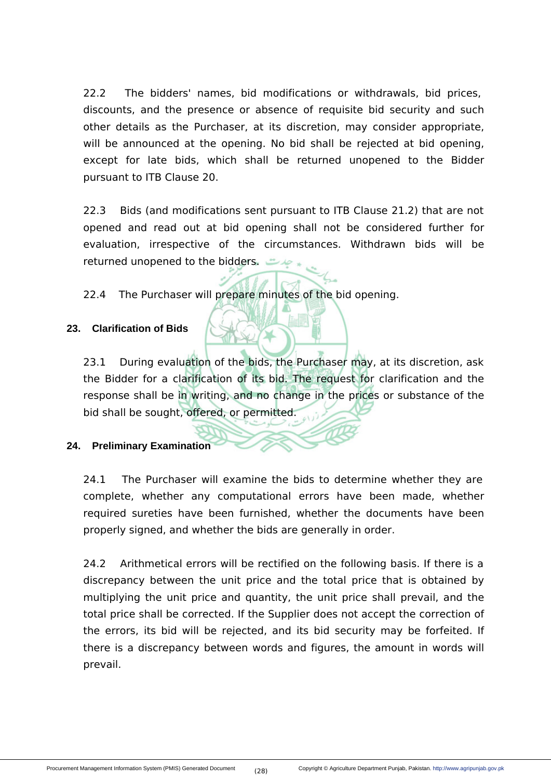22.2 The bidders' names, bid modifications or withdraw discounts, and the presence or absence of requisite bid se other details as the Purchaser, at its discretion, may consider will be announced at the opening. No bid shall be rejected except for late bids, which shall be returned unopene pursuant to ITB Clause 20.

22.3 Bids (and modifications sent pursuant to ITB Clause 21 opened and read out at bid opening shall not be consid evaluation, irrespective of the circumstances. Withdraw returned unopened to the bidders.

22.4 The Purchaser will prepare minutes of the bid opening.

#### 23. Clarification of Bids

23.1 During evaluation of the bids, the Purchaser may, at its the Bidder for a clarification of its bid. The request for cla response shall be in writing, and no change in the prices or s bid shall be sought, offered, or permitted.

#### 24. Preliminary Examination

24.1 The Purchaser will examine the bids to determine wh complete, whether any computational errors have been required sureties have been furnished, whether the document properly signed, and whether the bids are generally in order.

24.2 Arithmetical errors will be rectified on the following ba discrepancy between the unit price and the total price that multiplying the unit price and quantity, the unit price shall total price shall be corrected. If the Supplier does not accept t the errors, its bid will be rejected, and its bid security ma there is a discrepancy between words and figures, the amoun prevail.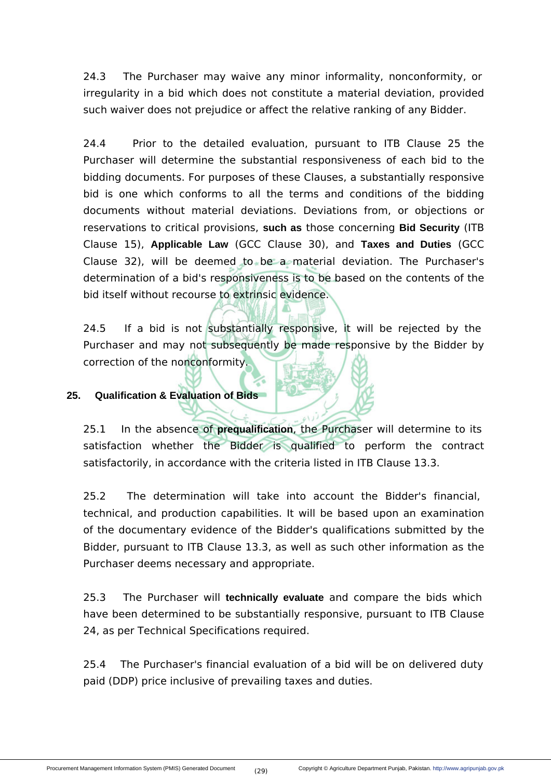24.3 The Purchaser may waive any minor informality, non irregularity in a bid which does not constitute a material dev such waiver does not prejudice or affect the relative ranking of

24.4 Prior to the detailed evaluation, pursuant to I Purchaser will determine the substantial responsiveness of  $\epsilon$ bidding documents. For purposes of these Clauses, a substanti bid is one which conforms to all the terms and conditions documents without material deviations. Deviations from, or reservations to critical spurch as is thomos e conce Biodi Secqurity (ITB Clause 14<sup>6</sup> policable Law (GCC Clause 3 Daxes and dDuties (GCC Clause 32), will be deemed to be a material deviation. determination of a bid's responsiveness is to be based on the bid itself without recourse to extrinsic evidence.

24.5 If a bid is not substantially responsive, it will b Purchaser and may not subsequently be made responsive by correction of the nonconformity.

#### 25. Qualification & Evaluation of Bids

25.1 In the abspeemgreadification, the Purchaser will determine to satisfaction whether the Bidder is qualified to perfo satisfactorily, in accordance with the criteria listed in ITB Claus

25.2 The determination will take into account the Bi technical, and production capabilities. It will be based upon of the documentary evidence of the Bidder's qualifications su Bidder, pursuant to ITB Clause 13.3, as well as such other information as the setting as the setting as the such as the  $\frac{1}{2}$ Purchaser deems necessary and appropriate.

25.3 The Purchatens have relationally idviduate and compare the bids which have been determined to be substantially responsive, pursuant 24, as per Technical Specifications required.

25.4 The Purchaser's financial evaluation of a bid will be o paid (DDP) price inclusive of prevailing taxes and duties.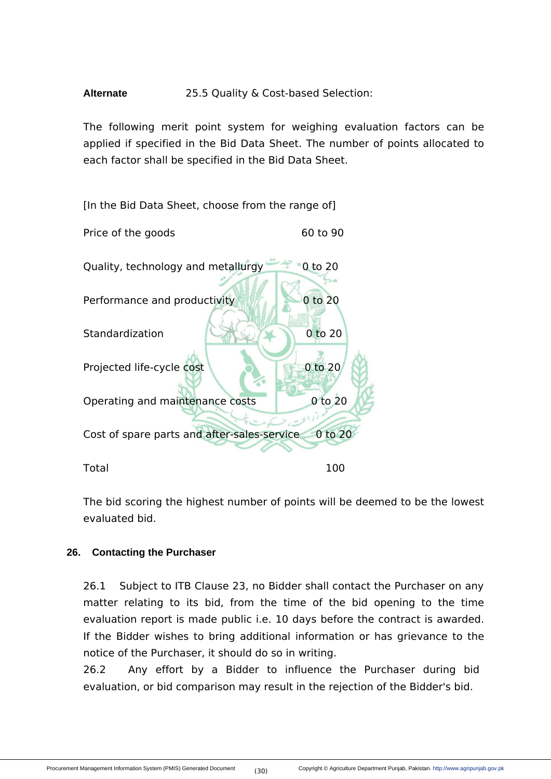#### Alternate 25.5 Quality & Cost-based Selection:

The following merit point system for weighing evaluation applied if specified in the Bid Data Sheet. The number of poi each factor shall be specified in the Bid Data Sheet.

[In the Bid Data Sheet, choose from the range of] Price of the goods 60 to 90 Quality, technology and metallurgy but also be 20 Performance and productivity **beam** 0 to 20 Standardization **6. Exercía de Standardization** 6. The set of the set of the set of the set of the set of the set of the set of the set of the set of the set of the set of the set of the set of the set of the set of the se Projected life-cycle cost 0 to 20 Operating and maintenance costs 0 to 20 Cost of spare parts and after-sales-service 0 to 20  $\texttt{Total}$  100

The bid scoring the highest number of points will boew detemed to evaluated bid.

#### 26. Contacting the Purchaser

26.1 Subject to ITB Clause 23, no Bidder shall contact the P matter relating to its bid, from the time of the bid open evaluation report is made public i.e. 10 days before the contr If the Bidder wishes to bring additional information or has g notice of the Purchaser, it should do so in writing. 26.2 Any effort by a Bidder to influence the Purc evaluation, or bid comparison may result in the rejection of the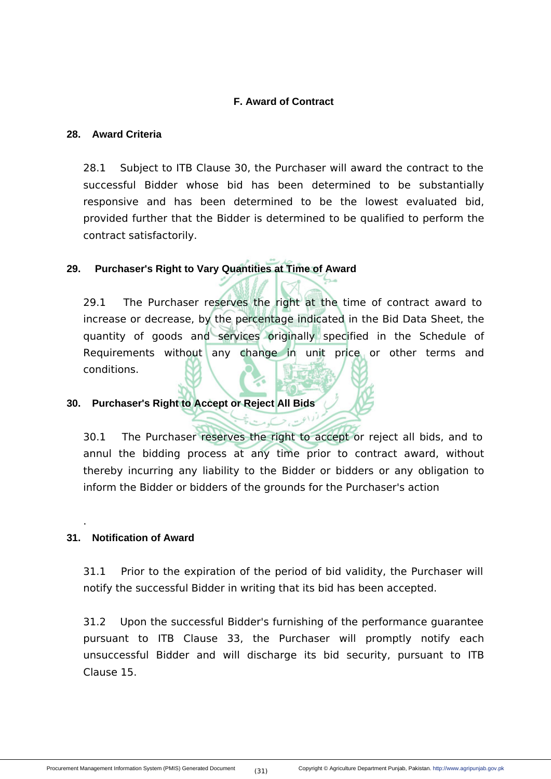#### F. Award of Contract

#### 28. Award Criteria

28.1 Subject to ITB Clause 30, the Purchaser will award the successful Bidder whose bid has been determined to responsive and has been determined to be the lowest provided further that the Bidder is determined to be qualified contract satisfactorily.

#### 29. Purchaser's Right to Vary Quantities at Time of Award

29.1 The Purchaser reserves the right at the time of contract and increase or decrease, by the percentage indicated in the Bid Data Contractor quantity of goods and services originally specified in Requirements without any change in unit price or o conditions.

#### 30. Purchaser's Right to Accept or Reject All Bids

30.1 The Purchaser reserves the right to accept or reject annul the bidding process at any time prior to contract thereby incurring any liability to the Bidder or bidders or a inform the Bidder or bidders of the grounds for the Purchaser's

#### 31. Notification of Award

.

31.1 Prior to the expiration of the period of bid validity, the notify the successful Bidder in writing that its bid has been acc

31.2 Upon the successful Bidder's furnishing of the performa pursuant to ITB Clause 33, the Purchaser will prom unsuccessful Bidder and will discharge its bid security, Clause 15.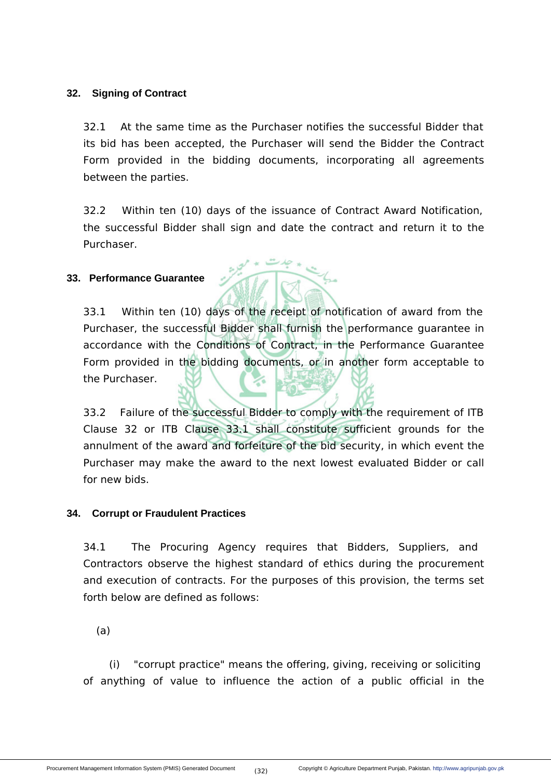#### 32. Signing of Contract

32.1 At the same time as the Purchaser notifies the succes its bid has been accepted, the Purchaser will send the Bidd Form provided in the bidding documents, incorporating between the parties.

32.2 Within ten (10) days of the issuance of Contract Aw the successful Bidder shall sign and date the contract and Purchaser.

#### 33. Performance Guarantee

33.1 Within ten (10) days of the receipt of notification of Purchaser, the successful Bidder shall furnish the performand accordance with the Conditions of Contract, in the Performa Form provided in the bidding documents, or in another form the Purchaser.

33.2 Failure of the successful Bidder to comply with the req Clause 32 or ITB Clause 33.1 shall constitute sufficient annulment of the award and forfeiture of the bid security, in w Purchaser may make the award to the next lowest evaluated for new bids.

#### 34. Corrupt or Fraudulent Practices

34.1 The Procuring Agency requires that Bidders, Suppliers, and Contractors observe the highest standard of ethics during the and execution of contracts. For the purposes of this provisior forth below are defined as follows:

(a)

(i) "corrupt practice" means the offering, giving, receivent of anything of value to influence the action of a pub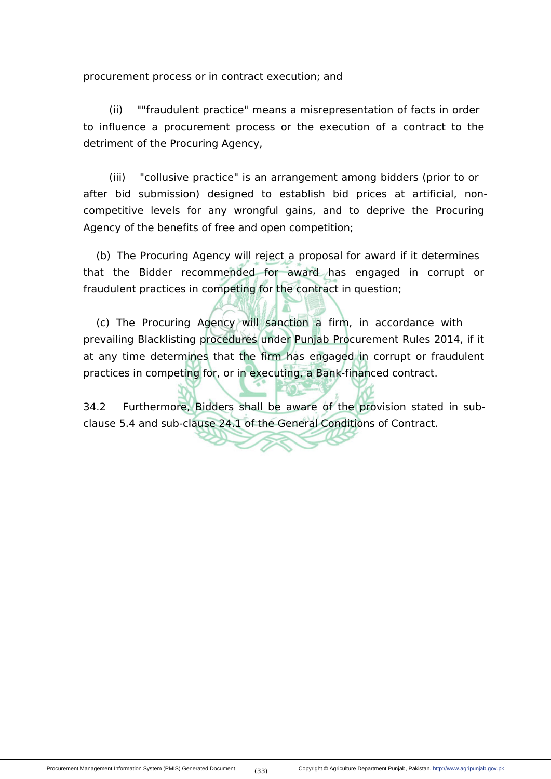procurement process or in contract execution; and

 (ii) ""fraudulent practice" means a misrepresentation of facts in order to influence a procurement process or the execution of a detriment of the Procuring Agency,

(iii) "collusive practice" is an arrangement among bidd after bid submission) designed to establish bid prices competitive levels for any wrongful gains, and to depriv Agency of the benefits of free and open competition;

(b) The Procuring Agency will reject a proposal for award that the Bidder recommended for award has engaged fraudulent practices in competing for the contract in question;

(c) The Procuring Agency will sanction a firm, in accordance prevailing Blacklisting procedures under Punjab Procurement R at any time determines that the firm has engaged in corrup practices in competing for, or in executing, a Bank-financed con

34.2 Furthermore, Bidders shall be aware of the provisio clause 5.4 and sub-clause 24.1 of the General Conditions of Con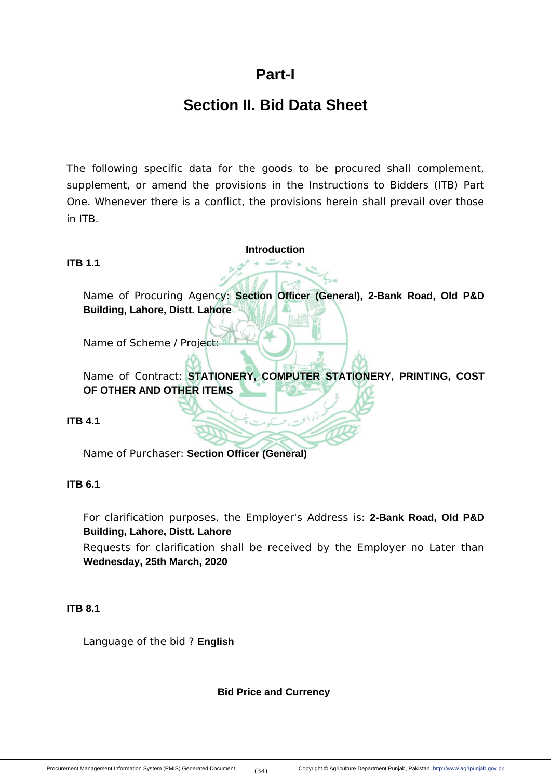### Part-I

## Section II. Bid Data Sheet

The following specific data for the goods to be procured s supplement, or amend the provisions in the Instructions to B One. Whenever there is a conflict, the provisions herein shall p in ITB.

Introduction

ITB 1.1

Name of Procuring Section Officer (General), 2-Bank Road, Old P&D Building, Lahore, Distt. Lahore

Name of Scheme / Project:

Name of Contractionery, COMPUTER STATIONERY, PRINTING, COST OF OTHER AND OTHER ITEMS

#### ITB 4.1

Name of PurchSestion Officer (General)

#### ITB 6.1

For clarification purposes, the Emplo  $9$ -Banks RoAd, dOld  $9$ -S&Dis: Building, Lahore, Distt. Lahore

Requests for clarification shall be received by the Employe Wednesday, 25th March, 2020

#### ITB 8.1

Language of the Entoglish?

### Bid Price and Currency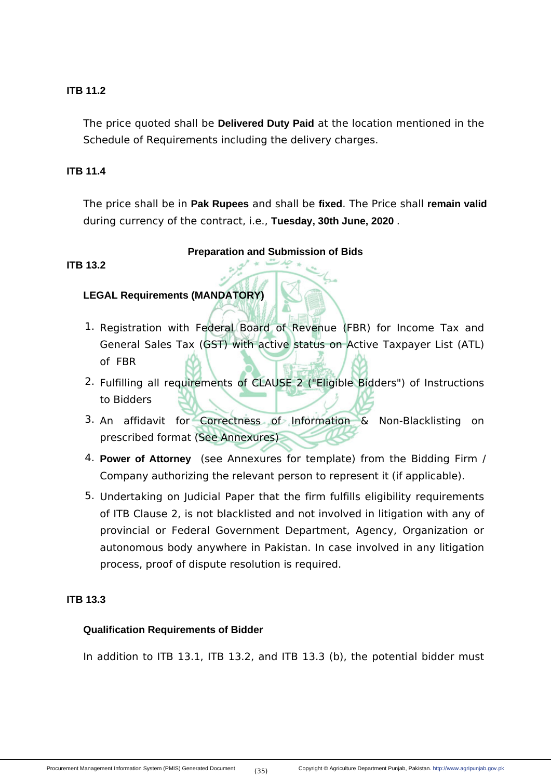#### ITB 11.2

The price quoted **Shela/ered Buty Paid** at the location mentioned in th Schedule of Requirements including the delivery charges.

#### ITB 11.4

The price shal Palls Rupees and shall fixet de. The Price reminatani valid during currency of the conteneday, 30th June, 2020.

Preparation and Submission of Bids

#### ITB 13.2

LEGAL Requirements (MANDATORY)

- 1. Registration with Federal Board of Revenue (FBR) for I General Sales Tax (GST) with active status on Active Taxp of FBR
- 2. Fulfilling all requirements of CLAUSE 2 ("Eligible Bidders" to Bidders
- 3.An affidavit for Correctness of Information & No prescribed format (See Annexures)
- 4. Power of Attorney (see Annexures for template) from the Bidding Company authorizing the relevant person to represent it (if ap
- 5. Undertaking on Judicial Paper that the firm fulfills eligibili of ITB Clause 2, is not blacklisted and not involved in litiga provincial or Federal Government Department, Agency, Or autonomous body anywhere in Pakistan. In case involved in process, proof of dispute resolution is required.

#### ITB 13.3

Qualification Requirements of Bidder

In addition to ITB 13.1, ITB 13.2, and ITB 13.3 (b), the potential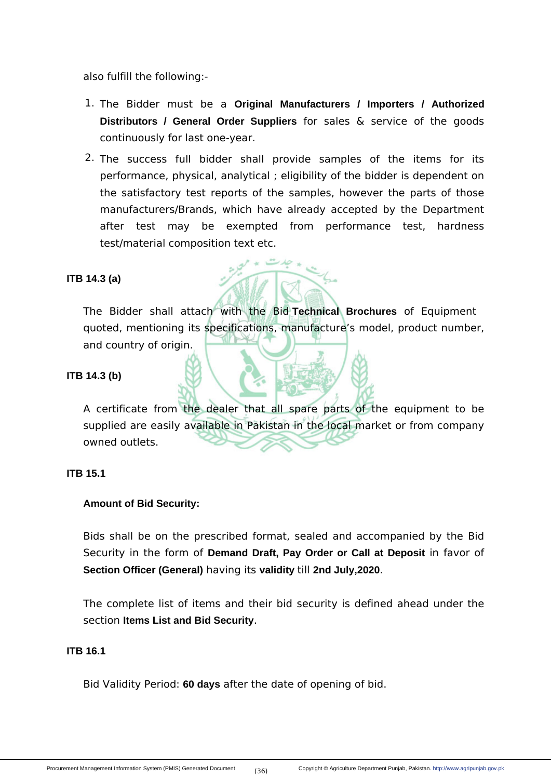also fulfill the following:-

- 1. The Bidder must Original Manufacturers / Importers / Authorized Distributors / General Order Suppliers for sales & service of the g continuously for last one-year.
- 2. The success full bidder shall provide samples of the performance, physical, analytical ; eligibility of the bidder is the satisfactory test reports of the samples, however the manufacturers/Brands, which have already accepted by the after test may be exempted from performance test/material composition text etc.

ITB 14.3 (a)

The Bidder shall attach Weidt mical the BeochuBeisd of Equipment quoted, mentioning its specifications, manufacture s model, pr and country of origin.

ITB 14.3 (b)

A certificate from the dealer that all spare parts of the supplied are easily available in Pakistan in the local market o owned outlets.

#### ITB 15.1

Amount of Bid Security:

Bids shall be on the prescribed format, sealed and accompar Security in the Demand Diraft, Pay Order or Call at Deposit in favor of Section Officer (General) having validity til 2nd July, 2020.

The complete list of items and their bid security is defined a section Items List and Bid Security.

#### ITB 16.1

Bid Validity PGOrdays after the date of opening of bid.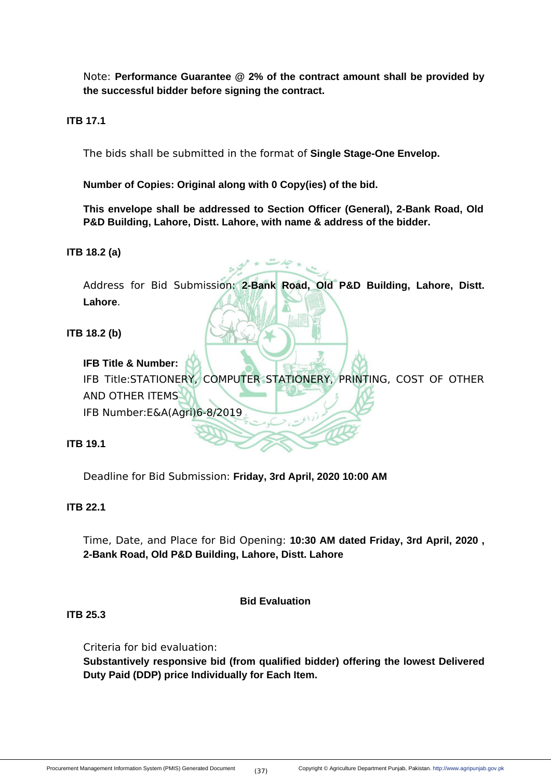N o t e Performance Guarantee @ 2% of the contract amount shall be provided by the successful bidder before signing the contract.

ITB 17.1

The bids shall be submitted in Single Stage-One Envelop.

Number of Copies : Original along with 0 Copy(ies) of the bid.

This envelope shall be addressed to Section Officer (General) , 2-Bank Road, Old P&D Building, Lahore, Distt. Lahore, with name & address of the bidder.

ITB 18.2 (a)

Address for Bid Submission: Old P&D Building, Lahore, Distt. Lahore .

ITB 18.2 (b)

IFB Title & Number: IFB Title: STATIONERY, COMPUTER STATIONERY, PRINTING, AND OTHER ITEMS IFB Number:E&A(Agri)6-8/2019

ITB 19.1

Deadline for Bid Sub Friday, 3nd April, 2020 10:00 AM

ITB 22.1

Time, Date, and Place for B10x30 AM edated Friday, 3rd April, 2020, 2-Bank Road, Old P&D Building, Lahore, Distt. Lahore

Bid Evaluation

#### ITB 25.3

Criteria for bid evaluation: Substantively responsive bid (from qualified bidder) offering the lowest Delivered Duty Paid (DDP) price Individually for Each Item.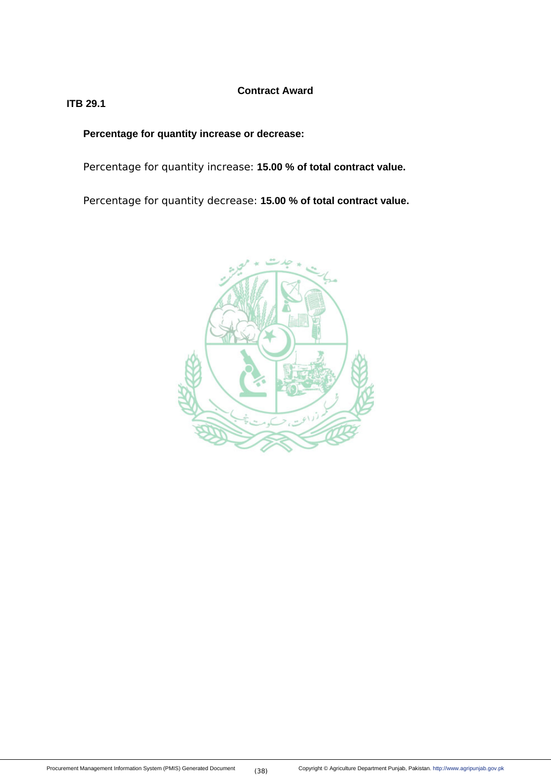### Contract Award

#### ITB 29.1

Percentage for quantity increase or decrease:

Percentage for quantity 15:00 % of stockal contract value.

Percentage for quantity the confract value.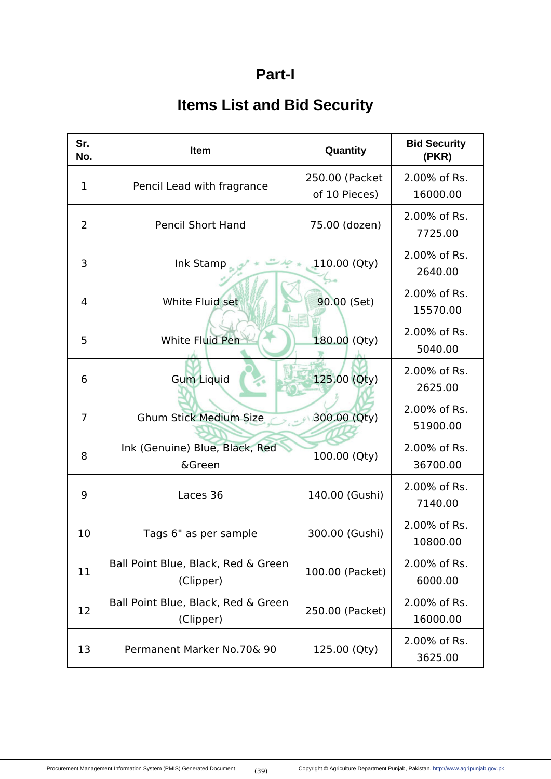### Part-I

# Items List and Bid Security

| Sr.<br>No.     | Item                                                                       | Quantity         | <b>Bid Security</b><br>(PKR)     |
|----------------|----------------------------------------------------------------------------|------------------|----------------------------------|
| $\mathbf 1$    | Pencil Lead with fragrance<br>of 10 Pieces) 16000.00                       |                  | 250.00 (Packe2t.00% of R s.      |
| 2              | Pencil Short Hand                                                          | $75.00$ (dozen)  | $2.00\%$ of R s.<br>7725.00      |
| 3              | Ink Stamp                                                                  | $110.00$ (Qt y)  | $2.00\%$ of R s.<br>2640.00      |
| 4              | White Fluid set                                                            | 90.00(Set)       | $2.00\%$ of R s.<br>15570.00     |
| 5              | White Fluid Pen                                                            | $180.00$ (Qt y)  | $2.00\%$ of R $ s $ .<br>5040.00 |
| 6              | Gum Liquid                                                                 | $125.00$ (Qty)   | $2.00\%$ of Rs.<br>2625.00       |
| $\overline{7}$ | Ghum Stick Medium Size300.00 (Qty)                                         |                  | $2.00\%$ of R s.<br>51900.00     |
| 8              | --<br>Ink (Genuine) Blue, Black, Red<br>100.00 (Qty)<br>& Green            |                  | $2.00\%$ of R s.<br>36700.00     |
| 9              | Laces 36                                                                   | $140.00$ (Gushi) | $2.00\%$ of R s.<br>7140.00      |
| 10             | Tags 6" as per sample 300.00 (Gushi) $10800.00$                            |                  | $2.00\%$ of R s.                 |
| 11             | Ball Point Blue, Black, Red & Green 2.<br>100.00 (Packet)<br>(Clipper)     |                  | $2.00\%$ of R s.<br>6000.00      |
| $12$           | Ball Point Blue, Black, Red & Green 2.00% or n<br>250.00 (Packet) 25000.00 |                  | $2,00\%$ of R s.                 |
| 13             | Permanent Marker No. 70 & 19205.00 $(Qt y)$                                |                  | $2.00\%$ of R s.<br>3625.00      |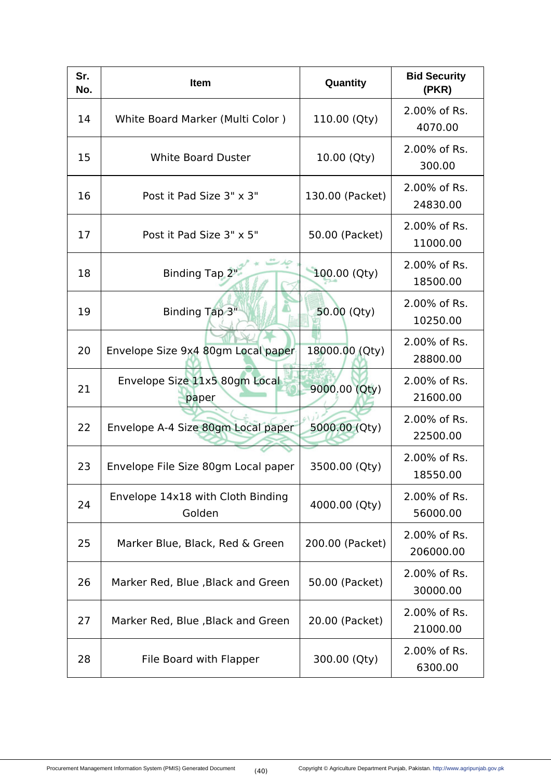| Sr.<br>No.     | Item                                                                                                                                                                                                                                                                                                   | Quantity                                                                 | <b>Bid Security</b><br>(PKR) |
|----------------|--------------------------------------------------------------------------------------------------------------------------------------------------------------------------------------------------------------------------------------------------------------------------------------------------------|--------------------------------------------------------------------------|------------------------------|
| 14             | White Board Marker (Mult $\mathcal{A}$ and $\mathcal{A}$ and $\mathcal{A}$ and $\mathcal{A}$ and $\mathcal{A}$ and $\mathcal{A}$ and $\mathcal{A}$ and $\mathcal{A}$ and $\mathcal{A}$ and $\mathcal{A}$ and $\mathcal{A}$ and $\mathcal{A}$ and $\mathcal{A}$ and $\mathcal{A}$ and $\mathcal{A}$ and |                                                                          | $2.00\%$ of R s.<br>4070.00  |
| 15             | White Board Duster                                                                                                                                                                                                                                                                                     | 10.00 (Qty)                                                              | $2.00\%$ of R s.<br>300.00   |
| 16             | Post it Pad Size 3" x 3130.00 (Packet) $24830.00$                                                                                                                                                                                                                                                      |                                                                          | $2,00\%$ of R s.             |
| 17             | Post it Pad Size $3''$ x $ 550.00$ (Packet)                                                                                                                                                                                                                                                            |                                                                          | $2.00\%$ of R s.<br>11000.00 |
| 18             | Binding Tap 2"                                                                                                                                                                                                                                                                                         | $100.00$ (Qt y)                                                          | $2.00\%$ of R s.<br>18500.00 |
| 19             | Binding Tap 3"                                                                                                                                                                                                                                                                                         | 50.00 (Qty)                                                              | $2.00\%$ of R s.<br>10250.00 |
| 20             | Envelope Size 9x4 80gm Loca80poap@0 (Qty)                                                                                                                                                                                                                                                              |                                                                          | $2.00\%$ of R s.<br>28800.00 |
| 2 <sub>1</sub> | Envelope Size 11x5 80gm<br>paper                                                                                                                                                                                                                                                                       | $\begin{array}{c} \textsf{Local} \\ 90000.00 \text{ (Q ty)} \end{array}$ | $2.00\%$ of Rs.<br>21600.00  |
| 22             | $\mathsf{Envelope}$ A-4 Size 80gm $\mathsf{Lb}$ c $\mathsf{E0}$ QQa $\mathsf{Del}$ c $\mathsf{C}$ $\mathsf{Lb}$                                                                                                                                                                                        |                                                                          | $2.00\%$ of R s.<br>22500.00 |
| 23             | $Envelope$ File Size 80gm Loc3a5l0p0aper(Q ty)                                                                                                                                                                                                                                                         |                                                                          | 2.00% of Rs.<br>18550.00     |
| 24             | Envelope 14x18 with Cloth<br>Golden                                                                                                                                                                                                                                                                    | Binding<br>4000.00 (Qty)                                                 | $2.00\%$ of R s.<br>56000.00 |
| 25             | Marker Blue, Black, Red $\begin{array}{ c c c c c }\n\hline\n82\texttt{G0e@0} & (\texttt{Pac} \texttt{ke}) & 206000.00\n\end{array}$                                                                                                                                                                   |                                                                          | $2.00\%$ of R s.             |
| 26             | Marker Red, Blue , Black and OGO @ e(rPacket)                                                                                                                                                                                                                                                          |                                                                          | $2.00\%$ of R s.<br>30000.00 |
| 27             | Marker Red, Blue , Black and OGO @ e(rPacket)                                                                                                                                                                                                                                                          |                                                                          | $2.00\%$ of R s.<br>21000.00 |
| 28             | File Board with Flapper 300.00 $(Qt y)$                                                                                                                                                                                                                                                                |                                                                          | $2.00\%$ of R s.<br>6300.00  |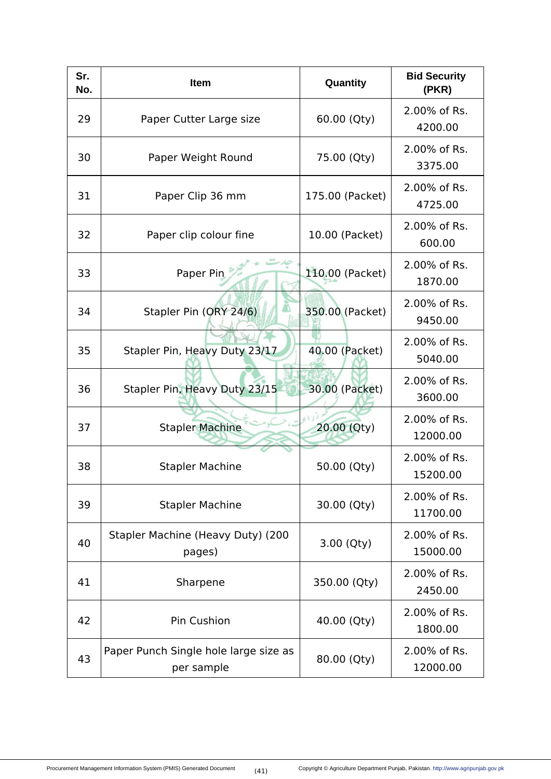| Sr.<br>No.     | Item                                                                      | Quantity         | <b>Bid Security</b><br>(PKR)                   |
|----------------|---------------------------------------------------------------------------|------------------|------------------------------------------------|
| 29             | Paper Cutter Large size 60.00 (Qty)                                       |                  | $2.00\%$ of R s.<br>4200.00                    |
| 30             | Paper Weight Round                                                        | 75.00 (Qty)      | $2.00\%$ of R s.<br>3375.00                    |
| 3 <sub>1</sub> | Paper Clip 36 mm                                                          |                  | 175.00 $(Pac ket)_{. -}^{2.00\%}$ of Rs.       |
| 32             | Paper clip colour fine 10.00 (Packet)                                     |                  | $2.00\%$ of R s.<br>600.00                     |
| 33             | Paper Pin                                                                 |                  | 110.00 $(Packet)$ , $2.00\%$ of Rs.<br>1870.00 |
| 34             | Stapler Pin (ORY 24/6850.00 (Packet) 9450.00                              |                  | $2,00\%$ of R s.                               |
| 35             | Stapler Pin, Heavy Duty 240100 (Packet)                                   |                  | $2.00\%$ of R s.<br>5040.00                    |
| 36             | Stapler Pin, Heavy Duty 23001050 (Packet)                                 |                  | $2.00\%$ of R s.<br>3600.00                    |
| 37             | Stapler Machine                                                           | 20.00 (Qty)      | $2.00\%$ of R s.<br>12000.00                   |
| 38             | Stapler Machine                                                           | 50.00~(Qty)      | $2.00\%$ of R s.<br>15200.00                   |
| 39             | Stapler Machine                                                           | 30.00 (Qty)      | $2.00\%$ of R s.<br>11700.00                   |
| 40             | Stapler Machine (Heavy $D \mu$ ty) (200 (Qty<br>$p \, a \, g \, e \, s$ ) |                  | $2.00\%$ of R s.<br>15000.00                   |
| 41             | Sharpene                                                                  | $350.00$ (Qt y)  | $2.00\%$ of R s.<br>2450.00                    |
| 42             | Pin Cushion                                                               | $40.00~(Q \nty)$ | $2.00\%$ of R s.<br>1800.00                    |
| 43             | Paper Punch Single hole large size as<br>80.00 (Qty)<br>per sample        |                  | $2.00\%$ of R s.<br>12000.00                   |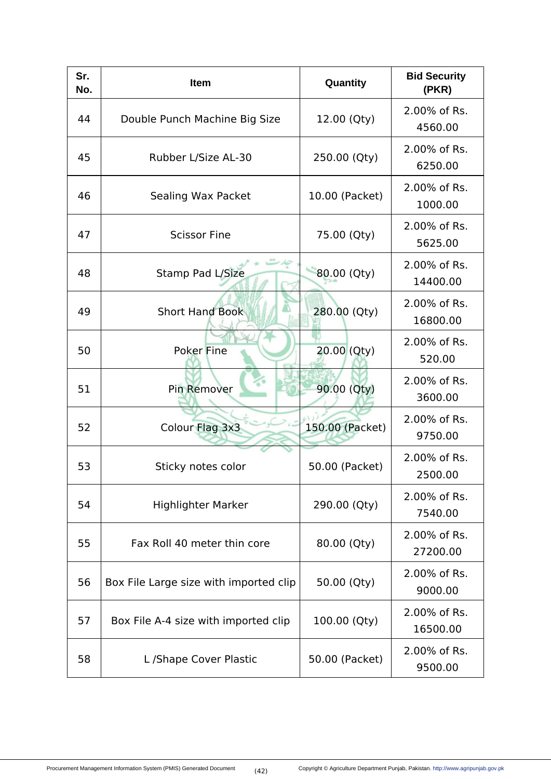| Sr.<br>No.     | Item                                                   | Quantity                       | <b>Bid Security</b><br>(PKR) |
|----------------|--------------------------------------------------------|--------------------------------|------------------------------|
| 44             | Double Punch Machine B g \$2z00 (Qty)                  |                                | $2.00\%$ of R s.<br>4560.00  |
| 45             | Rubber L/Size AL-30                                    | $250.00$ (Qt y)                | $2.00\%$ of R s.<br>6250.00  |
| 46             | Sealing Wax Packet                                     | $10.00$ (Packet)               | $2.00\%$ of R s.<br>1000.00  |
| 47             | Scissor Fine                                           | 75.00 (Qty)                    | $2.00\%$ of R s.<br>5625.00  |
| 48             | Stamp Pad L/Size                                       | 80.00 (Qty)                    | $2.00\%$ of R s.<br>14400.00 |
| 49             | Short Hand Book                                        | $280.00$ (Qty)                 | $2.00\%$ of R s.<br>16800.00 |
| 50             | Poker Fine                                             | 20.00~(Qt)                     | $2.00\%$ of R s.<br>520.00   |
| 5 <sub>1</sub> | Pin Remover                                            | 90.00 (Qty)                    | $2.00\%$ of R s.<br>3600.00  |
| 52             | Colour Flag 3x3                                        | 150.00 $(Paqke^{t})_{9750.00}$ | $2.00\%$ of R s.             |
| 53             | Sticky notes color                                     | $50.00$ (Packet)               | $2.00\%$ of R s.<br>2500.00  |
| 54             | Highlighter Marker                                     | $290.00$ (Qty)                 | $2.00\%$ of R s.<br>7540.00  |
| 55             | Fax Roll 40 meter thin $\cos 20.00$ (Qty)              |                                | $2.00\%$ of R s.<br>27200.00 |
| 56             | Box File Large size with $im$ po $50e$ $00c$ ( $Q$ ty) |                                | $2.00\%$ of R s.<br>9000.00  |
| 57             | Box File A-4 size with $imp or1\theta\theta.00p(Qt y)$ |                                | $2.00\%$ of R s.<br>16500.00 |
| 58             | L /Shape Cover Plastic50.00 (Packet)                   |                                | $2.00\%$ of R s.<br>9500.00  |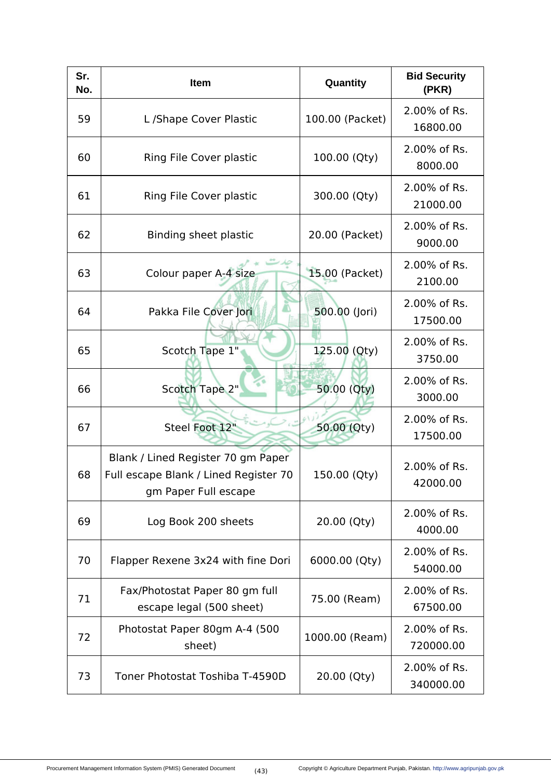| Sr.<br>No. | Item                                                                                                          | Quantity        | <b>Bid Security</b><br>(PKR)  |
|------------|---------------------------------------------------------------------------------------------------------------|-----------------|-------------------------------|
| 59         | L /Shape Cover Plast $d$ 00.00 (Packet) $16800.00$                                                            |                 | $2.00\%$ of R s.              |
| 60         | Ring File Cover plast $ i \in 100.00$ (Qt $ y $ )                                                             |                 | $2.00\%$ of R s.<br>8000.00   |
| 61         | Ring File Cover plast ic 300.00 (Qty)                                                                         |                 | $2.00\%$ of Rs.<br>21000.00   |
| 62         | Binding sheet plastid 20.00 (Packet)                                                                          |                 | $2.00\%$ of R s.<br>9000.00   |
| 63         | Colour paper $A - 4$ size 15.00 (Packet)                                                                      |                 | $2.00\%$ of R s.<br>2100.00   |
| 64         | Pakka File Cover Jori 500.00 (Jori)                                                                           |                 | $2.00\%$ of R s.<br>17500.00  |
| 65         | Scotch Tape 1"                                                                                                | $125.00$ (Qt y) | $2.00\%$ of R s.<br>3750.00   |
| 66         | Scotch Tape 2"                                                                                                | 50.00 (Qty)     | $2.00\%$ of R s.<br>3000.00   |
| 67         | Steel Foot 12"                                                                                                | 50.00 (Qty)     | $2.00\%$ of R s.<br>17500.00  |
| 68         | Blank / Lined Register 70 gm Paper<br>Full escape Blank / Lined Regi5sOt.eOrO7(OQt y)<br>gm Paper Full escape |                 | $2.00\%$ of R s.<br>42000.00  |
| 69         | Log Book 200 sheets                                                                                           | 20.00~(Qt)      | $2.00\%$ of R s.<br>4000.00   |
| 70         | Flapper Rexene $3x24$ with fine $0.000$ (Qty)                                                                 |                 | $2.00\%$ of R s.<br>54000.00  |
| 71         | Fax/Photostat Paper 80 gm full<br>escape legal (500 sheet)                                                    | 75.00 (Rea m)   | $2.00\%$ of R s.<br>67500.00  |
| 72         | Photostat Paper 80gm A-4 (500<br>1000.00 (Ream) 720000.00                                                     |                 | 2.00% of Rs.                  |
| 73         | Toner Photostat Toshiba T-42509.0D (Qty)                                                                      |                 | $2.00\%$ of R s.<br>340000.00 |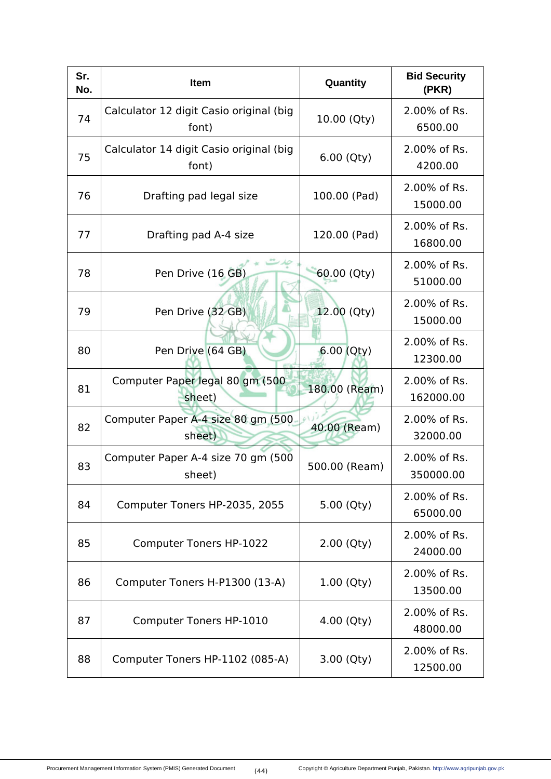| Sr.<br>No. | Item                                                                                    | Quantity    | <b>Bid Security</b><br>(PKR)                                |
|------------|-----------------------------------------------------------------------------------------|-------------|-------------------------------------------------------------|
| 74         | Calculator 12 digit Casio original (big<br>font)                                        | 10.00 (Qty) | $2.00\%$ of R s.<br>6500.00                                 |
| 75         | Calculator 14 digit Casio original (big<br>6.00 (Qty)<br>font)                          |             | $2.00\%$ of R s.<br>4200.00                                 |
| 76         | Drafting pad legal size 100.00 (Pad)                                                    |             | $2.00\%$ of R s.<br>15000.00                                |
| 77         | Drafting pad A-4 size 120.00 (Pad)                                                      |             | $2.00\%$ of R s.<br>16800.00                                |
| 78         | Pen Drive (16 GB)                                                                       | 60.00~(Qty) | $2.00\%$ of Rs.<br>51000.00                                 |
| 79         | Pen Drive (32 GB)                                                                       | 12.00~(Qty) | $2.00\%$ of R s.<br>15000.00                                |
| 80         | Pen Drive (64 GB)                                                                       | 6.00 (Qty   | $2.00\%$ of R s.<br>12300.00                                |
| 81         | Computer Paper legal 80<br>$shee$ t)                                                    | gm(500)     | $2.00\%$ of R $ s $ .<br>n (500<br>180.00 (Reatm) 162000.00 |
| 82         | Computer Paper A-4 size $8 0 \text{ gm} (500 \text{ cm})^2$<br>$shee$ t)                |             | 2.00% of R s.<br>32000.00                                   |
| 83         | Computer Paper A-4 size $7\begin{vmatrix} 0 & gm & (500) & 2.00\% & 0.01 \end{vmatrix}$ |             | $2.00\%$ of R $ s $ .                                       |
| 84         | Computer Toners HP-2035, 250.505 (Qty)                                                  |             | $2.00\%$ of R s.<br>65000.00                                |
| 85         | Computer Toners HP-10222.00 (Qty                                                        |             | $2.00\%$ of R s.<br>24000.00                                |
| 86         | Computer Toners H-P1300 (113.040) (Qty)                                                 |             | $2.00\%$ of R s.<br>13500.00                                |
| 87         | Computer Toners HP-10104.00 (Qty                                                        |             | $2.00\%$ of R s.<br>48000.00                                |
| 88         | Computer Toners HP-1102 (0850A)(Qty)                                                    |             | $2.00\%$ of R s.<br>12500.00                                |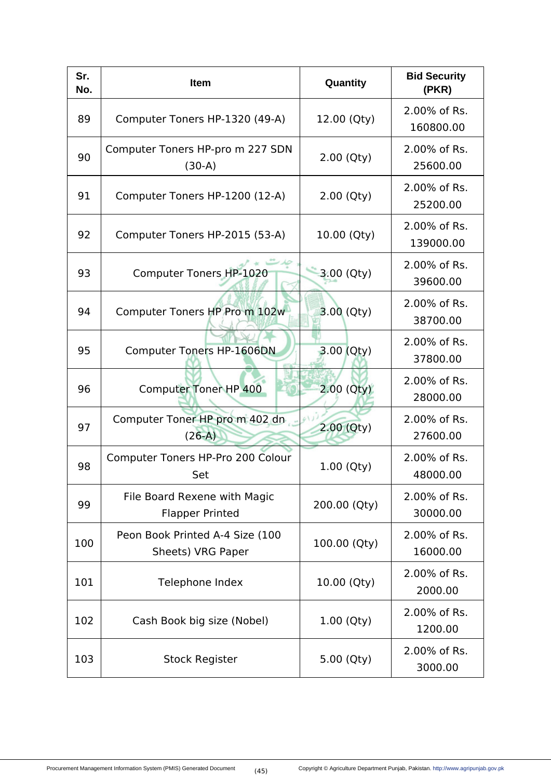| Sr.<br>No. | Item                                                                                                     | Quantity                 | <b>Bid Security</b><br>(PKR)  |
|------------|----------------------------------------------------------------------------------------------------------|--------------------------|-------------------------------|
| 89         | Computer Toners HP-1320 (42.AD (Qty)                                                                     |                          | $2.00\%$ of R s.<br>160800.00 |
| 90         | Computer Toners HP-pro $m$ 227 SDN $(Qty)$<br>$(30 - A)$                                                 |                          | $2.00\%$ of R s.<br>25600.00  |
| 91         | Computer Toners HP-1200 (122.040) (Qty)                                                                  |                          | $2.00\%$ of Rs.<br>25200.00   |
| 92         | Computer Toners HP-201\$ (538-AD (Qty)                                                                   |                          | $2.00\%$ of R s.<br>139000.00 |
| 93         | Computer Toners HP-10203.00 (Qty)                                                                        |                          | $2.00\%$ of R s.<br>39600.00  |
| 94         | Computer Toners HP Pro   m 130.200 (Qty)                                                                 |                          | $2.00\%$ of R s.<br>38700.00  |
| 95         | Computer Toners HP-1606D3N00 (Qty                                                                        |                          | $2.00\%$ of R s.<br>37800.00  |
| 96         | Computer Toner HP 400 2.00 (Qty)                                                                         |                          | $2.00\%$ of R s.<br>28000.00  |
| 97         | Computer Toner HP pro $m$ 402 dn<br>2.00 (Qty)<br>$(26 - A)$                                             |                          | $2.00\%$ of R s.<br>27600.00  |
| 98         | Computer Toners HP-Pro 200 Colour<br>Set                                                                 | 1.00 (Qty)               | $2.00\%$ of R s.<br>48000.00  |
| 99         | File Board Rexene with<br>Flapper Printed                                                                | $M$ agic<br>200.00 (Qty) | $2.00\%$ of R s.<br>30000.00  |
| 100        | Peon Book Printed A-4 S $ z  = \begin{pmatrix} 100 \\ 100.00 \\ 0.00 \end{pmatrix}$<br>Sheets) VRG Paper |                          | $2.00\%$ of R s.<br>16000.00  |
| 101        | Telephone Index                                                                                          | 10.00 (Qty)              | $2.00\%$ of R s.<br>2000.00   |
| 102        | Cash Book big size (Nobel).00 (Qty)                                                                      |                          | $2.00\%$ of R s.<br>1200.00   |
| 103        | Stock Register                                                                                           | 5.00 (Qty)               | $2.00\%$ of R s.<br>3000.00   |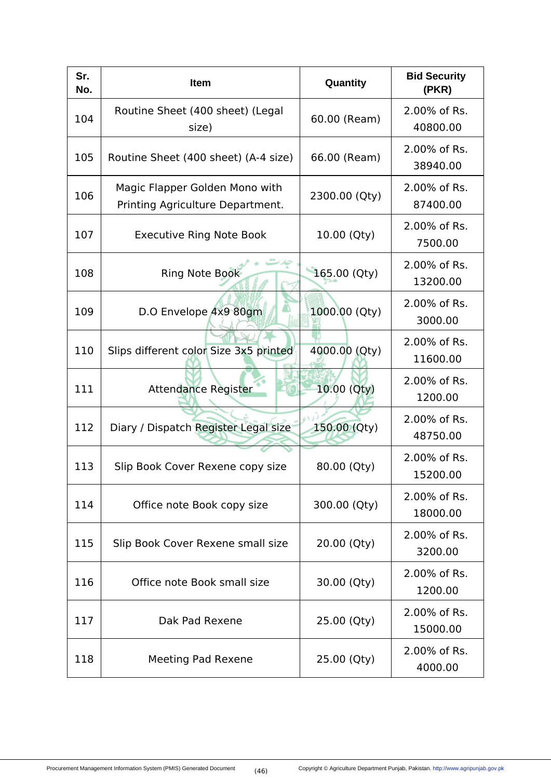| Sr.<br>No. | Item                                                                    | Quantity               | <b>Bid Security</b><br>(PKR)      |  |
|------------|-------------------------------------------------------------------------|------------------------|-----------------------------------|--|
| 104        | Routine Sheet (400 sheet)<br>size)                                      | (Legal<br>60.00 (Ream) | $2.00\%$ of R s.<br>40800.00      |  |
| 105        | Routine Sheet (400 sheet) ( $\text{A}640$ s) $\text{Z}(\text{R})e$ am ) |                        | $2.00\%$ of R s.<br>38940.00      |  |
| 106        | Magic Flapper Golden Mono with<br>Printing Agriculture Department.      | 2300.00 (Q ty)         | $2.00\%$ of R $ s $ .<br>87400.00 |  |
| 107        | Executive Ring Note Book10.00 (Qty)                                     |                        | $2.00\%$ of R s.<br>7500.00       |  |
| 108        | Ring Note Book                                                          | $165.00$ (Qty)         | $2.00\%$ of Rs.<br>13200.00       |  |
| 109        | D.O Envelope $4 \times 9$ 80g m 1000.00 (Q ty)                          |                        | 2.00% of Rs.<br>3000.00           |  |
| 110        | Slips different color Size $\beta$ x450 $\beta$ Dinot Ce d Q ty )       |                        | $2.00\%$ of R s.<br>11600.00      |  |
| 111        | Attendance Register                                                     | $10.00~(Q \nty)$       | $2.00\%$ of R s.<br>1200.00       |  |
| 112        | Diary / Dispatch Register Leg5a0. $\sin \theta$ $\sin \theta$           |                        | $2.00\%$ of R s.<br>48750.00      |  |
| 113        | Slip Book Cover Rexene dop& Os OzOe (Qty)                               |                        | $2.00\%$ of R s.<br>15200.00      |  |
| 114        | Office note Book copy $s$ i $200.00$ (Qt $ y $ )                        |                        | $2.00\%$ of R s.<br>18000.00      |  |
| 115        | Slip Book Cover Rexene sma2D SO @e(Qty)                                 |                        | $2.00\%$ of R s.<br>3200.00       |  |
| 116        | Office note Book small $s$ i $\frac{1}{2}$ e. 00 (Qty)                  |                        | $2.00\%$ of R s.<br>1200.00       |  |
| 117        | Dak Pad Rexene                                                          | 25.00~(Qty)            | $2.00\%$ of R s.<br>15000.00      |  |
| 118        | Meeting Pad Rexene                                                      | 25.00~(Qt)             | $2.00\%$ of R s.<br>4000.00       |  |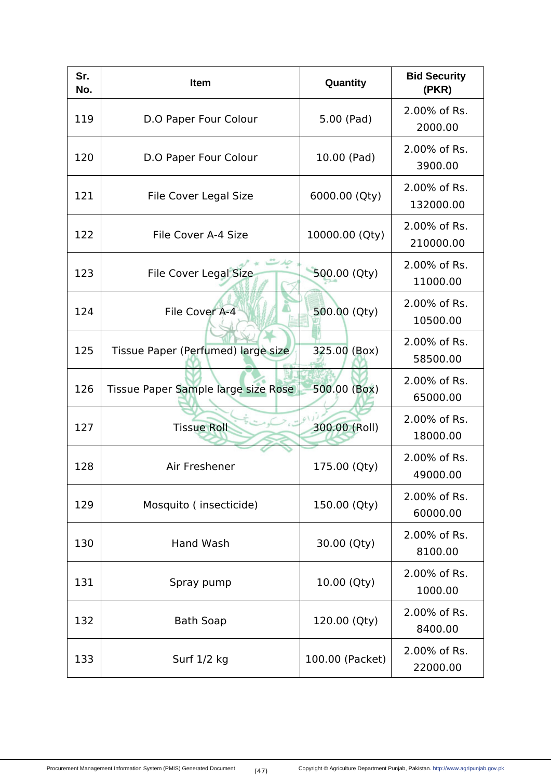| Sr.<br>No. | Item                                                         | Quantity                           | <b>Bid Security</b><br>(PKR)                          |
|------------|--------------------------------------------------------------|------------------------------------|-------------------------------------------------------|
| 119        | D.O Paper Four Colour 5.00 (Pad)                             |                                    | $2.00\%$ of R s.<br>2000.00                           |
| 120        | D.O Paper Four Colour 10.00 (Pad)                            |                                    | $2.00\%$ of R s.<br>3900.00                           |
| 121        | File Cover Legal Size 6000.00 $(Q ty)$                       |                                    | $2.00\%$ of R s.<br>132000.00                         |
| 122        | File Cover A-4 Size   10000.00 $(\phi \uparrow y)$ 210000.00 |                                    | $2.00\%$ of R s.                                      |
| 123        | File Cover Legal Size $500.00$ (Qty)                         |                                    | $2.00\%$ of R s.<br>11000.00                          |
| 124        | File Cover A-4                                               | $500.00$ (Qty)                     | $2.00\%$ of R s.<br>10500.00                          |
| 125        | Tissue Paper (Perfumed)                                      | a r3g2e5 s0 $\mathcal{D}$ e(B o x) | $2.00\%$ of R s.<br>58500.00                          |
|            | 126 Tissue Paper Sample large s 5 10 + R 0 s (e B o x )      |                                    | $2.00\%$ of R s.<br>65000.00                          |
| 127        | Tissue Roll                                                  | 300.00 (Rq  )                      | $2.00\%$ of R s.<br>18000.00                          |
| 128        | Air Freshener                                                | $175.00$ (Qt y)                    | $2.00\%$ of R s.<br>49000.00                          |
| 129        | Mosquito (insecticide) $150.00$ (Qty)                        |                                    | $2.00\%$ of R s.<br>60000.00                          |
| 130        | Hand Wash                                                    | 30.00~(Qt)                         | $2.00\%$ of R s.<br>8100.00                           |
| 131        | Spray pump                                                   | 10.00 (Qty)                        | $2.00\%$ of R s.<br>1000.00                           |
| 132        | Bath Soap                                                    | $120.00$ (Qty)                     | $2.00\%$ of R s.<br>8400.00                           |
| 133        | Surf 1/2 kg                                                  |                                    | $2.00\%$ of R s.<br>100.00 $(Pac ke\bar{t})$ 22000.00 |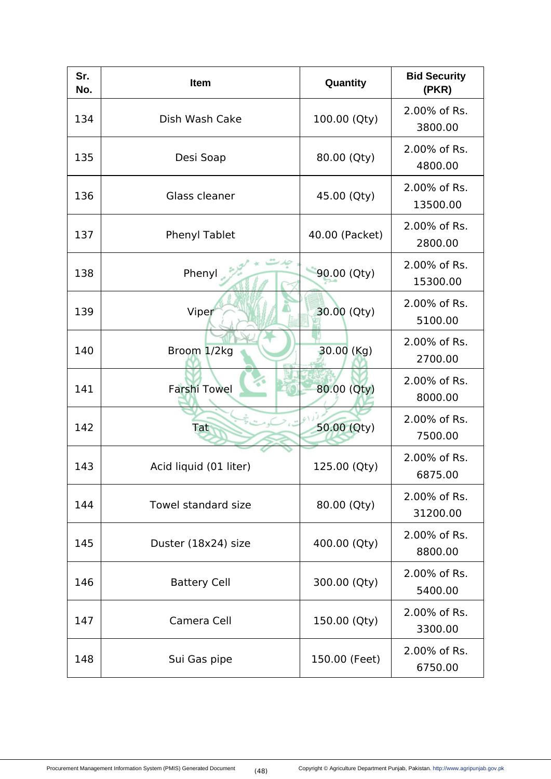| Sr.<br>No. | Item                                | Quantity         | <b>Bid Security</b><br>(PKR) |
|------------|-------------------------------------|------------------|------------------------------|
| 134        | Dish Wash Cake                      | $100.00$ (Qt y)  | $2.00\%$ of R s.<br>3800.00  |
| 135        | Desi Soap                           | 80.00 (Qty)      | $2.00\%$ of R s.<br>4800.00  |
| 136        | Glass cleaner                       | $45.00~(Q \nty)$ | $2.00\%$ of R s.<br>13500.00 |
| 137        | Phenyl Tablet                       | 40.00 (Packet)   | $2.00\%$ of R s.<br>2800.00  |
| 138        | Phenyl                              | 90.00 (Qty)      | $2.00\%$ of R s.<br>15300.00 |
| 139        | Viper                               | 30.00 (Qty)      | $2.00\%$ of R s.<br>5100.00  |
| 140        | Broom 1/2kg                         | 30.00 (Kg)       | $2.00\%$ of R s.<br>2700.00  |
| 141        | Farshi Towel                        | 80.00 (Qty)      | $2.00\%$ of R s.<br>8000.00  |
| 142        | Tat                                 | $50.00~(Q \nty)$ | $2.00\%$ of R s.<br>7500.00  |
| 143        | Acid liquid (01 liter) 125.00 (Qty) |                  | $2.00\%$ of R s.<br>6875.00  |
| 144        | Towel standard size                 | 80.00 (Qty)      | $2.00\%$ of R s.<br>31200.00 |
| 145        | Duster (18x24) size                 | $400.00$ (Qty)   | $2.00\%$ of R s.<br>8800.00  |
| 146        | Battery Cell                        | $300.00$ (Qty)   | $2.00\%$ of R s.<br>5400.00  |
| 147        | Camera Cell                         | $150.00$ (Qty)   | $2.00\%$ of R s.<br>3300.00  |
| 148        | Sui Gas pipe                        | $150.00$ (Feet)  | $2.00\%$ of R s.<br>6750.00  |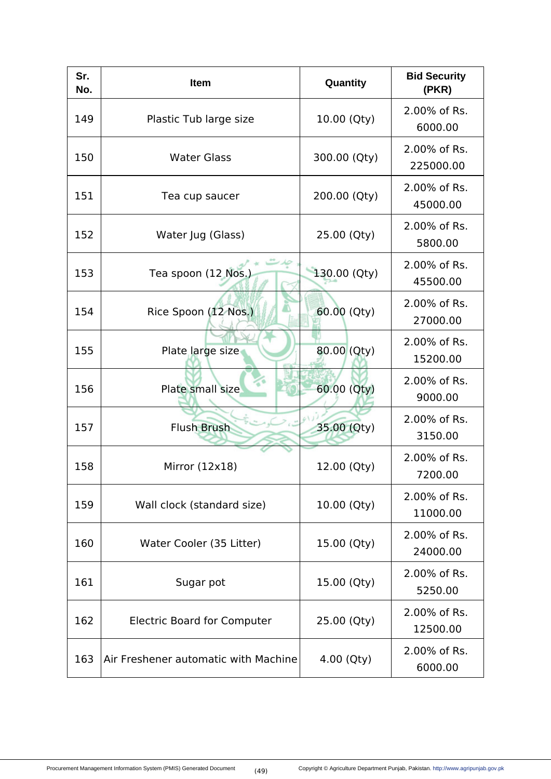| Sr.<br>No. | Item                                             | Quantity        | <b>Bid Security</b><br>(PKR)  |
|------------|--------------------------------------------------|-----------------|-------------------------------|
| 149        | Plastic Tub large size $10.00$ (Qty)             |                 | $2.00\%$ of R s.<br>6000.00   |
| 150        | Water Glass                                      | $300.00$ (Qt y) | $2.00\%$ of R s.<br>225000.00 |
| 151        | Tea cup saucer                                   | $200.00$ (Qt y) | $2.00\%$ of R s.<br>45000.00  |
| 152        | Water Jug (Glass)                                | 25.00 (Qty)     | $2.00\%$ of R s.<br>5800.00   |
| 153        | Tea spoon $(12$ Nos.)                            | $130.00$ (Qt y) | $2.00\%$ of R s.<br>45500.00  |
| 154        | Rice Spoon (12 Nos.)                             | 60.00 (Qty)     | $2.00\%$ of R s.<br>27000.00  |
| 155        | Plate large size                                 | 80.00 (Qty)     | $2.00\%$ of R s.<br>15200.00  |
| 156        | Plate small size                                 | 60.00 (Qty)     | $2.00\%$ of R s.<br>9000.00   |
| 157        | Flush Brush                                      | 35.00 (Qty)     | $2.00\%$ of R s.<br>3150.00   |
| 158        | Mirror (12x18)                                   | 12.00 (Qty)     | $2.00\%$ of R s.<br>7200.00   |
| 159        | Wall clock (standard size) 0.00 (Qty)            |                 | $2.00\%$ of R s.<br>11000.00  |
| 160        | Water Cooler (35 Litter) 15.00 $(Qty)$           |                 | 2.00% of R s.<br>24000.00     |
| 161        | Sugar pot                                        | 15.00 (Qty)     | $2.00\%$ of R s.<br>5250.00   |
| 162        | Electric Board for $Comput@5.00$ $(Qty)$         |                 | 2.00% of R s.<br>12500.00     |
|            | 163 Air Freshener automatic with M4 a0c0hi(nOety |                 | $2.00\%$ of R s.<br>6000.00   |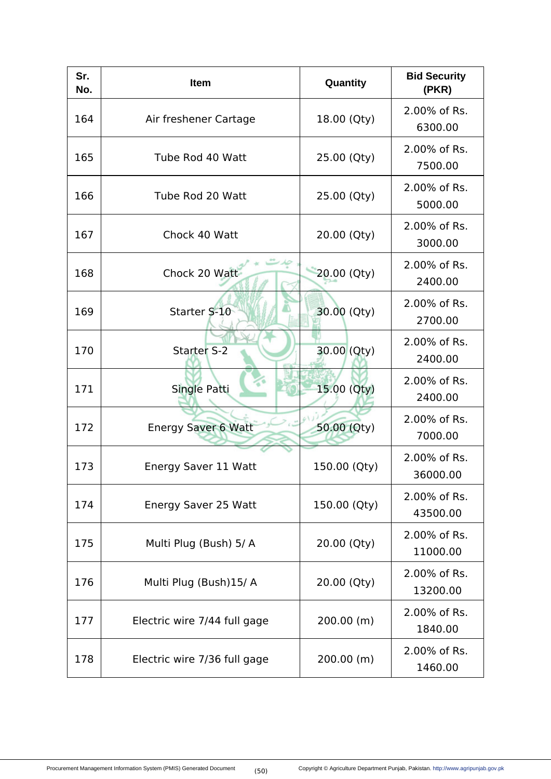| Sr.<br>No. | Item                                                          | Quantity              | <b>Bid Security</b><br>(PKR) |
|------------|---------------------------------------------------------------|-----------------------|------------------------------|
| 164        | Air freshener Cartage                                         | $18.00~(Q \nty)$      | $2.00\%$ of R s.<br>6300.00  |
| 165        | Tube Rod 40 Watt                                              | 25.00 (Qty)           | $2.00\%$ of R s.<br>7500.00  |
| 166        | Tube Rod 20 Watt                                              | 25.00 (Qty)           | $2.00\%$ of R s.<br>5000.00  |
| 167        | Chock 40 Watt                                                 | 20.00 (Qty)           | $2.00\%$ of R s.<br>3000.00  |
| 168        | Chock 20 Watt                                                 | 20.00 (Qty)           | $2.00\%$ of R s.<br>2400.00  |
| 169        | Starter S-10                                                  | 30.00 (Qty)           | $2.00\%$ of R s.<br>2700.00  |
| 170        | Starter S-2                                                   | 30.00~(Qty)           | $2.00\%$ of R s.<br>2400.00  |
| 171        | Single Patti                                                  | 15.00 (Qty)           | $2.00\%$ of R s.<br>2400.00  |
| 172        | Energy Saver 6 Watt                                           | $50.00~(Qt\sqrt{ } )$ | $2.00\%$ of R s.<br>7000.00  |
| 173        | Energy Saver 11 Watt                                          | 150.00 $(Qt y)$       | $2.00\%$ of R s.<br>36000.00 |
| 174        | Energy Saver 25 Watt                                          | $150.00$ (Qty)        | $2.00\%$ of R s.<br>43500.00 |
| 175        | Multi Plug (Bush) 5/                                          | $A$ 20.00 $(Qty)$     | $2.00\%$ of R s.<br>11000.00 |
| 176        | Multi Plug (Bush)15/ A 20.00 (Qty)                            |                       | $2.00\%$ of R s.<br>13200.00 |
| 177        | Electric wire $7/44$ full $\alpha$ g $\alpha$ 0.00 (m)        |                       | 2.00% of R s.<br>1840.00     |
| 178        | Electric wire $7/36$ full $\alpha$ $\alpha$ $\alpha$ 0.00 (m) |                       | $2.00\%$ of R s.<br>1460.00  |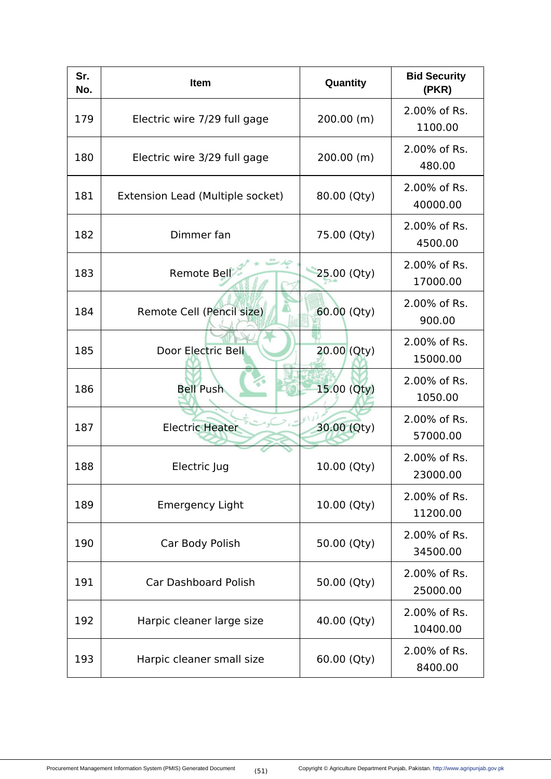| Sr.<br>No. | Item                                                          | Quantity    | <b>Bid Security</b><br>(PKR) |
|------------|---------------------------------------------------------------|-------------|------------------------------|
| 179        | Electric wire $7/29$ full $\alpha$ $\alpha$ $\alpha$ 0.00 (m) |             | $2.00\%$ of R s.<br>1100.00  |
| 180        | Electric wire $3/29$ full $\alpha$ $\alpha$ $\alpha$ 0.00 (m) |             | $2.00\%$ of R s.<br>480.00   |
| 181        | Extension Lead (Multiple $s$ o& $\&$ eQt $\emptyset$ (Qty)    |             | $2.00\%$ of R s.<br>40000.00 |
| 182        | Dimmer fan                                                    | 75.00~(Qty) | $2.00\%$ of R s.<br>4500.00  |
| 183        | Remote Bell                                                   | 25.00 (Qty) | $2.00\%$ of R s.<br>17000.00 |
| 184        | Remote Cell (Pencil size $60.00$ (Qty)                        |             | $2.00\%$ of R s.<br>900.00   |
| 185        | Door Electric Bell                                            | 20.00 (Qty) | $2.00\%$ of R s.<br>15000.00 |
| 186        | Bell Push                                                     | 15.00~(Qty) | $2.00\%$ of R s.<br>1050.00  |
| 187        | Electric Heater                                               | 30.00~(Qty) | $2.00\%$ of R s.<br>57000.00 |
| 188        | Electric Jug                                                  | 10.00~(Qty) | $2.00\%$ of R s.<br>23000.00 |
| 189        | Emergency Light                                               | 10.00 (Qty) | $2.00\%$ of R s.<br>11200.00 |
| 190        | Car Body Polish                                               | 50.00~(Qt)  | $2.00\%$ of R s.<br>34500.00 |
| 191        | Car Dashboard Polish                                          | 50.00 (Qty) | $2.00\%$ of R s.<br>25000.00 |
| 192        | Harpic cleaner large $s iz \in 40.00$ (Qty)                   |             | $2.00\%$ of R s.<br>10400.00 |
| 193        | Harpic cleaner small $s iz@0.00 (Qty)$                        |             | $2.00\%$ of R s.<br>8400.00  |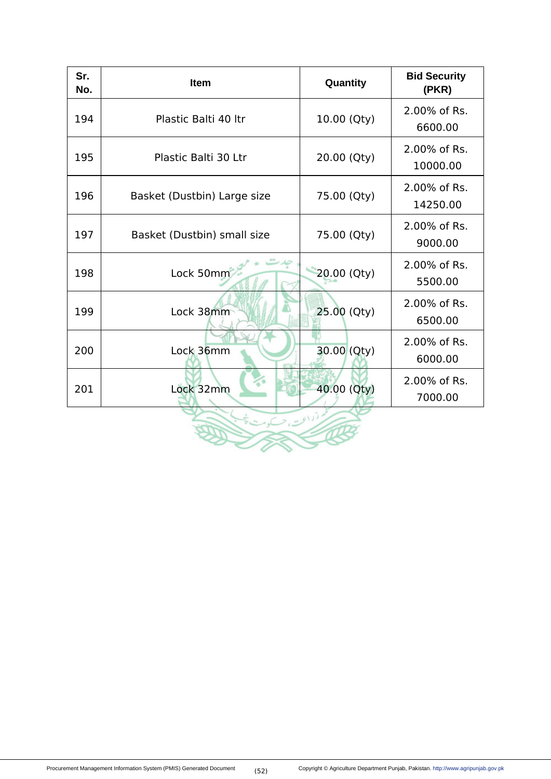| Sr.<br>No. | Item                                           | Quantity         | <b>Bid Security</b><br>(PKR) |
|------------|------------------------------------------------|------------------|------------------------------|
| 194        | Plastic Balti 40 Itr                           | $10.00~(Q \nty)$ | $2.00\%$ of R s.<br>6600.00  |
| 195        | Plastic Balti 30 Ltr                           | 20.00 (Qty)      | $2.00\%$ of R s.<br>10000.00 |
| 196        | Basket (Dustbin) Large   siZ 6.00 (Qty)        |                  | $2.00\%$ of R s.<br>14250.00 |
| 197        | Basket (Dustbin) small $siz\bar{z}$ 6.00 (Qty) |                  | $2.00\%$ of R s.<br>9000.00  |
| 198        | Lock 50mm                                      | 20.00 (Qty)      | $2.00\%$ of R s.<br>5500.00  |
| 199        | Lock 38mm                                      | 25.00 (Qty)      | $2.00\%$ of R s.<br>6500.00  |
| 200        | Lock 36mm                                      | 30.00 (Qty)      | $2.00\%$ of R s.<br>6000.00  |
| 201        | Lock 32mm                                      | $40.00~(Q \nty)$ | $2.00\%$ of R s.<br>7000.00  |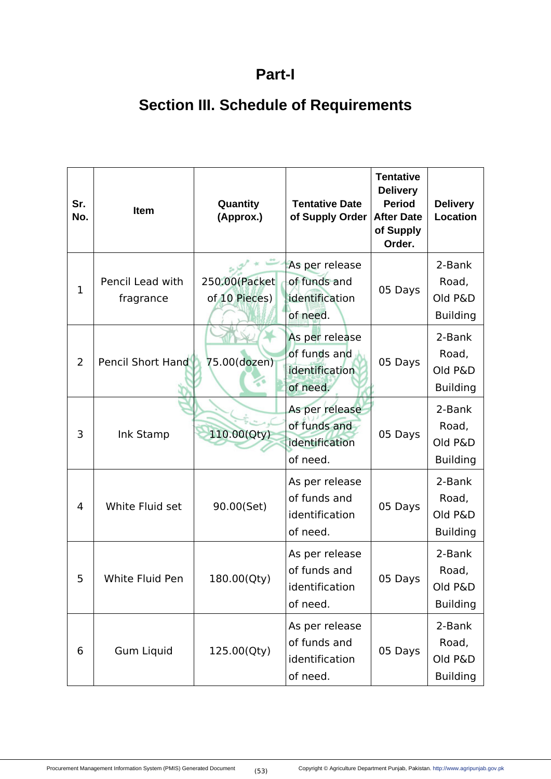### Part-I

## Section III. Schedule of Requirements

| Sr.<br>No.     | Item                                                | Quantity<br>(Approx.)                       | <b>Tentative Date</b><br>of Supply Order                                                              | Tentative<br><b>Delivery</b><br>Period<br>After Date<br>of Supply<br>Order. | Delivery<br>Location                                                                       |
|----------------|-----------------------------------------------------|---------------------------------------------|-------------------------------------------------------------------------------------------------------|-----------------------------------------------------------------------------|--------------------------------------------------------------------------------------------|
| $\mathbf{1}$   | fragrance                                           | Pencil Lead w 215h0.00 (Packet funds and 05 | As per release<br>of 10 Piecesdentification<br>of need.                                               | Day s                                                                       | $2 - B$ an $\boldsymbol{k}$<br>Road,<br>$OId$ $P & D$<br>$B$ u i $1$ d i $n \nvert g$      |
| $\overline{2}$ | Pencil Short $ H \text{a}$ Tr5d 00(doze $ n\rangle$ |                                             | As per release<br>of funds $a \ln  d _{0.5}$<br>identification<br>of need.                            | $D$ a y s                                                                   | $2 - B$ an $k$<br>$R$ o a d,<br>$OId$ $P & D$<br>$B$ u i $1$ d i $n \nvert q$              |
| 3              | Ink Stamp                                           | 110.00(Qt)                                  | As per release<br>of funds and<br>identification<br>of need.                                          | 0 <sub>5</sub><br>$D$ a y s                                                 | $2 - B$ an $\boldsymbol{k}$<br>$R$ o a d,<br>$OId$ $P & D$<br>$B$ u i $1$ d i $n \nvert g$ |
| 4              |                                                     | White $Fluid   set 90.00 (Set$              | As per release<br>of funds $\left.\frac{\text{and}}{\text{0.5}}\right $<br>identification<br>of need. | $D$ a $y \mid s$                                                            | $2 - B$ an $k$<br>$R$ o a d,<br>Old P&D<br>$B$ u i $1$ d i $n \nvert q$                    |
| 5.             |                                                     | White Fluid $\mathsf{PeM80.00(Qt)}$         | As per release<br>of funds and<br>identificatipn<br>of need.                                          | $05$ Days                                                                   | $2 - B$ an $\boldsymbol{k}$<br>Road,<br>$OId$ $P & D$<br>Building                          |
| 6              | Gum Liquid                                          | 125.00(Qt)                                  | As per release<br>of funds and<br>identificatiþn<br>of need.                                          | 0 <sub>5</sub><br>$D$ a $y \mid s$                                          | $2 - B$ an $\frac{1}{2}$<br>Road,<br>$OId$ $P & D$<br>$B$ u i $Id$ i $n$ g                 |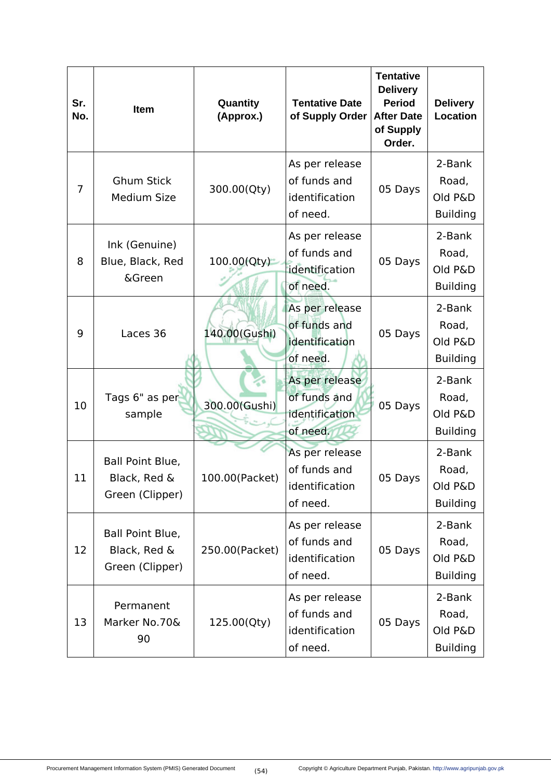| Sr.<br>No.     | Item                                | Quantity<br>(Approx.)               | <b>Tentative Date</b><br>of Supply Order                                                              | Tentative<br><b>Delivery</b><br>Period<br>After Date<br>of Supply<br>Order. | Delivery<br>Location                                                                    |
|----------------|-------------------------------------|-------------------------------------|-------------------------------------------------------------------------------------------------------|-----------------------------------------------------------------------------|-----------------------------------------------------------------------------------------|
| $\overline{7}$ | Ghum Stick<br>Medium Size           | $300.00$ (Qty                       | As per release<br>of funds $\left  \text{a} \right _{0.5}$<br>identification<br>of need.              | Day s                                                                       | $2 - B$ an $\boldsymbol{k}$<br>Road,<br>$O d$ $P$ & $D$<br>$B$ u i $1$ d i $n \nvert g$ |
| 8              | $ln k$ (Genuine)<br>& Green         | Blue, $Black,   Red00.00 (Qt)$      | As per release<br>of funds $\left.\frac{\text{and}}{\text{0.5}}\right $<br>identification<br>of need. | $D$ a y s                                                                   | $2 - B$ an $k$<br>$R$ o ad,<br>$OId$ $P & D$<br>$B$ u i $1$ d i $n \nvert g$            |
| 9              | Laces 36                            | 140.00(Gush)                        | As per release<br>of funds and<br>identification<br>of need.                                          | 0 <sub>5</sub><br>$D$ a $y s$                                               | $2 - B$ an $\boldsymbol{k}$<br>$R$ o a d,<br>$OId$ $P & D$<br><b>Building</b>           |
| 10             | Tags 6" as<br>sample                | $^{e}$ 300.00 (Gus $ \dot{n} $ )    | As per release<br>of funds and<br>identification<br>of need.                                          | 0 <sub>5</sub><br>D a y   s                                                 | $2 - B$ an $k$<br>$R$ o a d,<br>$OId$ $P & D$<br>$B$ u i $1$ d i $n \nvert q$           |
| 11             | Ball Point Blue,<br>Green (Clipper) | Black, $Red$ $($ 8100.00( $Packet)$ | As per release<br>$of$ funds and<br>idéntification<br>of need.                                        |                                                                             | $2 - B$ an $\boldsymbol{k}$<br>05 $Day s$<br>Old $Pa D$<br>$B$ u i $Id$ i $n$ g         |
| 12             | Ball Point Blue,<br>Green (Clipper) | Black, Red 8250.00 (Pack            | As per release<br>of funds and<br>$e$ t $)$<br>idéntification<br>of need.                             | 0 <sub>5</sub><br>$D$ a y s                                                 | $2 - B$ an $\boldsymbol{k}$<br>Road,<br>$OId$ $P & D$<br>Building                       |
| 13             | Permanent<br>90                     | Marker No.70&125.00(Qty             | As per release<br>of funds and<br>identificatipn<br>of need.                                          | 0 <sub>5</sub><br>$D$ a y s                                                 | $2 - B$ an $\boldsymbol{k}$<br>$R$ o ad,<br>$O \mid d \mid P \& D$<br>Building          |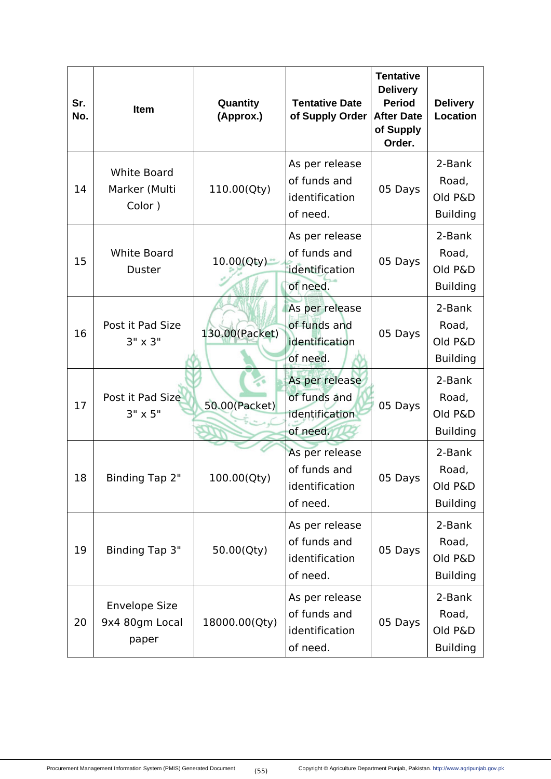| Sr.<br>No. | Item                   | Quantity<br>(Approx.)                                                     | <b>Tentative Date</b><br>of Supply Order                                                              | Tentative<br><b>Delivery</b><br>Period<br>After Date<br>of Supply<br>Order. | Delivery<br>Location                                                                       |
|------------|------------------------|---------------------------------------------------------------------------|-------------------------------------------------------------------------------------------------------|-----------------------------------------------------------------------------|--------------------------------------------------------------------------------------------|
| 14         | White Board<br>Color)  | Marker (Multi 110.00(Qty                                                  | As per release<br>of funds and<br>identification<br>of need.                                          | 0 <sub>5</sub><br>Day s                                                     | $2 - B$ ank<br>Road,<br>$OId$ $P & D$<br>$B$ u i $1$ d i $n \nvert q$                      |
| 15         | White Board<br>Duster  | 10.00(Qty)                                                                | As per release<br>of funds $\left.\frac{\text{and}}{\text{0.5}}\right $<br>identification<br>of need. | Day s                                                                       | $2 - B$ an $k$<br>$R$ o ad,<br>$O d$ $P$ & $D$<br>$B$ u i $1$ d i $n \nvert q$             |
| 16         |                        | Post it Pad Size<br>3" x 3" 130.00 (Packet)<br>identification             | As per release<br>of need.                                                                            | 0 <sub>5</sub><br>$D$ a y s                                                 | $2 - B$ an $\boldsymbol{k}$<br>$R$ o a d,<br>$OId$ $P & D$<br>$B$ u i $1$ d i $n \nvert q$ |
| 17         | Post it Pad<br>3" x 5" | $\begin{array}{c} 8 \text{ i } z e \\ 50.00 (Packe; \\ 0.01) \end{array}$ | As per release<br>of funds and<br>iďentificatiþn<br>of need.                                          | 0 <sub>5</sub><br>D a y   s                                                 | $2 - B$ an $k$<br>$R$ o a d,<br>$OId$ $P & D$<br><b>Building</b>                           |
| 1 8        |                        | Binding Tap $2"100.00(Qt)$                                                | As per release<br>of funds and<br>identification<br>of need.                                          |                                                                             | $2 - B$ an $\boldsymbol{k}$<br>05 $Day s_{O1d} p g D$<br>$B$ u i $Id$ i $n$ g              |
| 19         | Binding Tap            | 3"50.00(Qty)                                                              | As per release<br>of funds and<br>identification<br>of need.                                          | 0 <sub>5</sub><br>$D$ a y s                                                 | $2 - B$ an $\boldsymbol{k}$<br>Road,<br>$OId$ $P & D$<br>$B$ u i $Id$ i $n$ g              |
| 20         | Envelope Size<br>paper | $9 \times 4$ 80gm Locall8000.00(Qty)                                      | As per release<br>of funds and<br>identificatipn<br>of need.                                          | 0 <sub>5</sub><br>$D$ a y s                                                 | $2 - B$ an $\boldsymbol{k}$<br>Road,<br>$O \mid d \mid P \& D$<br>Building                 |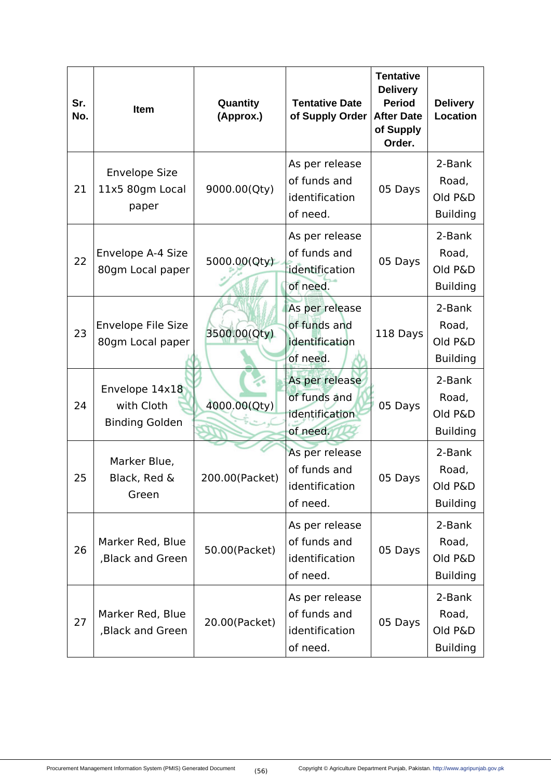| Sr.<br>No. | Item                                                                                     | Quantity<br>(Approx.)           | <b>Tentative Date</b><br>of Supply Order                                                                                                                                       | Tentative<br><b>Delivery</b><br>Period<br>After Date<br>of Supply<br>Order. | Delivery<br>Location                                                                       |
|------------|------------------------------------------------------------------------------------------|---------------------------------|--------------------------------------------------------------------------------------------------------------------------------------------------------------------------------|-----------------------------------------------------------------------------|--------------------------------------------------------------------------------------------|
| 21         | Envelope Size<br>$11x580g$ m L $\phi$ c $\mathbf{\Omega}$ 000.00(Qt y)<br>paper          |                                 | As per release<br>of funds $\left.\frac{a}{b}\right _0^b$ 05 Days<br>identificatiþn<br>of need.                                                                                |                                                                             | $2 - B$ an $k$<br>$R$ o a d,<br>$O d$ $P$ & $D$<br>$B$ u i $1$ d i $n \nvert g$            |
| 22         | Envelope $A - 4$ Size<br>5000.00(Qty)<br>80gm Local paper                                |                                 | As per release<br>of funds $\left  \text{a} \right _{0.5}$<br>í dentificati þn<br>of need.                                                                                     | $D$ a y s                                                                   | $2 - B$ an $\boldsymbol{k}$<br>$R$ o a d,<br>$OId$ $P & D$<br>$B$ u i $Id$ i $n$ g         |
| 23         | Envelope File $\begin{array}{c} 1 & 0 \\ 3 & 5 & 0 \end{array}$<br>80gm Local paper      |                                 | As per release<br>of funds $an \begin{vmatrix} d \\ 1 & 1 & 8 \end{vmatrix}$ Days<br>$\begin{vmatrix} 1 & 0 & 0 \\ 0 & 1 & 0 \end{vmatrix}$ Days<br>identification<br>of need. |                                                                             | $2 - B$ an $k$<br>$B$ u i $1$ d i $n \nvert q$                                             |
| 24         | Envelope $14*18$<br>Binding Golden                                                       | with $Cloth$ 4000.00(Qty)       | As per release<br>of funds $a \nmid d$<br>í dentificati þn<br>of need.                                                                                                         | 05 Days                                                                     | $2 - B$ an $\boldsymbol{k}$<br>$R$ o a d,<br>$OId$ $P & D$<br>$B$ u i $1$ d i $n \nvert q$ |
| 25         | Marker Blue,<br>Green                                                                    | Black, $Red$ $(8200.00(Packe))$ | As per release<br>of funds $an d$<br>idéntification<br>of need.                                                                                                                |                                                                             | $2 - B$ ank<br>d<br>OS Days<br>Old P&D<br>Building                                         |
| 26         | Marker Red, $\begin{bmatrix} B \cup C \\ 50.00(Pack) \end{bmatrix}$<br>, Black and Green |                                 | As per release<br>of funds $an d$<br>iďentificatiþn<br>of need.                                                                                                                | 0 <sub>5</sub><br>$D$ a y s                                                 | $2 - B$ an $\boldsymbol{k}$<br>$R$ o a d,<br>$OId$ $P & D$<br>Building                     |
| 27         | Marker Red, Blue<br>, Black and Green                                                    | 20.00(Pack e                    | As per release<br>of funds and<br>identificatipn<br>of need.                                                                                                                   | 0 <sub>5</sub><br>$D$ a y s                                                 | $2 - B$ an $k$<br>$R$ o ad,<br>$O \mid d \mid P \& D$<br>$B$ u i $Id$ i $n$ g              |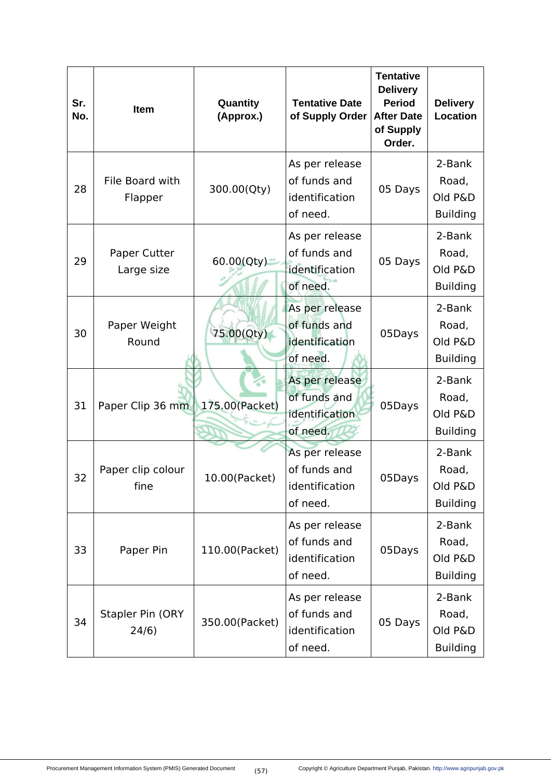| Sr.<br>No.     | Item                           | Quantity<br>(Approx.)                | <b>Tentative Date</b><br>of Supply Order                            | Tentative<br>Delivery<br>Period<br>After Date<br>of Supply<br>Order. | Delivery<br>Location                                                                   |
|----------------|--------------------------------|--------------------------------------|---------------------------------------------------------------------|----------------------------------------------------------------------|----------------------------------------------------------------------------------------|
| 28             | Flapper                        | File Board $\frac{1}{10}$ 300.00(Qty | As per release<br>of funds and<br>identification<br>of need.        | 05<br>$D$ a $y s$                                                    | $2 - B$ an $\boldsymbol{k}$<br>Road,<br>$OId$ $P & D$<br>$B$ u i $Id$ i $n$ g          |
| 29             | Paper Cutter<br>Large size     | 60.00(Qty                            | As per release<br>of funds and<br>identification<br>of need.        | 05<br>Day s                                                          | $2 - B$ an $k$<br>$R$ o a d,<br>$OId$ $P & D$<br>$B$ u i $1$ d i $n \nvert g$          |
| 30             | Paper Weight<br>Round          | 75.00(Qty                            | As per release<br>of funds and<br>identification<br>of need.        | $05Day\$                                                             | $2 - B$ an $\boldsymbol{k}$<br>Road,<br>Old P&D<br>$B$ u i $1$ d i $n \nvert g$        |
| 3 <sub>1</sub> | Paper Clip 36 m7m5.00 (Packet) |                                      | As per release<br>of funds and<br>idéntificatiþn<br>of need.        | $05Day\$                                                             | $2 - B$ an $k$<br>$R$ o a d,<br>Old P&D<br>$B$ u i $1$ d i $n \nvert g$                |
| 3 <sub>2</sub> | Paper clip colour<br>fine      | 10.00(Pack e)                        | As per release<br>of funds and<br>identification<br>of need.        | $05Day\$                                                             | $2 - B$ ank<br>Road,<br>Old P&D<br>$B$ u i $1$ d i $n$ g                               |
| 33             | Paper Pin                      | 110.00(Pack                          | As per release<br>of funds and<br>et)<br>idéntificatiþn<br>of need. | $05Day\$                                                             | $2 - B$ an $\boldsymbol{k}$<br>Road,<br>$O \mid d \mid P \& D$<br>$B$ u i $Id$ i $n$ g |
| 34             | Stapler Pin<br>24/6)           | ORY<br>  350.00(Packet)              | As per release<br>of funds and<br>idéntificatiþn<br>of need.        | 0 <sub>5</sub><br>Day s                                              | $2 - B$ an $k$<br>Road,<br>$O \mid d \mid P \& D$<br>Building                          |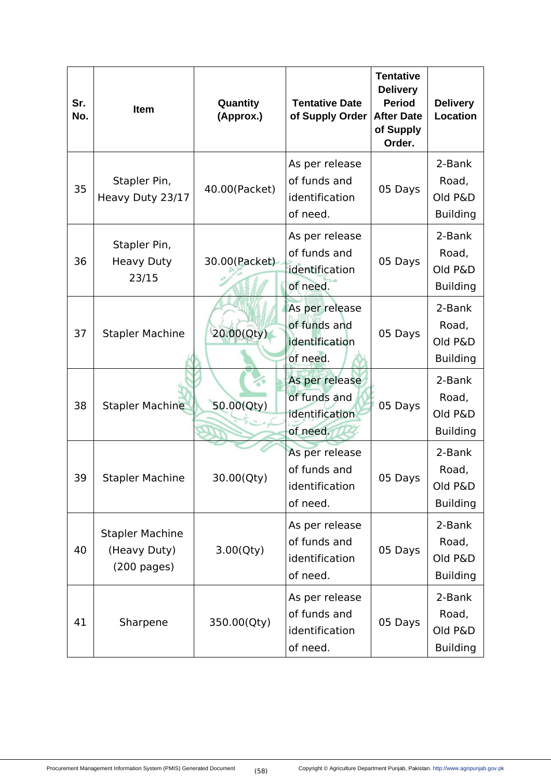| Sr.<br>No. | Item                                                           | Quantity<br>(Approx.)       | <b>Tentative Date</b><br>of Supply Order                     | Tentative<br><b>Delivery</b><br>Period<br>After Date<br>of Supply<br>Order. | Delivery<br>Location                                                                  |
|------------|----------------------------------------------------------------|-----------------------------|--------------------------------------------------------------|-----------------------------------------------------------------------------|---------------------------------------------------------------------------------------|
| 35         | Stapler Pin,<br>$\text{Heavy D} \& \frac{3}{4}$ / 1 $\text{7}$ | 40.00(Pack e <sub>i</sub> ) | As per release<br>of funds and<br>identification<br>of need. | 0 <sub>5</sub><br>Day s                                                     | $2 - B$ ank<br>Road,<br>$OId$ $P & D$<br>$B$ u i $Id$ i $n$ g                         |
| 36         | Stapler Pin,<br>Heavy Duty<br>23/15                            | 30.00(Pack e                | As per release<br>of funds and<br>iďentificatiþn<br>of need. | 0 <sub>5</sub><br>$D$ a y s                                                 | $2 - B$ an $k$<br>$R$ o ad,<br>$OId$ $P & D$<br>$B$ u i $1$ d i $n \nvert q$          |
| 37         |                                                                | Stapler Machine0.00(Qty     | As per release<br>of funds and<br>identification<br>of need. | 0 <sub>5</sub><br>$D$ a $y s$                                               | $2 - B$ an $\boldsymbol{k}$<br>Road,<br>$OId$ $P & D$<br>$B$ u i $1$ d i $n \nvert q$ |
| 38         |                                                                | Stapler Machine0.00(Qty     | As per release<br>of funds and<br>identification<br>of need. | 0 <sub>5</sub><br>$D$ a y s                                                 | $2 - B$ an $k$<br>$R$ o a d,<br>$OId$ $P & D$<br><b>Building</b>                      |
| 39         |                                                                | Stapler Machin&O.OO(Qty)    | As per release<br>of funds and<br>identification<br>of need. |                                                                             | $2 - B$ ank<br>05 $Day s_{old} Pa D$<br>$B$ u i $1$ d i $n$ g                         |
| 40         | Stapler Machine<br>(Heavy Duty)<br>$(200 \text{ pages})$       | 3.00(Qty)                   | As per release<br>of funds and<br>identification<br>of need. | 0 <sub>5</sub><br>$D$ a y s                                                 | $2 - B$ an $\boldsymbol{k}$<br>Road,<br>$OId$ $P & D$<br>$B$ uilding                  |
| 41         | Sharpene                                                       | 350.00(Qt)                  | As per release<br>of funds and<br>identificatiþn<br>of need. | 0 <sub>5</sub><br>Day s                                                     | $2 - B$ an $\boldsymbol{k}$<br>$R$ o ad,<br>$O \mid d \mid P \& D$<br>Building        |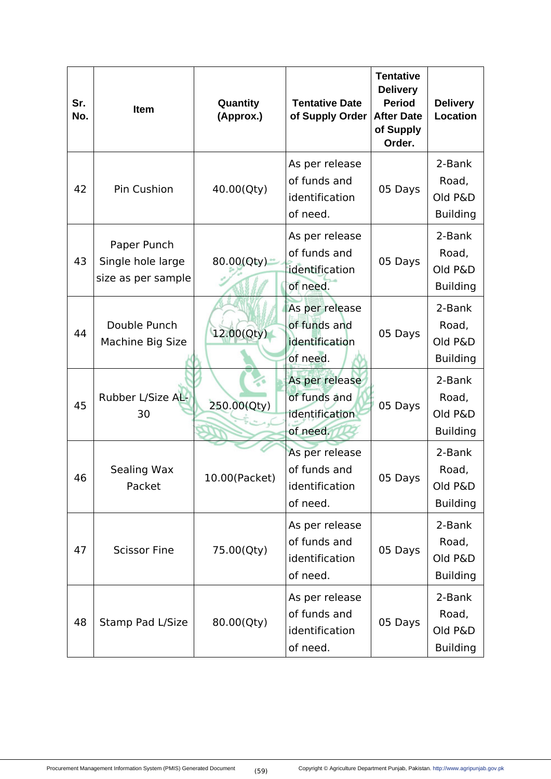| Sr.<br>No. | Item                                                           | Quantity<br>(Approx.)        | <b>Tentative Date</b><br>of Supply Order                              | Tentative<br><b>Delivery</b><br>Period<br>After Date<br>of Supply<br>Order. | Delivery<br>Location                                                                    |
|------------|----------------------------------------------------------------|------------------------------|-----------------------------------------------------------------------|-----------------------------------------------------------------------------|-----------------------------------------------------------------------------------------|
| 42         |                                                                | Pin Cushion 40.00(Qty        | As per release<br>of funds and<br>identification<br>of need.          | 0 <sub>5</sub><br>$D$ a y s                                                 | $2 - B$ an $\boldsymbol{k}$<br>Road,<br>$O d$ $P$ & $D$<br>$B$ u i $1$ d i $n \nvert g$ |
| 43         | Paper Punch<br>Single hole larg&0.00(Qty<br>size as per sample |                              | As per release<br>of funds $a \nvert d$<br>identification<br>of need. | 0 <sub>5</sub><br>Day s                                                     | $2 - B$ an $k$<br>$R$ o a d,<br>$OId$ $P & D$<br>$B$ u i $1$ d i $n \nvert g$           |
| 44         | Double $P$ un $\diamond$ h<br>Machine Big Size                 | 12.00(Qty)                   | As per release<br>of funds and<br>identification<br>of need.          | 0 <sub>5</sub><br>$D$ a y s                                                 | $2 - B$ an $k$<br>$R$ o a d,<br>$OId$ $P & D$<br>$B$ u i $1$ d i $n \nvert g$           |
| 45         | Rubber $L/Siz$ <sup>e</sup> $AL-$<br>250.00(Qty<br>30          |                              | As per release<br>of funds and<br>identification<br>of need.          | 0 <sub>5</sub><br>$D$ a y s                                                 | $2 - B$ an $k$<br>$R$ o a d,<br>$OId$ $P & D$<br>$B$ u i $1$ d i $n \nvert g$           |
| 46         | Sealing Wak<br>Packet                                          | 10.00(Pack e <sub>i</sub>  ) | As per release<br>of funds and<br>identification<br>of need.          |                                                                             | $2 - B$ ank<br>Road,<br>05 $Day s_{old} Pa D$<br>$B$ u i $Id$ i $n$ g                   |
| 47         |                                                                | Scissor Fine 75.00 (Qty      | As per release<br>of funds and<br>identification<br>of need.          | 0 <sub>5</sub><br>$D$ a y s                                                 | $2 - B$ an $\boldsymbol{k}$<br>Road,<br>$OId$ $P & D$<br><b>Building</b>                |
| 48         | Stamp Pad L/Si <sub>28</sub> 0.00 (Qty                         |                              | As per release<br>of funds and<br>identificatipn<br>of need.          | 0 <sub>5</sub><br>$D$ a y s                                                 | $2 - B$ an $\boldsymbol{k}$<br>$R$ o a d,<br>$O \mid d \mid P \& D$<br>Building         |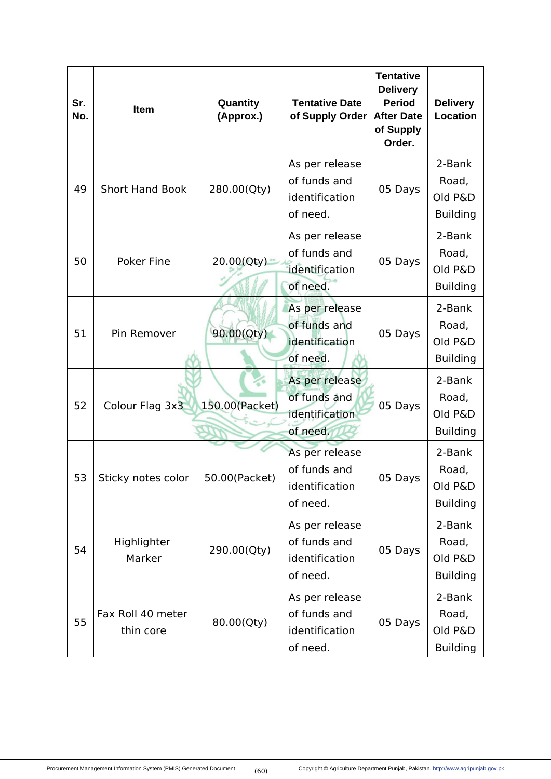| Sr.<br>No.     | Item                                 | Quantity<br>(Approx.)               | <b>Tentative Date</b><br>of Supply Order                              | Tentative<br><b>Delivery</b><br>Period<br>After Date<br>of Supply<br>Order. | Delivery<br>Location                                                                      |
|----------------|--------------------------------------|-------------------------------------|-----------------------------------------------------------------------|-----------------------------------------------------------------------------|-------------------------------------------------------------------------------------------|
| 49             |                                      | Short Hand $\beta$ oo $2k80.00(Qt)$ | As per release<br>of funds and<br>identification<br>of need.          | 0 <sub>5</sub><br>Day s                                                     | $2 - B$ an $\boldsymbol{k}$<br>Road,<br>$O d$ $P$ & $D$<br>$B$ u i $Id$ i $n$ g           |
| 50             | Poker Fine                           | 20.00(Qty)                          | As per release<br>of funds $a \nvert d$<br>identification<br>of need. | 0 <sub>5</sub><br>Day s                                                     | $2 - B$ an $k$<br>$R$ o ad,<br>$OId$ $P & D$<br>$B$ u i $1$ d i $n$ g                     |
| 5 <sub>1</sub> |                                      | Pin Remover 90.00(Qty               | As per release<br>of funds and<br>identification<br>of need.          | 0 <sub>5</sub><br>$D$ a $y \mid s$                                          | $2 - B$ an $\boldsymbol{k}$<br>$R$ o ad,<br>$OId$ $P & D$<br>$B$ u i $1$ d i $n \nvert g$ |
| 52             |                                      | Colour Flag 3*80.00 (Packet)        | As per release<br>of funds and<br>idéntification<br>of need.          | 0 <sub>5</sub><br>$D$ a y s                                                 | $2 - B$ an $k$<br>$R$ o a d,<br>$OId$ $P & D$<br>$B$ u i $1$ d i $n \nvert q$             |
|                | 53  Sticky notes  co5 00r00(Pack et) |                                     | As per release<br>of funds and<br>identification<br>of need.          | $05$ Days                                                                   | $2 - B$ an $\boldsymbol{k}$<br>Road,<br>$OId$ $P & D$<br>$B$ u i $1$ d i $n$ g            |
| 54             | Highlighter<br>Marker                | 290.00(Qt)                          | As per release<br>of funds and<br>identification<br>of need.          | 0 <sub>5</sub><br>Day s                                                     | $2 - B$ an $\boldsymbol{k}$<br>Road,<br>$OId$ $P & D$<br><b>Building</b>                  |
| 55             | Fax Roll 40 meter<br>thin core       | 80.00(Qty)                          | As per release<br>of funds and<br>identification<br>of need.          | 0 <sub>5</sub><br>Day s                                                     | $2 - B$ an $\boldsymbol{k}$<br>Road,<br>$OId$ $P & D$<br>$B$ u i $Id$ i $n$ g             |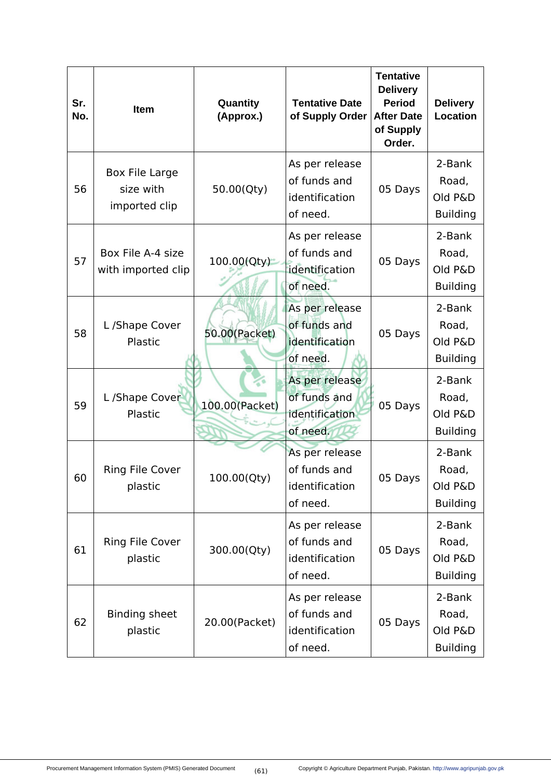| Sr.<br>No. | Item                                         | Quantity<br>(Approx.)                             | <b>Tentative Date</b><br>of Supply Order                        | Tentative<br><b>Delivery</b><br>Period<br>After Date<br>of Supply<br>Order. | Delivery<br>Location                                                                |
|------------|----------------------------------------------|---------------------------------------------------|-----------------------------------------------------------------|-----------------------------------------------------------------------------|-------------------------------------------------------------------------------------|
| 56         | Box File Lange<br>size with<br>imported clip | 50.00(Qty)                                        | As per release<br>of funds $an d$<br>identification<br>of need. | 0 <sub>5</sub><br>Day s                                                     | $2 - B$ an $\boldsymbol{k}$<br>$R$ o ad,<br>$O d$ $P$ & $D$<br>$B$ u i $Id$ i $n$ g |
| 57         | Box File $A-4$ size<br>with imported clip    | 100.00(Qty                                        | As per release<br>of funds $an d$<br>identificatiþn<br>of need. | 0 <sub>5</sub><br>Day s                                                     | $2 - B$ an $k$<br>$R$ o a d,<br>$OId$ $P & D$<br>$B$ u i $1$ d i $n \nvert q$       |
| 58         |                                              | L /Shape $Co vef$ 50.00(Packet)<br>identification | As per release<br>of need.                                      | 0 <sub>5</sub><br>Day s                                                     | $2 - B$ an $k$<br>$R$ o ad,<br>$OId$ $P & D$<br><b>Building</b>                     |
| 59         |                                              | L /Shape Cover<br>100.00(Packet)                  | As per release<br>$of$ funds and<br>idéntificatiþn<br>of need.  | 0 <sub>5</sub><br>Day s                                                     | $2 - B$ an $k$<br>$R$ o a d,<br>$OId$ $P & D$<br>$B$ u i $1$ d i $n \nvert q$       |
| 60         | plastic                                      | Ring File Cover $100.00(Qt)$                      | As per release<br>of funds and<br>ídentificatiþn<br>of need.    |                                                                             | $2 - B$ ank<br>05 $Day s$<br>Old $Pa D$<br>$B$ u i $Id$ i $n$ g                     |
| 61         | plastic                                      | Ring File Cover $300.00(Qt)$                      | As per release<br>of funds and<br>identification<br>of need.    | 0 <sub>5</sub><br>$D$ a y s                                                 | $2 - B$ an $\boldsymbol{k}$<br>Road,<br>$OId$ $P & D$<br><b>Building</b>            |
| 62         | plastic                                      | Binding $she e t$ <sub>20.00</sub> (Pack $ e t$ ) | As per release<br>of funds and<br>iďentificatiþn<br>of need.    | 0 <sub>5</sub><br>Day s                                                     | $2 - B$ an $\boldsymbol{k}$<br>$R$ o ad,<br>$O \mid d \mid P \& D$<br>Building      |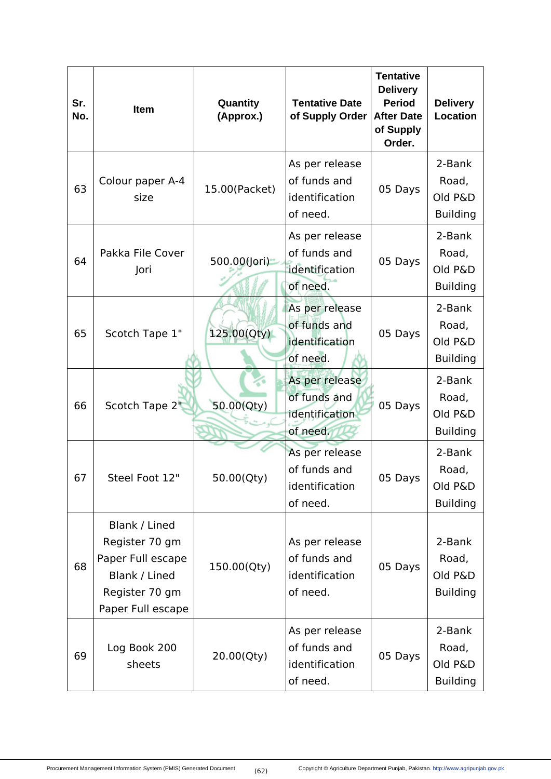| Sr.<br>No. | Item                                                                                                                       | Quantity<br>(Approx.)                     | <b>Tentative Date</b><br>of Supply Order                      | Tentative<br>Delivery<br>Period<br>After Date<br>of Supply<br>Order. | Delivery<br>Location                                                                       |
|------------|----------------------------------------------------------------------------------------------------------------------------|-------------------------------------------|---------------------------------------------------------------|----------------------------------------------------------------------|--------------------------------------------------------------------------------------------|
| 63         | Colour paper<br>size                                                                                                       | $A - 4$ of funds and 05<br>15.00 (Packet) | As per release<br>identification<br>of need.                  | Day s                                                                | $2 - B$ an $\frac{1}{2}$<br>Road,<br>$OId$ $P & D$<br>$B$ u i $Id$ i $n$ g                 |
| 64         | Pakka File Cover<br>Jori                                                                                                   | $500.00($ Jot                             | As per release<br>of funds and<br>i'dentificatibn<br>of need. | 05<br>Day s                                                          | $2 - B$ an $k$<br>$R$ o a d,<br>$OId$ $P & D$<br>$B$ u i $1$ d i $n$ g                     |
| 65         |                                                                                                                            | Scotch Tape $1425.00(Qt)$                 | As per release<br>of funds and<br>identification<br>of need.  | 0 <sub>5</sub><br>Day s                                              | $2 - B$ an $\boldsymbol{k}$<br>$R$ o a d,<br>$OId$ $P & D$<br>$B$ u i $1$ d i $n \nvert g$ |
| 66         |                                                                                                                            | Scotch Tape $2"50.00(Qty)$                | As per release<br>of funds and<br>identification<br>of need.  | 0 <sub>5</sub><br>$D$ a $y s$                                        | $2 - B$ an $k$<br>$R$ o a d,<br>$OId$ $P & D$<br>$B$ uilding                               |
| 67         |                                                                                                                            | Steel Foot $12"50.00(Qtv)$                | As per release<br>of funds and<br>identification<br>of need.  | 05 Days                                                              | $2 - B$ an $\frac{1}{2}$<br>Road,<br>$OId$ $P & D$<br>$B$ u i $1$ d i $n \nvert g$         |
| 68         | Blank / Linéd<br>Register 70 gm<br>Paper Full escape<br>150.00(Qty<br>Blank / Linéd<br>Register 70 gm<br>Paper Full escape |                                           | As per release<br>of funds and<br>identificatiþn<br>of need.  | 0 <sub>5</sub><br>Day s                                              | $2 - B$ an $\frac{1}{2}$<br>Road,<br>$OId$ $P & D$<br>$B$ u i $1$ d i $n \nvert g$         |
| 69         | Log Book 200<br>sheets                                                                                                     | 20.00(Qty)                                | As per release<br>of funds and<br>identificatipn<br>of need.  | 0 <sub>5</sub><br>Day s                                              | $2 - B$ an $\frac{1}{2}$<br>Road,<br>$O \mid d \mid P \& D$<br>$B$ u i $Id$ i $n$ g        |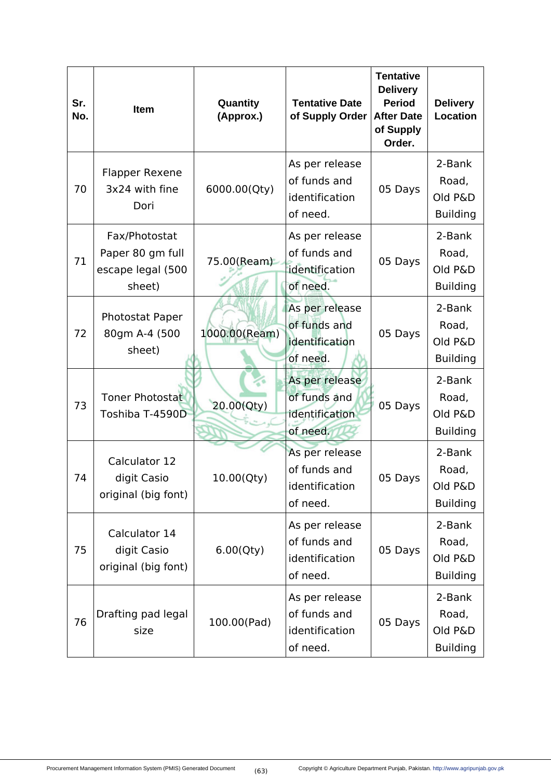| Sr.<br>No. | Item                                                                     | Quantity<br>(Approx.)                                          | <b>Tentative Date</b><br>of Supply Order                                                                                 | Tentative<br><b>Delivery</b><br>Period<br>After Date<br>of Supply<br>Order. | Delivery<br>Location                                                           |
|------------|--------------------------------------------------------------------------|----------------------------------------------------------------|--------------------------------------------------------------------------------------------------------------------------|-----------------------------------------------------------------------------|--------------------------------------------------------------------------------|
| 70         | Flapper Rexene<br>Dori                                                   | $3x24$ with fine6000.00(Qt y)                                  | As per release<br>of funds $\left  \begin{array}{cc} a & b \\ c & d \end{array} \right $<br>'i'dentificatibn<br>of need. | Day s                                                                       | $2 - B$ an $k$<br>$R$ o a d,<br>$O d$ $P$ & $D$<br>$B$ u i $Id$ i $n$ g        |
| 71         | Fax/Photostat<br>Paper 80 gm   full<br>escape $legal (500)$<br>$shee$ t) | 75.00 (Ream)                                                   | As per release<br>of funds $\left  \text{a} \right _{0.5}$<br>identification<br>of need.                                 | Day s                                                                       | $2 - B$ an $k$<br>$R$ o a d,<br>$OId$ $P & D$<br>$B$ u i $1$ d i $n \nvert q$  |
| 72         | Photostat Paper<br>$shee$ t)                                             | 80gm A-4 (500000.00(Ream)<br>10<br>1dentification              | As per release<br>of need.                                                                                               | 0 <sub>5</sub><br>$D$ a y s                                                 | $2 - B$ an $k$<br>$R$ o a d,<br>$OId$ $P & D$<br><b>Building</b>               |
| 73         | Toner Photo\$tat<br>Toshiba $T - 45900000000$                            |                                                                | As per release<br>of funds $a \nvert d$<br>identification<br>of need.                                                    | 0 <sub>5</sub><br>Day s                                                     | $2 - B$ an $k$<br>$R$ o a d,<br>$OId$ $P & D$<br><b>Building</b>               |
| 74         | Calculator<br>original (big font)                                        | 2<br>digit Casio 10.00(Qty)                                    | As per release<br>of funds and<br>identification<br>of need.                                                             |                                                                             | $2 - B$ an $k$<br>05 $Day s_{old} Pa D$<br>Building                            |
| 75         | Calculator<br>digit Casid<br>original (big  font)                        | 4<br>6.00(Qty)                                                 | As per release<br>of funds and<br>identification<br>of need.                                                             | 0 <sub>5</sub><br>$D$ a y s                                                 | $2 - B$ an $\boldsymbol{k}$<br>$R$ o a d,<br>$OId$ $P & D$<br>$B$ uilding      |
| 76         | Drafting pad<br>size                                                     | $\begin{vmatrix} 1 & 0 & 0 & 0 \\ 0 & 1 & 0 & 0 \end{vmatrix}$ | As per release<br>of funds and<br>ídentificatiþn<br>of need.                                                             | 0 <sub>5</sub><br>Day s                                                     | $2 - B$ an $\boldsymbol{k}$<br>$R$ o ad,<br>$O \mid d \mid P \& D$<br>Building |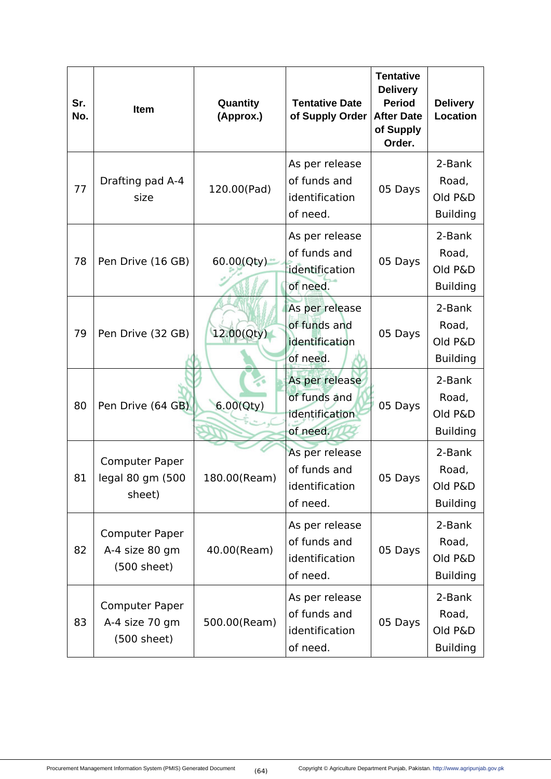| Sr.<br>No. | Item                                                                | Quantity<br>(Approx.)                      | <b>Tentative Date</b><br>of Supply Order                                                                   | Tentative<br><b>Delivery</b><br>Period<br>After Date<br>of Supply<br>Order. | Delivery<br>Location                                                                       |
|------------|---------------------------------------------------------------------|--------------------------------------------|------------------------------------------------------------------------------------------------------------|-----------------------------------------------------------------------------|--------------------------------------------------------------------------------------------|
| 77         | Drafting $pad \nvert A - 4$<br>120.00 (Pa $\phi$ )<br>size          |                                            | As per release<br>of funds and $0.5$<br>ídentification<br>of need.                                         | Day s                                                                       | $2 - B$ ank<br>$R$ o ad,<br>$OId$ $P & D$<br>$B$ u i $Id$ i $n$ g                          |
| 78         | Pen Drive (16 GB0.00(Qty                                            |                                            | As per release<br>of funds $\left  \text{a} \right  \left  \text{b} \right $<br>identification<br>of need. | Day s                                                                       | $2 - B$ an $\boldsymbol{k}$<br>$R$ o a d,<br>$OId$ $P & D$<br>$B$ u i $1$ d i $n \nvert g$ |
| 79         | Pen Drive (32 GB2.00(Qty)                                           |                                            | As per release<br>of funds $a \nvert d$<br>identification<br>of need.                                      | 0 <sub>5</sub><br>$D$ a y s                                                 | $2 - B$ an $k$<br>$R$ o a d,<br>$OId$ $P & D$<br>$B$ u i $1$ d i $n \nvert g$              |
| 80         | Pen Drive (64 GBS) 00 (Qty)                                         |                                            | As per release<br>of funds and<br>identification<br>of need.                                               | 0 <sub>5</sub><br>$D$ a y s                                                 | $2 - B$ an $k$<br>$R$ o a d,<br>$OId$ $P & D$<br>$B$ u i $1$ d i $n \nvert q$              |
|            | Computer Paper<br>81   legal 80 gm (5080.00 (Rea $m$ )<br>$shee$ t) |                                            | As per release<br>of funds and<br>identification<br>of need.                                               | 05 $Day s$                                                                  | $2 - B$ an $\boldsymbol{k}$<br>Road,<br>$O d$ $P$ & $D$<br>$B$ u i $1$ d i $n \nvert g$    |
| 82         | Computer Paper<br>$(500 \;$ sheet)                                  | A-4 size 80 gm40.00 (Ream)                 | As per release<br>of funds and<br>identification<br>of need.                                               | 0 <sub>5</sub><br>$D$ a y s                                                 | $2 - B$ an $k$<br>$R$ o a d,<br>$OId$ $P & D$<br>$B$ u i $Id$ i $n$ g                      |
| 83         | Computer Paper<br>$(500 \;$ sheet)                                  | $A - 4$ size 70 $g$ $f_0$ 00.00 (Rea $m$ ) | As per release<br>of funds and<br>identificatipn<br>of need.                                               | 0 <sub>5</sub><br>$D$ a y s                                                 | $2 - B$ an $k$<br>$R$ o ad,<br>$OId$ $P & D$<br>$B$ u i $Id$ i $n$ g                       |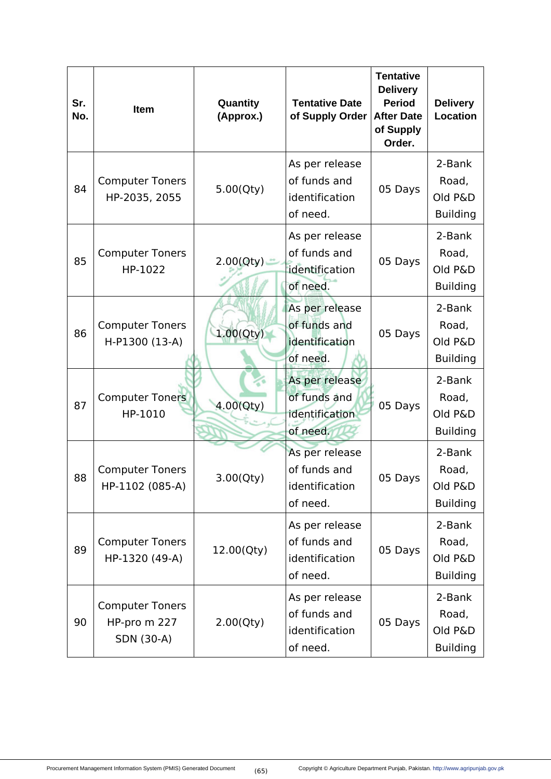| Sr.<br>No. | Item                                                                                 | Quantity<br>(Approx.)                 | <b>Tentative Date</b><br>of Supply Order                                                              | Tentative<br>Delivery<br>Period<br>After Date<br>of Supply<br>Order. | Delivery<br>Location                                                                       |
|------------|--------------------------------------------------------------------------------------|---------------------------------------|-------------------------------------------------------------------------------------------------------|----------------------------------------------------------------------|--------------------------------------------------------------------------------------------|
| 84         | Computer Tomers<br>5.00(Qty)<br>$HP - 2035, 2055$                                    |                                       | As per release<br>of funds $\left.\frac{\text{and}}{\text{0.5}}\right $<br>identification<br>of need. | $D$ a y s                                                            | $2 - B$ an $\frac{1}{2}$<br>Road,<br>$O d$ $P$ & $D$<br>$B$ u i $1$ d i $n \nvert g$       |
| 85         | Computer Tomers<br>2.00(Qty)<br>$HP - 1022$                                          |                                       | As per release<br>of funds and<br>identification<br>of need.                                          | 05<br>Day s                                                          | $2 - B$ an $k$<br>$R$ o a d,<br>$OId$ $P & D$<br>$B$ u i $1$ d i $n \nvert g$              |
| 86         | Computer Tomers<br>1.00(Qty)<br>$H - P 1 3 0 0 (1 3 - A)$                            |                                       | As per release<br>of funds and<br>identification<br>of need.                                          | 0 <sub>5</sub><br>Day s                                              | $2 - B$ an $\boldsymbol{k}$<br>$R$ o a d,<br>$OId$ $P & D$<br>$B$ u i $1$ d i $n \nvert g$ |
| 87         | Computer $To$ $\uparrow$ ers $\begin{array}{c} 4.00(Qty) \end{array}$<br>$HP - 1010$ |                                       | As per release<br>of funds and<br>identification<br>of need.                                          | 0 <sub>5</sub><br>$D$ a y s                                          | $2 - B$ an $k$<br>$R$ o a d,<br>$OId$ $P & D$<br>$B$ u i $1$ d i $n$ g                     |
| 88         | Computer $\text{To} \text{meas}$<br>$3.00(Qty)$<br>$HP - 1102 (085 - A)$             |                                       | As per release<br>of funds and<br>identification<br>of need.                                          | $05$ Davis                                                           | $2 - B$ ank<br>Road,<br>$O d$ $P$ & $D$<br>$B$ u i $1$ d i $n \nvert g$                    |
| 89         | Computer Tomers<br>12.00(Qty<br>$HP - 1320 (49 - A)$                                 |                                       | As per release<br>of funds and<br>identification<br>of need.                                          | 0 <sub>5</sub><br>$D$ a y s                                          | $2 - B$ an $\boldsymbol{k}$<br>Road,<br>$OId$ $P & D$<br>$B$ u i $Id$ i $n$ g              |
| 90         | Computer Toners<br>$SDN$ (30-A)                                                      | $HP$ -pro m 22 <sup>7</sup> 2.00(Qty) | As per release<br>of funds and<br>identification<br>of need.                                          | 0 <sub>5</sub><br>Day s                                              | $2 - B$ an $k$<br>$R$ o ad,<br>$O \mid d \mid P \& D$<br><b>Building</b>                   |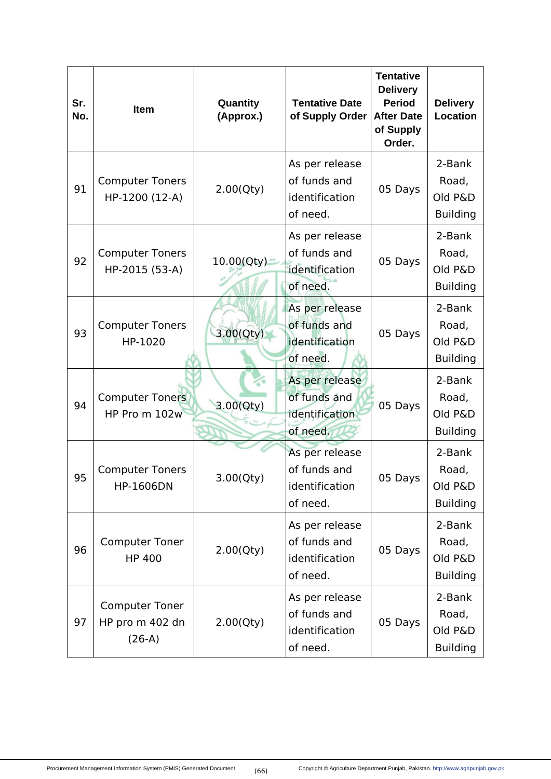| Sr.<br>No. | Item                                                          | Quantity<br>(Approx.) | <b>Tentative Date</b><br>of Supply Order                              | Tentative<br><b>Delivery</b><br>Period<br>After Date<br>of Supply<br>Order. | Delivery<br>Location                                                                   |
|------------|---------------------------------------------------------------|-----------------------|-----------------------------------------------------------------------|-----------------------------------------------------------------------------|----------------------------------------------------------------------------------------|
| 91         | Computer Tomers<br>2.00(Qty)<br>$HP - 1200 (12 - A)$          |                       | As per release<br>of funds and<br>identification<br>of need.          | 0 <sub>5</sub><br>$D$ a y s                                                 | $2 - B$ an $\boldsymbol{k}$<br>Road,<br>$O d$ $P$ & $D$<br><b>Building</b>             |
| 92         | Computer Tomers 10.00(Qty<br>$HP - 2015 (53 - A)$             |                       | As per release<br>of funds $a \nvert d$<br>identification<br>of need. | 0 <sub>5</sub><br>Day s                                                     | $2 - B$ an $k$<br>$R$ o a d,<br>$OId$ $P & D$<br><b>Building</b>                       |
| 93         | Computer $To \nmid rs$<br>3.00(Qty)<br>$HP - 1020$            |                       | As per release<br>of funds and<br>identification<br>of need.          | 0 <sub>5</sub><br>$D$ a y s                                                 | $2 - B$ an $\boldsymbol{k}$<br>$R$ o a d,<br>$OId$ $P & D$<br><b>Building</b>          |
| 94         | Computer $To$ $\uparrow$ ers $3.00(Qty)$<br>$HP$ Pro m $102w$ |                       | As per release<br>of funds and<br>identification<br>of need.          | 0 <sub>5</sub><br>$D$ a y s                                                 | $2 - B$ an $k$<br>$R$ o a d,<br>$OId$ $P & D$<br>$B$ u i $Id$ i $n$ g                  |
| 95         | Computer $To$ $\uparrow$ ers $3.00(Qty)$<br>HP-1606DN         |                       | As per release<br>of funds and<br>identification<br>of need.          |                                                                             | $2 - B$ an $\frac{1}{2}$<br>05 $Day s_{old} P&D$<br>$B$ u i $Id$ i $n$ g               |
| 96         | Computer Toner 2.00(Qty)<br>HP 400                            |                       | As per release<br>of funds and<br>identification<br>of need.          | 0 <sub>5</sub><br>$D$ a y s                                                 | $2 - B$ an $\boldsymbol{k}$<br>Road,<br>$O \mid d \mid P \& D$<br>$B$ u i $Id$ i $n$ g |
| 97         | Computer Toner<br>HP pro m 402 dn2.00(Qty)<br>$(26 - A)$      |                       | As per release<br>of funds and<br>identificatipn<br>of need.          | 0 <sub>5</sub><br>Day s                                                     | $2 - B$ an $k$<br>$R$ o a d,<br>$O \mid d \mid P \& D$<br>Building                     |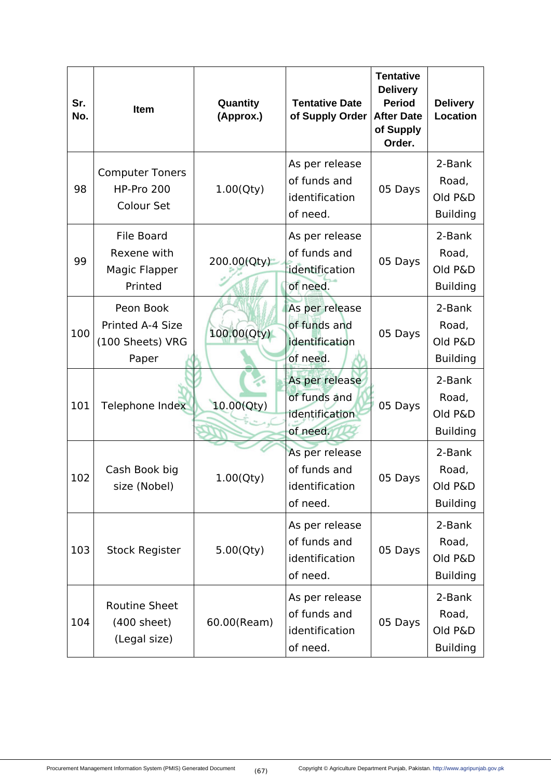| Sr.<br>No. | Item                                                                          | Quantity<br>(Approx.)    | <b>Tentative Date</b><br>of Supply Order                                                              | Tentative<br>Delivery<br>Period<br>After Date<br>of Supply<br>Order. | Delivery<br>Location                                                                      |
|------------|-------------------------------------------------------------------------------|--------------------------|-------------------------------------------------------------------------------------------------------|----------------------------------------------------------------------|-------------------------------------------------------------------------------------------|
| 98         | Computer Toners<br>HP-Pro 200<br>Colour Set                                   | 1.00(Qty)                | As per release<br>of funds $an d$<br>identification<br>of need.                                       | 0 <sub>5</sub><br>Day s                                              | $2 - B$ an $\frac{1}{2}$<br>Road,<br>$O d$ $P$ & $D$<br>$B$ u i $Id$ i $n$ g              |
| 99         | File Board<br>Rexene with<br>Magic Flapper<br>Printed                         | 200.00(Qt)               | As per release<br>of funds $\left.\frac{\text{and}}{\text{0.5}}\right $<br>identification<br>of need. | $D$ a y s                                                            | $2 - B$ an $\boldsymbol{k}$<br>$R$ o ad,<br>$OId$ $P & D$<br>$B$ u i $1$ d i $n \nvert g$ |
| 1 0 0      | Peon Book<br>Printed A-4 Size<br>$(100 \text{ Sheets})$ $\sqrt{VRG}$<br>Paper |                          | As per release<br>of funds and<br>identification<br>of need.                                          | 0 <sub>5</sub><br>$D$ a $y \mid s$                                   | $2 - B$ an $\boldsymbol{k}$<br>$R$ o ad,<br>$OId$ $P & D$<br>$B$ u i $1$ d i $n \nvert g$ |
| 101        |                                                                               | Telephone Indexio.00(Qty | As per release<br>of funds and<br>identification<br>of need.                                          | 0 <sub>5</sub><br>$D$ a y s                                          | $2 - B$ an $\boldsymbol{k}$<br>$R$ o a d,<br>$OId$ $P & D$<br>$B$ u i $1$ d i $n$ g       |
| 102        | Cash Book big<br>size (Nobel)                                                 | 1.00(Qty)                | As per release<br>of funds and<br>identification<br>of need.                                          | 05 $Day s$                                                           | $2 - B$ an $\boldsymbol{k}$<br>Road,<br>$OId$ $P & D$<br>$B$ u i $1$ d i $n$ g            |
| 103        |                                                                               | Stock Register 5.00(Qty) | As per release<br>of funds and<br>identificatipn<br>of need.                                          | 0 <sub>5</sub><br>$D$ a y s                                          | $2 - B$ an $\boldsymbol{k}$<br>Road,<br>$OId$ $P & D$<br>$B$ u i $Id$ i $n$ g             |
| 104        | Routine Sheet<br>$(400 \;$ sheet)<br>(Length)                                 | 60.00 (Ream)             | As per release<br>of funds and<br>identificatipn<br>of need.                                          | 0 <sub>5</sub><br>$D$ a y s                                          | $2 - B$ an $\boldsymbol{k}$<br>Road,<br>$O \mid d \mid P \& D$<br>$B$ u i $Id$ i $n$ g    |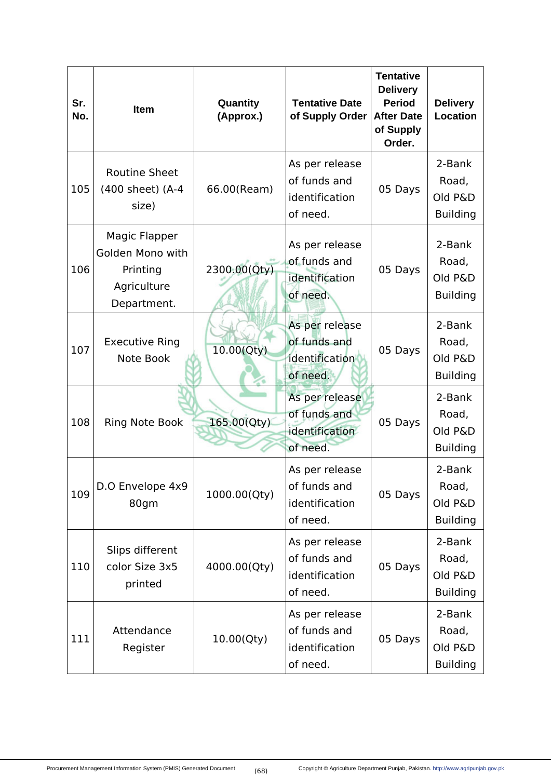| Sr.<br>No.      | Item                                                                           | Quantity<br>(Approx.)                   | <b>Tentative Date</b><br>of Supply Order                                                              | Tentative<br>Delivery<br>Period<br>After Date<br>of Supply<br>Order. | Delivery<br>Location                                                                  |
|-----------------|--------------------------------------------------------------------------------|-----------------------------------------|-------------------------------------------------------------------------------------------------------|----------------------------------------------------------------------|---------------------------------------------------------------------------------------|
| 105             | Routine Sheet<br>$(400 \text{ sheet}) (A-646.00 (Real m)$<br>size)             |                                         | As per release<br>of funds and<br>identification<br>of need.                                          | 0 <sub>5</sub><br>Day s                                              | $2 - B$ an $\boldsymbol{k}$<br>Road,<br>$OId$ $P & D$<br>$B$ u i $1$ d i $n \nvert g$ |
| 106             | Magic Flapper<br>Golden Mono with<br>Printing<br>Agriculture<br>$Department$ . |                                         | As per release<br>of funds and<br>$2300.00(Qt y)$ identification<br>of need.                          | $05$ Days                                                            | $2 - B$ an $\boldsymbol{k}$<br>Road,<br>$OId$ $P & D$<br>$B$ u i $1$ d i $n$ g        |
| 10 <sup>°</sup> | Note Book                                                                      | Executive $R ng$ <sub>10.00</sub> (Qty) | As per release<br>of funds $\left.\frac{\text{and}}{\text{0.5}}\right $<br>identification<br>of need. | $D$ a y s                                                            | $2 - B$ an $k$<br>$R$ o a d,<br>$OId$ $P & D$<br>$B$ u i $1$ d i $n \nvert q$         |
|                 | 10\$ Ring Note Book 65.00(Qty                                                  |                                         | As per release<br>of funds and<br>identification<br>of need.                                          | 0 <sub>5</sub><br>$D$ a y s                                          | $2 - B$ an $\boldsymbol{k}$<br>Road,<br>$O d$ $P$ & $D$<br>$B$ u i $Id$ i $n$ g       |
| 10 <sup>9</sup> | D.O Envelope<br>$80g$ m                                                        | $4 \times 9$<br>1000.00(Qty             | As per release<br>of funds and<br>í dentificati þn<br>of need.                                        | $05$ Days                                                            | $2 - B$ an $\boldsymbol{k}$<br>$R$ o a d,<br>$O d$ $P$ & $D$<br><b>Building</b>       |
| 110             | Slips differ¢nt<br>printed                                                     | color Size $3 \times 54000.00 (Qt y)$   | As per release<br>of funds and<br>'i'd e n t i f i c a t i p n<br>of need.                            | 0 <sub>5</sub><br>Days                                               | $2 - B$ an $\boldsymbol{k}$<br>Road,<br>$OId$ $P & D$<br><b>Building</b>              |
| 11              | Attendance<br>Register                                                         | 10.00(Qty)                              | As per release<br>of funds and<br>identification<br>of need.                                          | 05<br>$D$ a y s                                                      | $2 - B$ an $\boldsymbol{k}$<br>Road,<br>$O d$ $P$ & $D$<br>$B$ u i $Id$ i $n$ g       |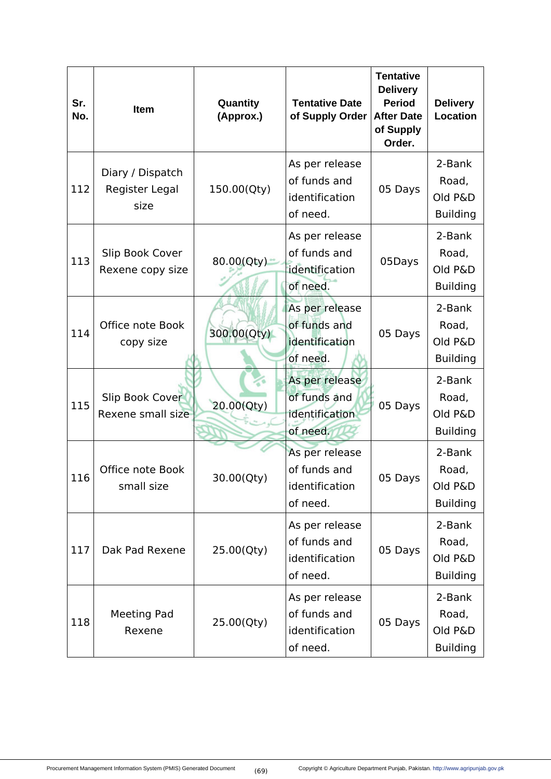| Sr.<br>No.      | Item                                                       | Quantity<br>(Approx.)                                             | <b>Tentative Date</b><br>of Supply Order                                                        | Tentative<br><b>Delivery</b><br>Period<br>After Date<br>of Supply<br>Order. | Delivery<br>Location                                                                |
|-----------------|------------------------------------------------------------|-------------------------------------------------------------------|-------------------------------------------------------------------------------------------------|-----------------------------------------------------------------------------|-------------------------------------------------------------------------------------|
|                 | Diary / Dispatch<br>112 Register Legal150.00(Qty<br>size   |                                                                   | As per release<br>of funds $\left.\frac{a}{b}\right _0^b$ 05 Days<br>identification<br>of need. |                                                                             | $2 - B$ an $k$<br>$R$ o a d,<br>$O d$ $P$ & $D$<br>$B$ u i $Id$ i $n$ g             |
| 11 <sup>1</sup> | Rexene copy size                                           | Slip Book $C$ $\phi$ ver $\begin{array}{c} 80.00(Qt) \end{array}$ | As per release<br>of funds and<br>identification<br>of need.                                    | $05Day\$                                                                    | $2 - B$ ank<br>$R$ o a d,<br>Old P&D<br>$B$ u i $1$ d i $n \nvert g$                |
| 11 <sup>2</sup> | Office note $\beta$ 00k 300.00(Qty<br>copy size            |                                                                   | As per release<br>of funds and<br>identification<br>of need.                                    | 05<br>Day s                                                                 | $2 - B$ an $k$<br>$R$ o a d,<br>$OId$ $P & D$<br>$B$ u i $Id$ i $n$ g               |
| $11\frac{4}{3}$ | Slip Book $C$ $\phi$ ver<br>20.00(Qty<br>Rexene small size |                                                                   | As per release<br>of funds $a \nmid d$<br>identification<br>of need.                            | 0 <sub>5</sub><br>Day s                                                     | $2 - B$ an $\boldsymbol{k}$<br>$R$ o a d,<br>$OId$ $P & D$<br>$B$ u i $1$ d i $n$ g |
| 116             | Office note $\beta$ ook $30.00(Qty)$<br>small size         |                                                                   | As per release<br>of funds $a \nvert d$<br>identification<br>of need.                           |                                                                             | $2 - B$ an $\boldsymbol{k}$<br>05 $Day s_{\bigodot}$ $Pa D$<br>$B$ u i $Id$ i $n$ g |
| 117             |                                                            | Dak Pad Rexengs.00(Qty                                            | As per release<br>of funds and<br>identification<br>of need.                                    | 05<br>$D$ a y s                                                             | $2 - B$ an $\boldsymbol{k}$<br>Road,<br>$OId$ $P & D$<br><b>Building</b>            |
| 118             | Meeting Pad<br>Rexene                                      | 25.00(Qty)                                                        | As per release<br>of funds and<br>identificatipn<br>of need.                                    | 0 <sub>5</sub><br>$D$ a y s                                                 | $2 - B$ an $\boldsymbol{k}$<br>Road,<br>$O \mid d \mid P \& D$<br>Building          |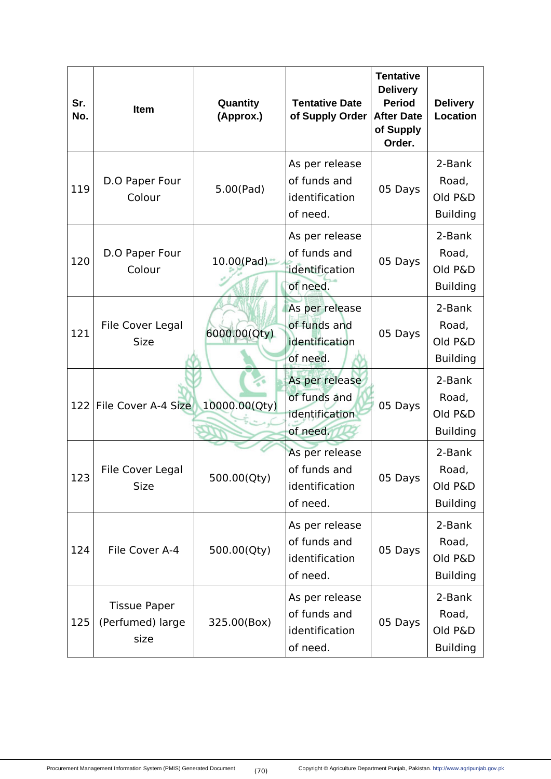| Sr.<br>No. | Item                                                    | Quantity<br>(Approx.)                 | <b>Tentative Date</b><br>of Supply Order                             | Tentative<br><b>Delivery</b><br>Period<br>After Date<br>of Supply<br>Order. | Delivery<br>Location                                                                   |
|------------|---------------------------------------------------------|---------------------------------------|----------------------------------------------------------------------|-----------------------------------------------------------------------------|----------------------------------------------------------------------------------------|
| 119        | Colour                                                  | D.O Paper $F$ $\vert$ our $5.00(Pad)$ | As per release<br>of funds and<br>identification<br>of need.         | 0 <sub>5</sub><br>Day s                                                     | $2 - B$ an $k$<br>$R$ o a d,<br>$O d$ $P$ & $D$<br>$B$ u i $Id$ i $n$ g                |
| 120        | Colour                                                  | $D.O$ Paper $F our$ 10.00 (Pad        | As per release<br>of funds $a \nmid d$<br>identification<br>of need. | 0 <sub>5</sub><br>Day s                                                     | $2 - B$ an $k$<br>$R$ o a d,<br>$OId$ $P & D$<br>$B$ u i $1$ d i $n \nvert g$          |
| 12         | Size                                                    | File Cover Legal $6000.00(Qt y)$      | As per release<br>of funds and<br>'i'dentificatiþn<br>of need.       | 0 <sub>5</sub><br>Day s                                                     | $2 - B$ an $k$<br>$R$ o a d,<br>$OId$ $P & D$<br>$B$ u i $Id$ i $n$ g                  |
|            | 122 File Cover A-4 1901 00.00 (Qty)                     |                                       | As per release<br>of funds and<br>identification<br>of need.         | 0 <sub>5</sub><br>$D$ a y s                                                 | $2 - B$ an $k$<br>$R$ o a d,<br>$OId$ $P & D$<br>$B$ u i $1$ d i $n$ g                 |
| 123        | Size                                                    | File Cover Legal $500.00(Qt)\$        | As per release<br>of funds and<br>identification<br>of need.         | 05 $Day s$                                                                  | $2 - B$ an $\boldsymbol{k}$<br>$R$ oad,<br>$OId$ $P & D$<br>$B$ u i $Id$ i $n$ g       |
| 124        |                                                         | File Cover A-4500.00(Qty              | As per release<br>of funds and<br>identification<br>of need.         | 05<br>$D$ a y s                                                             | $2 - B$ an $\boldsymbol{k}$<br>Road,<br>$O \mid d \mid P \& D$<br>Building             |
|            | Tissue Pap¢r<br>125 (Perfumed) latrg3e25.00(Box<br>size |                                       | As per release<br>of funds and<br>ídentificatipn<br>of need.         | 0 <sub>5</sub><br>$D$ a y s                                                 | $2 - B$ an $\boldsymbol{k}$<br>Road,<br>$O \mid d \mid P \& D$<br>$B$ u i $Id$ i $n$ g |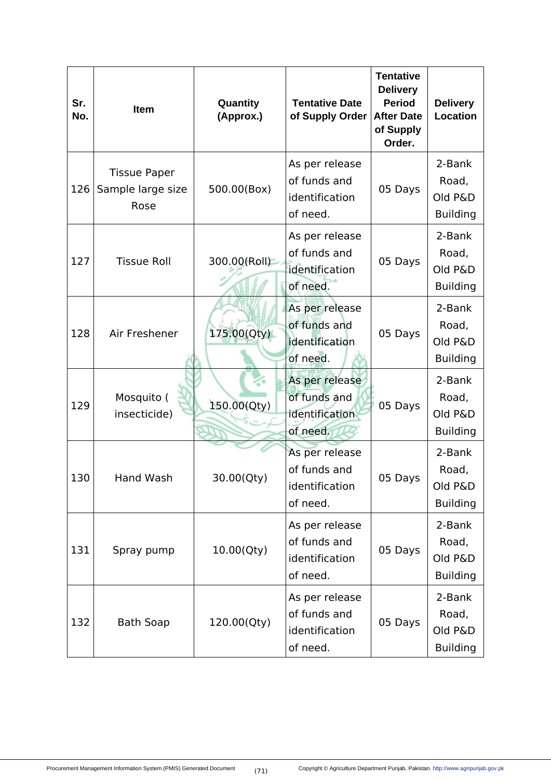| Sr.<br>No. | Item                                                   | Quantity<br>(Approx.)     | <b>Tentative Date</b><br>of Supply Order                                                              | Tentative<br><b>Delivery</b><br>Period<br>After Date<br>of Supply<br>Order. | Delivery<br>Location                                                           |
|------------|--------------------------------------------------------|---------------------------|-------------------------------------------------------------------------------------------------------|-----------------------------------------------------------------------------|--------------------------------------------------------------------------------|
|            | Tissue Paper<br>126 Sample large size0.00 (Box<br>Rose |                           | As per release<br>of funds $\left.\frac{\text{and}}{\text{0.5}}\right $<br>ídentification<br>of need. | $D$ a y s                                                                   | $2 - B$ an $\boldsymbol{k}$<br>Road,<br>$OId$ $P & D$<br>$B$ u i $Id$ i $n$ g  |
| 127        |                                                        | Tissue Roll 300.00(Rol    | As per release<br>of funds and<br>identification<br>of need.                                          | 0 <sub>5</sub><br>Day s                                                     | $2 - B$ an $k$<br>$R$ o a d,<br>$OId$ $P & D$<br>$B$ u i $1$ d i $n$ g         |
| 128        |                                                        | Air Freshener 175.00 (Qty | As per release<br>of funds and<br>identification<br>of need.                                          | 0 <sub>5</sub><br>Day s                                                     | $2 - B$ an $k$<br>$R$ o a d,<br>$OId$ $P & D$<br>$B$ u i $Id$ i $n$ g          |
| 129        | Mosquito (<br>insecticide)                             | 150.00(Qt)                | As per release<br>of funds and<br>identification<br>of need.                                          | 0 <sub>5</sub><br>$D$ a y s                                                 | $2 - B$ an $k$<br>$R$ o a d,<br>$OId$ $P & D$<br><b>Building</b>               |
| 1 3 ወ      | Hand Wash                                              | 30.00(Qty)                | As per release<br>of funds and<br>identification<br>of need.                                          |                                                                             | $2 - B$ an $\boldsymbol{k}$<br>05 $Day s_{old} Pa D$<br>Building               |
| 13         | Spray pump                                             | 10.00(Qty                 | As per release<br>of funds and<br>identification<br>of need.                                          | 0 <sub>5</sub><br>$D$ a y s                                                 | $2 - B$ an $\boldsymbol{k}$<br>Road,<br>$OId$ $P & D$<br><b>Building</b>       |
| 132        | Bath Soap                                              | 120.00(Qt)                | As per release<br>of funds and<br>identificatiþn<br>of need.                                          | 0 <sub>5</sub><br>Day s                                                     | $2 - B$ an $\boldsymbol{k}$<br>$R$ o ad,<br>$O \mid d \mid P \& D$<br>Building |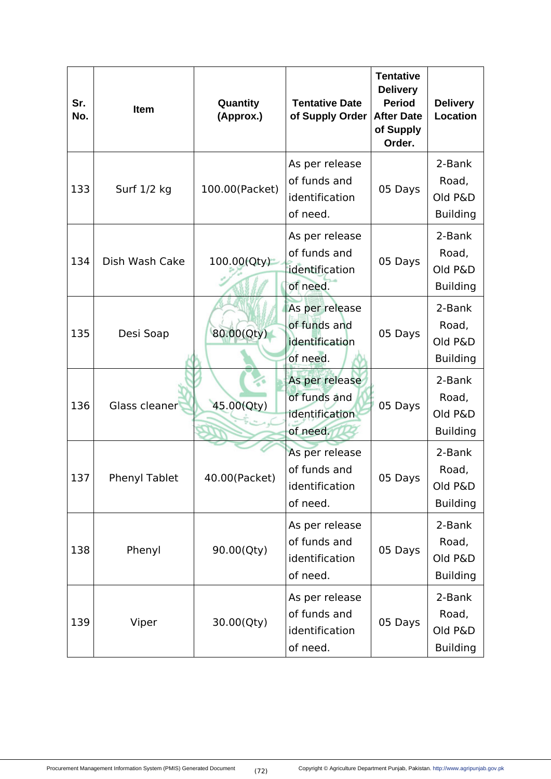| Sr.<br>No. | Item                        | Quantity<br>(Approx.)                                                                      | <b>Tentative Date</b><br>of Supply Order                     | Tentative<br><b>Delivery</b><br>Period<br>After Date<br>of Supply<br>Order. | Delivery<br>Location                                                                   |
|------------|-----------------------------|--------------------------------------------------------------------------------------------|--------------------------------------------------------------|-----------------------------------------------------------------------------|----------------------------------------------------------------------------------------|
| 133        |                             | Surf $1/2$ kg $100.00$ (Packet) $\begin{array}{c} 0 \text{ f unds and} \\ 0.5 \end{array}$ | As per release<br>et)<br>identification<br>of need.          | $D$ a y s                                                                   | $2 - B$ an $\boldsymbol{k}$<br>$R$ o ad,<br>$OId$ $P & D$<br>$B$ u i $1$ d i $n$ g     |
|            | 134 Dish Wash Cak&00.00(Qty |                                                                                            | As per release<br>of funds and<br>identificatiþn<br>of need. | 0 <sub>5</sub><br>Day s                                                     | $2 - B$ an $k$<br>$R$ o a d,<br>$OId$ $P & D$<br>$B$ u i $1$ d i $n \nvert g$          |
| 135        | Desi Soap                   | 80.00(Qty                                                                                  | As per release<br>of funds and<br>identification<br>of need. | 0 <sub>5</sub><br>Day s                                                     | $2 - B$ an $k$<br>$R$ o a d,<br>$OId$ $P & D$<br>$B$ u i $1$ d i $n \nvert g$          |
| 136        |                             | Glass cleaner 45.00 (Qty                                                                   | As per release<br>of funds and<br>identification<br>of need. | 0 <sub>5</sub><br>$D$ a y s                                                 | $2 - B$ an $k$<br>$R$ o a d,<br>$OId$ $P & D$<br>$B$ u i $1$ d i $n \nvert g$          |
| 137        |                             | Phenyl Tablet 40.00 ( $Packlet$ )                                                          | As per release<br>of funds and<br>identification<br>of need. | 05 Davis                                                                    | $2 - B$ ank<br>Road,<br>$OId$ $P & D$<br>$B$ u i $1$ d i $n$ g                         |
| 138        | Phenyl                      | 90.00 (Qty)                                                                                | As per release<br>of funds and<br>identification<br>of need. | 0 <sub>5</sub><br>$D$ a y s                                                 | $2 - B$ an $\boldsymbol{k}$<br>Road,<br>$OId$ $P & D$<br><b>Building</b>               |
| 139        | Viper                       | 30.00(Qty)                                                                                 | As per release<br>of funds and<br>identification<br>of need. | 05<br>Day s                                                                 | $2 - B$ an $\boldsymbol{k}$<br>Road,<br>$O \mid d \mid P \& D$<br>$B$ u i $Id$ i $n$ g |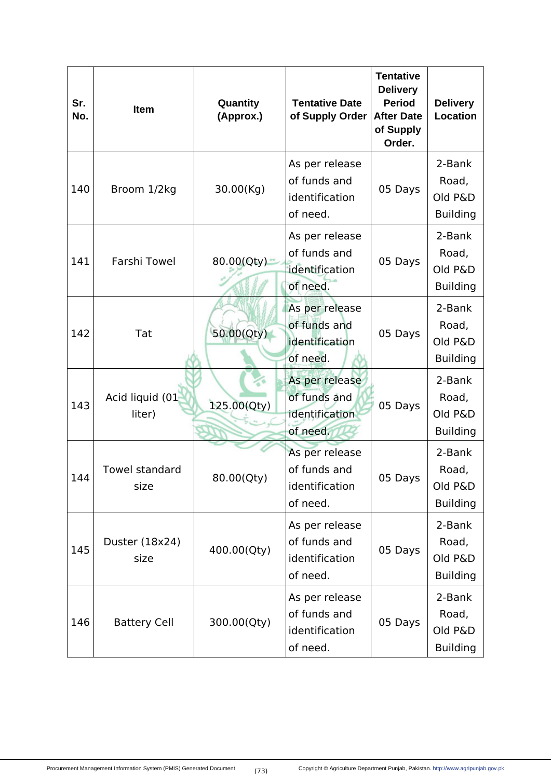| Sr.<br>No. | Item                    | Quantity<br>(Approx.)               | <b>Tentative Date</b><br>of Supply Order                                                              | Tentative<br>Delivery<br>Period<br>After Date<br>of Supply<br>Order. | Delivery<br>Location                                                                       |
|------------|-------------------------|-------------------------------------|-------------------------------------------------------------------------------------------------------|----------------------------------------------------------------------|--------------------------------------------------------------------------------------------|
| 140        | Broom $1/2$ kg          | 30.00(Kg)                           | As per release<br>of funds $\left.\frac{\text{and}}{\text{0.5}}\right $<br>identification<br>of need. | $D$ a y s                                                            | $2 - B$ an $\boldsymbol{k}$<br>$R$ o a d,<br>$OId$ $P & D$<br>$B$ u i $Id$ i $n$ g         |
| 141        |                         | Farshi Towel 80.00 (Qty             | As per release<br>of funds and<br>identification<br>of need.                                          | 05<br>Day s                                                          | $2 - B$ an $k$<br>$R$ o ad,<br>$OId$ $P & D$<br>$B$ u i $1$ d i $n \nvert g$               |
| 142        | Tat                     | 50.00(Qty                           | As per release<br>of funds and<br>identification<br>of need.                                          | 0 <sub>5</sub><br>Day s                                              | $2 - B$ an $\boldsymbol{k}$<br>$R$ o a d,<br>$OId$ $P & D$<br>$B$ u i $1$ d i $n \nvert g$ |
| 143        | Acid liquid<br>liter)   | 01<br>125.00(Qt)                    | As per release<br>of funds and<br>identification<br>of need.                                          | 0 <sub>5</sub><br>$D$ a y s                                          | $2 - B$ an $k$<br>$R$ o a d,<br>$O d$ $P$ & $D$<br>$B$ u i $1$ d i $n \nvert g$            |
| 144        | Towel stand ard<br>size | 80.00(Qty)                          | As per release<br>of funds and<br>identification<br>of need.                                          | $0.5$ Davis                                                          | $2 - B$ an $\boldsymbol{k}$<br>Road,<br>$O d$ $P$ & $D$<br>$B$ u i $1$ d i $n \nvert g$    |
| 145        | size                    | Duster $(18 \times 24)$ 400.00 (Qty | As per release<br>of funds and<br>identification<br>of need.                                          | 0 <sub>5</sub><br>$D$ a y s                                          | $2 - B$ an $\boldsymbol{k}$<br>Road,<br>$OId$ $P & D$<br><b>Building</b>                   |
| 146        |                         | Battery Cell $300.00(Qt)$           | As per release<br>of funds and<br>identificatiþn<br>of need.                                          | 0 <sub>5</sub><br>Day s                                              | $2 - B$ an $\boldsymbol{k}$<br>Road,<br>$O \mid d \mid P \& D$<br><b>Building</b>          |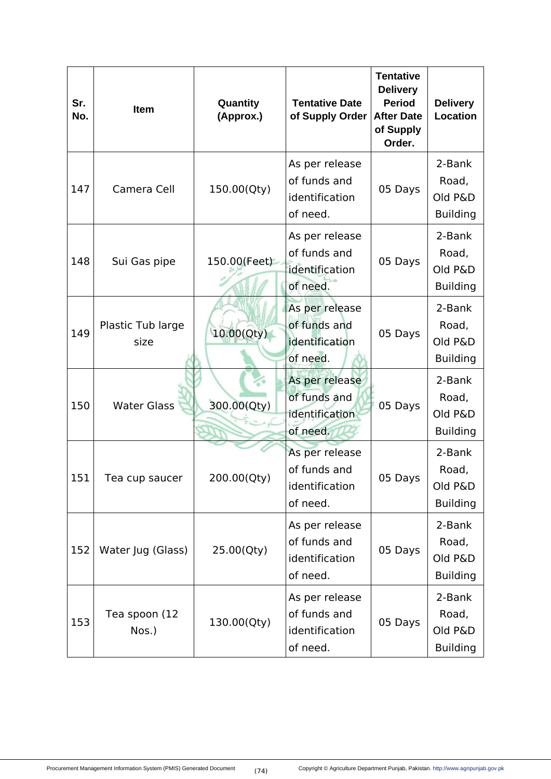| Sr.<br>No. | Item                                                  | Quantity<br>(Approx.)                        | <b>Tentative Date</b><br>of Supply Order                                                 | Tentative<br><b>Delivery</b><br>Period<br>After Date<br>of Supply<br>Order. | Delivery<br>Location                                                                     |
|------------|-------------------------------------------------------|----------------------------------------------|------------------------------------------------------------------------------------------|-----------------------------------------------------------------------------|------------------------------------------------------------------------------------------|
| 147        |                                                       | Camera Cell $150.00(Qt)$                     | As per release<br>of funds $\left  \text{a} \right _{0.5}$<br>identification<br>of need. | $D$ a $y s$                                                                 | $2 - B$ ank<br>$R$ o a d,<br>$OId$ $P & D$<br>$B$ u i $Id$ i $n$ g                       |
| 148        |                                                       | Sui Gas pipe 150.00(Feet)                    | As per release<br>of funds $a \nmid d$<br>identificatiþn<br>of need.                     | 0 <sub>5</sub><br>Day s                                                     | $2 - B$ an $\boldsymbol{k}$<br>$R$ o a d,<br>$OId$ $P & D$<br>$B$ u i $1$ d i $n$ g      |
| 149        | Plastic Tub $\left \right $ arge<br>10.00(Qty<br>size |                                              | As per release<br>of funds and<br>identification<br>of need.                             | 0 <sub>5</sub><br>$D$ a $y s$                                               | $2 - B$ an $k$<br>$R$ o a d,<br>$OId$ $P & D$<br>$B$ u i $1$ d i $n \nvert g$            |
| 150        |                                                       | Water Glass 300.00(Qty                       | As per release<br>of funds and<br>identification<br>of need.                             | 0 <sub>5</sub><br>$D$ a y s                                                 | $2 - B$ an $k$<br>$R$ o a d,<br>$O d$ $P$ & $D$<br>$B$ u i $1$ d i $n \nvert g$          |
| 151        |                                                       | Tea cup sau $\vert$ ce200.00(Qty $\bar{y}$ ) | As per release<br>of funds and<br>identification<br>of need.                             | 05 Davis                                                                    | $2 - B$ an $\boldsymbol{k}$<br>$R$ oad,<br>$OId$ $P & D$<br>$B$ u i $1$ d i $n \nvert g$ |
|            | 152 Water Jug (Glas2s5.00(Qty                         |                                              | As per release<br>of funds and<br>identification<br>of need.                             | 0 <sub>5</sub><br>$D$ a y s                                                 | $2 - B$ an $\boldsymbol{k}$<br>Road,<br>$OId$ $P & D$<br><b>Building</b>                 |
| 153        | Tea spoon<br>$N$ o s.)                                | (12)<br>130.00(Qt)                           | As per release<br>of funds and<br>identificatiþn<br>of need.                             | 05<br>Day s                                                                 | $2 - B$ an $\boldsymbol{k}$<br>Road,<br>$O \mid d \mid P \& D$<br>$B$ u i $Id$ i $n$ g   |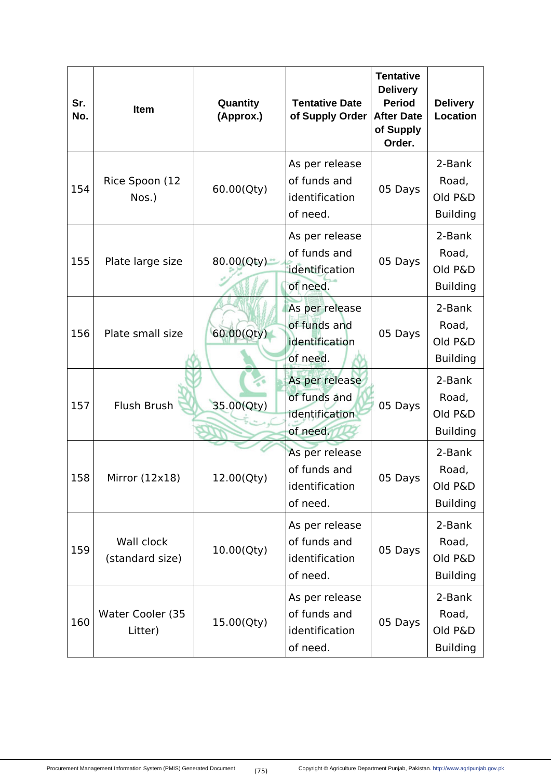| Sr.<br>No.      | Item                                          | Quantity<br>(Approx.)       | <b>Tentative Date</b><br>of Supply Order                                                              | Tentative<br><b>Delivery</b><br>Period<br>After Date<br>of Supply<br>Order. | Delivery<br>Location                                                                       |
|-----------------|-----------------------------------------------|-----------------------------|-------------------------------------------------------------------------------------------------------|-----------------------------------------------------------------------------|--------------------------------------------------------------------------------------------|
| 154             | Rice Spoon<br>$N$ o s.)                       | $(12\overline{60.00(Qty)})$ | As per release<br>of funds $\left.\frac{\text{and}}{\text{0.5}}\right $<br>identification<br>of need. | $D$ a y s                                                                   | $2 - B$ an $\boldsymbol{k}$<br>$R$ o a d,<br>$OId$ $P & D$<br>$B$ u i $Id$ i $n$ g         |
| 155             | Plate large siz&0.00(Qty                      |                             | As per release<br>of funds $a \nvert d$<br>identification<br>of need.                                 | 0 <sub>5</sub><br>Day s                                                     | $2 - B$ an $\boldsymbol{k}$<br>$R$ o a d,<br>$O d$ $P$ & $D$<br>$B$ u i $1$ d i $n$ g      |
|                 | 156 Plate small siz60.00(Qty                  |                             | As per release<br>of funds and<br>identification<br>of need.                                          | 0 <sub>5</sub><br>Day s                                                     | $2 - B$ an $k$<br>$R$ o a d,<br>$OId$ $P & D$<br>$B$ u i $Id$ i $n$ g                      |
| 157             | Flush Brush                                   | 35.00(Qty)                  | As per release<br>of funds and<br>identification<br>of need.                                          | 0 <sub>5</sub><br>$D$ a y s                                                 | $2 - B$ an $k$<br>$R$ o a d,<br>$OId$ $P & D$<br>$B$ u i $1$ d i $n$ g                     |
| 158             |                                               | Mirror $(12x18)12.00(Qty)$  | As per release<br>of funds and<br>identification<br>of need.                                          |                                                                             | $2 - B$ an $\boldsymbol{k}$<br>Road,<br>05 $Day s_{old} Pa D$<br>$B$ u i $Id$ i $n$ g      |
| 15 <sup>9</sup> | Wall clock<br>$(\text{standard } s \mid z e)$ | 10.00(Qty)                  | As per release<br>of funds and<br>identification<br>of need.                                          | 0 <sub>5</sub><br>$D$ a $y \mid s$                                          | $2 - B$ an $\boldsymbol{k}$<br>Road,<br>$OId$ $P & D$<br><b>Building</b>                   |
| 16(             | Water Cooler<br>Litter)                       | $(35$<br>15.00(Qty          | As per release<br>of funds and<br>identificatipn<br>of need.                                          | 0 <sub>5</sub><br>$D$ a y s                                                 | $2 - B$ an $\boldsymbol{k}$<br>$R$ o ad,<br>$O \mid d \mid P \& D$<br>$B$ u i $Id$ i $n$ g |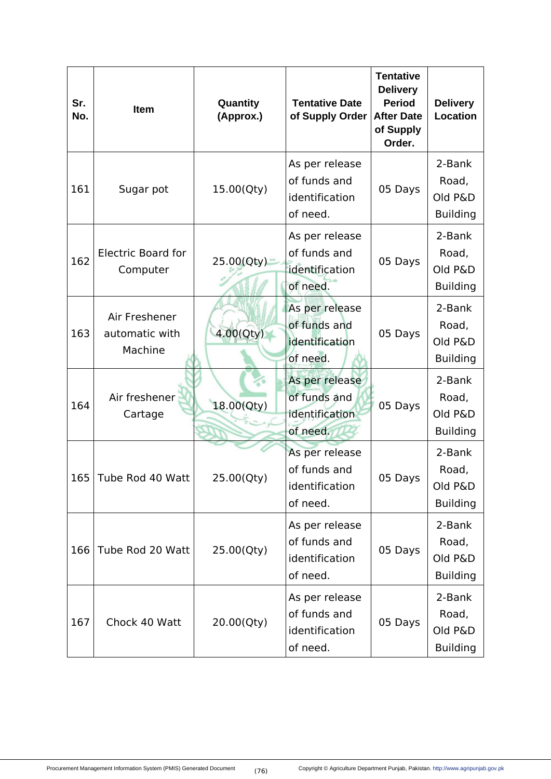| Sr.<br>No.      | Item                                        | Quantity<br>(Approx.)      | <b>Tentative Date</b><br>of Supply Order                     | Tentative<br><b>Delivery</b><br>Period<br>After Date<br>of Supply<br>Order. | Delivery<br>Location                                                                    |
|-----------------|---------------------------------------------|----------------------------|--------------------------------------------------------------|-----------------------------------------------------------------------------|-----------------------------------------------------------------------------------------|
| 16              | Sugar pot                                   | 15.00(Qty)                 | As per release<br>of funds and<br>identification<br>of need. | 0 <sub>5</sub><br>$D$ a y s                                                 | $2 - B$ an $\boldsymbol{k}$<br>Road,<br>$O d$ $P$ & $D$<br>$B$ u i $Id$ i $n$ g         |
| 16 <sub>2</sub> | Electric Board for $25.00(Qty)$<br>Computer |                            | As per release<br>of funds and<br>identification<br>of need. | 0 <sub>5</sub><br>Day s                                                     | $2 - B$ an $k$<br>$R$ o ad,<br>$OId$ $P & D$<br>$B$ u i $1$ d i $n \nvert g$            |
| 163             | Air Freshener<br>Machine                    | automatic with $4.00(Qty)$ | As per release<br>of funds and<br>identification<br>of need. | 0 <sub>5</sub><br>$D$ a $y s$                                               | $2 - B$ an $\boldsymbol{k}$<br>Road,<br>$OId$ $P & D$<br>$B$ u i $1$ d i $n \nvert q$   |
| 164             | Air freshener<br>Cartage                    | 18.00(Qty)                 | As per release<br>of funds and<br>identification<br>of need. | 0 <sub>5</sub><br>$D$ a y s                                                 | $2 - B$ an $k$<br>$R$ o a d,<br>$OId$ $P & D$<br>$B$ u i $1$ d i $n \nvert g$           |
|                 | 16\$ Tube Rod 40 Wa25.00 (Qty)              |                            | As per release<br>of funds and<br>identification<br>of need. |                                                                             | $2 - B$ an $\boldsymbol{k}$<br>Road,<br>05 $Day s$<br>Old $P&D$<br>$B$ u i $Id$ i $n$ g |
|                 | 166 Tube Rod 20 Wa25.00 (Qty                |                            | As per release<br>of funds and<br>identification<br>of need. | 0 <sub>5</sub><br>$D$ a y s                                                 | $2 - B$ an $\boldsymbol{k}$<br>Road,<br>$O \mid d \mid P \& D$<br>Building              |
| 167             |                                             | Chock 40 Watt $20.00(Qty)$ | As per release<br>of funds and<br>identificatipn<br>of need. | 0 <sub>5</sub><br>$D$ a y s                                                 | $2 - B$ an $\boldsymbol{k}$<br>Road,<br>$O \mid d \mid P \& D$<br>$B$ u i $Id$ i $n$ g  |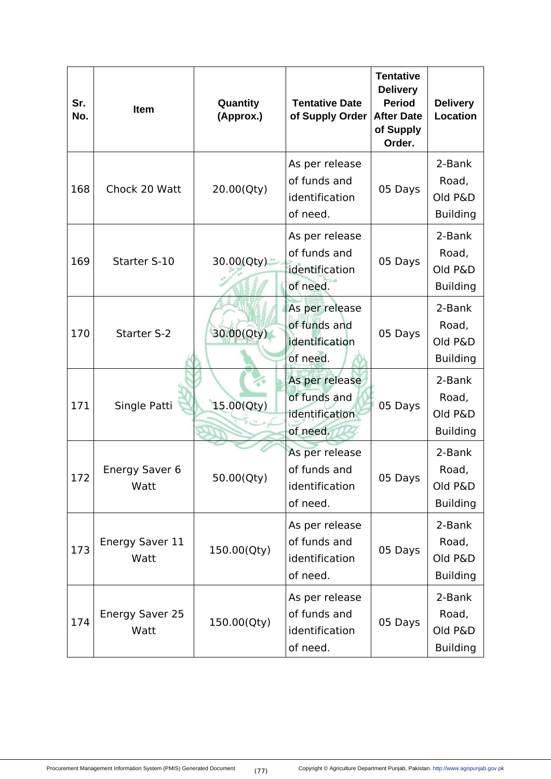| Sr.<br>No.      | Item                    | Quantity<br>(Approx.)                      | <b>Tentative Date</b><br>of Supply Order                                                              | Tentative<br><b>Delivery</b><br>Period<br>After Date<br>of Supply<br>Order. | Delivery<br>Location                                                                       |
|-----------------|-------------------------|--------------------------------------------|-------------------------------------------------------------------------------------------------------|-----------------------------------------------------------------------------|--------------------------------------------------------------------------------------------|
| 168             | Chock 20 Watt 20.00(Qty |                                            | As per release<br>of funds $\left.\frac{\text{and}}{\text{0.5}}\right $<br>identification<br>of need. | $D$ a y s                                                                   | $2 - B$ an $\boldsymbol{k}$<br>$R$ o ad,<br>$OId$ $P & D$<br>$B$ u i $Id$ i $n$ g          |
| 169             |                         | Starter $S - 1$ 0 30.00 (Qty               | As per release<br>of funds and<br>identification<br>of need.                                          | 0 <sub>5</sub><br>Day s                                                     | $2 - B$ an $\boldsymbol{k}$<br>$R$ o a d,<br>$OId$ $P & D$<br>$B$ u i $1$ d i $n \nvert g$ |
| 170             | Starter S-2             | 30.00(Qty                                  | As per release<br>of funds and<br>identification<br>of need.                                          | 0 <sub>5</sub><br>$D$ a y s                                                 | $2 - B$ an $k$<br>$R$ o a d,<br>$OId$ $P & D$<br>$B$ u i $1$ d i $n \nvert g$              |
| 171             | Single Patti            | 15.00(Qty)                                 | As per release<br>of funds and<br>identification<br>of need.                                          | 0 <sub>5</sub><br>$D$ a y s                                                 | $2 - B$ an $\boldsymbol{k}$<br>$R$ o a d,<br>$OId$ $P & D$<br>$B$ u i $1$ d i $n \nvert g$ |
| 172             | Watt                    | Energy Save $r = 6$ <sub>50.00</sub> (Qty) | As per release<br>of funds and<br>identification<br>of need.                                          | $0.5$ Davis                                                                 | $2 - B$ an $\boldsymbol{k}$<br>$R$ o a d,<br>$O d$ $P$ & $D$<br>$B$ u i $Id$ i $n$ g       |
| 17              | Energy Saver<br>Watt    | $11$<br>150.00(Qty                         | As per release<br>of funds and<br>identification<br>of need.                                          | 0 <sub>5</sub><br>$D$ a y s                                                 | $2 - B$ ank<br>$R$ o a d,<br>$OId$ $P & D$<br>$B$ u i $Id$ i $n$ g                         |
| 17 <sub>4</sub> | Energy Saver<br>Watt    | $25$<br>150.00(Qty                         | As per release<br>of funds and<br>identificatipn<br>of need.                                          | 0 <sub>5</sub><br>Day s                                                     | $2 - B$ ank<br>$R$ o ad,<br>$O \mid d \mid P \& D$<br><b>Building</b>                      |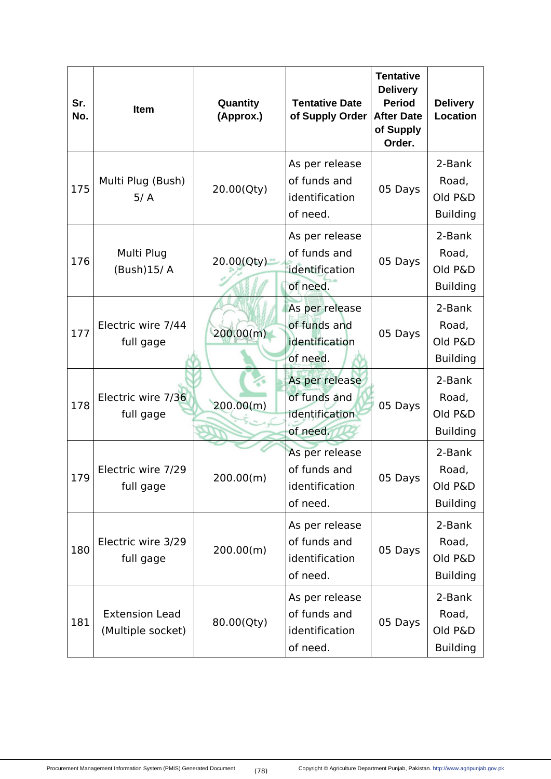| Sr.<br>No.      | Item                                         | Quantity<br>(Approx.)                                             | <b>Tentative Date</b><br>of Supply Order                                                                                              | Tentative<br>Delivery<br>Period<br>After Date<br>of Supply<br>Order. | Delivery<br>Location                                                                       |
|-----------------|----------------------------------------------|-------------------------------------------------------------------|---------------------------------------------------------------------------------------------------------------------------------------|----------------------------------------------------------------------|--------------------------------------------------------------------------------------------|
| 175             | Multi Plug ( $B $ ush)<br>20.00(Qty<br>5/ A  |                                                                   | As per release<br>of funds $\mathsf{a} \cdot \mathsf{n}$ $\begin{vmatrix} d & b \\ 0 & 5 \end{vmatrix}$<br>identification<br>of need. | $D$ a y s                                                            | $2 - B$ ank<br>$R$ o a d,<br>$O d$ $P$ & $D$<br>$B$ u i $Id$ i $n$ g                       |
| 176             | Multi Plug<br>$(Bush)15/$ A                  | 20.00(Qty)                                                        | As per release<br>of funds and<br>identification<br>of need.                                                                          | 0 <sub>5</sub><br>$D$ a $y s$                                        | $2 - B$ an $k$<br>$R$ o a d,<br>$OId$ $P & D$<br>$B$ u i $1$ d i $n \nvert g$              |
| 17              | Electric wire<br>full gage                   | $\begin{pmatrix} 7/4 & 4 \\ 2 & 0 & 0 \\ 0 & 0 & 0 \end{pmatrix}$ | As per release<br>of funds and<br>identification<br>of need.                                                                          | 0 <sub>5</sub><br>Day s                                              | $2 - B$ an $\boldsymbol{k}$<br>$R$ o a d,<br>$OId$ $P & D$<br>$B$ u i $1$ d i $n \nvert g$ |
| 178             | Electric wire<br>full gage                   | $7/36$<br>200.00(m)                                               | As per release<br>of funds and<br>identification<br>of need.                                                                          | 0 <sub>5</sub><br>$D$ a y s                                          | $2 - B$ an $k$<br>$R$ o a d,<br>$OId$ $P & D$<br>$B$ u i $1$ d i $n \nvert g$              |
| 179             | Electric wire $ 7/29$ 200.00(m)<br>full gage |                                                                   | As per release<br>of funds and<br>identification<br>of need.                                                                          | $0.5$ Davis                                                          | $2 - B$ an $\boldsymbol{k}$<br>$R$ oad,<br>$O d$ $P$ & $D$<br>$B$ u i $1$ d i $n \nvert g$ |
| 18 <sub>0</sub> | Electric wire<br>full gage                   | $3/29$<br>200.00(m)                                               | As per release<br>of funds and<br>identification<br>of need.                                                                          | 0 <sub>5</sub><br>Day s                                              | $2 - B$ an $\boldsymbol{k}$<br>$R$ o a d,<br>$OId$ $P & D$<br><b>Building</b>              |
| 18              | $Extension$ $Léad$<br>(Multiple socket)      | 80.00(Qty                                                         | As per release<br>of funds and<br>identification<br>of need.                                                                          | 05<br>Day s                                                          | $2 - B$ ank<br>$R$ o ad,<br>$O \mid d \mid P \& D$<br><b>Building</b>                      |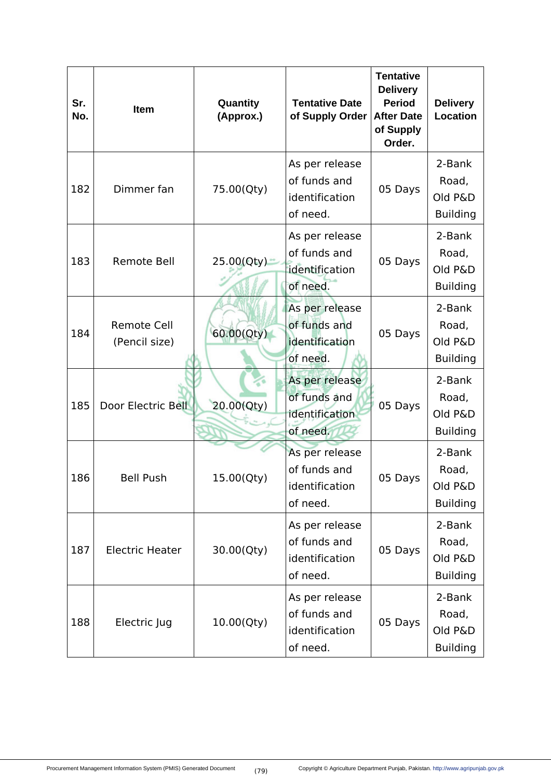| Sr.<br>No. | Item                           | Quantity<br>(Approx.)      | <b>Tentative Date</b><br>of Supply Order                                                              | Tentative<br><b>Delivery</b><br>Period<br>After Date<br>of Supply<br>Order. | Delivery<br>Location                                                                  |
|------------|--------------------------------|----------------------------|-------------------------------------------------------------------------------------------------------|-----------------------------------------------------------------------------|---------------------------------------------------------------------------------------|
| 182        | Dimmer fan                     | 75.00(Qty                  | As per release<br>of funds $\left.\frac{\text{and}}{\text{0.5}}\right $<br>identification<br>of need. | Day s                                                                       | $2 - B$ ank<br>$R$ o ad,<br>$OId$ $P & D$<br>$B$ u i $Id$ i $n$ g                     |
| 183        |                                | Remote Bell 25.00(Qty      | As per release<br>of funds and<br>identification<br>of need.                                          | 0 <sub>5</sub><br>Day s                                                     | $2 - B$ an $k$<br>$R$ o a d,<br>$OId$ $P & D$<br>$B$ u i $1$ d i $n \nvert g$         |
| 184        | Remote Cell<br>(Pencil size)   | 60.00(Qty                  | As per release<br>of funds and<br>identification<br>of need.                                          | 0 <sub>5</sub><br>Day s                                                     | $2 - B$ an $k$<br>$R$ o a d,<br>$OId$ $P & D$<br>$B$ u i $1$ d i $n \nvert g$         |
|            | 185 Door Electric Belo.00 (Qty |                            | As per release<br>of funds and<br>identification<br>of need.                                          | 0 <sub>5</sub><br>$D$ a y s                                                 | $2 - B$ an $k$<br>$R$ o a d,<br>$OId$ $P & D$<br>$B$ u i $1$ d i $n \nvert g$         |
| 186        | Bell Push                      | 15.00(Qty)                 | As per release<br>of funds and<br>identification<br>of need.                                          | $05$ Davis                                                                  | $2 - B$ an $\boldsymbol{k}$<br>Road,<br>$OId$ $P & D$<br>$B$ u i $1$ d i $n \nvert g$ |
| 187        |                                | Electric Heater30.00(Qty   | As per release<br>of funds and<br>identificatipn<br>of need.                                          | 0 <sub>5</sub><br>$D$ a y s                                                 | $2 - B$ ank<br>Road,<br>$OId$ $P & D$<br><b>Building</b>                              |
| 188        |                                | Electric Ju $g$ 10.00 (Qty | As per release<br>of funds and<br>identification<br>of need.                                          | 05<br>Day s                                                                 | $2 - B$ ank<br>Road,<br>$O \mid d \mid P \& D$<br><b>Building</b>                     |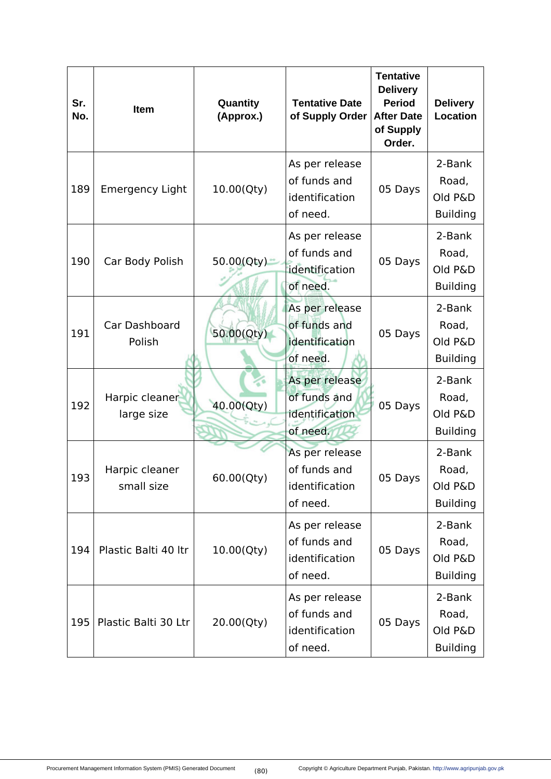| Sr.<br>No. | Item                              | Quantity<br>(Approx.) | <b>Tentative Date</b><br>of Supply Order                                                              | Tentative<br><b>Delivery</b><br>Period<br>After Date<br>of Supply<br>Order. | Delivery<br>Location                                                            |
|------------|-----------------------------------|-----------------------|-------------------------------------------------------------------------------------------------------|-----------------------------------------------------------------------------|---------------------------------------------------------------------------------|
|            | 189 Emergency Langht 0.00 (Qty    |                       | As per release<br>of funds $\left.\frac{\text{and}}{\text{0.5}}\right $<br>identification<br>of need. | $D$ a y s                                                                   | $2 - B$ an $\boldsymbol{k}$<br>Road,<br>$O d$ $P$ & $D$<br>$B$ u i $Id$ i $n$ g |
| 190        | Car Body Polish0.00(Qty           |                       | As per release<br>of funds and<br>identification<br>of need.                                          | 0 <sub>5</sub><br>Day s                                                     | $2 - B$ an $k$<br>$R$ o ad,<br>$OId$ $P & D$<br>$B$ u i $1$ d i $n \nvert g$    |
| 19         | Car Dashboard<br>Polish           | 50.00(Qty             | As per release<br>of funds and<br>identification<br>of need.                                          | 0 <sub>5</sub><br>Day s                                                     | $2 - B$ an $k$<br>$R$ o ad,<br>$OId$ $P & D$<br>$B$ u i $1$ d i $n \nvert g$    |
| 192        | Harpic cleaner<br>large size      | 40.00 (Qty            | As per release<br>of funds and<br>identification<br>of need.                                          | 0 <sub>5</sub><br>$D$ a y s                                                 | $2 - B$ an $k$<br>$R$ o a d,<br>$OId$ $P & D$<br>$B$ u i $1$ d i $n \nvert g$   |
| 193        | Harpic cleaner<br>small size      | 60.00(Qty)            | As per release<br>of funds and<br>identification<br>of need.                                          | $05$ Davis                                                                  | $2 - B$ ank<br>Road,<br>$OId$ $P & D$<br>$B$ u i $1$ d i $n \nvert g$           |
|            | 194 Plastic Balti 40 10 0.00 (Qty |                       | As per release<br>of funds and<br>identification<br>of need.                                          | 0 <sub>5</sub><br>$D$ a y s                                                 | $2 - B$ ank<br>Road,<br>$OId$ $P & D$<br><b>Building</b>                        |
|            | 195 Plastic Balti 30 20r00 (Qty   |                       | As per release<br>of funds and<br>identificatipn<br>of need.                                          | 0 <sub>5</sub><br>Day s                                                     | $2 - B$ ank<br>Road,<br>$O \mid d \mid P \& D$<br><b>Building</b>               |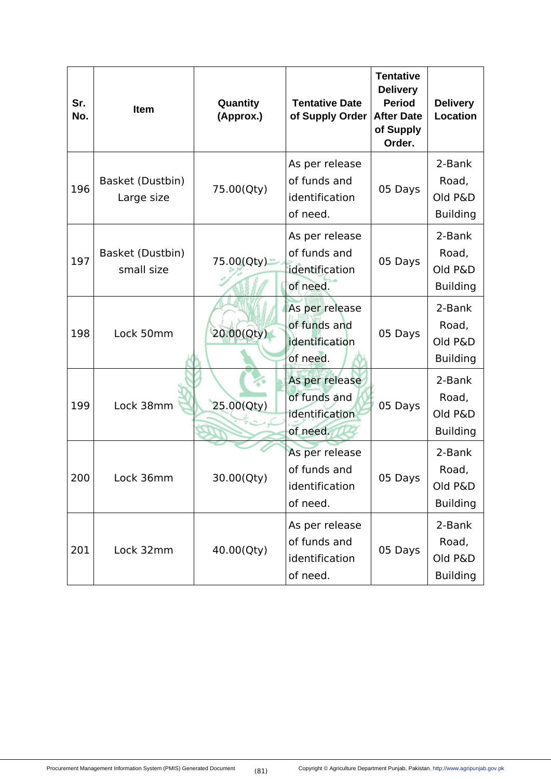| Sr.<br>No. | Item                                                                        | Quantity<br>(Approx.) | <b>Tentative Date</b><br>of Supply Order                                                              | Tentative<br><b>Delivery</b><br>Period<br>After Date<br>of Supply<br>Order. | Delivery<br>Location                                                                       |
|------------|-----------------------------------------------------------------------------|-----------------------|-------------------------------------------------------------------------------------------------------|-----------------------------------------------------------------------------|--------------------------------------------------------------------------------------------|
| 196        | Basket (Dust $\left \text{bin}\right\rangle_5.00(\text{Qty})$<br>Large size |                       | As per release<br>of funds $an d$<br>identification<br>of need.                                       | 0 <sub>5</sub><br>Day s                                                     | $2 - B$ ank<br>$R$ o ad,<br>$OId$ $P & D$<br>$B$ u i $Id$ i $n$ g                          |
| 19         | Basket $(Dust bin)$ 75.00(Qty<br>small size                                 |                       | As per release<br>of funds $\left.\frac{\text{and}}{\text{0.5}}\right $<br>identification<br>of need. | $D$ a y s                                                                   | $2 - B$ an $\boldsymbol{k}$<br>$R$ o ad,<br>$OId$ $P & D$<br>$B$ u i $1$ d i $n \nvert g$  |
| 198        | $Lock$ 50 m m                                                               | 20.00(Qty)            | As per release<br>of funds and<br>identification<br>of need.                                          | 0 <sub>5</sub><br>$D$ a $y \mid s$                                          | $2 - B$ an $\boldsymbol{k}$<br>$R$ o a d,<br>$OId$ $P & D$<br>$B$ u i $1$ d i $n \nvert g$ |
| 199        | $Lock$ 38 m m                                                               | 25.00(Qty)            | As per release<br>of funds and<br>identification<br>of need.                                          | 0 <sub>5</sub><br>$D$ a y s                                                 | $2 - B$ an $\boldsymbol{k}$<br>$R$ o a d,<br>$OId$ $P & D$<br><b>Building</b>              |
| 200        | Lock 36mml                                                                  | 30.00(Qty)            | As per release<br>of funds and<br>identification<br>of need.                                          | $0.5$ Davis                                                                 | $2 - B$ ank<br>Road,<br>Old P&D<br>$B$ u i $1$ d i $n \nvert g$                            |
| 20         | Lock 32mm                                                                   | 40.00 (Qty            | As per release<br>of funds and<br>identification<br>of need.                                          | 0 <sub>5</sub><br>$D$ a y s                                                 | $2 - B$ an $\boldsymbol{k}$<br>Road,<br>$OId$ $P & D$<br>$B$ u i $1$ d i $n \nvert g$      |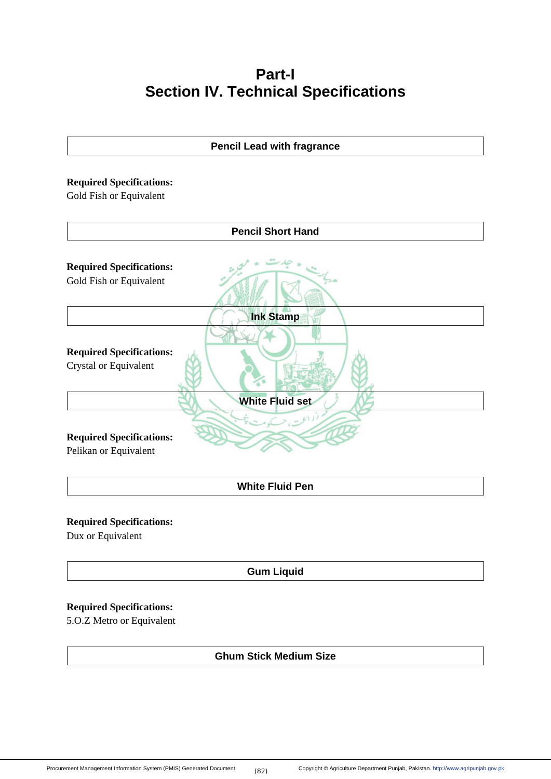# Part-I Section IV. Technical Specifications

Required Specifications: Gold Fish or Equivalent

Pencil Short Hand

Required Specifications: Gold Fish or Equivalent

Ink Stamp

Required Specifications: Crystal or Equivalent

White Fluid set

Required Specifications: Pelikan or Equivalent

White Fluid Pen

Required Specifications: Dux or Equivalent

Gum Liquid

Required Specifications: 5.O.Z Metro or Equivalent

# Ghum Stick Medium Size

Procurement Management Information System (PMIS) Generated Document Copyright © Agriculture Department Punjab, Pakistan. <http://www.agripunjab.gov.pk>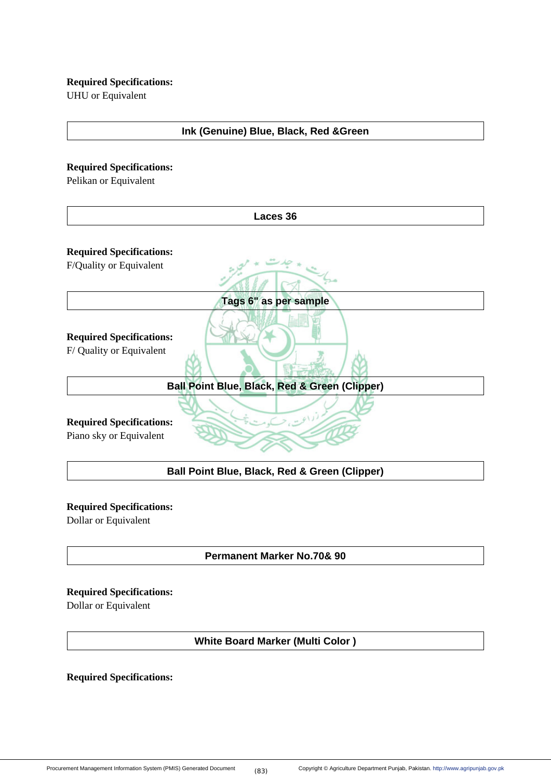Required Specifications: UHU or Equivalent

#### Ink (Genuine) Blue, Black, Red &Green

Required Specifications: Pelikan or Equivalent

Laces 36

Required Specifications: F/Quality or Equivalent

Tags 6" as per sample

Required Specifications: F/ Quality or Equivalent

Ball Point Blue, Black, Red & Green (Clipper)

Required Specifications: Piano sky or Equivalent

Ball Point Blue, Black, Red & Green (Clipper)

Required Specifications: Dollar or Equivalent

Permanent Marker No.70& 90

Required Specifications: Dollar or Equivalent

White Board Marker (Multi Color )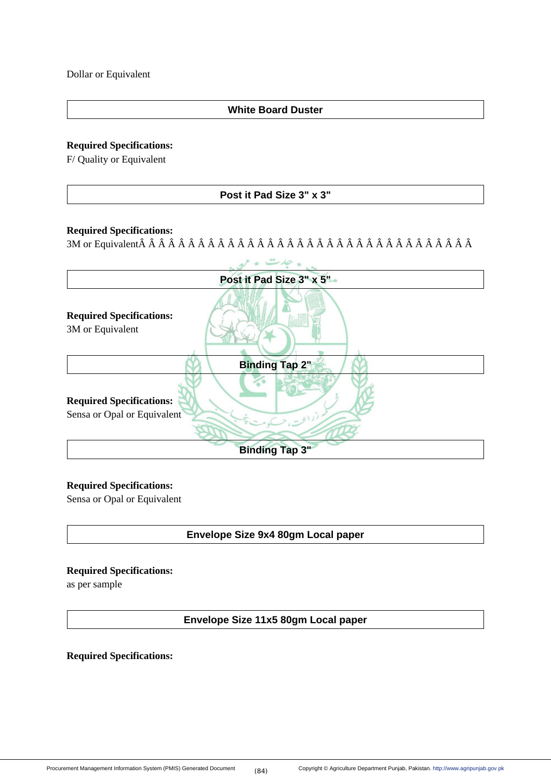Dollar or Equivalent

White Board Duster

Required Specifications: F/ Quality or Equivalent

Post it Pad Size 3" x 3"

Required Specifications: 3M or Equivalent

Post it Pad Size 3" x 5"

Required Specifications: 3M or Equivalent

Binding Tap 2"

Required Specifications: Sensa or Opal or Equivalent

Binding Tap 3"

Required Specifications: Sensa or Opal or Equivalent

Envelope Size 9x4 80gm Local paper

Required Specifications: as per sample

Envelope Size 11x5 80gm Local paper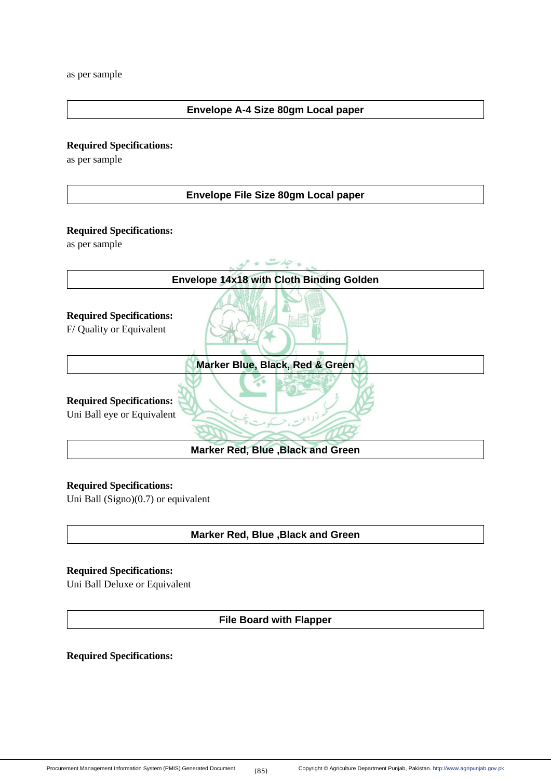as per sample

#### Envelope A-4 Size 80gm Local paper

Required Specifications: as per sample

#### Envelope File Size 80gm Local paper

Required Specifications: as per sample

Envelope 14x18 with Cloth Binding Golden

Required Specifications: F/ Quality or Equivalent

Marker Blue, Black, Red & Green

Required Specifications: Uni Ball eye or Equivalent

Marker Red, Blue ,Black and Green

Required Specifications: Uni Ball (Signo)(0.7) or equivalent

Marker Red, Blue ,Black and Green

Required Specifications: Uni Ball Deluxe or Equivalent

File Board with Flapper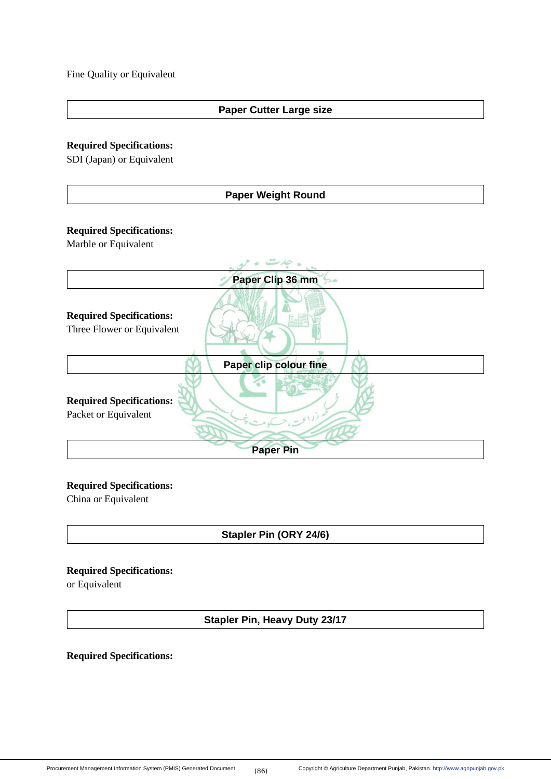Fine Quality or Equivalent

#### Paper Cutter Large size

Required Specifications: SDI (Japan) or Equivalent

# Paper Weight Round

Required Specifications: Marble or Equivalent

Paper Clip 36 mm

Required Specifications: Three Flower or Equivalent

Paper clip colour fine

Required Specifications: Packet or Equivalent

Paper Pin

Required Specifications: China or Equivalent

Stapler Pin (ORY 24/6)

Required Specifications: or Equivalent

Stapler Pin, Heavy Duty 23/17

Required Specifications:

Procurement Management Information System (PMIS) Generated Document (a G ) Copyright © Agriculture Department Punjab, Pakistan. <http://www.agripunjab.gov.pk>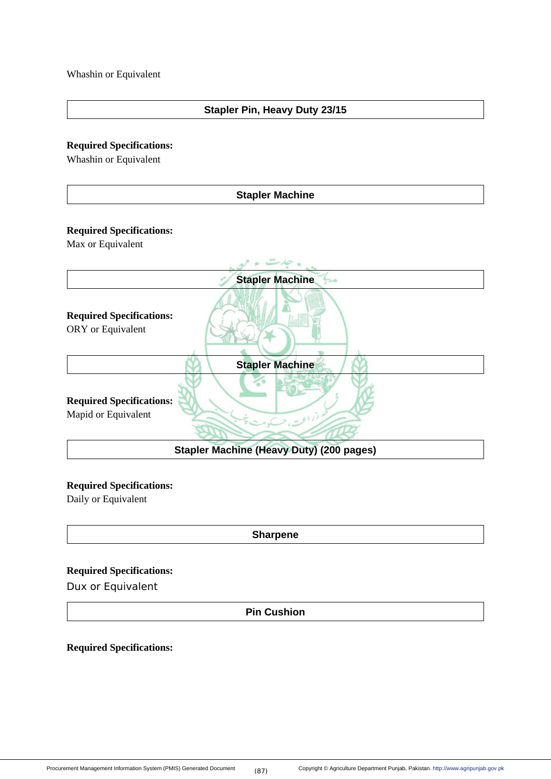Whashin or Equivalent

# Stapler Pin, Heavy Duty 23/15

Required Specifications: Whashin or Equivalent

Stapler Machine

Required Specifications: Max or Equivalent

Stapler Machine

Required Specifications: ORY or Equivalent

Stapler Machine

Required Specifications: Mapid or Equivalent

Stapler Machine (Heavy Duty) (200 pages)

Required Specifications: Daily or Equivalent

Sharpene

Required Specifications:

Dux or Equivalent

Pin Cushion

Required Specifications:

Procurement Management Information System (PMIS) Generated Document Copyright © Agriculture Department Punjab, Pakistan. <http://www.agripunjab.gov.pk>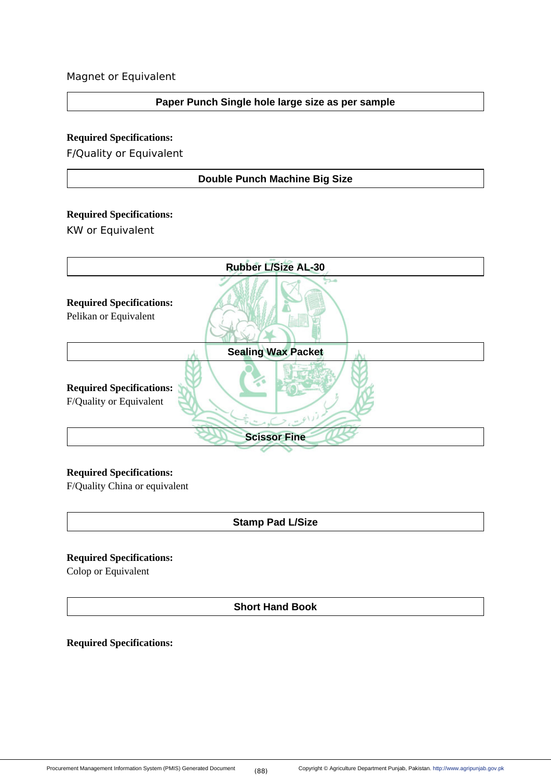Magnet or Equivalent

#### Paper Punch Single hole large size as per sample

Required Specifications:

F/Quality or Equivalent

Double Punch Machine Big Size

Required Specifications:

KW or Equivalent

Rubber L/Size AL-30

Required Specifications: Pelikan or Equivalent

Sealing Wax Packet

Required Specifications: F/Quality or Equivalent

Scissor Fine

Required Specifications: F/Quality China or equivalent

Stamp Pad L/Size

Required Specifications: Colop or Equivalent

Short Hand Book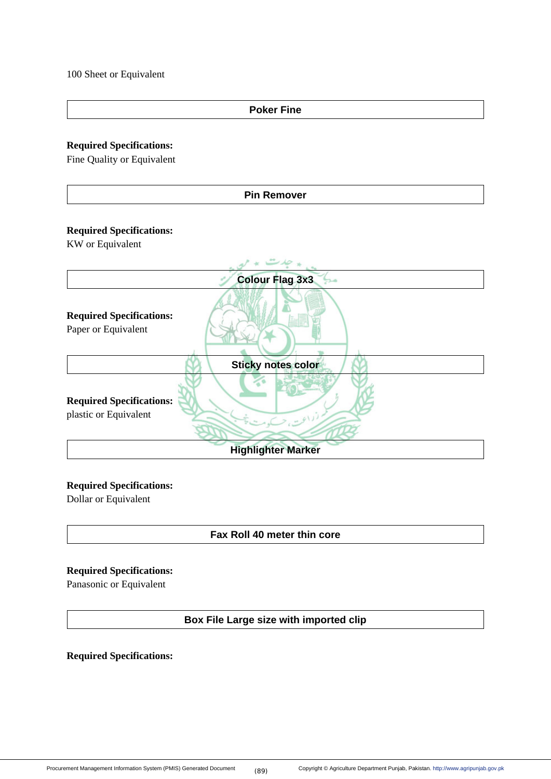100 Sheet or Equivalent

Poker Fine

Required Specifications: Fine Quality or Equivalent

Pin Remover

Required Specifications: KW or Equivalent

Colour Flag 3x3

Required Specifications: Paper or Equivalent

Sticky notes color

Required Specifications: plastic or Equivalent

Highlighter Marker

Required Specifications: Dollar or Equivalent

Fax Roll 40 meter thin core

Required Specifications: Panasonic or Equivalent

Box File Large size with imported clip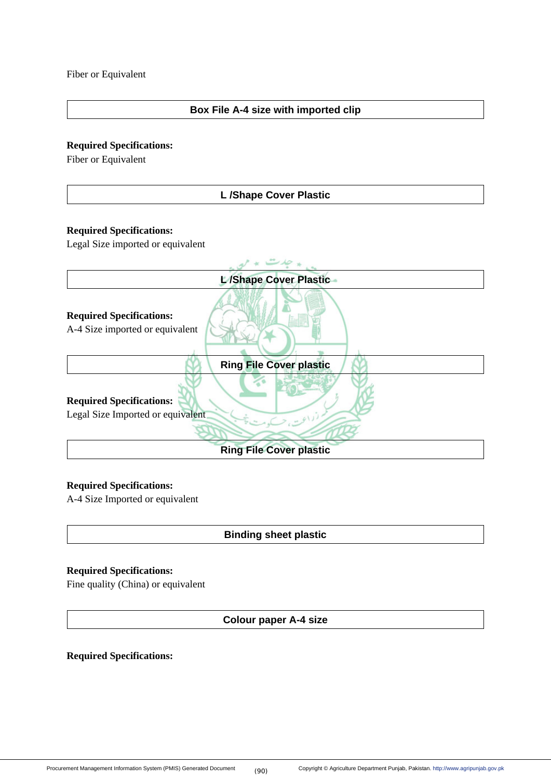Fiber or Equivalent

#### Box File A-4 size with imported clip

Required Specifications: Fiber or Equivalent

L /Shape Cover Plastic

Required Specifications: Legal Size imported or equivalent

L /Shape Cover Plastic

Required Specifications: A-4 Size imported or equivalent

Ring File Cover plastic

Required Specifications: Legal Size Imported or equivalent

Ring File Cover plastic

Required Specifications: A-4 Size Imported or equivalent

Binding sheet plastic

Required Specifications: Fine quality (China) or equivalent

Colour paper A-4 size

Required Specifications:

Procurement Management Information System (PMIS) Generated Document (QO) Copyright © Agriculture Department Punjab, Pakistan. <http://www.agripunjab.gov.pk>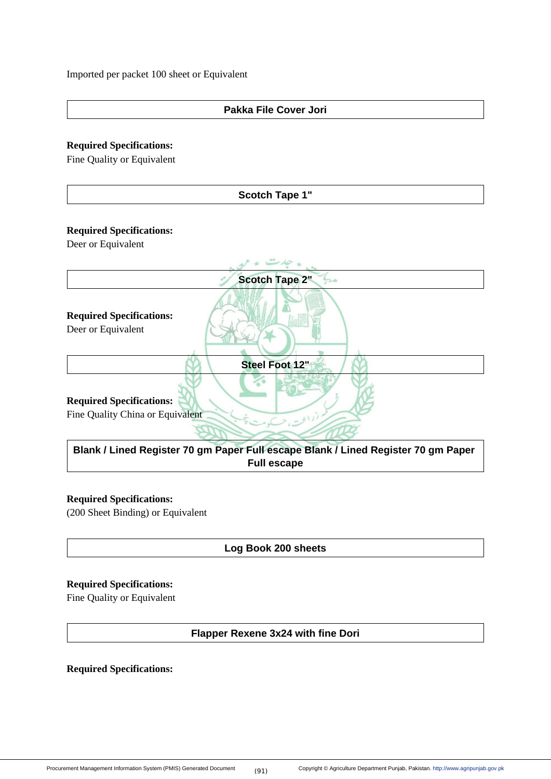Imported per packet 100 sheet or Equivalent

#### Pakka File Cover Jori

Required Specifications: Fine Quality or Equivalent

Scotch Tape 1"

Required Specifications: Deer or Equivalent

Scotch Tape 2"

Required Specifications: Deer or Equivalent

Steel Foot 12"

Required Specifications: Fine Quality China or Equivalent

| Blank / Lined Register 70 gm Paper Full escape Blank / Lined Register 70 gm Paper |  |
|-----------------------------------------------------------------------------------|--|
| Full escape                                                                       |  |

Required Specifications: (200 Sheet Binding) or Equivalent

Log Book 200 sheets

Required Specifications: Fine Quality or Equivalent

Flapper Rexene 3x24 with fine Dori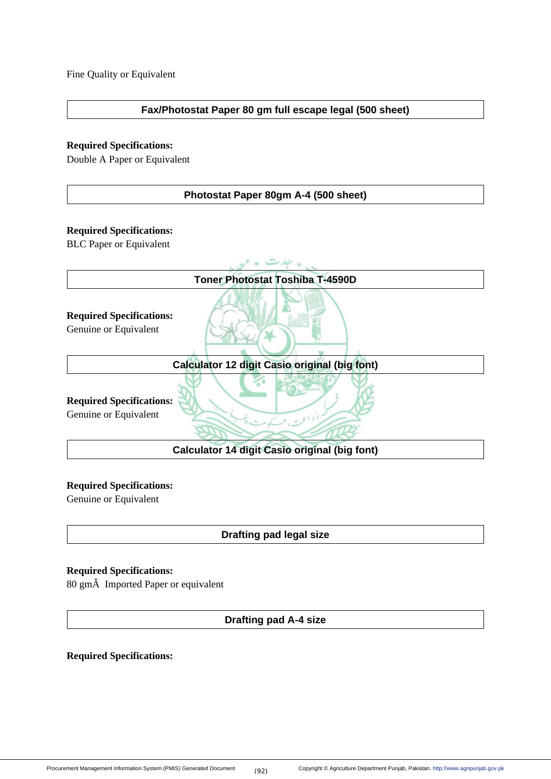Fine Quality or Equivalent

# Fax/Photostat Paper 80 gm full escape legal (500 sheet)

Required Specifications: Double A Paper or Equivalent

# Photostat Paper 80gm A-4 (500 sheet)

Required Specifications: BLC Paper or Equivalent

#### Toner Photostat Toshiba T-4590D

Required Specifications: Genuine or Equivalent

Calculator 12 digit Casio original (big font)

Required Specifications: Genuine or Equivalent

Calculator 14 digit Casio original (big font)

Required Specifications: Genuine or Equivalent

Drafting pad legal size

Required Specifications: 80 gm Imported Paper or equivalent

Drafting pad A-4 size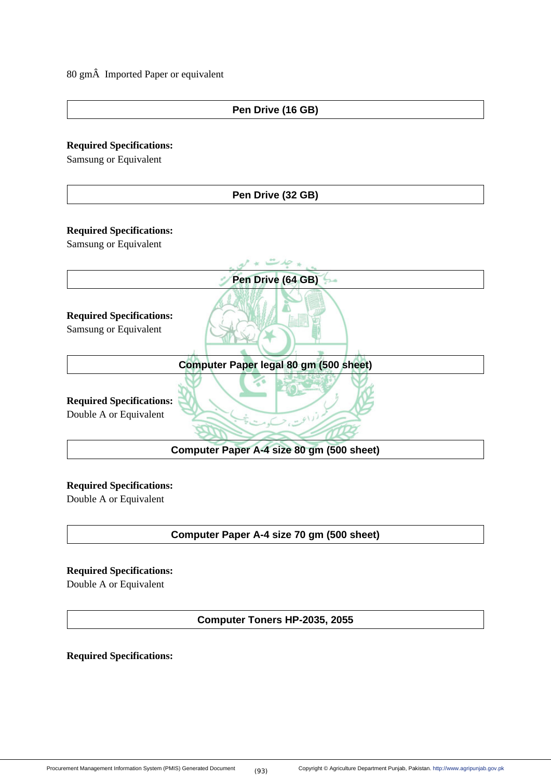80 gm Imported Paper or equivalent

Pen Drive (16 GB)

Required Specifications: Samsung or Equivalent

Pen Drive (32 GB)

Required Specifications: Samsung or Equivalent

Pen Drive (64 GB)

Required Specifications: Samsung or Equivalent

Computer Paper legal 80 gm (500 sheet)

Required Specifications: Double A or Equivalent

Computer Paper A-4 size 80 gm (500 sheet)

Required Specifications: Double A or Equivalent

Computer Paper A-4 size 70 gm (500 sheet)

Required Specifications: Double A or Equivalent

Computer Toners HP-2035, 2055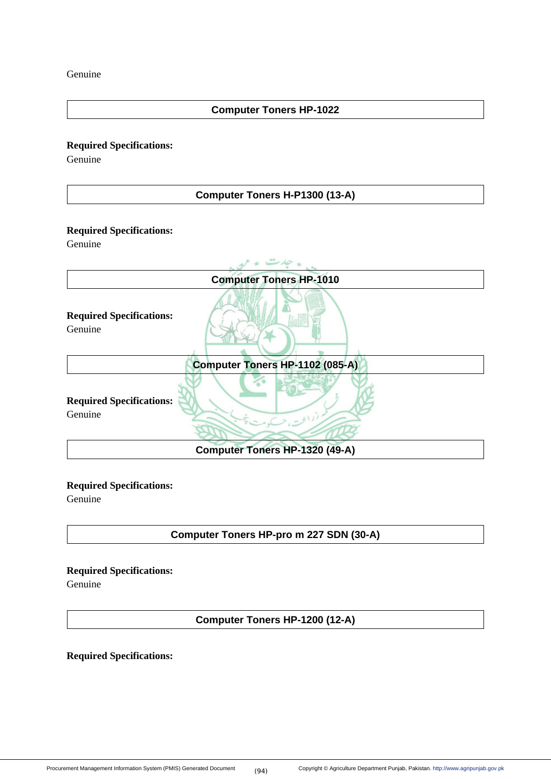**Genuine** 

#### Computer Toners HP-1022

Required Specifications: Genuine

Computer Toners H-P1300 (13-A)

Required Specifications: **Genuine** 

Computer Toners HP-1010

Required Specifications: **Genuine** 

Computer Toners HP-1102 (085-A)

Required Specifications: **Genuine** 

Computer Toners HP-1320 (49-A)

Required Specifications: **Genuine** 

Computer Toners HP-pro m 227 SDN (30-A)

Required Specifications: **Genuine** 

Computer Toners HP-1200 (12-A)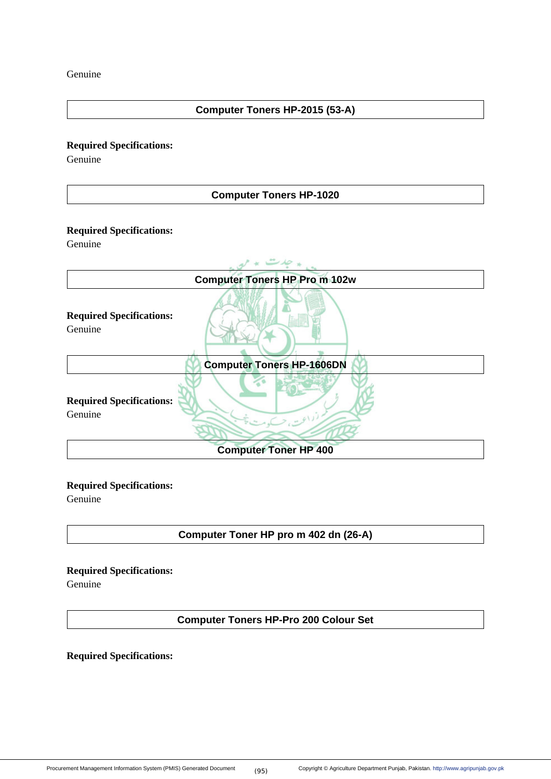**Genuine** 

#### Computer Toners HP-2015 (53-A)

Required Specifications: **Genuine** 

Computer Toners HP-1020

Required Specifications: **Genuine** 

Computer Toners HP Pro m 102w

Required Specifications: **Genuine** 

Computer Toners HP-1606DN

Required Specifications: **Genuine** 

Computer Toner HP 400

Required Specifications: **Genuine** 

Computer Toner HP pro m 402 dn (26-A)

Required Specifications: **Genuine** 

Computer Toners HP-Pro 200 Colour Set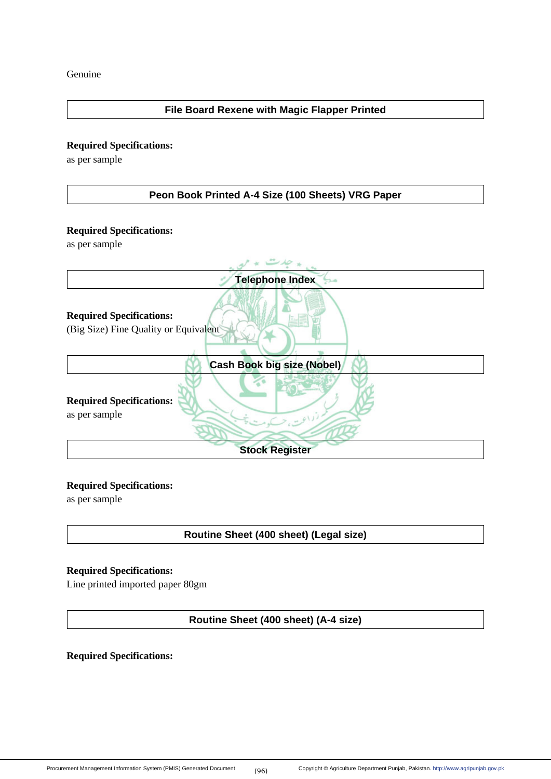**Genuine** 

# File Board Rexene with Magic Flapper Printed

Required Specifications: as per sample

Peon Book Printed A-4 Size (100 Sheets) VRG Paper

Required Specifications: as per sample

Telephone Index

Required Specifications: (Big Size) Fine Quality or Equivalent

Cash Book big size (Nobel)

Required Specifications: as per sample

Stock Register

Required Specifications: as per sample

Routine Sheet (400 sheet) (Legal size)

Required Specifications: Line printed imported paper 80gm

Routine Sheet (400 sheet) (A-4 size)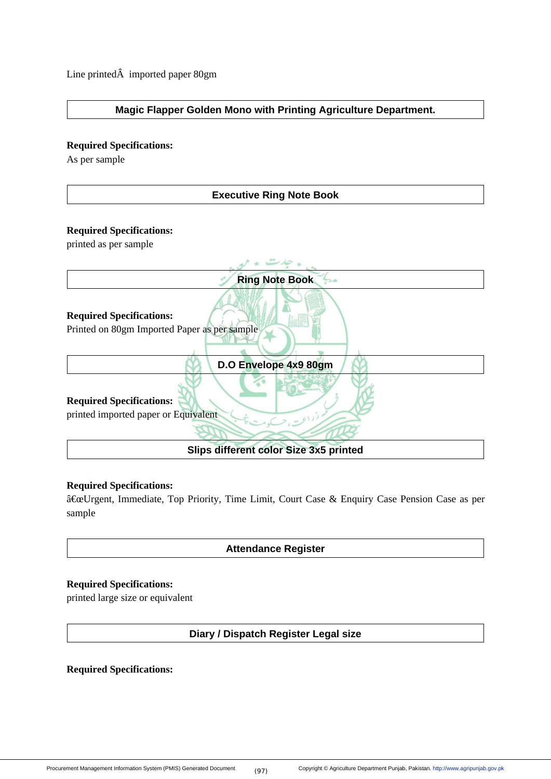# Line printed imported paper 80gm

#### Magic Flapper Golden Mono with Printing Agriculture Department.

Required Specifications: As per sample

#### Executive Ring Note Book

Required Specifications: printed as per sample

Ring Note Book

Required Specifications: Printed on 80gm Imported Paper as per sample

D.O Envelope 4x9 80gm

Required Specifications: printed imported paper or Equivalent

Slips different color Size 3x5 printed

Required Specifications:

"Urgent, Immediate, Top Priority, Time Limit, Court Case & Enquiry Case Pension Case as per sample

Attendance Register

Required Specifications: printed large size or equivalent

Diary / Dispatch Register Legal size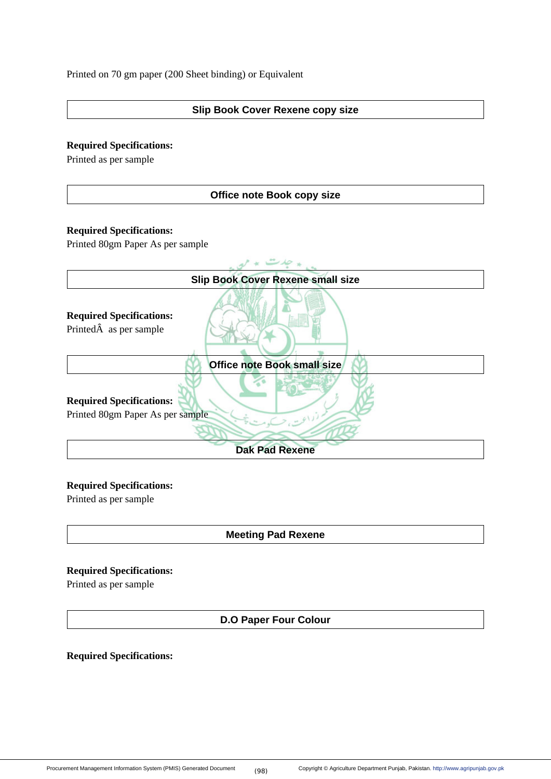Printed on 70 gm paper (200 Sheet binding) or Equivalent

Slip Book Cover Rexene copy size

Required Specifications: Printed as per sample

# Office note Book copy size

Required Specifications: Printed 80gm Paper As per sample

#### Slip Book Cover Rexene small size

Required Specifications: Printed as per sample

Office note Book small size

Required Specifications: Printed 80gm Paper As per sample

Dak Pad Rexene

Required Specifications: Printed as per sample

Meeting Pad Rexene

Required Specifications: Printed as per sample

D.O Paper Four Colour

Required Specifications:

Procurement Management Information System (PMIS) Generated Document Copyright © Agriculture Department Punjab, Pakistan. <http://www.agripunjab.gov.pk>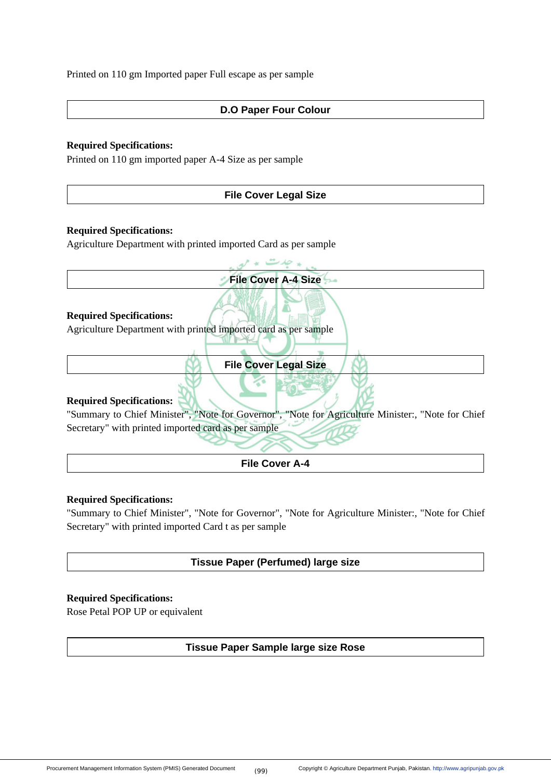Printed on 110 gm Imported paper Full escape as per sample

D.O Paper Four Colour

Required Specifications:

Printed on 110 gm imported paper A-4 Size as per sample

File Cover Legal Size

Required Specifications:

Agriculture Department with printed imported Card as per sample

File Cover A-4 Size

Required Specifications:

Agriculture Department with printed imported card as per sample

File Cover Legal Size

Required Specifications:

"Summary to Chief Minister", "Note for Governor", "Note for Agriculture Minister:, "Note for Chief Secretary" with printed imported card as per sample

File Cover A-4

Required Specifications:

"Summary to Chief Minister", "Note for Governor", "Note for Agriculture Minister:, "Note for Chief Secretary" with printed imported Card t as per sample

Tissue Paper (Perfumed) large size

Required Specifications: Rose Petal POP UP or equivalent

Tissue Paper Sample large size Rose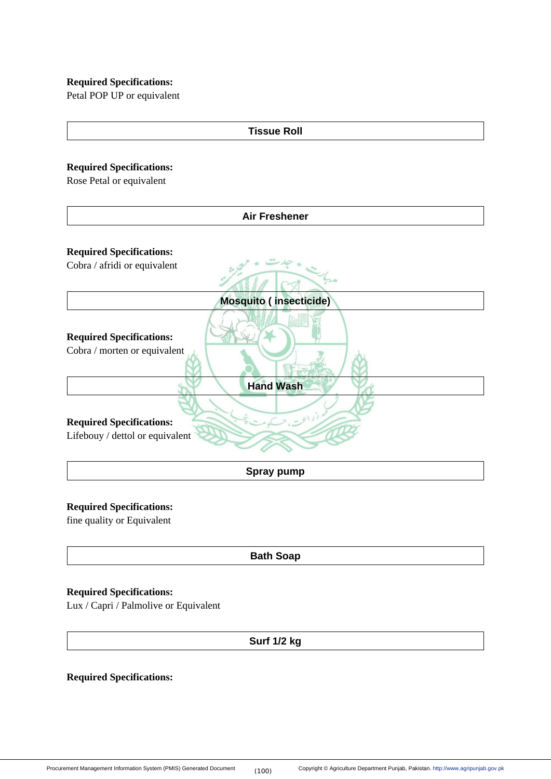Required Specifications: Petal POP UP or equivalent

#### Tissue Roll

Required Specifications: Rose Petal or equivalent

Air Freshener

Required Specifications: Cobra / afridi or equivalent

Mosquito ( insecticide)

Required Specifications: Cobra / morten or equivalent

Hand Wash

Required Specifications: Lifebouy / dettol or equivalent

Spray pump

Required Specifications: fine quality or Equivalent

Bath Soap

Required Specifications: Lux / Capri / Palmolive or Equivalent

Surf 1/2 kg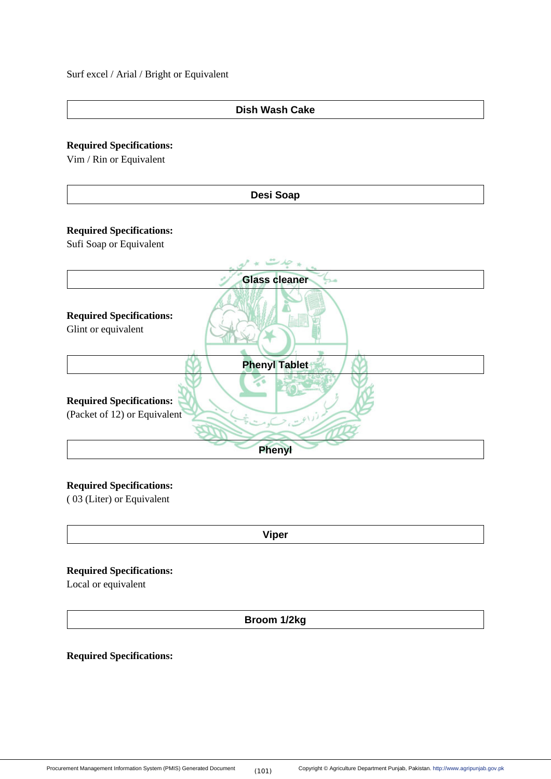Surf excel / Arial / Bright or Equivalent

Dish Wash Cake

Required Specifications: Vim / Rin or Equivalent

Desi Soap

Required Specifications: Sufi Soap or Equivalent

Glass cleaner

Required Specifications: Glint or equivalent

Phenyl Tablet

Required Specifications: (Packet of 12) or Equivalent

Phenyl

Required Specifications: ( 03 (Liter) or Equivalent

Viper

Required Specifications: Local or equivalent

Broom 1/2kg

Required Specifications:

Procurement Management Information System (PMIS) Generated Document Compright © Agriculture Department Punjab, Pakistan. <http://www.agripunjab.gov.pk> (101)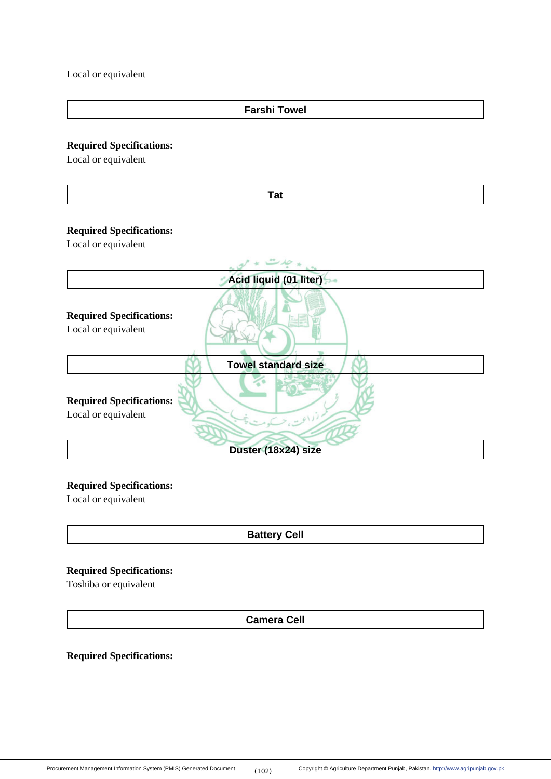Local or equivalent

Farshi Towel

Required Specifications: Local or equivalent

Tat

Required Specifications: Local or equivalent

Acid liquid (01 liter)

Required Specifications: Local or equivalent

Towel standard size

Required Specifications: Local or equivalent

Duster (18x24) size

Required Specifications: Local or equivalent

Battery Cell

Required Specifications: Toshiba or equivalent

Camera Cell

Required Specifications:

Procurement Management Information System (PMIS) Generated Document Compright © Agriculture Department Punjab, Pakistan. <http://www.agripunjab.gov.pk> (102)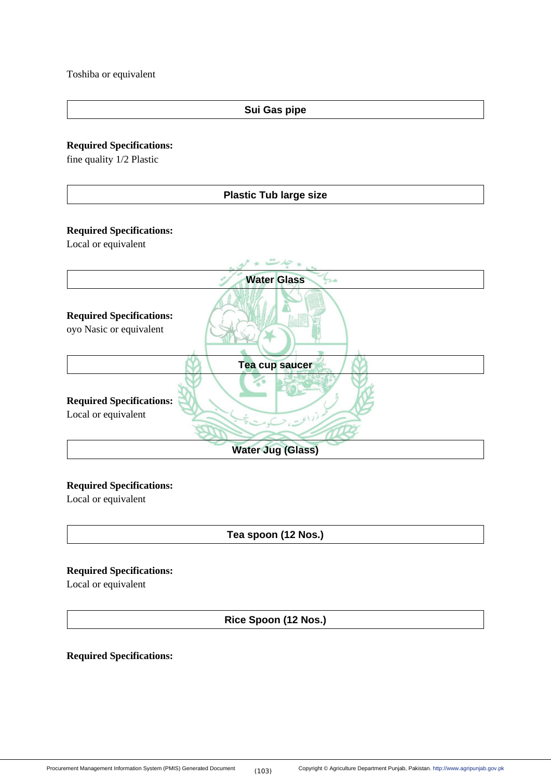Toshiba or equivalent

Sui Gas pipe

Required Specifications: fine quality 1/2 Plastic

Plastic Tub large size

Required Specifications: Local or equivalent

Water Glass

Required Specifications: oyo Nasic or equivalent

Tea cup saucer

Required Specifications: Local or equivalent

Water Jug (Glass)

Required Specifications: Local or equivalent

Tea spoon (12 Nos.)

Required Specifications: Local or equivalent

Rice Spoon (12 Nos.)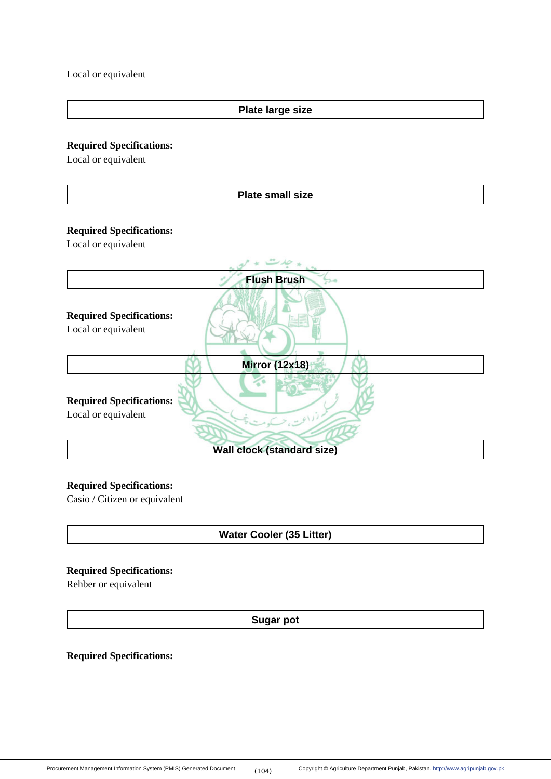Local or equivalent

Plate large size

Required Specifications: Local or equivalent

Plate small size

Required Specifications: Local or equivalent

Flush Brush

Required Specifications: Local or equivalent

Mirror (12x18)

Required Specifications: Local or equivalent

Wall clock (standard size)

Required Specifications: Casio / Citizen or equivalent

Water Cooler (35 Litter)

Required Specifications: Rehber or equivalent

Sugar pot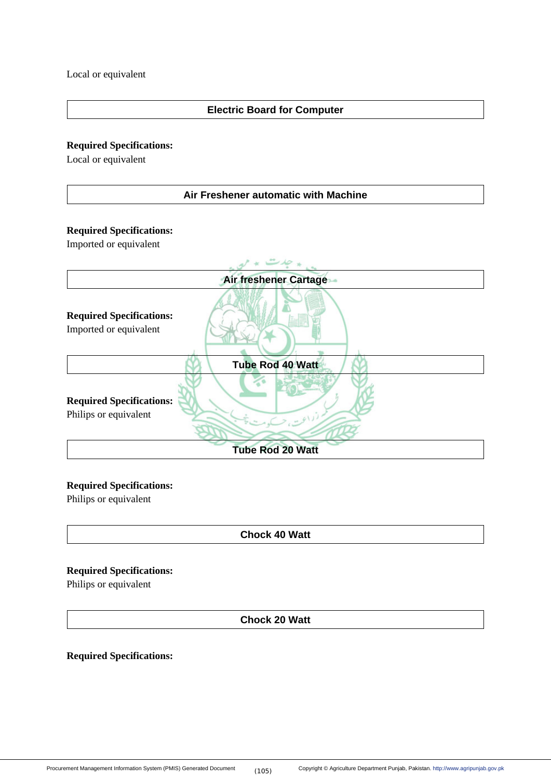Local or equivalent

#### Electric Board for Computer

Required Specifications: Local or equivalent

#### Air Freshener automatic with Machine

Required Specifications: Imported or equivalent

#### Air freshener Cartage

Required Specifications: Imported or equivalent

Tube Rod 40 Watt

Required Specifications: Philips or equivalent

Tube Rod 20 Watt

Required Specifications: Philips or equivalent

Chock 40 Watt

Required Specifications: Philips or equivalent

Chock 20 Watt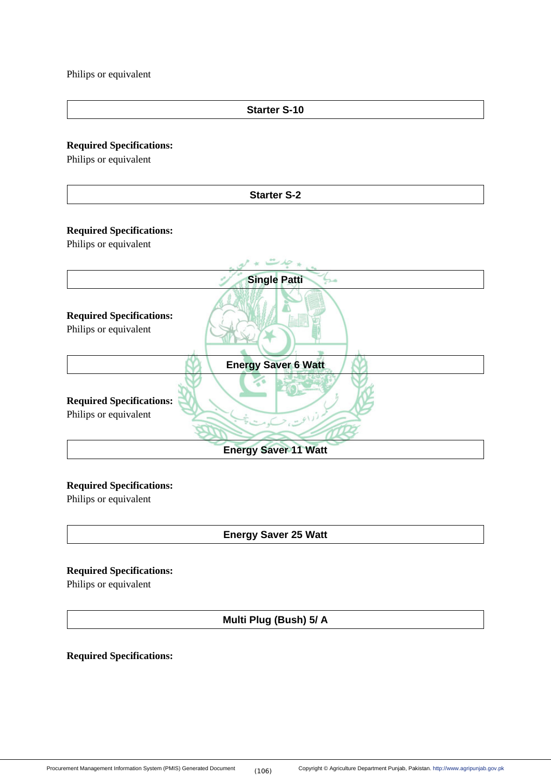Philips or equivalent

Starter S-10

Required Specifications: Philips or equivalent

Starter S-2

Required Specifications: Philips or equivalent

Single Patti

Required Specifications: Philips or equivalent

Energy Saver 6 Watt

Required Specifications: Philips or equivalent

Energy Saver 11 Watt

Required Specifications: Philips or equivalent

Energy Saver 25 Watt

Required Specifications: Philips or equivalent

Multi Plug (Bush) 5/ A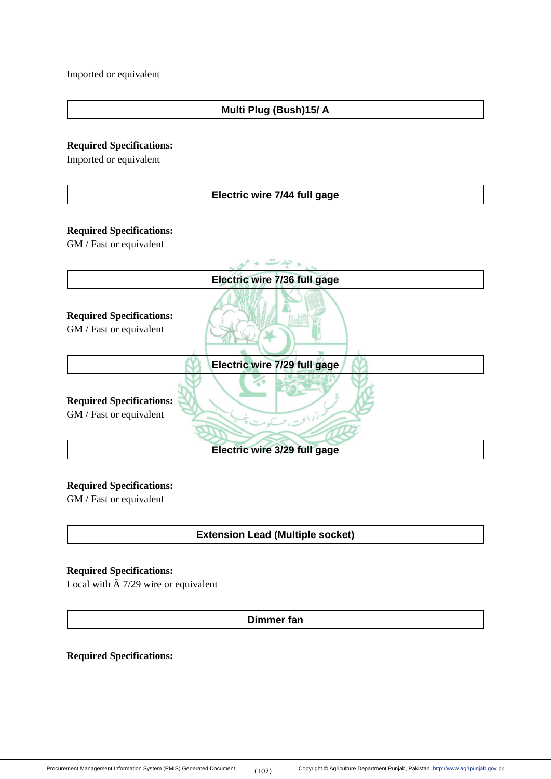Imported or equivalent

#### Multi Plug (Bush)15/ A

Required Specifications: Imported or equivalent

# Electric wire 7/44 full gage

Required Specifications: GM / Fast or equivalent

Electric wire 7/36 full gage

Required Specifications: GM / Fast or equivalent

Electric wire 7/29 full gage

Required Specifications: GM / Fast or equivalent

Electric wire 3/29 full gage

Required Specifications: GM / Fast or equivalent

Extension Lead (Multiple socket)

Required Specifications: Local with  $\hat{A}$  7/29 wire or equivalent

Dimmer fan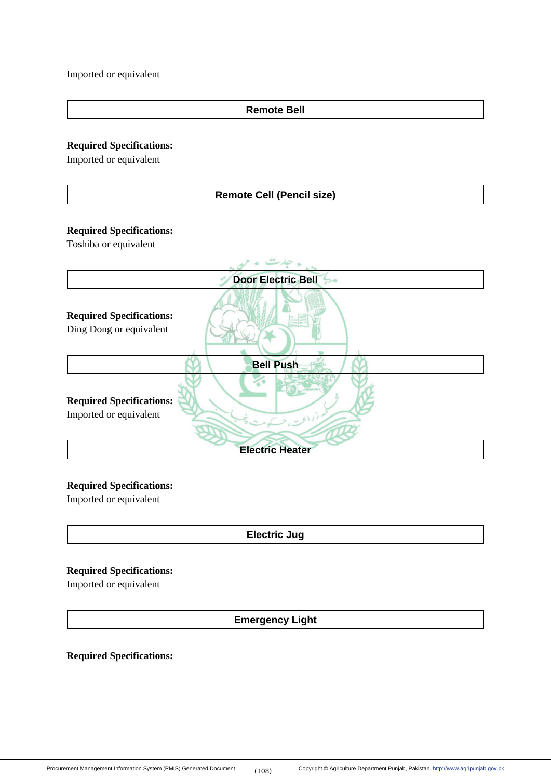Imported or equivalent

Remote Bell

Required Specifications: Imported or equivalent

#### Remote Cell (Pencil size)

Required Specifications: Toshiba or equivalent

Door Electric Bell

Required Specifications: Ding Dong or equivalent

Bell Push

Required Specifications: Imported or equivalent

Electric Heater

Required Specifications: Imported or equivalent

Electric Jug

Required Specifications: Imported or equivalent

Emergency Light

Required Specifications:

Procurement Management Information System (PMIS) Generated Document Copyright © Agriculture Department Punjab, Pakistan. <http://www.agripunjab.gov.pk> (108)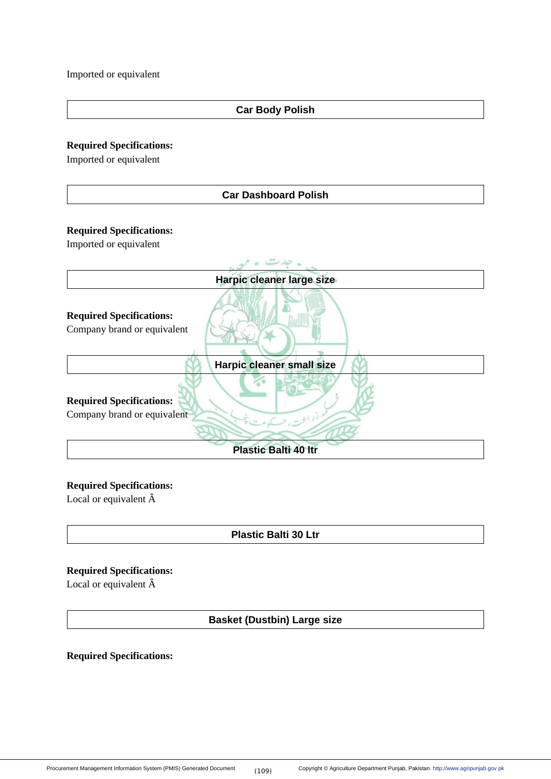Imported or equivalent

Car Body Polish

Required Specifications: Imported or equivalent

Car Dashboard Polish

Required Specifications: Imported or equivalent

Harpic cleaner large size

Required Specifications: Company brand or equivalent

Harpic cleaner small size

Required Specifications: Company brand or equivalent

Plastic Balti 40 ltr

Required Specifications: Local or equivalent  $\hat{A}$ 

Plastic Balti 30 Ltr

Required Specifications: Local or equivalent  $\hat{A}$ 

Basket (Dustbin) Large size

Required Specifications: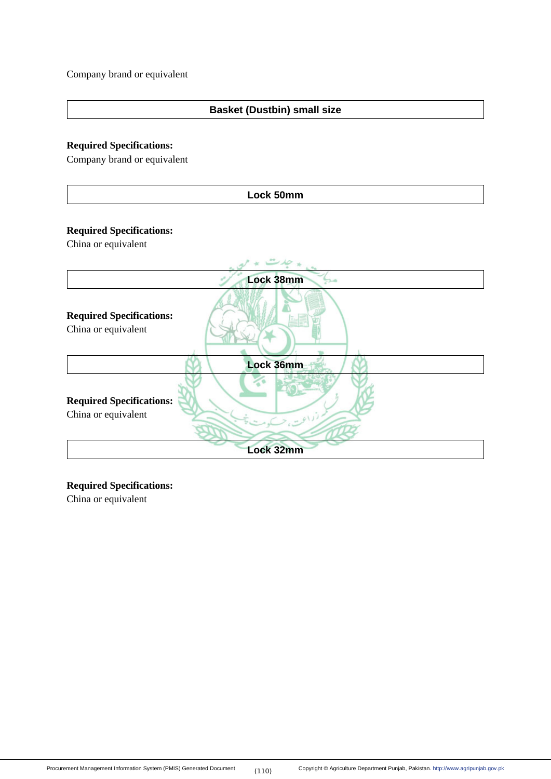Company brand or equivalent

### Basket (Dustbin) small size

Required Specifications: Company brand or equivalent

Lock 50mm

Required Specifications: China or equivalent

Lock 38mm

Required Specifications: China or equivalent

Lock 36mm

Required Specifications: China or equivalent

Lock 32mm

Required Specifications: China or equivalent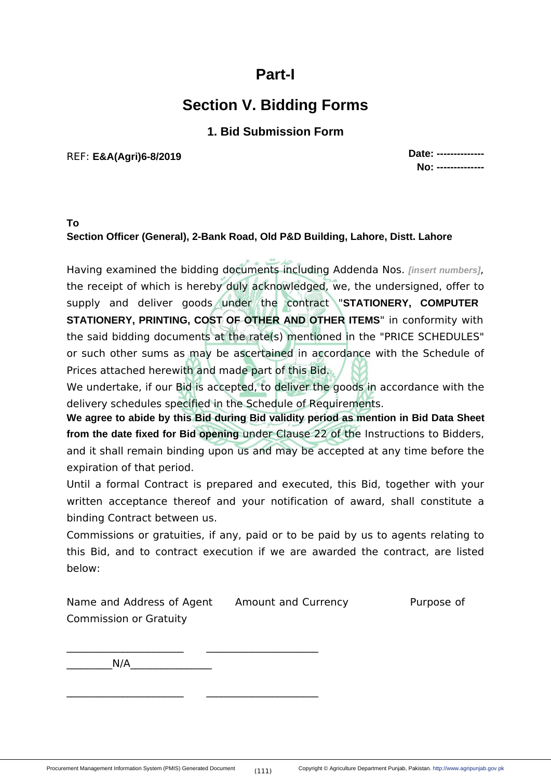# Part-I

# Section V. Bidding Forms

1. Bid Submission Form

R E FE: & A(Agri) 6-8/2019

| Date: -------------- |
|----------------------|
| No: --------------   |

To

Section Officer (General), 2-Bank Road, Old P&D Building, Lahore, Distt. Lahore

Having examined the bidding documents including a harden and Nos. the receipt of which is hereby duly acknowledged, we, the under supply and deliver goods under STATINGENERY, OCONERLITER" STATIONERY, PRINTING, COST OF OTHER AND OTHER ITEMS" in conformity with the said bidding documents at the rate(s) mentioned in the "PRIC or such other sums as may be ascertained in accordance with Prices attached herewith and made part of this Bid. We undertake, if our Bid is accepted, to deliver the goods in accordance delivery schedules specified in the Schedule of Requirements. We agree to abide by this Bid during Bid validity period as mention in Bid Data Sheet from the date fixed for Bid opening under Clause 22 of the Instructions to Bi and it shall remain binding upon us and may be accepted at any t expiration of that period. Until a formal Contract is prepared and executed, this Bid, to written acceptance thereof and your notification of award, shall constitute and a binding Contract between us. Commissions or gratuities, if any, paid or to be paid by us to a this Bid, and to contract execution if we are awarded the co below: Name and Address of Agent Amount and Currency Commission or Gratuity

\_\_\_\_\_\_\_\_\_\_\_\_\_\_\_\_\_\_\_\_\_\_\_\_\_ \_\_\_\_\_\_\_N / A \_ \_ \_ \_ \_ \_ \_ \_ \_ \_ \_ \_ \_ \_ \_ \_

\_\_\_\_\_\_\_\_\_\_\_\_\_\_\_\_\_\_\_\_\_\_\_ \_\_\_\_\_\_\_\_\_\_\_\_\_\_\_\_\_\_\_\_\_\_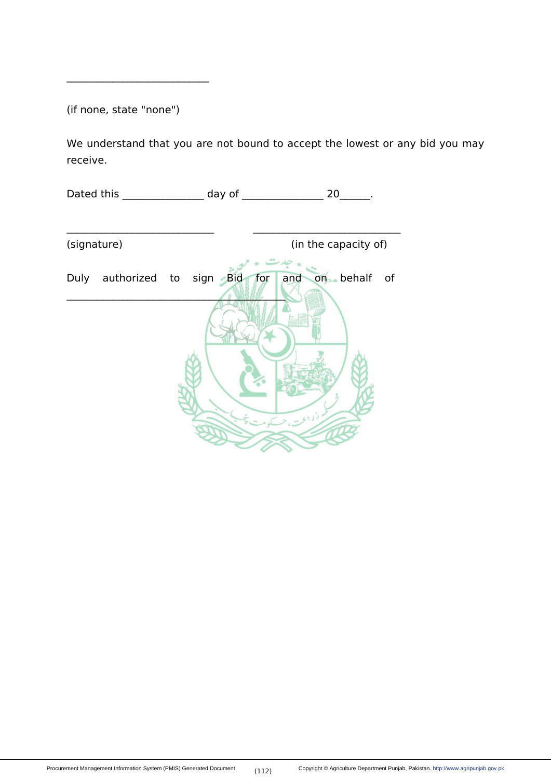|             | (if none, state "none")                                         |  |  |  |  |                  |        |  |
|-------------|-----------------------------------------------------------------|--|--|--|--|------------------|--------|--|
| receive.    | We understand that you are not bound to accept the lowest or an |  |  |  |  |                  |        |  |
|             | Dated this __________________ day of _________________ 20______ |  |  |  |  |                  |        |  |
| (signature) |                                                                 |  |  |  |  | (in the capacity |        |  |
|             | Duly authorized to sign Bid for and on                          |  |  |  |  |                  | behalf |  |
|             |                                                                 |  |  |  |  |                  |        |  |

 $-$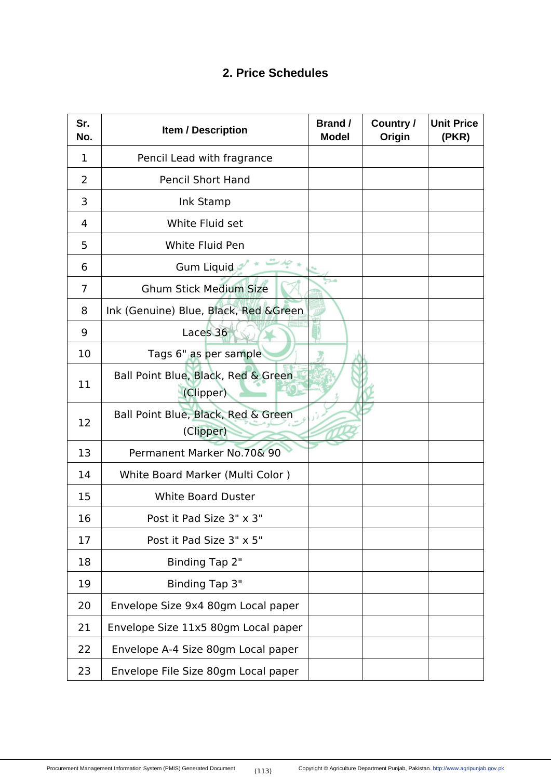### 2. Price Schedules

| Sr.<br>No.     | Item / Description                               | Brand /<br>Model | Country /<br>Origin | <b>Unit Price</b><br>(PKR) |
|----------------|--------------------------------------------------|------------------|---------------------|----------------------------|
| $\mathbf{1}$   | Pencil Lead with fragrance                       |                  |                     |                            |
| 2              | Pencil Short Hand                                |                  |                     |                            |
| 3              | Ink Stamp                                        |                  |                     |                            |
| 4              | White Fluid set                                  |                  |                     |                            |
| 5              | White Fluid Pen                                  |                  |                     |                            |
| 6              | Gum Liquid                                       |                  |                     |                            |
| $\overline{7}$ | Ghum Stick Medium Size                           |                  |                     |                            |
| 8              | Ink (Genuine) Blue, Black, Red &G∥een            |                  |                     |                            |
| 9              | Laces 36                                         |                  |                     |                            |
| 10             | Tags 6" as per sample                            |                  |                     |                            |
| 11             | Ball Point Blue, Black, Red & Green<br>(Clipper) |                  |                     |                            |
| 12             | Ball Point Blue, Black, Red & Green<br>(Clipper) |                  |                     |                            |
| 13             | Permanent Marker No.70& 90                       |                  |                     |                            |
| 14             | White Board Marker (Multi Color                  |                  |                     |                            |
| 15             | White Board Duster                               |                  |                     |                            |
| 16             | Post it Pad Size 3" x                            | $\beta$ "        |                     |                            |
| 17             | Post it Pad Size 3" x 5"                         |                  |                     |                            |
| 18             | Binding Tap 2"                                   |                  |                     |                            |
| 19             | Binding Tap 3"                                   |                  |                     |                            |
| 20             | Envelope Size 9x4 80gm Local paper               |                  |                     |                            |
| 21             | Envelope Size 11x5 80gm Lbcal paper              |                  |                     |                            |
| 22             | Envelope A-4 Size 80gm Local paper               |                  |                     |                            |
| 23             | Envelope File Size 80gm Local paper              |                  |                     |                            |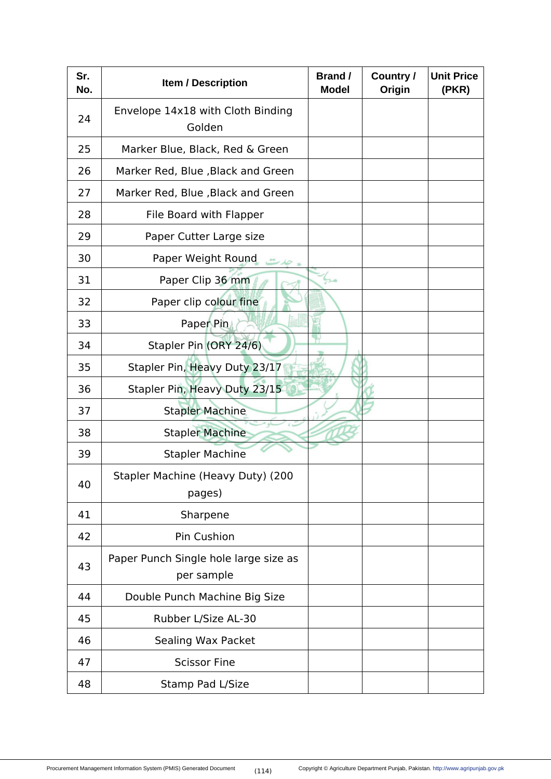| Sr.<br>No. | Item / Description                                       | Brand /<br>Model | Country /<br>Origin | <b>Unit Price</b><br>(PKR) |
|------------|----------------------------------------------------------|------------------|---------------------|----------------------------|
| 24         | Envelope $14x18$ with $C$ loth Binding<br>Golden         |                  |                     |                            |
| 25         | Marker Blue, Black, Red & Green                          |                  |                     |                            |
| 26         | Marker Red, Blue, Black and Green                        |                  |                     |                            |
| 27         | Marker Red, Blue, Black and Green                        |                  |                     |                            |
| 28         | File Board with Flapper                                  |                  |                     |                            |
| 29         | Paper Cutter Large size                                  |                  |                     |                            |
| 30         | Paper Weight Round                                       |                  |                     |                            |
| 31         | Paper Clip 36 mm                                         |                  |                     |                            |
| 32         | Paper clip colour fine                                   |                  |                     |                            |
| 33         | Paper Pin                                                |                  |                     |                            |
| 34         | Stapler Pin (ORY 24/6)                                   |                  |                     |                            |
| 35         | Stapler Pin, Heavy Duty 23/17                            |                  |                     |                            |
| 36         | Stapler Pin, Heavy Duty 23/15                            |                  |                     |                            |
| 37         | Stapler Machine                                          |                  |                     |                            |
| 38         | Stapler Machine                                          |                  |                     |                            |
| 39         | Stapler Machine                                          |                  |                     |                            |
| 40         | Stapler Machine (Heavy Duty) (200<br>$p \land q \in S$ ) |                  |                     |                            |
| 41         | Sharpene                                                 |                  |                     |                            |
| 42         | Pin Cushion                                              |                  |                     |                            |
| 43         | Paper Punch Single hole large size as<br>per sample      |                  |                     |                            |
| 44         | Double Punch Machine Big Size                            |                  |                     |                            |
| 45         | Rubber L/Size AL-30                                      |                  |                     |                            |
| 46         | Sealing Wax Packet                                       |                  |                     |                            |
| 47         | Scissor Fine                                             |                  |                     |                            |
| 48         | Stamp Pad L/Size                                         |                  |                     |                            |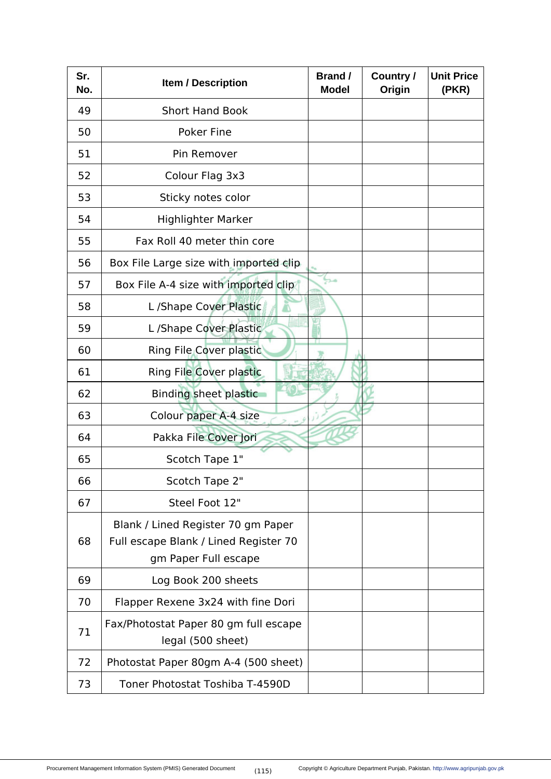| Sr.<br>No.     | Item / Description                                                                                  | Brand /<br>Model | Country /<br>Origin | <b>Unit Price</b><br>(PKR) |
|----------------|-----------------------------------------------------------------------------------------------------|------------------|---------------------|----------------------------|
| 49             | Short Hand Book                                                                                     |                  |                     |                            |
| 50             | Poker Fine                                                                                          |                  |                     |                            |
| 5 <sub>1</sub> | Pin Remover                                                                                         |                  |                     |                            |
| 52             | Colour Flag 3x3                                                                                     |                  |                     |                            |
| 53             | Sticky notes color                                                                                  |                  |                     |                            |
| 54             | Highlighter Marker                                                                                  |                  |                     |                            |
| 55             | Fax Roll 40 meter thin core                                                                         |                  |                     |                            |
| 56             | Box File Large size with imported clip                                                              |                  |                     |                            |
| 57             | Box File A-4 size with imported clip                                                                |                  |                     |                            |
| 58             | L /Shape Cover Plastic                                                                              |                  |                     |                            |
| 59             | L /Shape Cover Plastic                                                                              |                  |                     |                            |
| 60             | Ring File Cover plastic                                                                             |                  |                     |                            |
| 61             | Ring File Cover plastic                                                                             |                  |                     |                            |
| 62             | Binding sheet plastic                                                                               |                  |                     |                            |
| 63             | Colour paper A-4 size                                                                               |                  |                     |                            |
| 64             | Pakka File Cover Jori                                                                               |                  |                     |                            |
| 65             | Scotch Tape 1"                                                                                      |                  |                     |                            |
| 66             | Scotch Tape 2"                                                                                      |                  |                     |                            |
| 67             | Steel Foot 12"                                                                                      |                  |                     |                            |
| 68             | Blank / Lined Register 70 gm Paper<br>Full escape Blank / Lined Register 70<br>gm Paper Full escape |                  |                     |                            |
| 69             | Log Book 200 sheets                                                                                 |                  |                     |                            |
| 70             | Flapper Rexene 3x24 with fine Dori                                                                  |                  |                     |                            |
| 71             | Fax/Photostat Paper 80 gm full escape<br>legal (500 sheet)                                          |                  |                     |                            |
| 72             | Photostat Paper 80gm A-4 (500 sheet)                                                                |                  |                     |                            |
| 73             | Toner Photostat Toshiba T-4590D                                                                     |                  |                     |                            |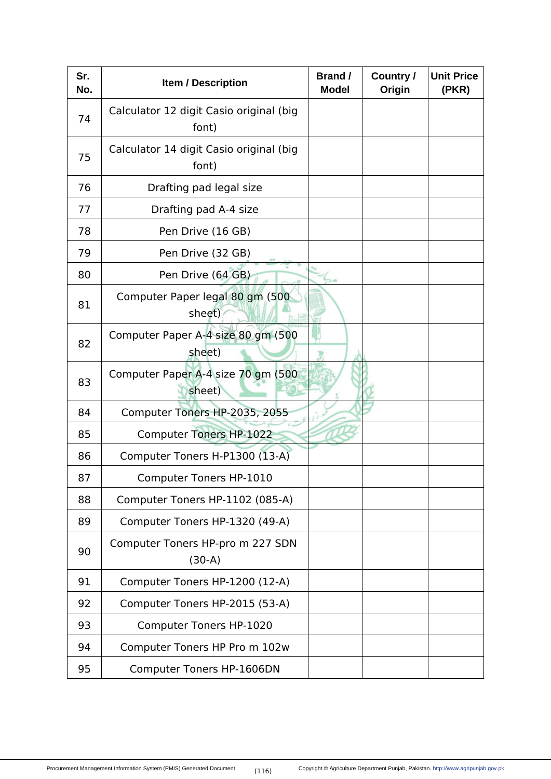| Sr.<br>No. | Item / Description                              | Brand /<br>Model | Country /<br>Origin | <b>Unit Price</b><br>(PKR) |
|------------|-------------------------------------------------|------------------|---------------------|----------------------------|
| 74         | Calculator 12 digit Casio ofiginal<br>font)     |                  | $(b$ ig             |                            |
| 75         | Calculator 14 digit Casio ofiginal<br>font)     |                  | (big                |                            |
| 76         | Drafting pad legal size                         |                  |                     |                            |
| 77         | Drafting pad A-4 size                           |                  |                     |                            |
| 78         | Pen Drive (16 GB)                               |                  |                     |                            |
| 79         | Pen Drive (32 GB)                               |                  |                     |                            |
| 80         | Pen Drive (64 GB)                               |                  |                     |                            |
| 81         | Computer Paper legal 80 gm (500<br>$shee$ t)    |                  |                     |                            |
| 82         | Computer Paper A-4 size 80 gm (500<br>$shee$ t) |                  |                     |                            |
| 83         | Computer Paper A-4 size 70 gm (500<br>$shee$ t) |                  |                     |                            |
| 84         | Computer Toners HP-2035, 2055                   |                  |                     |                            |
| 85         | Computer Toners HP-1022                         |                  |                     |                            |
| 86         | Computer Toners H-P1300 (13-A)                  |                  |                     |                            |
| 87         | Computer Toners HP-10 10                        |                  |                     |                            |
| 88         | Computer Toners HP-1102   (085-A)               |                  |                     |                            |
| 89         | Computer Toners HP-1320 (49-A)                  |                  |                     |                            |
| 90         | Computer Toners HP-pro m 227 SDN<br>$(30 - A)$  |                  |                     |                            |
| 91         | Computer Toners HP-1200 (12-A)                  |                  |                     |                            |
| 92         | Computer Toners HP-2015 (53-A)                  |                  |                     |                            |
| 93         | Computer Toners HP-1020                         |                  |                     |                            |
| 94         | Computer Toners HP Pro m 102w                   |                  |                     |                            |
| 95         | Computer Toners HP-1606DN                       |                  |                     |                            |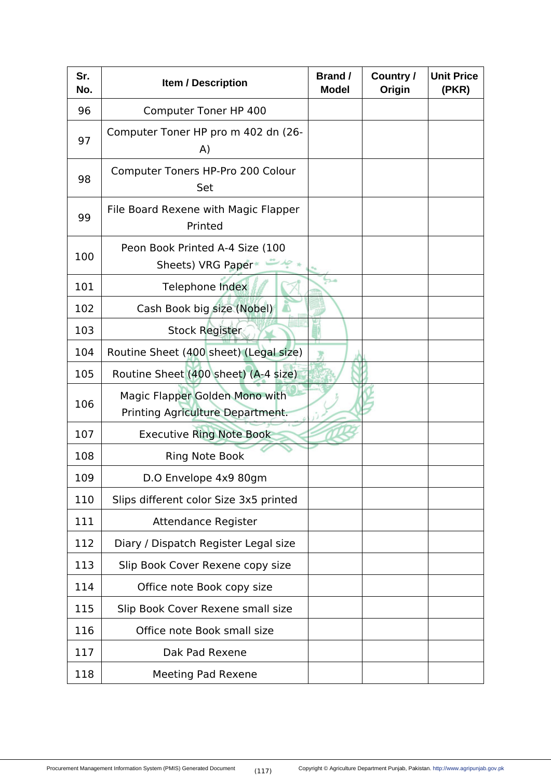| Sr.<br>No. | Item / Description                                                 | Brand /<br>Model | Country /<br>Origin | <b>Unit Price</b><br>(PKR) |
|------------|--------------------------------------------------------------------|------------------|---------------------|----------------------------|
| 96         | Computer Toner HP 400                                              |                  |                     |                            |
| 97         | Computer Toner HP pro m $4 02$ dn $(26 -$<br>A)                    |                  |                     |                            |
| 98         | Computer Toners HP-Pro 200 Colour<br>Set                           |                  |                     |                            |
| 99         | File Board Rexene with Magic Flapper<br>Printed                    |                  |                     |                            |
| 100        | Peon Book Printed A-4 Size (100<br>Sheets) VRG Paper               |                  |                     |                            |
| $101$      | Telephone Index                                                    |                  |                     |                            |
| 102        | Cash Book big size (Nobel)                                         |                  |                     |                            |
| 103        | Stock Register                                                     |                  |                     |                            |
| 104        | Routine Sheet (400 sheet) (Legal size)                             |                  |                     |                            |
| 105        | Routine Sheet (400 sheet) $(A - 4 s i \nmid e)$                    |                  |                     |                            |
| 106        | Magic Flapper Golden Mono with<br>Printing Agriculture Department. |                  |                     |                            |
| 107        | Executive Ring Note Book                                           |                  |                     |                            |
| 108        | Ring Note Book                                                     |                  |                     |                            |
| 109        | D.O Envelope 4x9 80gm                                              |                  |                     |                            |
| $110$      | Slips different color Size 3x5 printed                             |                  |                     |                            |
| 111        | Attendance Register                                                |                  |                     |                            |
| $112$      | Diary / Dispatch Register Legal size                               |                  |                     |                            |
| 113        | Slip Book Cover Rexene copy size                                   |                  |                     |                            |
| $114$      | Office note Book copy size                                         |                  |                     |                            |
| 115        | Slip Book Cover Rexene small size                                  |                  |                     |                            |
| 116        | Office note Book small size                                        |                  |                     |                            |
| $117$      | Dak Pad Rexene                                                     |                  |                     |                            |
| 118        | Meeting Pad Rexene                                                 |                  |                     |                            |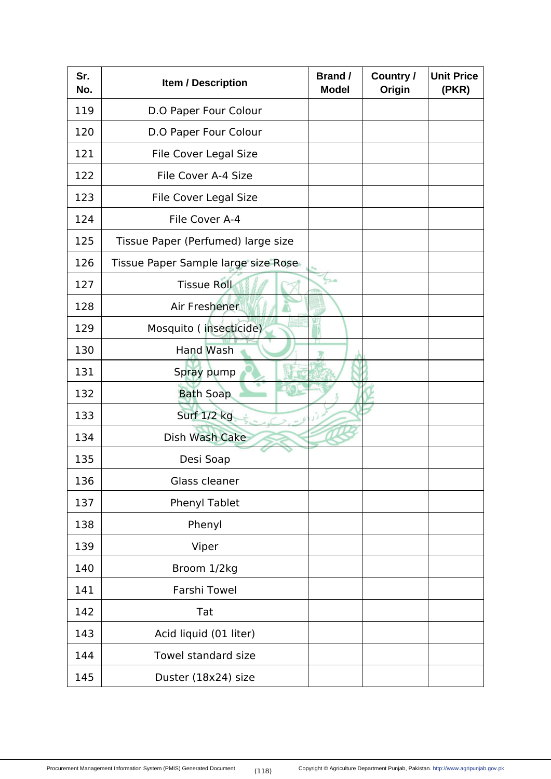| Sr.<br>No. | Item / Description                  | Brand /<br>Model | Country /<br>Origin | <b>Unit Price</b><br>(PKR) |
|------------|-------------------------------------|------------------|---------------------|----------------------------|
| 119        | D.O Paper Four Colour               |                  |                     |                            |
| 120        | D.O Paper Four Colour               |                  |                     |                            |
| $121$      | File Cover Legal Size               |                  |                     |                            |
| $122$      | File Cover A-4 Size                 |                  |                     |                            |
| 123        | File Cover Legal Size               |                  |                     |                            |
| $124$      | File Cover A-4                      |                  |                     |                            |
| 125        | Tissue Paper (Perfumed) large size  |                  |                     |                            |
| 126        | Tissue Paper Sample large size Rose |                  |                     |                            |
| 127        | Tissue Roll                         |                  |                     |                            |
| 128        | Air Freshener                       |                  |                     |                            |
| 129        | Mosquito (insecticide)              |                  |                     |                            |
| 130        | Hand Wash                           |                  |                     |                            |
| 131        | Spray pump                          |                  |                     |                            |
| 132        | Bath Soap                           |                  |                     |                            |
| 133        | Surf $1/2$ kg                       |                  |                     |                            |
| 134        | Dish Wash Cake                      |                  |                     |                            |
| 135        | Desi Soap                           |                  |                     |                            |
| 136        | Glass cleaner                       |                  |                     |                            |
| 137        | Phenyl Tablet                       |                  |                     |                            |
| 138        | Phenyl                              |                  |                     |                            |
| 139        | Viper                               |                  |                     |                            |
| $140$      | Broom 1/2kg                         |                  |                     |                            |
| 141        | Farshi Towel                        |                  |                     |                            |
| $142$      | Tat                                 |                  |                     |                            |
| 143        | Acid liquid (01 liter)              |                  |                     |                            |
| 144        | Towel standard size                 |                  |                     |                            |
| 145        | Duster (18x24) size                 |                  |                     |                            |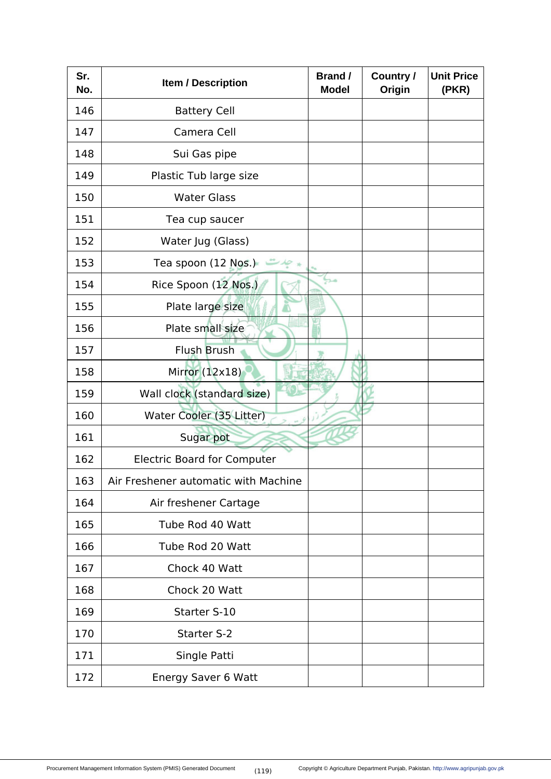| Sr.<br>No. | Item / Description                   | Brand /<br>Model | Country /<br>Origin | <b>Unit Price</b><br>(PKR) |
|------------|--------------------------------------|------------------|---------------------|----------------------------|
| 146        | Battery Cell                         |                  |                     |                            |
| 147        | Camera Cell                          |                  |                     |                            |
| 148        | Sui Gas pipe                         |                  |                     |                            |
| 149        | Plastic Tub large size               |                  |                     |                            |
| 150        | Water Glass                          |                  |                     |                            |
| 151        | Tea cup saucer                       |                  |                     |                            |
| 152        | Water Jug (Glass)                    |                  |                     |                            |
| 153        | Tea spoon (12 Nos.)                  |                  |                     |                            |
| 154        | Rice Spoon (12 Nos.)                 |                  |                     |                            |
| 155        | Plate large size                     |                  |                     |                            |
| 156        | Plate small size                     |                  |                     |                            |
| 157        | Flush Brush                          |                  |                     |                            |
| 158        | Mirror (12x18)                       |                  |                     |                            |
| 159        | Wall clock (standard size)           |                  |                     |                            |
| 160        | Water Cooler (35 Litter)             |                  |                     |                            |
| 161        | Sugar pot                            |                  |                     |                            |
| 162        | Electric Board for Computer          |                  |                     |                            |
| 163        | Air Freshener automatic with Machine |                  |                     |                            |
| 164        | Air freshener Cartage                |                  |                     |                            |
| 165        | Tube Rod 40 Watt                     |                  |                     |                            |
| 166        | Tube Rod 20 Watt                     |                  |                     |                            |
| 167        | Chock 40 Watt                        |                  |                     |                            |
| 168        | Chock 20 Watt                        |                  |                     |                            |
| 169        | Starter S-10                         |                  |                     |                            |
| 170        | Starter S-2                          |                  |                     |                            |
| 171        | Single Patti                         |                  |                     |                            |
| 172        | Energy Saver 6 Watt                  |                  |                     |                            |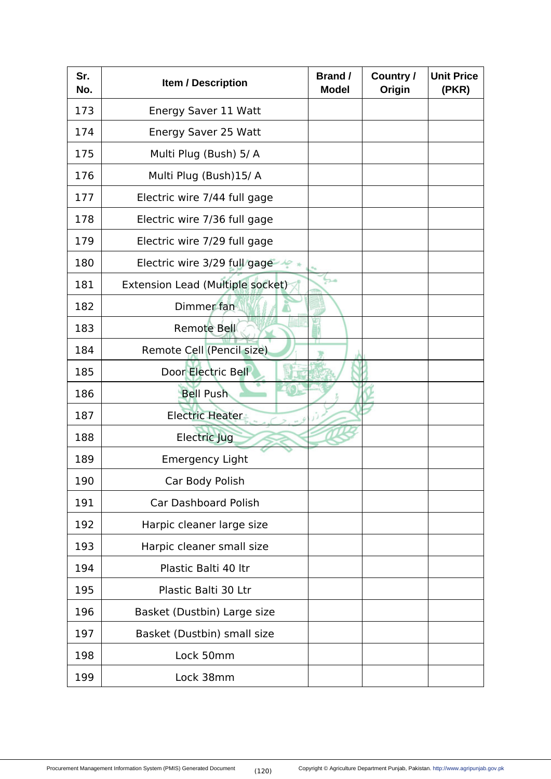| Sr.<br>No. | Item / Description               | Brand /<br>Model | Country /<br>Origin | <b>Unit Price</b><br>(PKR) |
|------------|----------------------------------|------------------|---------------------|----------------------------|
| 173        | Energy Saver 11 Watt             |                  |                     |                            |
| 174        | Energy Saver 25 Watt             |                  |                     |                            |
| 175        | Multi Plug (Bush) 5/ A           |                  |                     |                            |
| 176        | Multi Plug (Bush)15/ A           |                  |                     |                            |
| 177        | Electric wire 7/44 full gage     |                  |                     |                            |
| 178        | Electric wire 7/36 full gage     |                  |                     |                            |
| 179        | Electric wire 7/29 full gage     |                  |                     |                            |
| 180        | Electric wire 3/29 full gage     |                  |                     |                            |
| 181        | Extension Lead (Multiple socket) |                  |                     |                            |
| 182        | Dimmer fan                       |                  |                     |                            |
| 183        | Remote Bell                      |                  |                     |                            |
| 184        | Remote Cell (Pencil size)        |                  |                     |                            |
| 185        | Door Electric Bell               |                  |                     |                            |
| 186        | Bell Push                        |                  |                     |                            |
| 187        | Electric Heater                  |                  |                     |                            |
| 188        | Electric Jug                     |                  |                     |                            |
| 189        | Emergency Light                  |                  |                     |                            |
| 190        | Car Body Polish                  |                  |                     |                            |
| 191        | Car Dashboard Polish             |                  |                     |                            |
| 192        | Harpic cleaner large size        |                  |                     |                            |
| 193        | Harpic cleaner small size        |                  |                     |                            |
| 194        | Plastic Balti 40 ltr             |                  |                     |                            |
| 195        | Plastic Balti 30 Ltr             |                  |                     |                            |
| 196        | Basket (Dustbin) Large           | $s$ i z e        |                     |                            |
| 197        | Basket (Dustbin) small           | size             |                     |                            |
| 198        | Lock 50mm                        |                  |                     |                            |
| 199        | Lock 38mm                        |                  |                     |                            |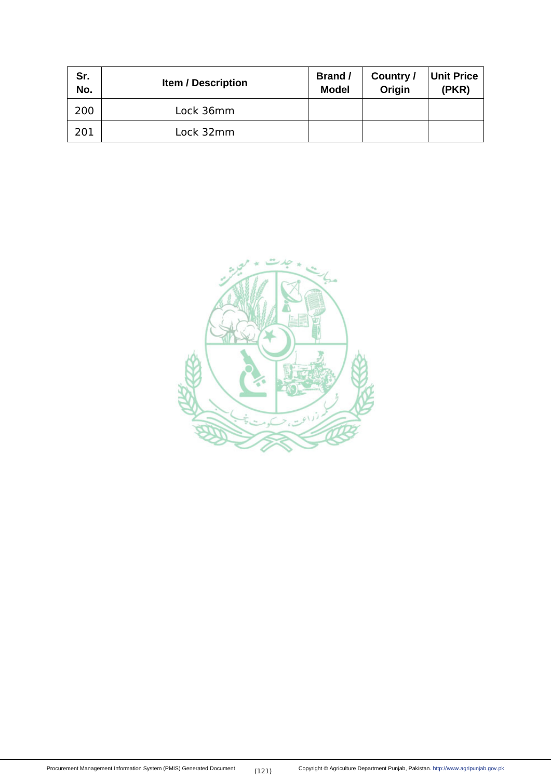| Sr.<br>No. | Item / Description | Brand /<br>Model | Country /<br>Origin | Unit Price<br>(PKR) |
|------------|--------------------|------------------|---------------------|---------------------|
| 200        | Lock 36mm          |                  |                     |                     |
| 201        | Lock 32mm          |                  |                     |                     |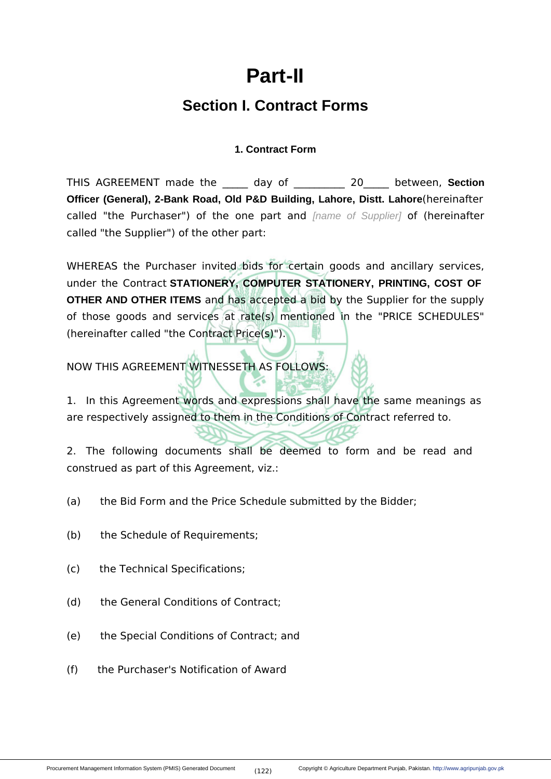# Part-II

# Section I. Contract Forms

### 1. Contract Form

THIS AGREEMENT made the  $\frac{1}{2}$   $\frac{1}{2}$  ay of  $\frac{1}{2}$   $\frac{1}{2}$   $\frac{1}{2}$   $\frac{1}{2}$   $\frac{1}{2}$   $\frac{1}{2}$ Officer (General), 2-Bank Road, Old P&D Building, Lahore, Distt. Lahore (hereinafter called "the Purchaser") of the neme of pappilier and f (hereinafter called "the Supplier") of the other part:

WHEREAS the Purchaser invited bids for certain goods and a under the Constationery, COMPUTER STATIONERY, PRINTING, COST OF OTHER AND OTHER ITEMS and has accepted a bid by the Supplier for th of those goods and services at rate(s) mentioned in the "PR (hereinafter called "the Contract Price(s)").

NOW THIS AGREEMENT WITNESSETH AS FOLLOWS:

1. In this Agreement words and expressions shall have the sam are respectively assigned to them in the Conditions of Contract re

2. The following documents shall be deemed to form and construed as part of this Agreement, viz.:

- (a) the Bid Form and the Price Schedule submitted by the Bidd
- (b) the Schedule of Requirements;
- (c) the Technical Specifications;
- (d) the General Conditions of Contract;
- (e) the Special Conditions of Contract; and
- (f) the Purchaser's Notification of Award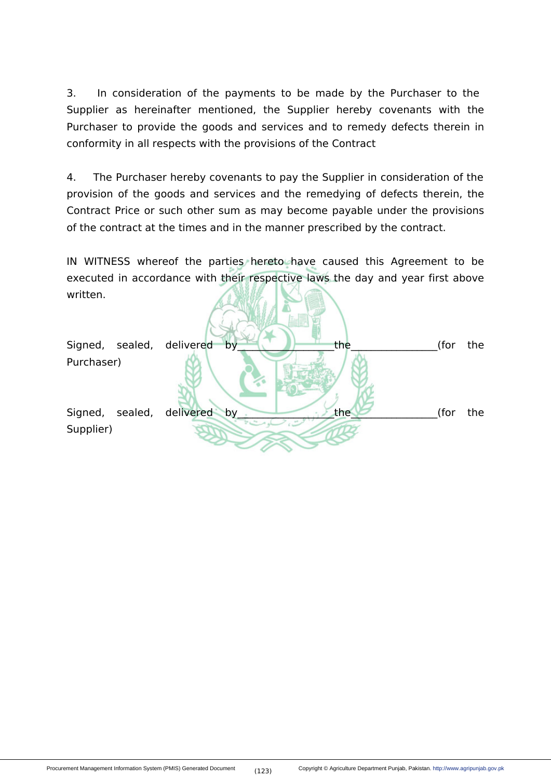3. In consideration of the payments to be made by the I Supplier as hereinafter mentioned, the Supplier hereby cov Purchaser to provide the goods and services and to remedy de conformity in all respects with the provisions of the Contract

4. The Purchaser hereby covenants to pay the Supplier in constant provision of the goods and services and the remedying of defe Contract Price or such other sum as may become payable under of the contract at the times and in the manner prescribed by the c

IN WITNESS whereof the parties hereto have caused this executed in accordance with their respective laws the day and written.

Signed, sealed, delivered by\_\_\_\_\_\_\_\_\_\_\_\_\_\_\_\_\_\_\_\_\_\_the\_\_\_\_\_\_ Purchaser)

Signed, sealed, delivered by\_\_\_\_\_\_\_\_\_\_\_\_\_\_\_\_\_\_\_\_\_\_\_the\_\_\_\_\_\_ Supplier)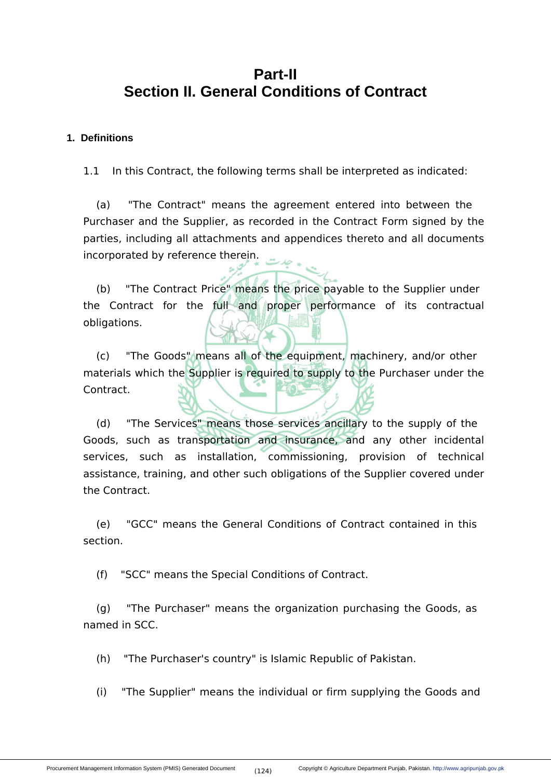# Part-II Section II. General Conditions of Contract

### 1. Definitions

1.1 In this Contract, the following terms shall be interpreted

 (a) "The Contract" means the agreement entered into between the Purchaser and the Supplier, as recorded in the Contract Form parties, including all attachments and appendices thereto and incorporated by reference therein.

(b) "The Contract Price" means the price payable to the the Contract for the full and proper performance o obligations.

 (c) "The Goods" means all of the equipment, machinery, and/or other materials which the Supplier is required to supply to the Purch Contract.

 (d) "The Services" means those services ancillary to the supply of the Goods, such as transportation and insurance, and any services, such as installation, commissioning, provis assistance, training, and other such obligations of the Supplier the Contract.

 (e) "GCC" means the General Conditions of Contract contained in this section.

(f) "SCC" means the Special Conditions of Contract.

(g) "The Purchaser" means the organization purchasing named in SCC.

(h) "The Purchaser's country" is Islamic Republic of Pakistan.

(i) "The Supplier" means the individual or firm supplying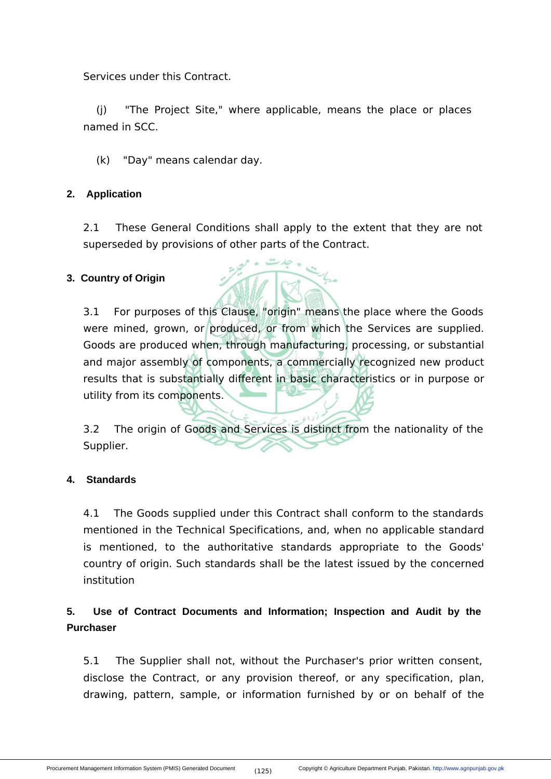Services under this Contract.

(j) "The Project Site," where applicable, means the p named in SCC.

(k) "Day" means calendar day.

2. Application

2.1 These General Conditions shall apply to the extent th superseded by provisions of other parts of the Contract.

#### 3. Country of Origin

3.1 For purposes of this Clause, "origin" means the place w were mined, grown, or produced, or from which the Service Goods are produced when, through manufacturing, processing, and major assembly of components, a commercially recognized results that is substantially different in basic characteristics utility from its components.

3.2 The origin of Goods and Services is distinct from the n Supplier.

#### 4. Standards

4.1 The Goods supplied under this Contract shall conform to mentioned in the Technical Specifications, and, when no appli is mentioned, to the authoritative standards appropriate country of origin. Such standards shall be the latest issued by institution

5. Use of Contract Documents and Information; Inspection and Audit by the Purchaser

5.1 The Supplier shall not, without the Purchaser's prior disclose the Contract, or any provision thereof, or any sp drawing, pattern, sample, or information furnished by or o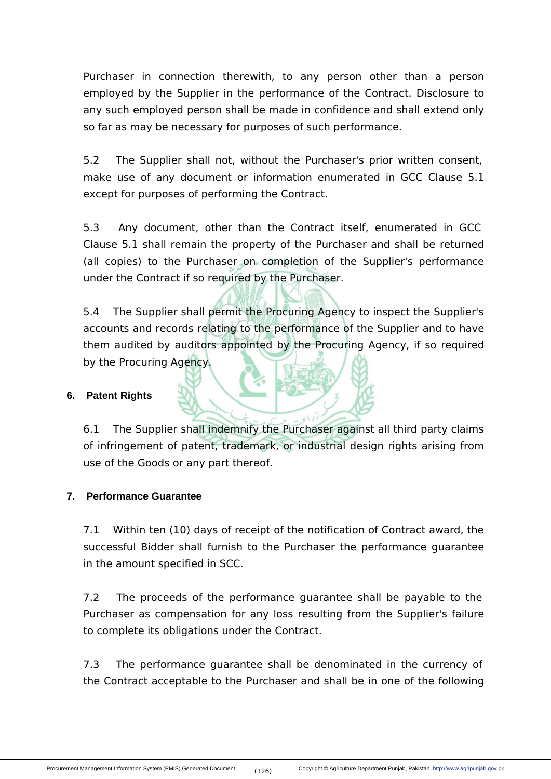Purchaser in connection therewith, to any person other employed by the Supplier in the performance of the Contract any such employed person shall be made in confidence and sha so far as may be necessary for purposes of such performance.

5.2 The Supplier shall not, without the Purchaser's prior make use of any document or information enumerated in G except for purposes of performing the Contract.

5.3 Any document, other than the Contract itself, enun Clause 5.1 shall remain the property of the Purchaser and shall (all copies) to the Purchaser on completion of the Supplie under the Contract if so required by the Purchaser.

5.4 The Supplier shall permit the Procuring Ageppyieto'sinspect accounts and records relating to the performance of the Suppli them audited by auditors appointed by the Procuring Agency, by the Procuring Agency.

### 6. Patent Rights

6.1 The Supplier shall indemnify the Purchaser against all th of infringement of patent, trademark, or industrial design righ use of the Goods or any part thereof.

#### 7. Performance Guarantee

7.1 Within ten (10) days of receipt of the notification of Con successful Bidder shall furnish to the Purchaser the perform in the amount specified in SCC.

7.2 The proceeds of the performance guarantee shall be Purchaser as compensation for any loss resulting from the S to complete its obligations under the Contract.

7.3 The performance quarantee shall be denominated in t the Contract acceptable to the Purchaser and shall be in one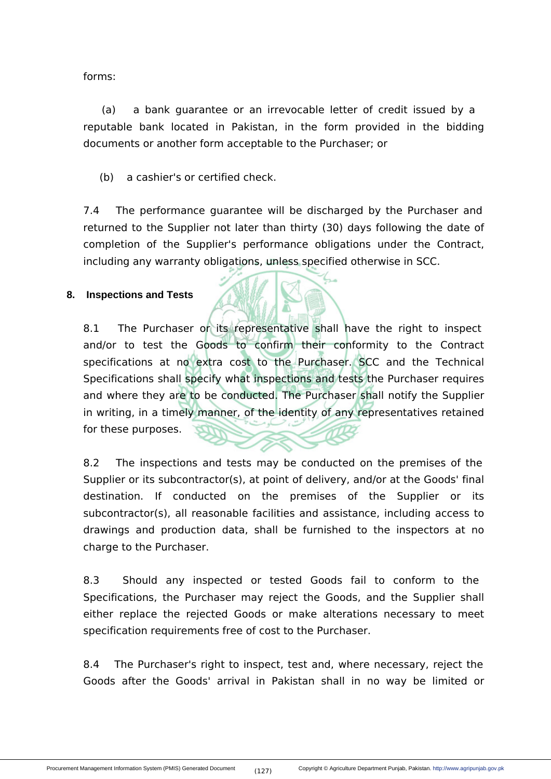forms:

(a) a bank guarantee or an irrevocable letter of cre reputable bank located in Pakistan, in the form provided documents or another form acceptable to the Purchaser; or

(b) a cashier's or certified check.

7.4 The performance guarantee will be discharged by the returned to the Supplier not later than thirty (30) days follow completion of the Supplier's performance obligations unde including any warranty obligations, unless specified otherwise i

#### 8. Inspections and Tests

8.1 The Purchaser or its representative shall have the and/or to test the Goods to confirm their conformity specifications at no extra cost to the Purchaser. SCC a Specifications shall specify what inspections and tests the Pur and where they are to be conducted. The Purchaser shall noti in writing, in a timely manner, of the identity of any represent for these purposes.

8.2 The inspections and tests may be conducted on the p Supplier or its subcontractor(s), at point of delivery, and/or at destination. If conducted on the premises of the subcontractor(s), all reasonable facilities and assistance, inc drawings and production data, shall be furnished to the i charge to the Purchaser.

8.3 Should any inspected or tested Goods fail to Specifications, the Purchaser may reject the Goods, and th either replace the rejected Goods or make alterations nec specification requirements free of cost to the Purchaser.

8.4 The Purchaser's right to inspect, test and, where neces Goods after the Goods' arrival in Pakistan shall in no w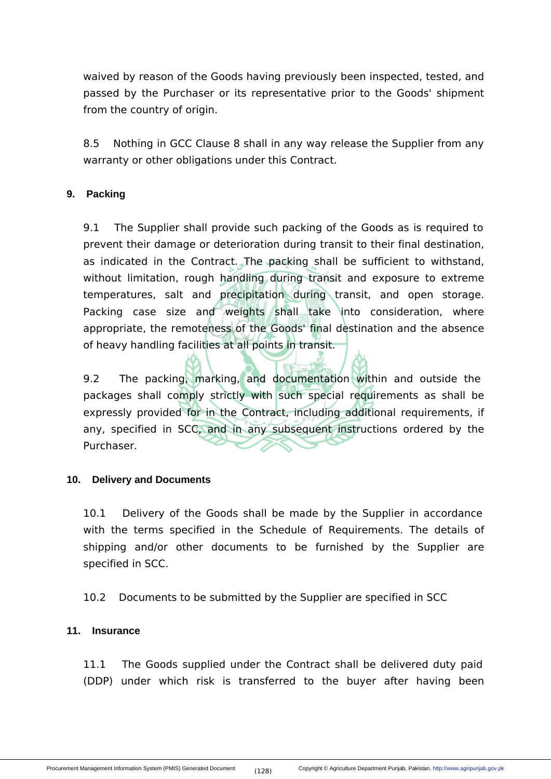waived by reason of the Goods having previously been inspecte passed by the Purchaser or its representative prior to the C from the country of origin.

8.5 Nothing in GCC Clause 8 shall in any way release the Supplier warranty or other obligations under this Contract.

#### 9. Packing

9.1 The Supplier shall provide such packing of the Goods as prevent their damage or deterioration during transit to their fir as indicated in the Contract. The packing shall be sufficie without limitation, rough handling during transit and expose temperatures, salt and precipitation during transit, and Packing case size and weights shall take into con appropriate, the remoteness of the Goods' final destination ar of heavy handling facilities at all points in transit.

9.2 The packing, marking, and documentation within a packages shall comply strictly with such special requireme expressly provided for in the Contract, including additional any, specified in SCC, and in any subsequent instructions Purchaser.

#### 10. Delivery and Documents

10.1 Delivery of the Goods shall be made by the Supplie with the terms specified in the Schedule of Requirements. shipping and/or other documents to be furnished by t specified in SCC.

10.2 Documents to be submitted by the Supplier are specified

#### 11. Insurance

11.1 The Goods supplied under the Contract shall be delive  $(DDP)$  under which risk is transferred to the buyer a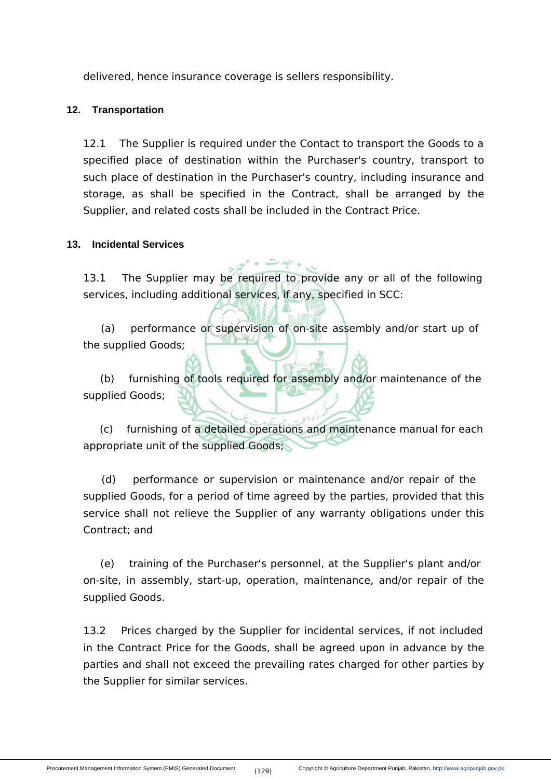delivered, hence insurance coverage is sellers responsibility.

12. Transportation

12.1 The Supplier is required under the Contact to transport specified place of destination within the Purchaser's count such place of destination in the Purchaser's country, including storage, as shall be specified in the Contract, shall be Supplier, and related costs shall be included in the Contract Pri

13. Incidental Services

13.1 The Supplier may be required to provide any or all services, including additional services, if any, specified in SCC

(a)  $performation$  of on-site assembly and the supplied Goods;

(b) furnishing of tools required for assembly and/or mai supplied Goods;

(c) furnishing of a detailed operations and maan the nance r appropriate unit of the supplied Goods;

(d) performance or supervision or maintenance and/or supplied Goods, for a period of time agreed by the parties, pro service shall not relieve the Supplier of any warranty obliga Contract; and

(e) training of the Purchaser's personnel, at the Suppli on-site, in assembly, start-up, operation, maintenance, and/d supplied Goods.

13.2 Prices charged by the Supplier for incidental services in the Contract Price for the Goods, shall be agreed upon in parties and shall not exceed the prevailing rates charged for o the Supplier for similar services.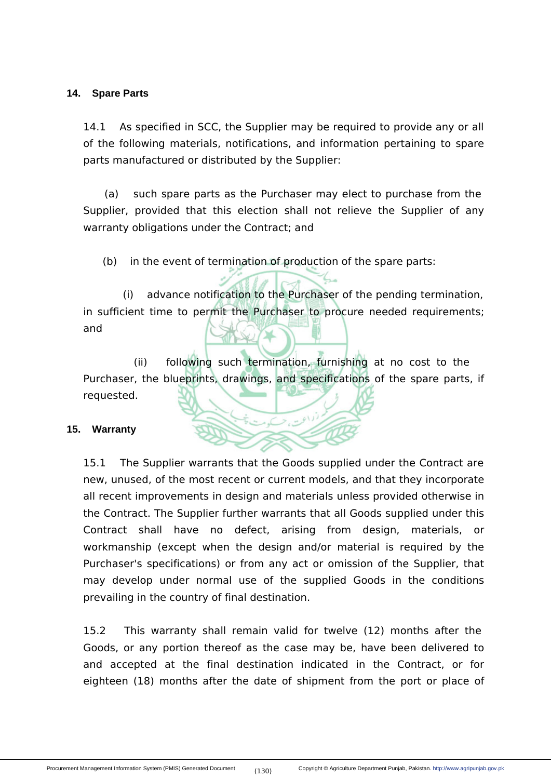14. Spare Parts

14.1 As specified in SCC, the Supplier may be required to provide any of the following materials, notifications, and information pert parts manufactured or distributed by the Supplier:

(a) such spare parts as the Purchaser may elect to purchase Supplier, provided that this election shall not relieve the warranty obligations under the Contract; and

(b) in the event of termination of production of the spare

 $(i)$  advance notification to the Purchas erradifion he pen in sufficient time to permit the Purchaser to procure needed and

(ii) following such termination, furnishing at Purchaser, the blueprints, drawings, and specifications of the requested.

15. Warranty

15.1 The Supplier warrants that the Goods supplied under the new, unused, of the most recent or current models, and that the all recent improvements in design and materials unless provide the Contract. The Supplier further warrants that all Goods supp Contract shall have no defect, arising from desi workmanship (except when the design and/or material is  $r \cdot$ Purchaser's specifications) or from any act or omission of th may develop under normal use of the supplied Goods in prevailing in the country of final destination.

15.2 This warranty shall remain valid for twelve (12) m Goods, or any portion thereof as the case may be, have be and accepted at the final destination indicated in the eighteen (18) months after the date of shipment from the p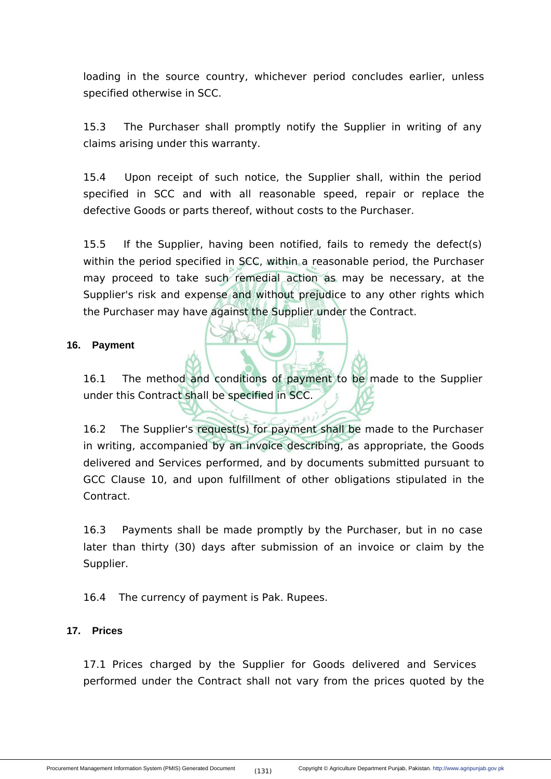loading in the source country, whichever period concludes specified otherwise in SCC.

15.3 The Purchaser shall promptly notify the Supplier in claims arising under this warranty.

15.4 Upon receipt of such notice, the Supplier shall,  $\sqrt{ }$ specified in SCC and with all reasonable speed, repair defective Goods or parts thereof, without costs to the Purchaser

15.5 If the Supplier, having been notified, fails to reme within the period specified in SCC, within a reasonable period may proceed to take such remedial action as may be ne Supplier's risk and expense and without prejudice to any oth the Purchaser may have against the Supplier under the Contract.

16. Payment

16.1 The method and conditions of payment to be made t under this Contract shall be specified in SCC.

16.2 The Supplier's request(s) for payment shall be made to in writing, accompanied by an invoice describing, as appropri delivered and Services performed, and by documents submitte GCC Clause 10, and upon fulfillment of other obligations stipulations Contract.

16.3 Payments shall be made promptly by the Purchaser, later than thirty (30) days after submission of an invoice Supplier.

16.4 The currency of payment is Pak. Rupees.

#### 17. Prices

17.1 Prices charged by the Supplier for Goods delivered performed under the Contract shall not vary from the prices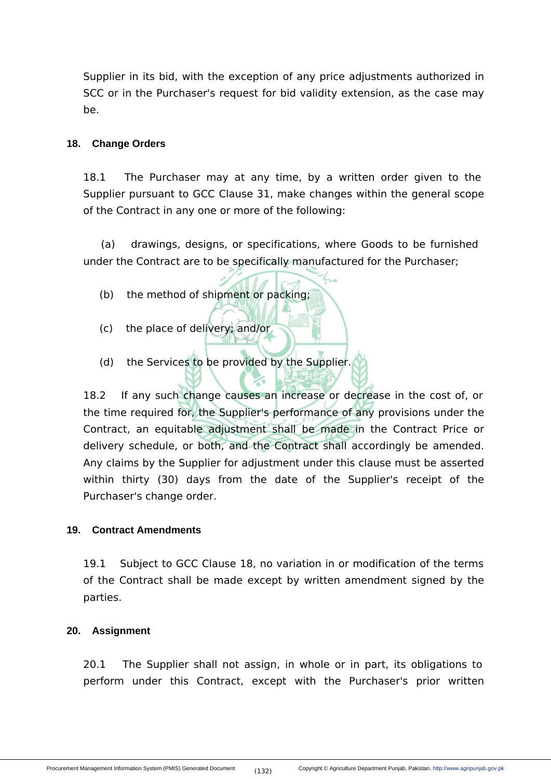Supplier in its bid, with the exception of any price adjustment SCC or in the Purchaser's request for bid validity extension, a be.

#### 18. Change Orders

18.1 The Purchaser may at any time, by a written ord Supplier pursuant to GCC Clause 31, make changes within the of the Contract in any one or more of the following:

(a) drawings, designs, or specifications, where Goods under the Contract are to be specifically manufactured for the P

- (b) the method of shipment or packing;
- (c) the place of delivery; and/or
- (d) the Services to be provided by the Supplier.

18.2 If any such change causes an increase or decrease in the time required for, the Supplier's performance of any provis Contract, an equitable adjustment shall be made in the  $C<sub>1</sub>$ delivery schedule, or both, and the Contract shall according Any claims by the Supplier for adjustment under this clause mu within thirty (30) days from the date of the Supplier' Purchaser's change order.

19. Contract Amendments

19.1 Subject to GCC Clause 18, no variation in or modificat of the Contract shall be made except by written amendment parties.

20. Assignment

20.1 The Supplier shall not assign, in whole or in part, perform under this Contract, except with the Purchaser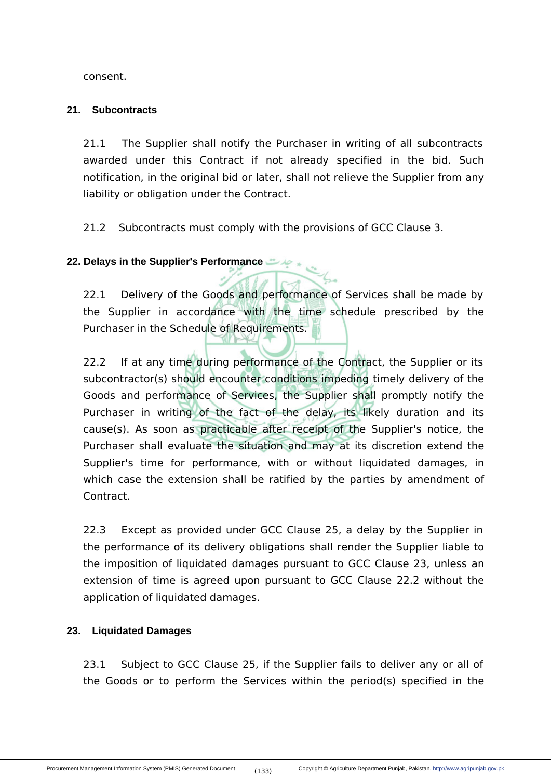consent.

21. Subcontracts

21.1 The Supplier shall notify the Purchaser in writing of awarded under this Contract if not already specified i notification, in the original bid or later, shall not relieve the S liability or obligation under the Contract.

21.2 Subcontracts must comply with the provisions of GCC Cla

22. Delays in the Supplier's Performance

22.1 Delivery of the Goods and performance of Services sh the Supplier in accordance with the time schedule pr Purchaser in the Schedule of Requirements.

22.2 If at any time during performance of the Contract, the subcontractor(s) should encounter conditions impeding timely delivery Goods and performance of Services, the Supplier shall pror Purchaser in writing of the fact of the delay, its likely cause(s). As soon as practicable after receipt of the Supp Purchaser shall evaluate the situation and may at its discre Supplier's time for performance, with or without liquidat which case the extension shall be ratified by the parties by Contract.

22.3 Except as provided under GCC Clause 25, a delay by the performance of its delivery obligations shall render the S the imposition of liquidated damages pursuant to GCC Clause extension of time is agreed upon pursuant to GCC Clause 2 application of liquidated damages.

#### 23. Liquidated Damages

23.1 Subject to GCC Clause 25, if the Supplier fails to del the Goods or to perform the Services within the period(s)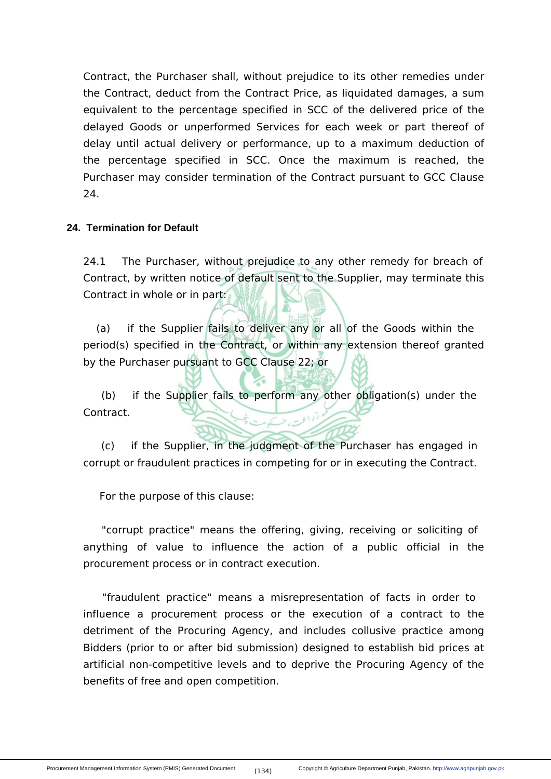Contract, the Purchaser shall, without prejudice to its other the Contract, deduct from the Contract Price, as liquidated d equivalent to the percentage specified in SCC of the delive delayed Goods or unperformed Services for each week or delay until actual delivery or performance, up to a maximum the percentage specified in SCC. Once the maximum Purchaser may consider termination of the Contract pursuant 24.

### 24. Termination for Default

24.1 The Purchaser, without prejudice to any other remed Contract, by written notice of default sent to the Supplier, may Contract in whole or in part:

(a) if the Supplier fails to deliver any or all of the period(s) specified in the Contract, or within any extension by the Purchaser pursuant to GCC Clause 22; or

(b) if the Supplier fails to perform any other obligat Contract.

(c) if the Supplier, in the judgment of the Purchaser corrupt or fraudulent practices in competing for or in executing

For the purpose of this clause:

"corrupt practice" means the offering, giving, receiving anything of value to influence the action of a publ procurement process or in contract execution.

"fraudulent practice" means a misrepresentation of fac influence a procurement process or the execution of a detriment of the Procuring Agency, and includes collusive Bidders (prior to or after bid submission) designed to establi artificial non-competitive levels and to deprive the Procuring benefits of free and open competition.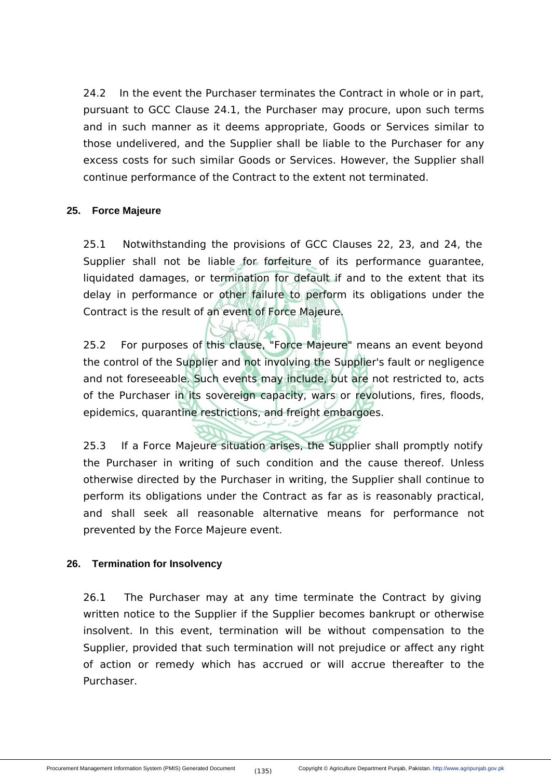24.2 In the event the Purchaser terminates the Cpantract in w pursuant to GCC Clause 24.1, the Purchaser may procure, up and in such manner as it deems appropriate, Goods or Ser those undelivered, and the Supplier shall be liable to the Pu excess costs for such similar Goods or Services. However, th continue performance of the Contract to the extent not terminate

#### 25. Force Majeure

25.1 Notwithstanding the provisions of GCC Clauses 22, Supplier shall not be liable for forfeiture of its perfor liquidated damages, or termination for default if and to the delay in performance or other failure to perform its obliga Contract is the result of an event of Force Majeure.

25.2 For purposes of this clause, "Force Majeure" means a the control of the Supplier and not involving the Supplier's fault and not foreseeable. Such events may include, but are not res of the Purchaser in its sovereign capacity, wars or revolutio epidemics, quarantine restrictions, and freight embargoes.

25.3 If a Force Majeure situation arises, the Supplier shall the Purchaser in writing of such condition and the cause otherwise directed by the Purchaser in writing, the Supplier s perform its obligations under the Contract as far as is reasent and shall seek all reasonable alternative means for prevented by the Force Majeure event.

#### 26. Termination for Insolvency

26.1 The Purchaser may at any time terminate the Con written notice to the Supplier if the Supplier becomes bankrupt insolvent. In this event, termination will be without comp Supplier, provided that such termination will not prejudice or of action or remedy which has accrued or will accrue t Purchaser.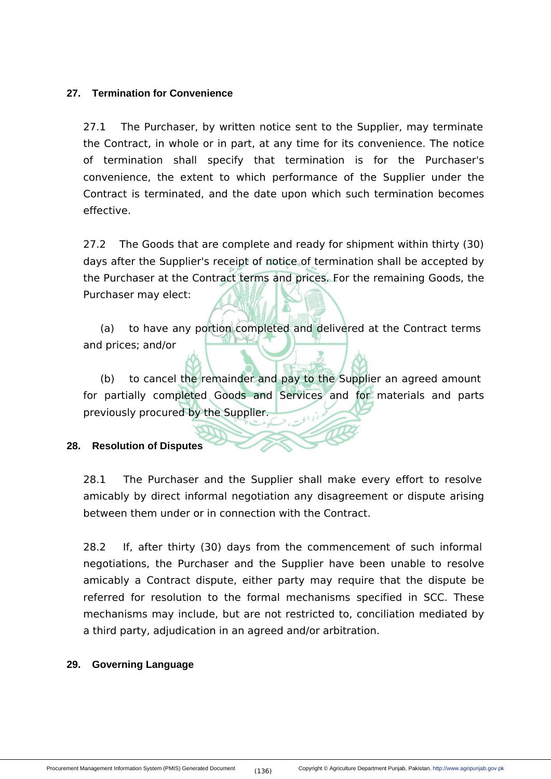#### 27. Termination for Convenience

27.1 The Purchaser, by written notice sent to the Supplier, the Contract, in whole or in part, at any time for its convenie of termination shall specify that termination is for convenience, the extent to which performance of the Suppl Contract is terminated, and the date upon which such termination effective.

27.2 The Goods that are complete and ready for  $\frac{1}{30}$  ment with days after the Supplier's receipt of notice of termination shall the Purchaser at the Contract terms and prices. For the remain Purchaser may elect:

(a) to have any portion completed and delivered at the and prices; and/or

(b) to cancel the remainder and pay to the Supplier an for partially completed Goods and Services and for mate previously procured by the Supplier.

#### 28. Resolution of Disputes

28.1 The Purchaser and the Supplier shall make every e amicably by direct informal negotiation any disagreement or  $\alpha$ between them under or in connection with the Contract.

28.2 If, after thirty (30) days from the commencement of negotiations, the Purchaser and the Supplier have been un amicably a Contract dispute, either party may require that referred for resolution to the formal mechanisms specified mechanisms may include, but are not restricted to, conciliation a third party, adjudication in an agreed and/or arbitration.

#### 29. Governing Language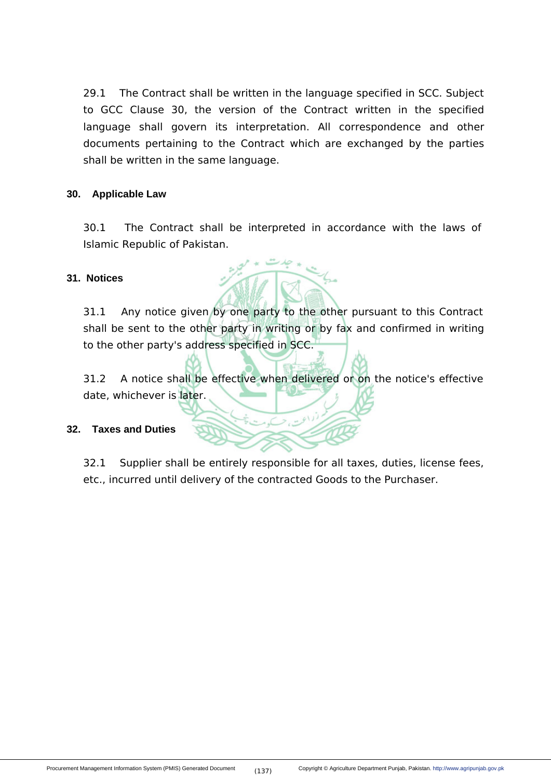29.1 The Contract shall be written in the language specified to GCC Clause 30, the version of the Contract written language shall govern its interpretation. All correspond documents pertaining to the Contract which are exchanged shall be written in the same language.

#### 30. Applicable Law

30.1 The Contract shall be interpreted in accordance w Islamic Republic of Pakistan.

### 31. Notices

31.1 Any notice given by one party to the other pursuant t shall be sent to the other party in writing or by fax and conf to the other party's address specified in SCC.

31.2 A notice shall be effective when delivered or on the n date, whichever is later.

#### 32. Taxes and Duties

32.1 Supplier shall be entirely responsible for all taxes, dut etc., incurred until delivery of the contracted Goods to the Purc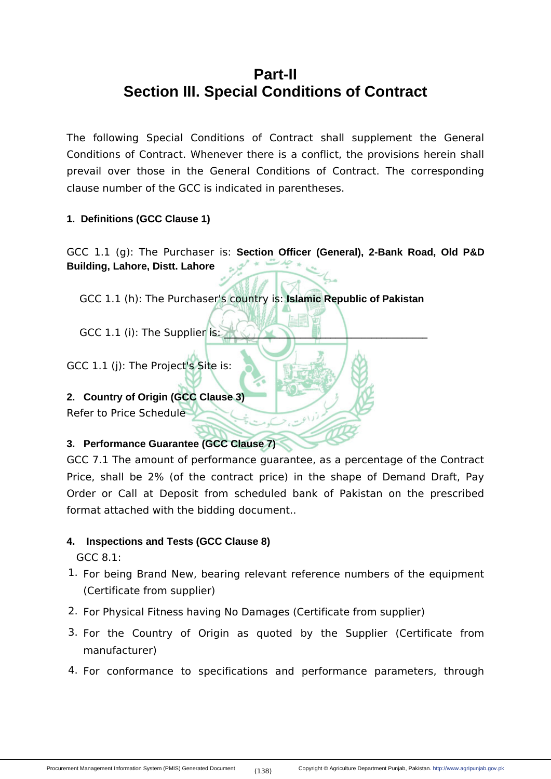# Part-II Section III. Special Conditions of Contract

The following Special Conditions of Contract shall suppler Conditions of Contract. Whenever there is a conflict, the provis prevail over those in the General Conditions of Contract. T clause number of the GCC is indicated in parentheses.

1. Definitions (GCC Clause 1)

GCC 1.1 (g): The PurSection Officers (General), 2-Bank Road, Old P&D Building, Lahore, Distt. Lahore

GCC 1.1 (h): The Purchase is lamic Republic of Pakistan

GCC 1.1 (i): The Supplier is: \_\_\_\_\_\_\_\_\_\_\_\_\_\_\_\_\_\_\_\_\_\_\_\_\_\_\_\_\_\_\_\_\_\_\_\_\_\_\_\_

GCC 1.1 (j): The Project's Site is:

2. Country of Origin (GCC Clause 3) Refer to Price Schedule

3. Performance Guarantee (GCC Clause 7)

GCC 7.1 The amount of performance guarantee, as a percentage Price, shall be 2% (of the contract price) in the shape of D Order or Call at Deposit from scheduled bank of Pakistan on format attached with the bidding document..

- 4. Inspections and Tests (GCC Clause 8) GCC 8.1:
- 1. For being Brand New, bearing relevant reference numbers of (Certificate from supplier)
- 2. For Physical Fitness having No Damages (Certificate from suppl
- 3. For the Country of Origin as quoted by the Supplier manufacturer)
- 4. For conformance to specifications and performance param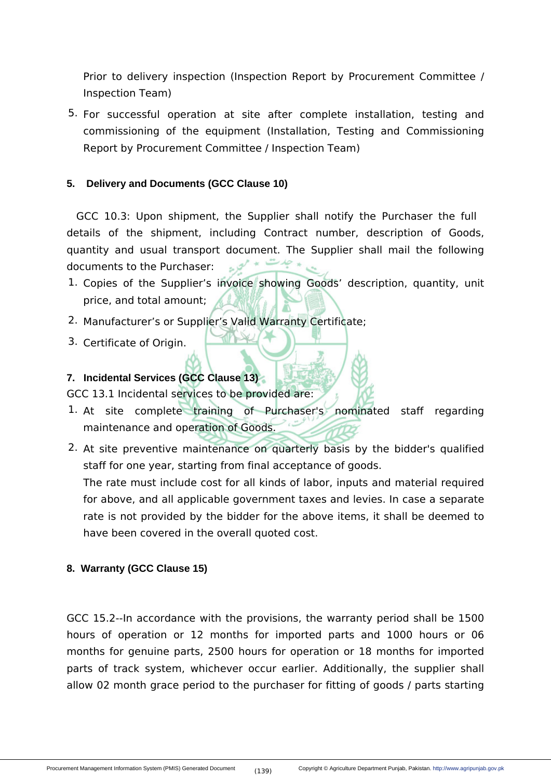Prior to delivery inspection (Inspection Report by Procureme Inspection Team)

- 5. For successful operation at site after complete installation commissioning of the equipment (Installation, Testing and Report by Procurement Committee / Inspection Team)
- 5. Delivery and Documents (GCC Clause 10)

GCC 10.3: Upon shipment, the Supplier shall notify the Pu details of the shipment, including Contract number, descr quantity and usual transport document. The Supplier shall ma documents to the Purchaser:

- 1. Copies of the Supplier s invoice showing Goods description price, and total amount;
- 2.Manufacturer s or Supplier s Valid Warranty Certificate;
- 3.Certificate of Origin.

#### 7. Incidental Services (GCC Clause 13)

GCC 13.1 Incidental services to be provided are:

- 1. At site complete training of Purchaser's nominated maintenance and operation of Goods.
- 2. At site preventive maintenance on quarterly basis by the bi staff for one year, starting from final acceptance of goods. The rate must include cost for all kinds of labor, inputs and m for above, and all applicable government taxes and levies. In c rate is not provided by the bidder for the above items, it shall have been covered in the overall quoted cost.
- 8. Warranty (GCC Clause 15)

GCC 15.2--In accordance with the provisions, the warranty perio hours of operation or 12 months for imported parts and 100 hours of 0.000 hours of 0.000  $\mu$ months for genuine parts, 2500 hours for operation or 18 mont parts of track system, whichever occur earlier. Additionally, t allow 02 month grace period to the purchaser for fitting of goods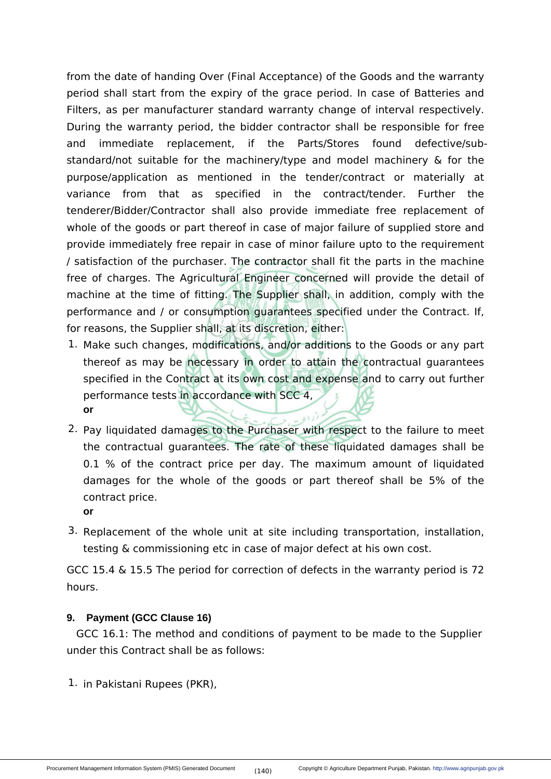from the date of handing Over (Final Acceptance) of the Goods and period shall start from the expiry of the grace period. In case Filters, as per manufacturer standard warranty change of interval During the warranty period, the bidder contractor shall be responsible and immediate replacement, if the Parts/Stores fo standard/not suitable for the machinery/type and model machi purpose/application as mentioned in the tender/contract variance from that as specified in the contract/te tenderer/Bidder/Contractor shall also provide immediate free whole of the goods or part thereof in case of major failure of supplied and provide immediately free repair in case of minor failure upto to  $\prime$  satisfaction of the purchaser. The contractor shall fit the part free of charges. The Agricultural Engineer concerned will prov machine at the time of fitting. The Supplier shall, in addition, performance and / or consumption guarantees specified under t for reasons, the Supplier shall, at its discretion, either:

- 1. Make such changes, modifications, and/or additions to the Goo thereof as may be necessary in order to attain the contractual specified in the Contract at its own cost and expense and to ca performance tests in accordance with SCC 4, or
- 2. Pay liquidated damages to the Purchaser with respect to the the contractual guarantees. The rate of these liquidated da 0.1 % of the contract price per day. The maximum amoun damages for the whole of the goods or part thereof shall contract price. or
- 3. Replacement of the whole unit at site including transportation, testing & commissioning etc in case of major defect at his own o

GCC 15.4 & 15.5 The period for correction of defects in the warra hours.

9. Payment (GCC Clause 16)

GCC 16.1: The method and conditions of payment to be made under this Contract shall be as follows:

1.in Pakistani Rupees (PKR),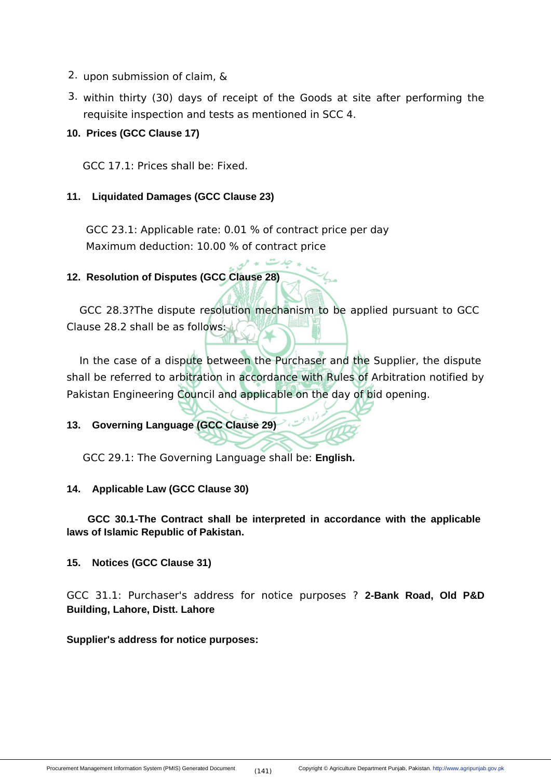2.upon submission of claim, &

3. within thirty (30) days of receipt of the Goods at site afte requisite inspection and tests as mentioned in SCC 4.

10. Prices (GCC Clause 17)

GCC 17.1: Prices shall be: Fixed.

11. Liquidated Damages (GCC Clause 23)

 GCC 23.1: Applicable rate: 0.01 % of contract price per day Maximum deduction: 10.00 % of contract price

12. Resolution of Disputes (GCC Clause 28)

GCC 28.3? The dispute resolution mechanism to be applied po Clause 28.2 shall be as follows:

In the case of a dispute between the Purchaser and the Supp shall be referred to arbitration in accordance with Rules of Arbitr Pakistan Engineering Council and applicable on the day of bid ope

13. Governing Language (GCC Clause 29)

GCC 29.1: The Governing LandEunglighe shall be:

14. Applicable Law (GCC Clause 30)

 GCC 30.1-The Contract shall be interpreted in accordance with the applicable laws of Islamic Republic of Pakistan.

15. Notices (GCC Clause 31)

GCC 31.1: Purchaser's address for n2eBaindkeRoadu, Oldolo<del>P&D</del> ? Building, Lahore, Distt. Lahore

Supplier's address for notice purposes: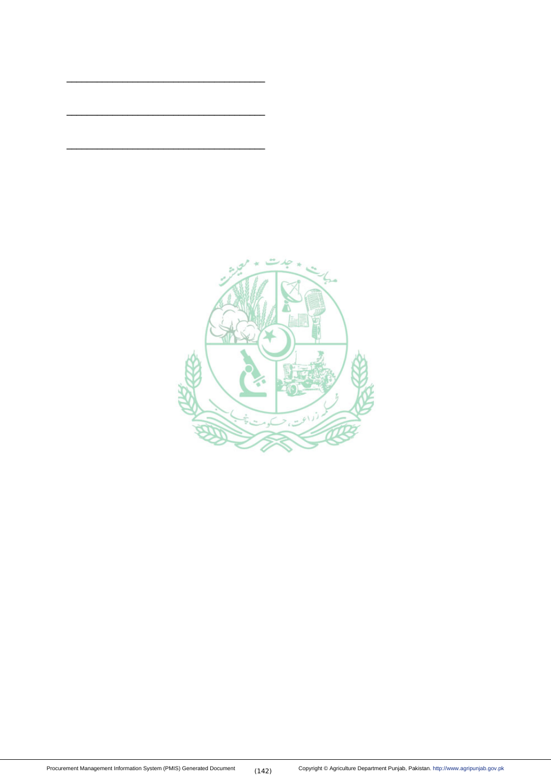\_\_\_\_\_\_\_\_\_\_\_\_\_\_\_\_\_\_\_\_\_\_\_\_\_\_\_\_\_\_\_\_\_\_\_\_\_\_\_

\_\_\_\_\_\_\_\_\_\_\_\_\_\_\_\_\_\_\_\_\_\_\_\_\_\_\_\_\_\_\_\_\_\_\_\_\_\_\_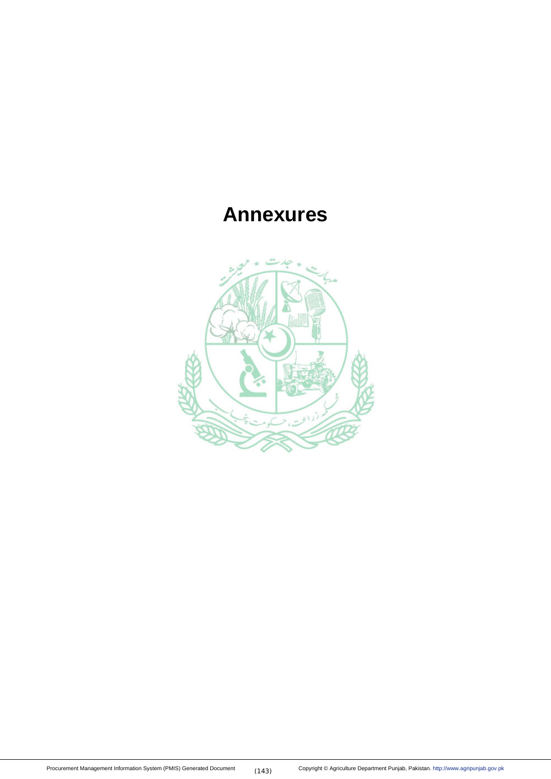Annexures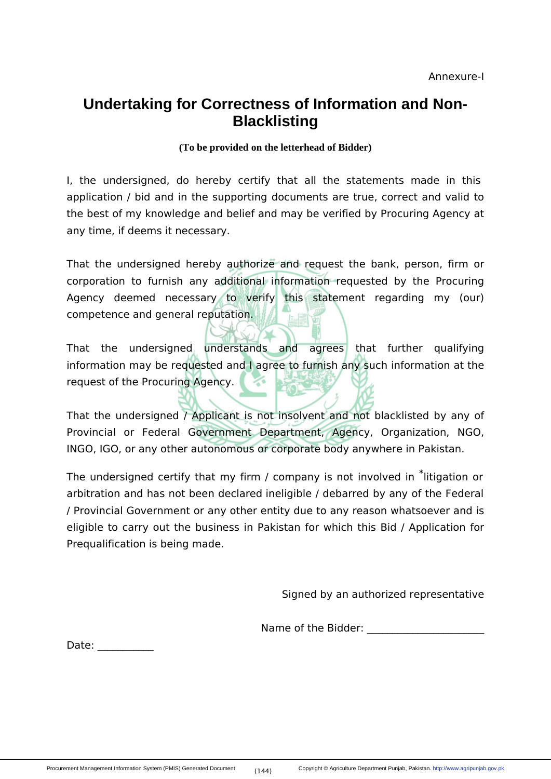# Undertaking for Correctness of Information and Non-**Blacklisting**

#### (To be provided on the letterhead of Bidder)

I, the undersigned, do hereby certify that all the statemer application / bid and in the supporting documents are true, correct and value of  $\alpha$ the best of my knowledge and belief and may be verified by Procu any time, if deems it necessary.

That the undersigned hereby authorize and request the bank, corporation to furnish any additional information requested b Agency deemed necessary to verify this statement reg competence and general reputation.

That the undersigned understands and agrees that information may be requested and I agree to furnish any such information any be requested and I agree to furnish any such information request of the Procuring Agency.

That the undersigned / Applicant is not insolvent and not black Provincial or Federal Government Department, Agency, Org INGO, IGO, or any other autonomous or corporate body anywhere i

The undersigned certify that my firm / companylitigation noolved arbitration and has not been declared ineligible / debarred by an / Provincial Government or any other entity due to any reason wh eligible to carry out the business in Pakistan for which this Bid Prequalification is being made.

Signed by an authorized representati

Name of the Bidder: \_\_\_\_\_\_\_\_\_\_\_\_\_\_\_\_\_

 $Date:$  \_\_\_\_\_\_\_\_\_\_\_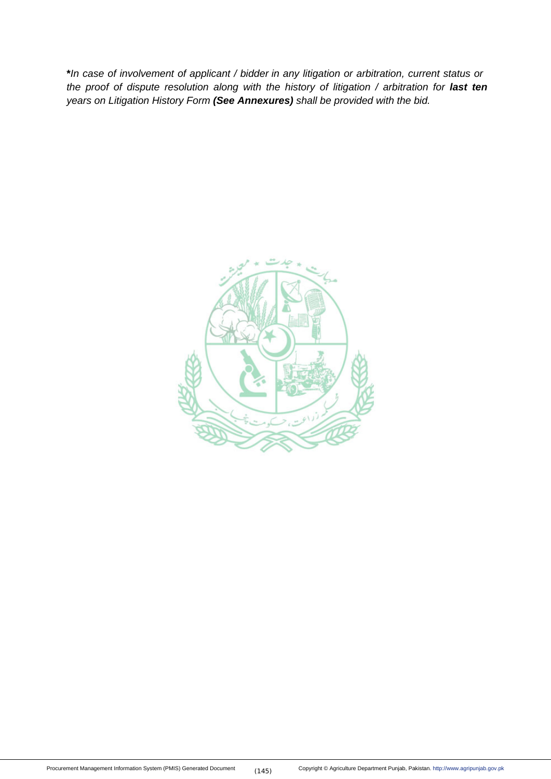\*In case of involvement of applicant / bidder in any litigation or arbitration, current status or the proof of dispute resolution along with the history of litigation / arbitration for last ten years on Litigation History Form (See Annexures) shall be provided with the bid.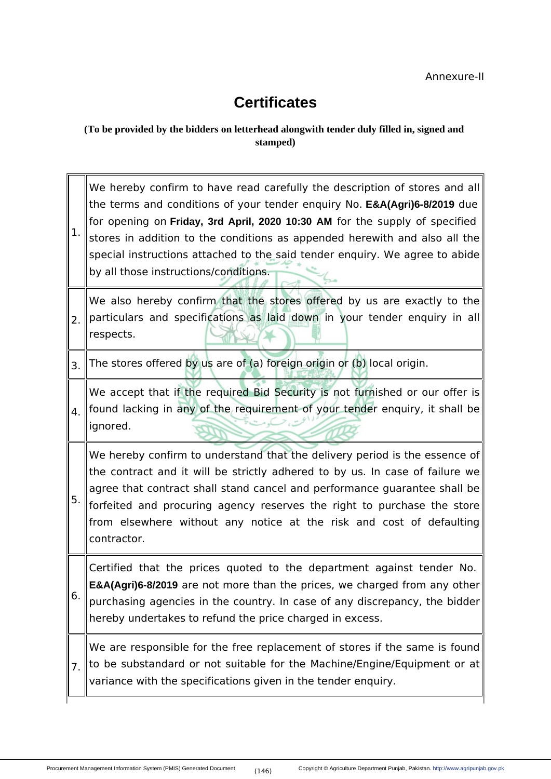Annexure-II

## **Certificates**

#### (To be provided by the bidders on letterhead alongwith tender duly filled in, signed and stamped)

|                  | We hereby confirm to have read carefully the description of<br>the terms and conditions of your ten <b>El&amp;A</b> (A <b>geri)&amp;3&amp;1201</b> ,9 Nobuke                                                                                                                                                                   |         |  |
|------------------|--------------------------------------------------------------------------------------------------------------------------------------------------------------------------------------------------------------------------------------------------------------------------------------------------------------------------------|---------|--|
| $\mathbf{1}$     | for openingfriday 3rd April, 2020 10:30 AM for the supply of specified<br>stores in addition to the conditions as appended herewith an<br>special instructions attached to the said tender engulity. We a<br>by all those instructions/conditions.                                                                             |         |  |
| 2 <sup>1</sup>   | We also hereby confirm that the stores offered by us are<br>particulars and specifications as laid down in your tender<br>respects.                                                                                                                                                                                            |         |  |
|                  | $3$ The stores offered by us are of (a) foreign origin or ( $\phi$ ) local o                                                                                                                                                                                                                                                   |         |  |
| $\overline{4}$ . | We accept that if the required Bid Security is not furnished<br>found lacking in any of the requirement of your tender enqui<br>ignored.                                                                                                                                                                                       |         |  |
| $5\phantom{.0}$  | We hereby confirm to understand that the delivery period is the<br>the contract and it will be strictly adhered to by us. In cas<br>agree that contract shall stand cancel and performance guara<br>forfeited and procuring agency reserves the right to purch<br>from elsewhere without any notice at the risk<br>contractor. | and cos |  |
| 6                | Certified that the prices quoted to the department again<br>E&A(Agri)6-8/2019 are not more than the prices, we charged from an<br>purchasing agencies in the country. In case of any discrepan<br>hereby undertakes to refund the price charged in excess.                                                                     |         |  |
| $\overline{7}$   | We are responsible for the free replacement of stor $\frac{1}{2}$ s if the<br>to be substandard or not suitable for the Machine/#ngine/Eq<br>variance with the specifications given in the tender enquiry.                                                                                                                     |         |  |
|                  |                                                                                                                                                                                                                                                                                                                                |         |  |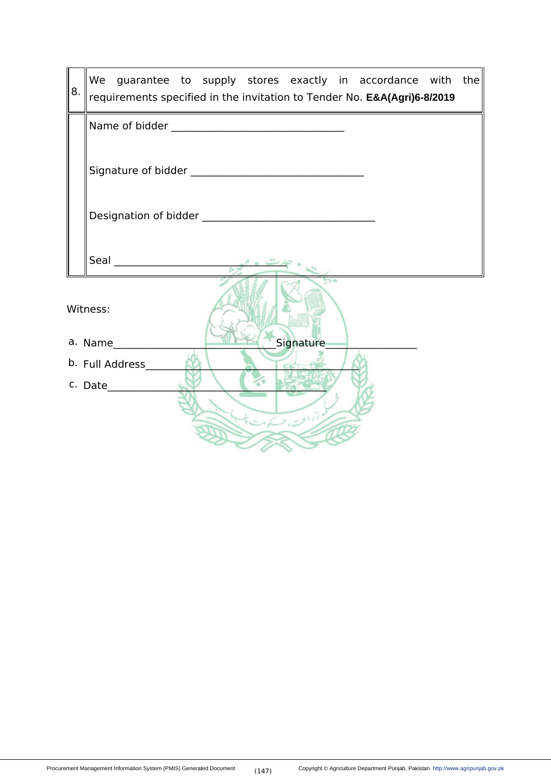8. We guarantee to supply stores exactly  $\inf$  accord <code> $\mid$ requirements</code> specified in the invitatio $\mathrm{E}$ &A( $\mathsf{A}$ grī)&-8/20219 No. $\mid$ Name of bidder \_\_\_\_\_\_\_\_\_\_\_\_\_\_\_\_\_\_\_\_\_\_\_\_\_\_\_\_\_\_\_\_\_\_ Signature of bidder \_\_\_\_\_\_\_\_\_\_\_\_\_\_\_\_\_\_\_\_\_\_\_\_\_\_\_\_\_\_\_\_\_\_ Designation of bidder \_\_\_\_\_\_\_\_\_\_\_\_\_\_\_\_\_\_\_\_\_\_\_\_\_\_\_\_\_\_\_\_\_\_ Seal \_\_\_\_\_\_\_\_\_\_\_\_\_\_\_\_\_\_\_\_\_\_\_\_\_\_\_\_\_\_\_\_\_\_

#### Witness:

| a. Name         | _Signature, |
|-----------------|-------------|
| b. Full Address |             |
| c. Date         |             |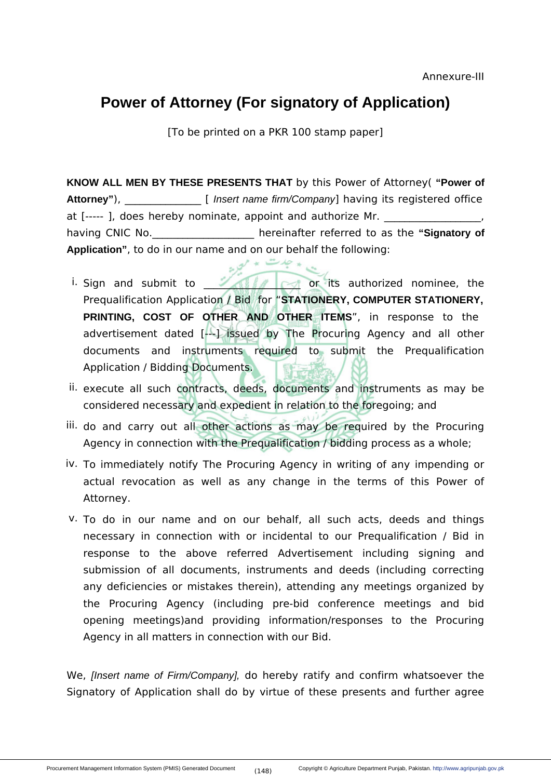## Power of Attorney (For signatory of Application)

[To be printed on a PKR 100 stamp paper]

KNOW ALL MEN BY THESE PRESENTS THAT by this Power of A "PROCOMETHOLY ( Attorney" ), \_\_\_\_\_\_\_\_\_ Insert\_name [firm/Company] having its registered office at  $[---]$ , does hereby nominate, appoint and authorize Mr.  $\_$ having CNIC No.\_\_\_\_\_\_\_\_\_\_\_\_\_\_\_\_\_\_\_ hereinäSigneatory ooferred to Application" , to do in our name and on our behalf the following:

- i.Sign and submit to \_\_\_\_\_\_\_\_\_\_\_\_\_\_\_\_\_\_\_ or its autho Prequalification Applicatio STATIONERY, COMPUTER STATIONERY, PRINTING, COST OF OTHER AND OTHER ITEMS , in response to the advertisement dated [---] issued by The Procuring Agency documents and instruments required to submit the Application / Bidding Documents.
- ii.execute all such contracts, deeds, documents and instrumer considered necessary and expedient in relation to the foregoing
- iiido and carry out all other actions as may be required I Agency in connection with the Prequalification / bidding process
- iv. To immediately notify The Procuring Agency in writing of an actual revocation as well as any change in the terms Attorney.
- $v.To$  do in our name and on our behalf, all such acts, necessary in connection with or incidental to our Prequali response to the above referred Advertisement includi submission of all documents, instruments and deeds (inclu any deficiencies or mistakes therein), attending any meeting the Procuring Agency (including pre-bid conference me opening meetings)and providing information/responses to Agency in all matters in connection with our Bid.

We [Insert name of Firm/Company], do hereby ratify and confirm whatsoever Signatory of Application shall do by virtue of these presents a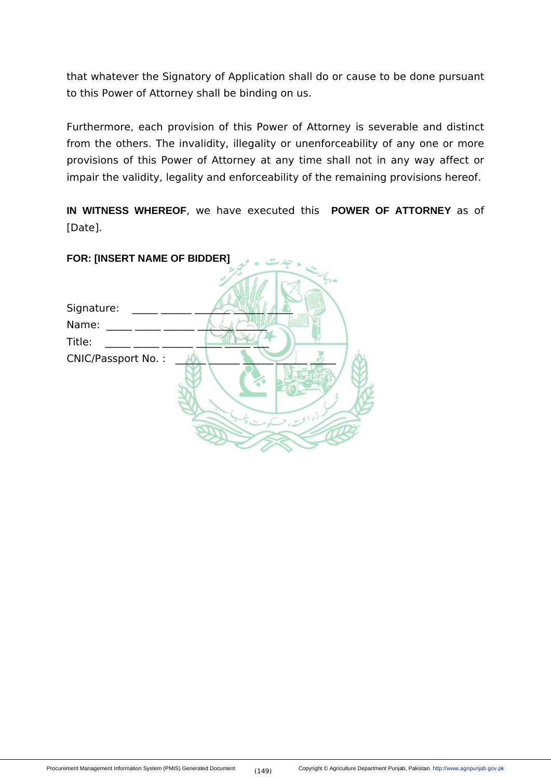that whatever the Signatory of Application shall do or cause to be to this Power of Attorney shall be binding on us.

Furthermore, each provision of this Power of Attorney is severable from the others. The invalidity, illegality or unenforceability of provisions of this Power of Attorney at any time shall not in a impair the validity, legality and enforceability of the remaining pro

IN WITNESS WHEREOF, we have executePOWER iSF ATTORNEY as of [Date].

FOR: [INSERT NAME OF BIDDER]

| Signature:         |                                                      |
|--------------------|------------------------------------------------------|
| Name:              | <u> 1999 - Alexandr Alexandr Alexandr Alexandr (</u> |
| Title:             |                                                      |
| CNIC/Passport No.: |                                                      |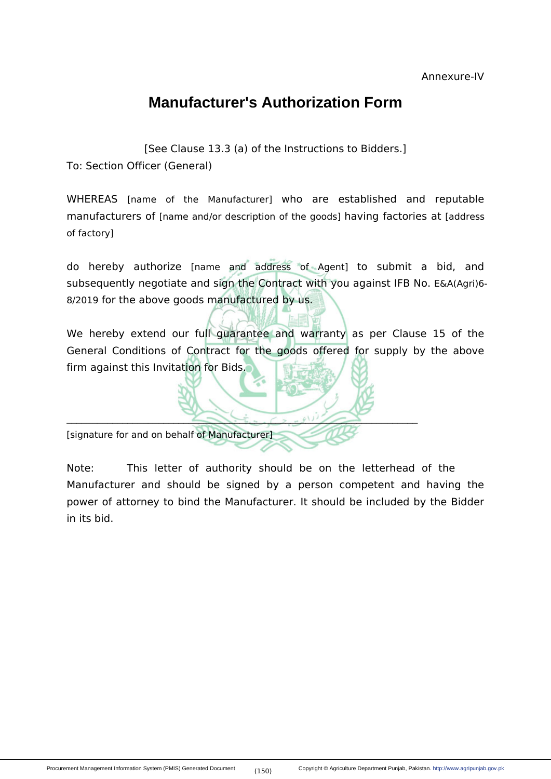## Manufacturer's Authorization Form

[See Clause 13.3 (a) of the Instructions to Bidders.] To: Section Officer (General)

WHEREAS ame of the Manufanchioreraire established and reputable and reputable and reputable and repu  $m$  anufacture r $[$ s aomfe and/or description of the aevignogo dfsa]  $ct$  or  $[$ e osdaets s of factory]

do hereby authoramizee and address of to Agsento mit a bid, and subsequently negotiate and sign the Contract with Examu Aaggia 6 nst IFI 8/2019 for the above goods manufactured by us.

We hereby extend our full guarantee and warranty as per C General Conditions of Contract for the goods offered for supp firm against this Invitation for Bids.

\_\_\_\_\_\_\_\_\_\_\_\_\_\_\_\_\_\_\_\_\_\_\_\_\_\_\_\_\_\_\_\_\_\_\_\_\_\_\_\_\_\_\_\_\_\_\_\_\_\_\_\_\_\_\_\_\_\_\_\_\_\_\_\_\_\_\_\_\_

[signature for and on behalf of Manufacturer]

Note: This letter of authority should be on the lette Manufacturer and should be signed by a person competent power of attorney to bind the Manufacturer. It should be include in its bid.